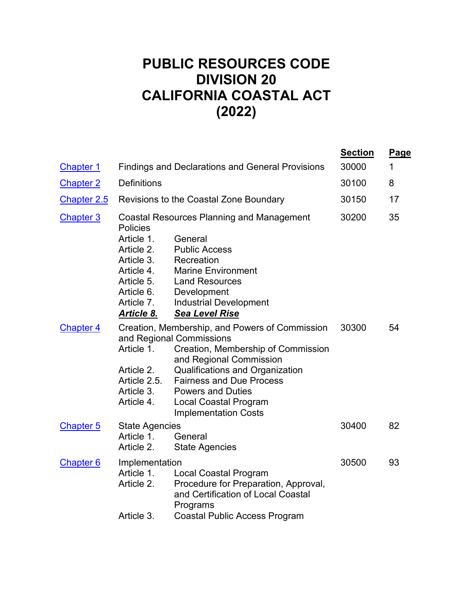# **PUBLIC RESOURCES CODE DIVISION 20 CALIFORNIA COASTAL ACT (2022)**

| <b>Chapter 1</b> |                                                                                                                                 | <b>Findings and Declarations and General Provisions</b>                                                                                                                                                                                                                                                      | <b>Section</b><br>30000 | <u>Page</u><br>1 |
|------------------|---------------------------------------------------------------------------------------------------------------------------------|--------------------------------------------------------------------------------------------------------------------------------------------------------------------------------------------------------------------------------------------------------------------------------------------------------------|-------------------------|------------------|
| <b>Chapter 2</b> | <b>Definitions</b>                                                                                                              |                                                                                                                                                                                                                                                                                                              | 30100                   | 8                |
| Chapter 2.5      | Revisions to the Coastal Zone Boundary                                                                                          |                                                                                                                                                                                                                                                                                                              | 30150                   | 17               |
| <b>Chapter 3</b> | <b>Policies</b><br>Article 1.<br>Article 2.<br>Article 3.<br>Article 4.<br>Article 5.<br>Article 6.<br>Article 7.<br>Article 8. | <b>Coastal Resources Planning and Management</b><br>General<br><b>Public Access</b><br>Recreation<br><b>Marine Environment</b><br><b>Land Resources</b><br>Development<br><b>Industrial Development</b><br><b>Sea Level Rise</b>                                                                             | 30200                   | 35               |
| <b>Chapter 4</b> | Article 1.<br>Article 2.<br>Article 2.5.<br>Article 3.<br>Article 4.                                                            | Creation, Membership, and Powers of Commission<br>and Regional Commissions<br>Creation, Membership of Commission<br>and Regional Commission<br>Qualifications and Organization<br><b>Fairness and Due Process</b><br><b>Powers and Duties</b><br><b>Local Coastal Program</b><br><b>Implementation Costs</b> | 30300                   | 54               |
| <b>Chapter 5</b> | <b>State Agencies</b><br>Article 1.<br>Article 2.                                                                               | General<br><b>State Agencies</b>                                                                                                                                                                                                                                                                             | 30400                   | 82               |
| <b>Chapter 6</b> | Implementation<br>Article 1.<br>Article 2.<br>Article 3.                                                                        | <b>Local Coastal Program</b><br>Procedure for Preparation, Approval,<br>and Certification of Local Coastal<br>Programs<br><b>Coastal Public Access Program</b>                                                                                                                                               | 30500                   | 93               |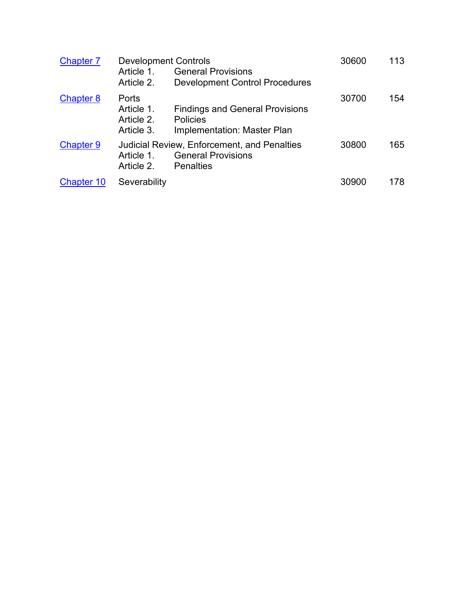| <b>Chapter 7</b>  | <b>Development Controls</b><br>Article 1.<br>Article 2. | <b>General Provisions</b><br><b>Development Control Procedures</b>                                  | 30600 | 113 |
|-------------------|---------------------------------------------------------|-----------------------------------------------------------------------------------------------------|-------|-----|
| <b>Chapter 8</b>  | Ports<br>Article 1.<br>Article 2.<br>Article 3.         | <b>Findings and General Provisions</b><br>Policies<br>Implementation: Master Plan                   | 30700 | 154 |
| <b>Chapter 9</b>  | Article 1.<br>Article 2.                                | <b>Judicial Review, Enforcement, and Penalties</b><br><b>General Provisions</b><br><b>Penalties</b> | 30800 | 165 |
| <b>Chapter 10</b> | Severability                                            |                                                                                                     | 30900 | 178 |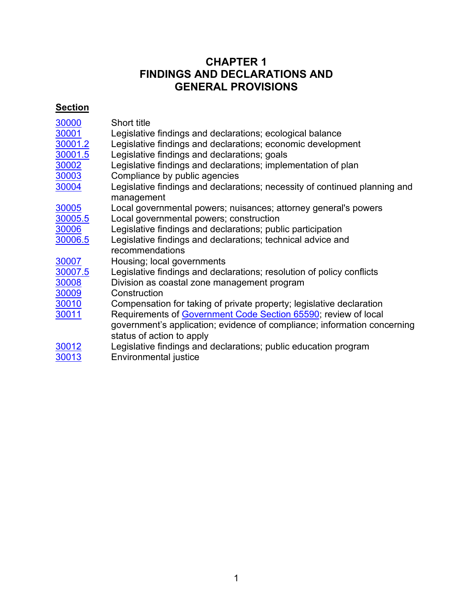# **CHAPTER 1 FINDINGS AND DECLARATIONS AND GENERAL PROVISIONS**

# <span id="page-2-0"></span>**Section**

| 30000   | Short title                                                                |
|---------|----------------------------------------------------------------------------|
| 30001   | Legislative findings and declarations; ecological balance                  |
| 30001.2 | Legislative findings and declarations; economic development                |
| 30001.5 | Legislative findings and declarations; goals                               |
| 30002   | Legislative findings and declarations; implementation of plan              |
| 30003   | Compliance by public agencies                                              |
| 30004   | Legislative findings and declarations; necessity of continued planning and |
|         | management                                                                 |
| 30005   | Local governmental powers; nuisances; attorney general's powers            |
| 30005.5 | Local governmental powers; construction                                    |
| 30006   | Legislative findings and declarations; public participation                |
| 30006.5 | Legislative findings and declarations; technical advice and                |
|         | recommendations                                                            |
| 30007   | Housing; local governments                                                 |
| 30007.5 | Legislative findings and declarations; resolution of policy conflicts      |
| 30008   | Division as coastal zone management program                                |
| 30009   | Construction                                                               |
| 30010   | Compensation for taking of private property; legislative declaration       |
| 30011   | Requirements of Government Code Section 65590; review of local             |
|         | government's application; evidence of compliance; information concerning   |
|         | status of action to apply                                                  |
|         |                                                                            |
| 30012   | Legislative findings and declarations; public education program            |
| 30013   | Environmental justice                                                      |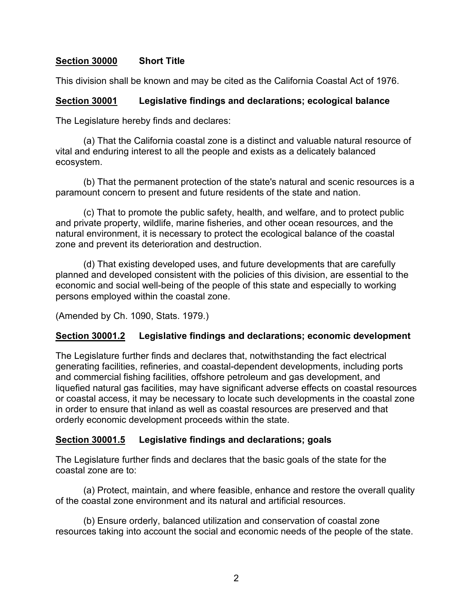#### <span id="page-3-0"></span>**Section 30000 Short Title**

This division shall be known and may be cited as the California Coastal Act of 1976.

#### <span id="page-3-1"></span>**Section 30001 Legislative findings and declarations; ecological balance**

The Legislature hereby finds and declares:

(a) That the California coastal zone is a distinct and valuable natural resource of vital and enduring interest to all the people and exists as a delicately balanced ecosystem.

(b) That the permanent protection of the state's natural and scenic resources is a paramount concern to present and future residents of the state and nation.

(c) That to promote the public safety, health, and welfare, and to protect public and private property, wildlife, marine fisheries, and other ocean resources, and the natural environment, it is necessary to protect the ecological balance of the coastal zone and prevent its deterioration and destruction.

(d) That existing developed uses, and future developments that are carefully planned and developed consistent with the policies of this division, are essential to the economic and social well-being of the people of this state and especially to working persons employed within the coastal zone.

(Amended by Ch. 1090, Stats. 1979.)

#### <span id="page-3-2"></span>**Section 30001.2 Legislative findings and declarations; economic development**

The Legislature further finds and declares that, notwithstanding the fact electrical generating facilities, refineries, and coastal-dependent developments, including ports and commercial fishing facilities, offshore petroleum and gas development, and liquefied natural gas facilities, may have significant adverse effects on coastal resources or coastal access, it may be necessary to locate such developments in the coastal zone in order to ensure that inland as well as coastal resources are preserved and that orderly economic development proceeds within the state.

#### <span id="page-3-3"></span>**Section 30001.5 Legislative findings and declarations; goals**

The Legislature further finds and declares that the basic goals of the state for the coastal zone are to:

(a) Protect, maintain, and where feasible, enhance and restore the overall quality of the coastal zone environment and its natural and artificial resources.

(b) Ensure orderly, balanced utilization and conservation of coastal zone resources taking into account the social and economic needs of the people of the state.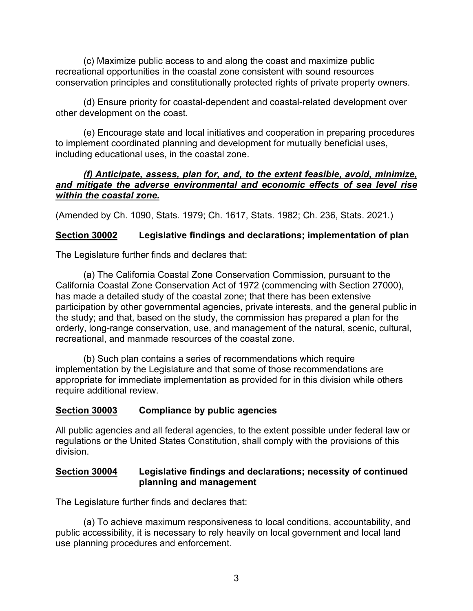(c) Maximize public access to and along the coast and maximize public recreational opportunities in the coastal zone consistent with sound resources conservation principles and constitutionally protected rights of private property owners.

(d) Ensure priority for coastal-dependent and coastal-related development over other development on the coast.

(e) Encourage state and local initiatives and cooperation in preparing procedures to implement coordinated planning and development for mutually beneficial uses, including educational uses, in the coastal zone.

#### *(f) Anticipate, assess, plan for, and, to the extent feasible, avoid, minimize, and mitigate the adverse environmental and economic effects of sea level rise within the coastal zone.*

<span id="page-4-0"></span>(Amended by Ch. 1090, Stats. 1979; Ch. 1617, Stats. 1982; Ch. 236, Stats. 2021.)

# **Section 30002 Legislative findings and declarations; implementation of plan**

The Legislature further finds and declares that:

(a) The California Coastal Zone Conservation Commission, pursuant to the California Coastal Zone Conservation Act of 1972 (commencing with Section 27000), has made a detailed study of the coastal zone; that there has been extensive participation by other governmental agencies, private interests, and the general public in the study; and that, based on the study, the commission has prepared a plan for the orderly, long-range conservation, use, and management of the natural, scenic, cultural, recreational, and manmade resources of the coastal zone.

(b) Such plan contains a series of recommendations which require implementation by the Legislature and that some of those recommendations are appropriate for immediate implementation as provided for in this division while others require additional review.

# <span id="page-4-1"></span>**Section 30003 Compliance by public agencies**

All public agencies and all federal agencies, to the extent possible under federal law or regulations or the United States Constitution, shall comply with the provisions of this division.

#### <span id="page-4-2"></span>**Section 30004 Legislative findings and declarations; necessity of continued planning and management**

The Legislature further finds and declares that:

(a) To achieve maximum responsiveness to local conditions, accountability, and public accessibility, it is necessary to rely heavily on local government and local land use planning procedures and enforcement.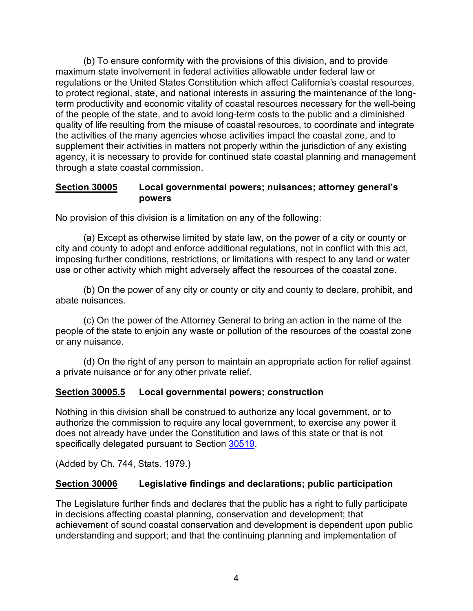(b) To ensure conformity with the provisions of this division, and to provide maximum state involvement in federal activities allowable under federal law or regulations or the United States Constitution which affect California's coastal resources, to protect regional, state, and national interests in assuring the maintenance of the longterm productivity and economic vitality of coastal resources necessary for the well-being of the people of the state, and to avoid long-term costs to the public and a diminished quality of life resulting from the misuse of coastal resources, to coordinate and integrate the activities of the many agencies whose activities impact the coastal zone, and to supplement their activities in matters not properly within the jurisdiction of any existing agency, it is necessary to provide for continued state coastal planning and management through a state coastal commission.

#### <span id="page-5-0"></span>**Section 30005 Local governmental powers; nuisances; attorney general's powers**

No provision of this division is a limitation on any of the following:

(a) Except as otherwise limited by state law, on the power of a city or county or city and county to adopt and enforce additional regulations, not in conflict with this act, imposing further conditions, restrictions, or limitations with respect to any land or water use or other activity which might adversely affect the resources of the coastal zone.

(b) On the power of any city or county or city and county to declare, prohibit, and abate nuisances.

(c) On the power of the Attorney General to bring an action in the name of the people of the state to enjoin any waste or pollution of the resources of the coastal zone or any nuisance.

<span id="page-5-1"></span>(d) On the right of any person to maintain an appropriate action for relief against a private nuisance or for any other private relief.

# **Section 30005.5 Local governmental powers; construction**

Nothing in this division shall be construed to authorize any local government, or to authorize the commission to require any local government, to exercise any power it does not already have under the Constitution and laws of this state or that is not specifically delegated pursuant to Section [30519.](#page-105-0)

(Added by Ch. 744, Stats. 1979.)

# <span id="page-5-2"></span>**Section 30006 Legislative findings and declarations; public participation**

The Legislature further finds and declares that the public has a right to fully participate in decisions affecting coastal planning, conservation and development; that achievement of sound coastal conservation and development is dependent upon public understanding and support; and that the continuing planning and implementation of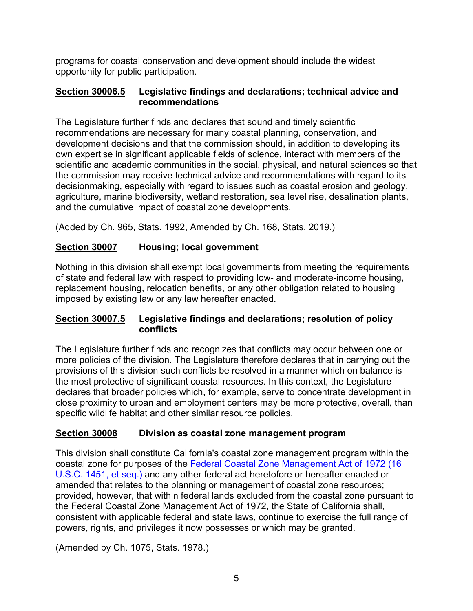programs for coastal conservation and development should include the widest opportunity for public participation.

#### <span id="page-6-0"></span>**Section 30006.5 Legislative findings and declarations; technical advice and recommendations**

The Legislature further finds and declares that sound and timely scientific recommendations are necessary for many coastal planning, conservation, and development decisions and that the commission should, in addition to developing its own expertise in significant applicable fields of science, interact with members of the scientific and academic communities in the social, physical, and natural sciences so that the commission may receive technical advice and recommendations with regard to its decisionmaking, especially with regard to issues such as coastal erosion and geology, agriculture, marine biodiversity, wetland restoration, sea level rise, desalination plants, and the cumulative impact of coastal zone developments.

(Added by Ch. 965, Stats. 1992, Amended by Ch. 168, Stats. 2019.)

# <span id="page-6-1"></span>**Section 30007 Housing; local government**

Nothing in this division shall exempt local governments from meeting the requirements of state and federal law with respect to providing low- and moderate-income housing, replacement housing, relocation benefits, or any other obligation related to housing imposed by existing law or any law hereafter enacted.

#### <span id="page-6-2"></span>**Section 30007.5 Legislative findings and declarations; resolution of policy conflicts**

The Legislature further finds and recognizes that conflicts may occur between one or more policies of the division. The Legislature therefore declares that in carrying out the provisions of this division such conflicts be resolved in a manner which on balance is the most protective of significant coastal resources. In this context, the Legislature declares that broader policies which, for example, serve to concentrate development in close proximity to urban and employment centers may be more protective, overall, than specific wildlife habitat and other similar resource policies.

# <span id="page-6-3"></span>**Section 30008 Division as coastal zone management program**

This division shall constitute California's coastal zone management program within the coastal zone for purposes of the Federal [Coastal Zone Management Act of 1972 \(16](https://www.law.cornell.edu/uscode/text/16/chapter-33)  [U.S.C. 1451, et seq.\)](https://www.law.cornell.edu/uscode/text/16/chapter-33) and any other federal act heretofore or hereafter enacted or amended that relates to the planning or management of coastal zone resources; provided, however, that within federal lands excluded from the coastal zone pursuant to the Federal Coastal Zone Management Act of 1972, the State of California shall, consistent with applicable federal and state laws, continue to exercise the full range of powers, rights, and privileges it now possesses or which may be granted.

(Amended by Ch. 1075, Stats. 1978.)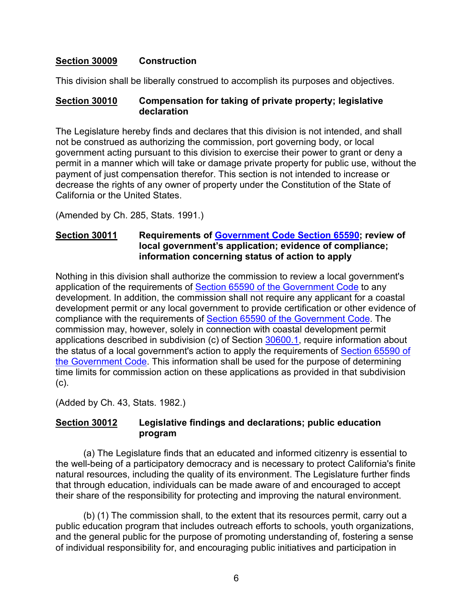#### <span id="page-7-0"></span>**Section 30009 Construction**

This division shall be liberally construed to accomplish its purposes and objectives.

#### <span id="page-7-1"></span>**Section 30010 Compensation for taking of private property; legislative declaration**

The Legislature hereby finds and declares that this division is not intended, and shall not be construed as authorizing the commission, port governing body, or local government acting pursuant to this division to exercise their power to grant or deny a permit in a manner which will take or damage private property for public use, without the payment of just compensation therefor. This section is not intended to increase or decrease the rights of any owner of property under the Constitution of the State of California or the United States.

(Amended by Ch. 285, Stats. 1991.)

#### <span id="page-7-2"></span>**Section 30011 Requirements of [Government Code Section](http://leginfo.legislature.ca.gov/faces/codes_displayText.xhtml?lawCode=GOV&division=1.&title=7.&part=&chapter=3.&article=10.7.) 65590; review of local government's application; evidence of compliance; information concerning status of action to apply**

Nothing in this division shall authorize the commission to review a local government's application of the requirements of [Section 65590 of the Government Code](http://leginfo.legislature.ca.gov/faces/codes_displayText.xhtml?lawCode=GOV&division=1.&title=7.&part=&chapter=3.&article=10.7.) to any development. In addition, the commission shall not require any applicant for a coastal development permit or any local government to provide certification or other evidence of compliance with the requirements of [Section 65590 of the Government Code.](http://leginfo.legislature.ca.gov/faces/codes_displayText.xhtml?lawCode=GOV&division=1.&title=7.&part=&chapter=3.&article=10.7.) The commission may, however, solely in connection with coastal development permit applications described in subdivision (c) of Section [30600.1,](#page-117-0) require information about the status of a local government's action to apply the requirements of [Section 65590 of](http://leginfo.legislature.ca.gov/faces/codes_displayText.xhtml?lawCode=GOV&division=1.&title=7.&part=&chapter=3.&article=10.7.)  [the Government Code.](http://leginfo.legislature.ca.gov/faces/codes_displayText.xhtml?lawCode=GOV&division=1.&title=7.&part=&chapter=3.&article=10.7.) This information shall be used for the purpose of determining time limits for commission action on these applications as provided in that subdivision (c).

<span id="page-7-3"></span>(Added by Ch. 43, Stats. 1982.)

#### **Section 30012 Legislative findings and declarations; public education program**

(a) The Legislature finds that an educated and informed citizenry is essential to the well-being of a participatory democracy and is necessary to protect California's finite natural resources, including the quality of its environment. The Legislature further finds that through education, individuals can be made aware of and encouraged to accept their share of the responsibility for protecting and improving the natural environment.

(b) (1) The commission shall, to the extent that its resources permit, carry out a public education program that includes outreach efforts to schools, youth organizations, and the general public for the purpose of promoting understanding of, fostering a sense of individual responsibility for, and encouraging public initiatives and participation in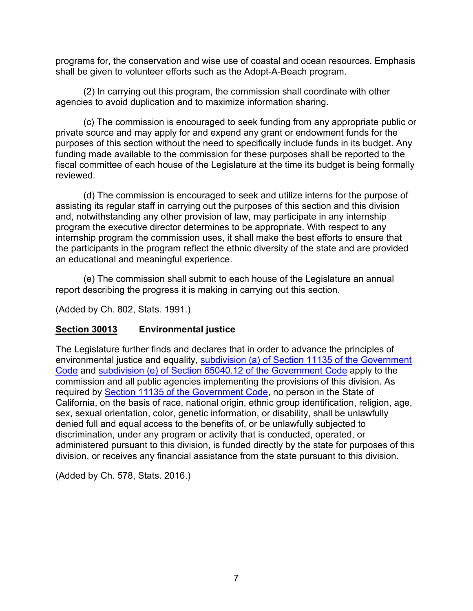programs for, the conservation and wise use of coastal and ocean resources. Emphasis shall be given to volunteer efforts such as the Adopt-A-Beach program.

(2) In carrying out this program, the commission shall coordinate with other agencies to avoid duplication and to maximize information sharing.

(c) The commission is encouraged to seek funding from any appropriate public or private source and may apply for and expend any grant or endowment funds for the purposes of this section without the need to specifically include funds in its budget. Any funding made available to the commission for these purposes shall be reported to the fiscal committee of each house of the Legislature at the time its budget is being formally reviewed.

(d) The commission is encouraged to seek and utilize interns for the purpose of assisting its regular staff in carrying out the purposes of this section and this division and, notwithstanding any other provision of law, may participate in any internship program the executive director determines to be appropriate. With respect to any internship program the commission uses, it shall make the best efforts to ensure that the participants in the program reflect the ethnic diversity of the state and are provided an educational and meaningful experience.

(e) The commission shall submit to each house of the Legislature an annual report describing the progress it is making in carrying out this section.

(Added by Ch. 802, Stats. 1991.)

# <span id="page-8-0"></span>**Section 30013 Environmental justice**

The Legislature further finds and declares that in order to advance the principles of environmental justice and equality, [subdivision \(a\) of Section 11135 of the Government](http://leginfo.legislature.ca.gov/faces/codes_displayText.xhtml?lawCode=GOV&division=3.&title=2.&part=1.&chapter=1.&article=9.5.)  [Code](http://leginfo.legislature.ca.gov/faces/codes_displayText.xhtml?lawCode=GOV&division=3.&title=2.&part=1.&chapter=1.&article=9.5.) and [subdivision \(e\) of Section 65040.12 of the Government Code](http://leginfo.legislature.ca.gov/faces/codes_displayText.xhtml?lawCode=GOV&division=&title=7.10.&part=&chapter=4.&article=) apply to the commission and all public agencies implementing the provisions of this division. As required by [Section 11135 of the Government Code,](http://leginfo.legislature.ca.gov/faces/codes_displayText.xhtml?lawCode=GOV&division=3.&title=2.&part=1.&chapter=1.&article=9.5.) no person in the State of California, on the basis of race, national origin, ethnic group identification, religion, age, sex, sexual orientation, color, genetic information, or disability, shall be unlawfully denied full and equal access to the benefits of, or be unlawfully subjected to discrimination, under any program or activity that is conducted, operated, or administered pursuant to this division, is funded directly by the state for purposes of this division, or receives any financial assistance from the state pursuant to this division.

(Added by Ch. 578, Stats. 2016.)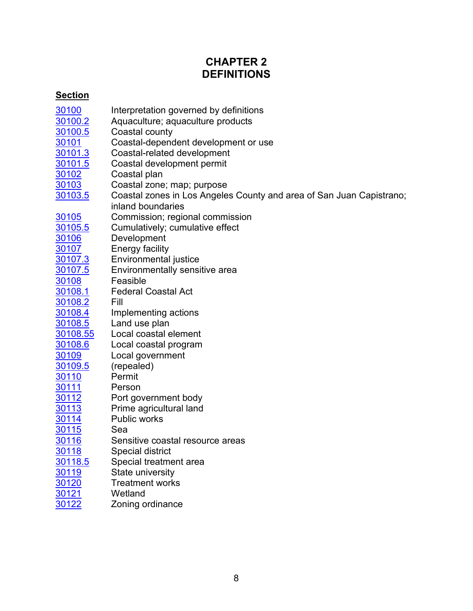# **CHAPTER 2 DEFINITIONS**

# <span id="page-9-0"></span>**Section**

| 30100        | Interpretation governed by definitions                               |
|--------------|----------------------------------------------------------------------|
| 30100.2      | Aquaculture; aquaculture products                                    |
| 30100.5      | Coastal county                                                       |
| 30101        | Coastal-dependent development or use                                 |
| 30101.3      | Coastal-related development                                          |
| 30101.5      | Coastal development permit                                           |
| 30102        | Coastal plan                                                         |
| 30103        | Coastal zone; map; purpose                                           |
| 30103.5      | Coastal zones in Los Angeles County and area of San Juan Capistrano; |
|              | inland boundaries                                                    |
| 30105        | Commission; regional commission                                      |
| 30105.5      | Cumulatively; cumulative effect                                      |
| <u>30106</u> | Development                                                          |
| 30107        | <b>Energy facility</b>                                               |
| 30107.3      | Environmental justice                                                |
| 30107.5      | Environmentally sensitive area                                       |
| 30108        | Feasible                                                             |
| 30108.1      | <b>Federal Coastal Act</b>                                           |
| 30108.2      | Fill                                                                 |
| 30108.4      | Implementing actions                                                 |
| 30108.5      | Land use plan                                                        |
| 30108.55     | Local coastal element                                                |
| 30108.6      | Local coastal program                                                |
| 30109        | Local government                                                     |
| 30109.5      | (repealed)                                                           |
| 30110        | Permit                                                               |
| 30111        | Person                                                               |
| <u>30112</u> | Port government body                                                 |
| 30113        | Prime agricultural land                                              |
| 30114        | <b>Public works</b>                                                  |
| <u>30115</u> | Sea                                                                  |
| 30116        | Sensitive coastal resource areas                                     |
| 30118        | <b>Special district</b>                                              |
| 30118.5      | Special treatment area                                               |
| 30119        | State university                                                     |
| 30120        | <b>Treatment works</b>                                               |
| 30121        | Wetland                                                              |
| 30122        | Zoning ordinance                                                     |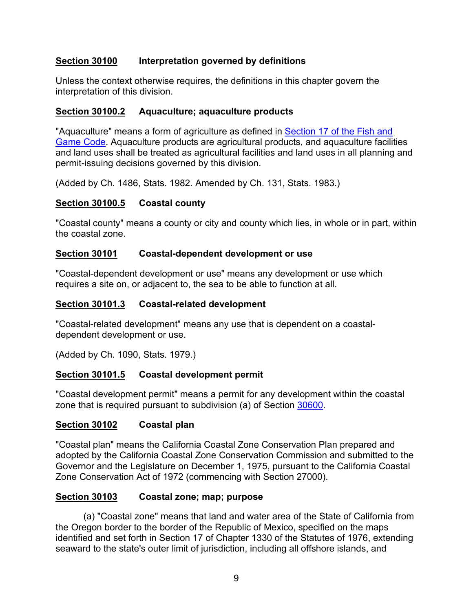### <span id="page-10-0"></span>**Section 30100 Interpretation governed by definitions**

Unless the context otherwise requires, the definitions in this chapter govern the interpretation of this division.

#### <span id="page-10-1"></span>**Section 30100.2 Aquaculture; aquaculture products**

"Aquaculture" means a form of agriculture as defined in [Section 17 of the Fish and](http://leginfo.legislature.ca.gov/faces/codes_displayText.xhtml?lawCode=FGC&division=0.5.&title=&part=&chapter=1.&article=)  [Game Code.](http://leginfo.legislature.ca.gov/faces/codes_displayText.xhtml?lawCode=FGC&division=0.5.&title=&part=&chapter=1.&article=) Aquaculture products are agricultural products, and aquaculture facilities and land uses shall be treated as agricultural facilities and land uses in all planning and permit-issuing decisions governed by this division.

(Added by Ch. 1486, Stats. 1982. Amended by Ch. 131, Stats. 1983.)

#### <span id="page-10-2"></span>**Section 30100.5 Coastal county**

"Coastal county" means a county or city and county which lies, in whole or in part, within the coastal zone.

#### <span id="page-10-3"></span>**Section 30101 Coastal-dependent development or use**

"Coastal-dependent development or use" means any development or use which requires a site on, or adjacent to, the sea to be able to function at all.

#### <span id="page-10-4"></span>**Section 30101.3 Coastal-related development**

"Coastal-related development" means any use that is dependent on a coastaldependent development or use.

(Added by Ch. 1090, Stats. 1979.)

# <span id="page-10-5"></span>**Section 30101.5 Coastal development permit**

"Coastal development permit" means a permit for any development within the coastal zone that is required pursuant to subdivision (a) of Section [30600.](#page-116-0)

#### <span id="page-10-6"></span>**Section 30102 Coastal plan**

"Coastal plan" means the California Coastal Zone Conservation Plan prepared and adopted by the California Coastal Zone Conservation Commission and submitted to the Governor and the Legislature on December 1, 1975, pursuant to the California Coastal Zone Conservation Act of 1972 (commencing with Section 27000).

#### <span id="page-10-7"></span>**Section 30103 Coastal zone; map; purpose**

(a) "Coastal zone" means that land and water area of the State of California from the Oregon border to the border of the Republic of Mexico, specified on the maps identified and set forth in Section 17 of Chapter 1330 of the Statutes of 1976, extending seaward to the state's outer limit of jurisdiction, including all offshore islands, and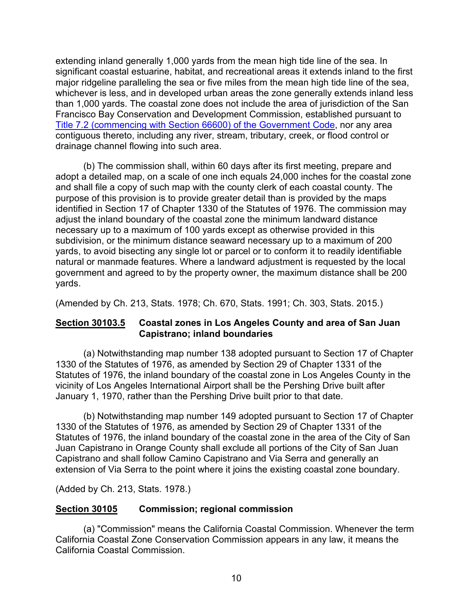extending inland generally 1,000 yards from the mean high tide line of the sea. In significant coastal estuarine, habitat, and recreational areas it extends inland to the first major ridgeline paralleling the sea or five miles from the mean high tide line of the sea, whichever is less, and in developed urban areas the zone generally extends inland less than 1,000 yards. The coastal zone does not include the area of jurisdiction of the San Francisco Bay Conservation and Development Commission, established pursuant to [Title 7.2 \(commencing with Section 66600\) of the Government Code,](http://leginfo.legislature.ca.gov/faces/codes_displayexpandedbranch.xhtml?tocCode=GOV&division=&title=7.2.&part=&chapter=&article=) nor any area contiguous thereto, including any river, stream, tributary, creek, or flood control or drainage channel flowing into such area.

(b) The commission shall, within 60 days after its first meeting, prepare and adopt a detailed map, on a scale of one inch equals 24,000 inches for the coastal zone and shall file a copy of such map with the county clerk of each coastal county. The purpose of this provision is to provide greater detail than is provided by the maps identified in Section 17 of Chapter 1330 of the Statutes of 1976. The commission may adjust the inland boundary of the coastal zone the minimum landward distance necessary up to a maximum of 100 yards except as otherwise provided in this subdivision, or the minimum distance seaward necessary up to a maximum of 200 yards, to avoid bisecting any single lot or parcel or to conform it to readily identifiable natural or manmade features. Where a landward adjustment is requested by the local government and agreed to by the property owner, the maximum distance shall be 200 yards.

(Amended by Ch. 213, Stats. 1978; Ch. 670, Stats. 1991; Ch. 303, Stats. 2015.)

#### <span id="page-11-0"></span>**Section 30103.5 Coastal zones in Los Angeles County and area of San Juan Capistrano; inland boundaries**

(a) Notwithstanding map number 138 adopted pursuant to Section 17 of Chapter 1330 of the Statutes of 1976, as amended by Section 29 of Chapter 1331 of the Statutes of 1976, the inland boundary of the coastal zone in Los Angeles County in the vicinity of Los Angeles International Airport shall be the Pershing Drive built after January 1, 1970, rather than the Pershing Drive built prior to that date.

(b) Notwithstanding map number 149 adopted pursuant to Section 17 of Chapter 1330 of the Statutes of 1976, as amended by Section 29 of Chapter 1331 of the Statutes of 1976, the inland boundary of the coastal zone in the area of the City of San Juan Capistrano in Orange County shall exclude all portions of the City of San Juan Capistrano and shall follow Camino Capistrano and Via Serra and generally an extension of Via Serra to the point where it joins the existing coastal zone boundary.

(Added by Ch. 213, Stats. 1978.)

#### <span id="page-11-1"></span>**Section 30105 Commission; regional commission**

(a) "Commission" means the California Coastal Commission. Whenever the term California Coastal Zone Conservation Commission appears in any law, it means the California Coastal Commission.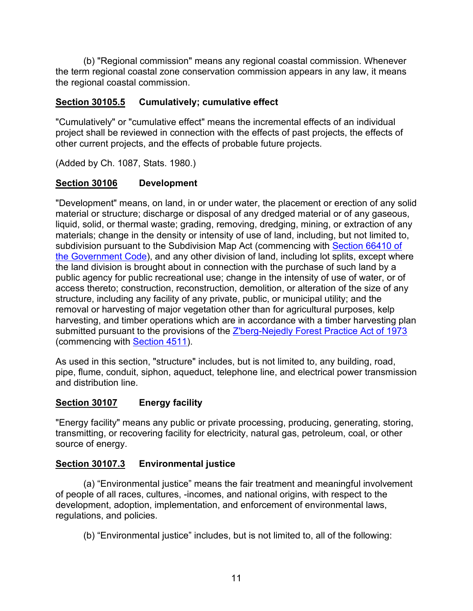(b) "Regional commission" means any regional coastal commission. Whenever the term regional coastal zone conservation commission appears in any law, it means the regional coastal commission.

# <span id="page-12-0"></span>**Section 30105.5 Cumulatively; cumulative effect**

"Cumulatively" or "cumulative effect" means the incremental effects of an individual project shall be reviewed in connection with the effects of past projects, the effects of other current projects, and the effects of probable future projects.

(Added by Ch. 1087, Stats. 1980.)

# <span id="page-12-1"></span>**Section 30106 Development**

"Development" means, on land, in or under water, the placement or erection of any solid material or structure; discharge or disposal of any dredged material or of any gaseous, liquid, solid, or thermal waste; grading, removing, dredging, mining, or extraction of any materials; change in the density or intensity of use of land, including, but not limited to, subdivision pursuant to the Subdivision Map Act (commencing with Section 66410 of [the Government Code\)](http://leginfo.legislature.ca.gov/faces/codes_displayexpandedbranch.xhtml?tocCode=GOV&division=2.&title=7.&part=&chapter=&article=), and any other division of land, including lot splits, except where the land division is brought about in connection with the purchase of such land by a public agency for public recreational use; change in the intensity of use of water, or of access thereto; construction, reconstruction, demolition, or alteration of the size of any structure, including any facility of any private, public, or municipal utility; and the removal or harvesting of major vegetation other than for agricultural purposes, kelp harvesting, and timber operations which are in accordance with a timber harvesting plan submitted pursuant to the provisions of the [Z'berg-Nejedly Forest Practice Act of 1973](http://leginfo.legislature.ca.gov/faces/codes_displayexpandedbranch.xhtml?tocCode=PRC&division=4.&title=&part=2.&chapter=8.&article=) (commencing with [Section 4511\)](https://leginfo.legislature.ca.gov/faces/codes_displaySection.xhtml?lawCode=PRC§ionNum=4511.).

As used in this section, "structure" includes, but is not limited to, any building, road, pipe, flume, conduit, siphon, aqueduct, telephone line, and electrical power transmission and distribution line.

# <span id="page-12-2"></span>**Section 30107 Energy facility**

"Energy facility" means any public or private processing, producing, generating, storing, transmitting, or recovering facility for electricity, natural gas, petroleum, coal, or other source of energy.

# <span id="page-12-3"></span>**Section 30107.3 Environmental justice**

(a) "Environmental justice" means the fair treatment and meaningful involvement of people of all races, cultures, -incomes, and national origins, with respect to the development, adoption, implementation, and enforcement of environmental laws, regulations, and policies.

(b) "Environmental justice" includes, but is not limited to, all of the following: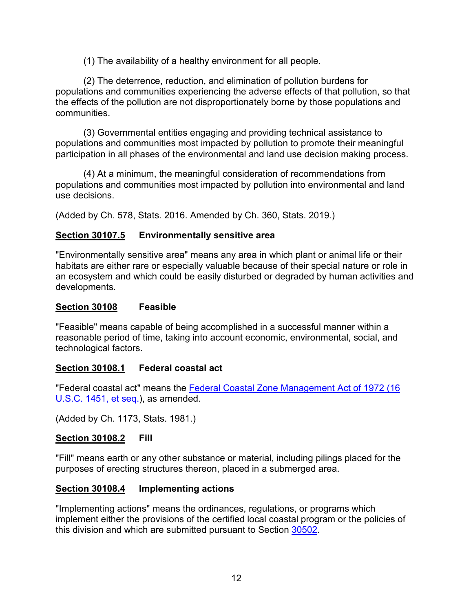(1) The availability of a healthy environment for all people.

(2) The deterrence, reduction, and elimination of pollution burdens for populations and communities experiencing the adverse effects of that pollution, so that the effects of the pollution are not disproportionately borne by those populations and communities.

(3) Governmental entities engaging and providing technical assistance to populations and communities most impacted by pollution to promote their meaningful participation in all phases of the environmental and land use decision making process.

(4) At a minimum, the meaningful consideration of recommendations from populations and communities most impacted by pollution into environmental and land use decisions.

(Added by Ch. 578, Stats. 2016. Amended by Ch. 360, Stats. 2019.)

# **Section 30107.5 Environmentally sensitive area**

"Environmentally sensitive area" means any area in which plant or animal life or their habitats are either rare or especially valuable because of their special nature or role in an ecosystem and which could be easily disturbed or degraded by human activities and developments.

#### <span id="page-13-0"></span>**Section 30108 Feasible**

"Feasible" means capable of being accomplished in a successful manner within a reasonable period of time, taking into account economic, environmental, social, and technological factors.

# <span id="page-13-1"></span>**Section 30108.1 Federal coastal act**

"Federal coastal act" means the [Federal Coastal Zone Management Act of 1972 \(16](http://www.law.cornell.edu/uscode/)  [U.S.C. 1451, et seq.\)](http://www.law.cornell.edu/uscode/), as amended.

(Added by Ch. 1173, Stats. 1981.)

# <span id="page-13-2"></span>**Section 30108.2 Fill**

"Fill" means earth or any other substance or material, including pilings placed for the purposes of erecting structures thereon, placed in a submerged area.

# <span id="page-13-3"></span>**Section 30108.4 Implementing actions**

"Implementing actions" means the ordinances, regulations, or programs which implement either the provisions of the certified local coastal program or the policies of this division and which are submitted pursuant to Section [30502.](#page-97-0)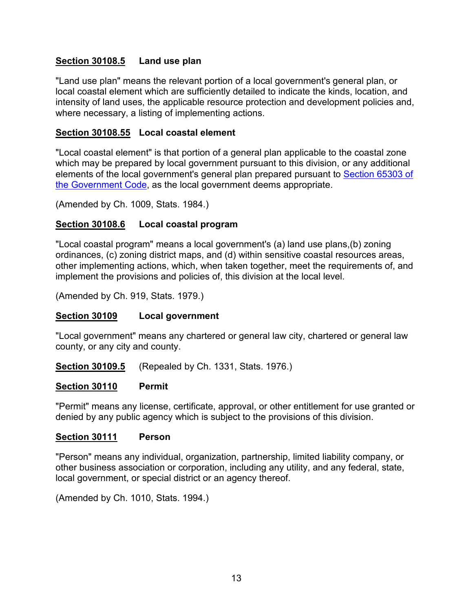#### <span id="page-14-0"></span>**Section 30108.5 Land use plan**

"Land use plan" means the relevant portion of a local government's general plan, or local coastal element which are sufficiently detailed to indicate the kinds, location, and intensity of land uses, the applicable resource protection and development policies and, where necessary, a listing of implementing actions.

#### <span id="page-14-1"></span>**Section 30108.55 Local coastal element**

"Local coastal element" is that portion of a general plan applicable to the coastal zone which may be prepared by local government pursuant to this division, or any additional elements of the local government's general plan prepared pursuant to [Section 65303 of](http://leginfo.legislature.ca.gov/faces/codes_displayText.xhtml?lawCode=GOV&division=1.&title=7.&part=&chapter=3.&article=5.)  [the Government Code,](http://leginfo.legislature.ca.gov/faces/codes_displayText.xhtml?lawCode=GOV&division=1.&title=7.&part=&chapter=3.&article=5.) as the local government deems appropriate.

(Amended by Ch. 1009, Stats. 1984.)

#### <span id="page-14-2"></span>**Section 30108.6 Local coastal program**

"Local coastal program" means a local government's (a) land use plans,(b) zoning ordinances, (c) zoning district maps, and (d) within sensitive coastal resources areas, other implementing actions, which, when taken together, meet the requirements of, and implement the provisions and policies of, this division at the local level.

(Amended by Ch. 919, Stats. 1979.)

#### <span id="page-14-3"></span>**Section 30109 Local government**

"Local government" means any chartered or general law city, chartered or general law county, or any city and county.

<span id="page-14-4"></span>**Section 30109.5** (Repealed by Ch. 1331, Stats. 1976.)

#### <span id="page-14-5"></span>**Section 30110 Permit**

"Permit" means any license, certificate, approval, or other entitlement for use granted or denied by any public agency which is subject to the provisions of this division.

#### <span id="page-14-6"></span>**Section 30111 Person**

"Person" means any individual, organization, partnership, limited liability company, or other business association or corporation, including any utility, and any federal, state, local government, or special district or an agency thereof.

(Amended by Ch. 1010, Stats. 1994.)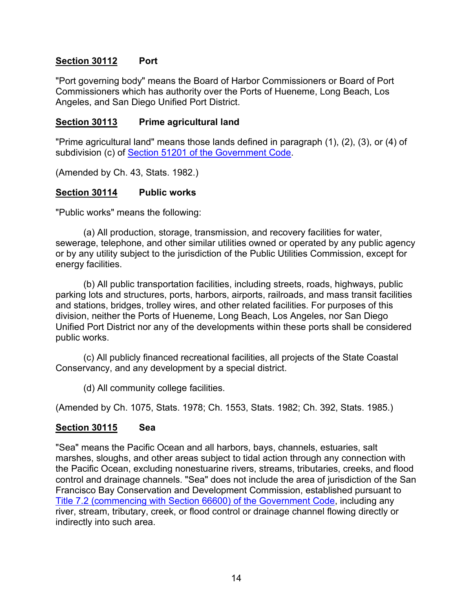### <span id="page-15-0"></span>**Section 30112 Port**

"Port governing body" means the Board of Harbor Commissioners or Board of Port Commissioners which has authority over the Ports of Hueneme, Long Beach, Los Angeles, and San Diego Unified Port District.

#### <span id="page-15-1"></span>**Section 30113 Prime agricultural land**

"Prime agricultural land" means those lands defined in paragraph (1), (2), (3), or (4) of subdivision (c) of [Section 51201 of the Government Code.](http://leginfo.legislature.ca.gov/faces/codes_displayText.xhtml?lawCode=GOV&division=1.&title=5.&part=1.&chapter=7.&article=1.)

<span id="page-15-2"></span>(Amended by Ch. 43, Stats. 1982.)

#### **Section 30114 Public works**

"Public works" means the following:

(a) All production, storage, transmission, and recovery facilities for water, sewerage, telephone, and other similar utilities owned or operated by any public agency or by any utility subject to the jurisdiction of the Public Utilities Commission, except for energy facilities.

(b) All public transportation facilities, including streets, roads, highways, public parking lots and structures, ports, harbors, airports, railroads, and mass transit facilities and stations, bridges, trolley wires, and other related facilities. For purposes of this division, neither the Ports of Hueneme, Long Beach, Los Angeles, nor San Diego Unified Port District nor any of the developments within these ports shall be considered public works.

(c) All publicly financed recreational facilities, all projects of the State Coastal Conservancy, and any development by a special district.

(d) All community college facilities.

(Amended by Ch. 1075, Stats. 1978; Ch. 1553, Stats. 1982; Ch. 392, Stats. 1985.)

# <span id="page-15-3"></span>**Section 30115 Sea**

<span id="page-15-4"></span>"Sea" means the Pacific Ocean and all harbors, bays, channels, estuaries, salt marshes, sloughs, and other areas subject to tidal action through any connection with the Pacific Ocean, excluding nonestuarine rivers, streams, tributaries, creeks, and flood control and drainage channels. "Sea" does not include the area of jurisdiction of the San Francisco Bay Conservation and Development Commission, established pursuant to [Title 7.2 \(commencing with Section 66600\) of the Government Code,](http://leginfo.legislature.ca.gov/faces/codes_displayexpandedbranch.xhtml?tocCode=GOV&division=&title=7.2.&part=&chapter=&article=) including any river, stream, tributary, creek, or flood control or drainage channel flowing directly or indirectly into such area.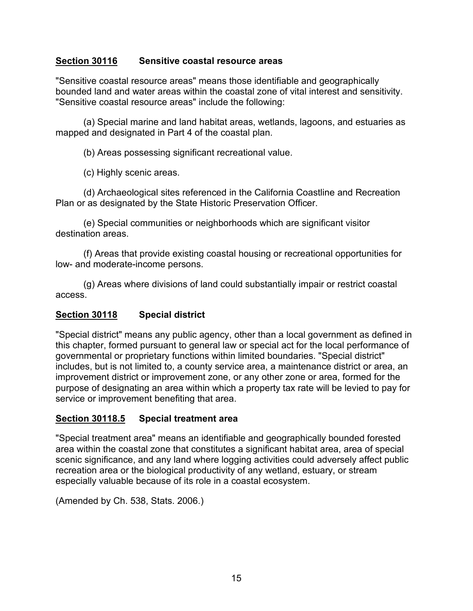# **Section 30116 Sensitive coastal resource areas**

"Sensitive coastal resource areas" means those identifiable and geographically bounded land and water areas within the coastal zone of vital interest and sensitivity. "Sensitive coastal resource areas" include the following:

(a) Special marine and land habitat areas, wetlands, lagoons, and estuaries as mapped and designated in Part 4 of the coastal plan.

(b) Areas possessing significant recreational value.

(c) Highly scenic areas.

(d) Archaeological sites referenced in the California Coastline and Recreation Plan or as designated by the State Historic Preservation Officer.

(e) Special communities or neighborhoods which are significant visitor destination areas.

(f) Areas that provide existing coastal housing or recreational opportunities for low- and moderate-income persons.

(g) Areas where divisions of land could substantially impair or restrict coastal access.

#### <span id="page-16-0"></span>**Section 30118 Special district**

"Special district" means any public agency, other than a local government as defined in this chapter, formed pursuant to general law or special act for the local performance of governmental or proprietary functions within limited boundaries. "Special district" includes, but is not limited to, a county service area, a maintenance district or area, an improvement district or improvement zone, or any other zone or area, formed for the purpose of designating an area within which a property tax rate will be levied to pay for service or improvement benefiting that area.

#### <span id="page-16-1"></span>**Section 30118.5 Special treatment area**

"Special treatment area" means an identifiable and geographically bounded forested area within the coastal zone that constitutes a significant habitat area, area of special scenic significance, and any land where logging activities could adversely affect public recreation area or the biological productivity of any wetland, estuary, or stream especially valuable because of its role in a coastal ecosystem.

(Amended by Ch. 538, Stats. 2006.)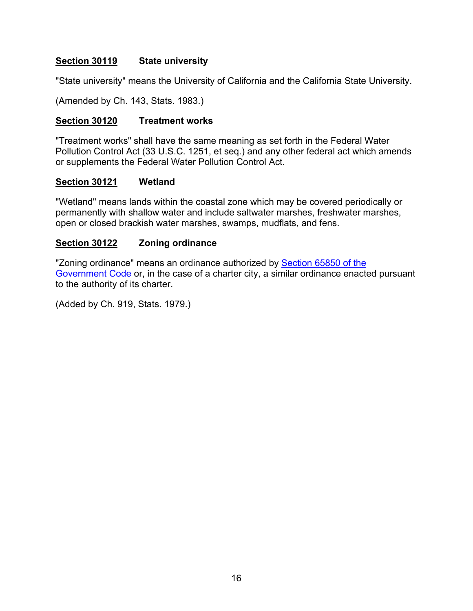# <span id="page-17-0"></span>**Section 30119 State university**

"State university" means the University of California and the California State University.

(Amended by Ch. 143, Stats. 1983.)

#### <span id="page-17-1"></span>**Section 30120 Treatment works**

"Treatment works" shall have the same meaning as set forth in the Federal Water Pollution Control Act (33 U.S.C. 1251, et seq.) and any other federal act which amends or supplements the Federal Water Pollution Control Act.

#### <span id="page-17-2"></span>**Section 30121 Wetland**

"Wetland" means lands within the coastal zone which may be covered periodically or permanently with shallow water and include saltwater marshes, freshwater marshes, open or closed brackish water marshes, swamps, mudflats, and fens.

#### <span id="page-17-3"></span>**Section 30122 Zoning ordinance**

"Zoning ordinance" means an ordinance authorized by Section 65850 of the [Government Code](http://leginfo.legislature.ca.gov/faces/codes_displayexpandedbranch.xhtml?tocCode=GOV&division=&title=7.&part=&chapter=&article=) or, in the case of a charter city, a similar ordinance enacted pursuant to the authority of its charter.

(Added by Ch. 919, Stats. 1979.)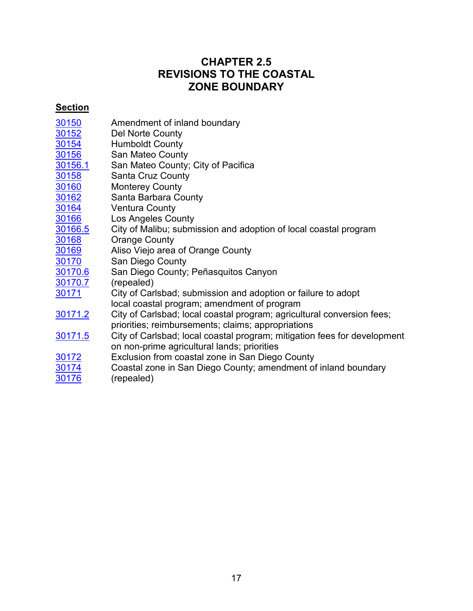# **CHAPTER 2.5 REVISIONS TO THE COASTAL ZONE BOUNDARY**

# <span id="page-18-0"></span>**Section**

| 30150 | Amendment of inland boundary |  |
|-------|------------------------------|--|
|       |                              |  |

- [30152](#page-19-1) Del Norte County
- <u>[30154](#page-19-2)</u> Humboldt County<br>30156 San Mateo County
- San Mateo County
- [30156.1](#page-20-1) San Mateo County; City of Pacifica<br>30158 Santa Cruz County
- Santa Cruz County
- [30160](#page-20-3) Monterey County
- [30162](#page-21-0) Santa Barbara County<br>30164 Ventura County
- Ventura County
- 
- [30166](#page-22-1) Los Angeles County<br>30166.5 City of Malibu; submi [30166.5](#page-23-0) City of Malibu; submission and adoption of local coastal program<br>30168 Orange County
- Orange County
- [30169](#page-24-0) Aliso Viejo area of Orange County<br>30170 San Diego County
- San Diego County
- [30170.6](#page-31-0) San Diego County; Peñasquitos Canyon<br>30170.7 (repealed)
- <u>[30170.7](#page-31-1)</u> (repealed)<br>30171 City of Carl
- City of Carlsbad; submission and adoption or failure to adopt local coastal program; amendment of program
- [30171.2](#page-33-0) City of Carlsbad; local coastal program; agricultural conversion fees; priorities; reimbursements; claims; appropriations
- [30171.5](#page-34-0) City of Carlsbad; local coastal program; mitigation fees for development on non-prime agricultural lands; priorities
- [30172](#page-35-0) Exclusion from coastal zone in San Diego County
- <u>[30174](#page-35-1)</u> Coastal zone in San Diego County; amendment of inland boundary<br>30176 (repealed) (repealed)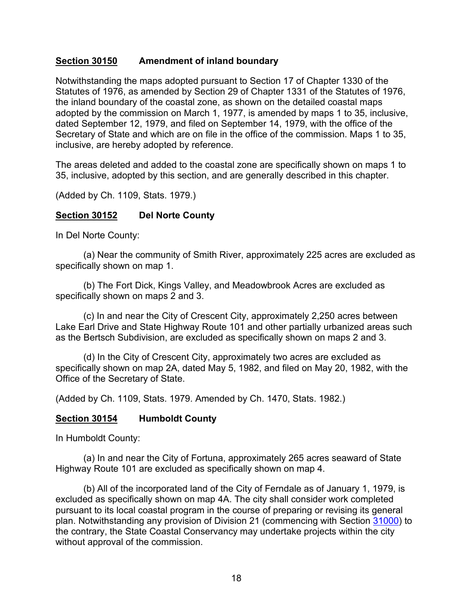#### <span id="page-19-0"></span>**Section 30150 Amendment of inland boundary**

Notwithstanding the maps adopted pursuant to Section 17 of Chapter 1330 of the Statutes of 1976, as amended by Section 29 of Chapter 1331 of the Statutes of 1976, the inland boundary of the coastal zone, as shown on the detailed coastal maps adopted by the commission on March 1, 1977, is amended by maps 1 to 35, inclusive, dated September 12, 1979, and filed on September 14, 1979, with the office of the Secretary of State and which are on file in the office of the commission. Maps 1 to 35, inclusive, are hereby adopted by reference.

The areas deleted and added to the coastal zone are specifically shown on maps 1 to 35, inclusive, adopted by this section, and are generally described in this chapter.

(Added by Ch. 1109, Stats. 1979.)

#### <span id="page-19-1"></span>**Section 30152 Del Norte County**

In Del Norte County:

(a) Near the community of Smith River, approximately 225 acres are excluded as specifically shown on map 1.

(b) The Fort Dick, Kings Valley, and Meadowbrook Acres are excluded as specifically shown on maps 2 and 3.

(c) In and near the City of Crescent City, approximately 2,250 acres between Lake Earl Drive and State Highway Route 101 and other partially urbanized areas such as the Bertsch Subdivision, are excluded as specifically shown on maps 2 and 3.

(d) In the City of Crescent City, approximately two acres are excluded as specifically shown on map 2A, dated May 5, 1982, and filed on May 20, 1982, with the Office of the Secretary of State.

(Added by Ch. 1109, Stats. 1979. Amended by Ch. 1470, Stats. 1982.)

#### <span id="page-19-2"></span>**Section 30154 Humboldt County**

In Humboldt County:

(a) In and near the City of Fortuna, approximately 265 acres seaward of State Highway Route 101 are excluded as specifically shown on map 4.

(b) All of the incorporated land of the City of Ferndale as of January 1, 1979, is excluded as specifically shown on map 4A. The city shall consider work completed pursuant to its local coastal program in the course of preparing or revising its general plan. Notwithstanding any provision of Division 21 (commencing with Section [31000\)](http://leginfo.legislature.ca.gov/faces/codes_displayexpandedbranch.xhtml?tocCode=PRC&division=21.&title=&part=&chapter=&article=) to the contrary, the State Coastal Conservancy may undertake projects within the city without approval of the commission.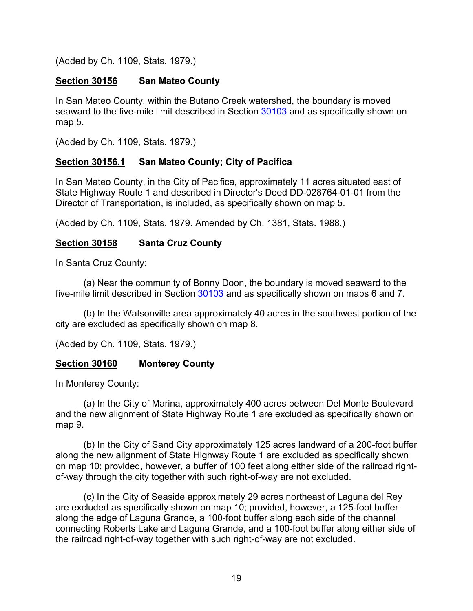(Added by Ch. 1109, Stats. 1979.)

### <span id="page-20-0"></span>**Section 30156 San Mateo County**

In San Mateo County, within the Butano Creek watershed, the boundary is moved seaward to the five-mile limit described in Section [30103](#page-10-7) and as specifically shown on map 5.

(Added by Ch. 1109, Stats. 1979.)

# <span id="page-20-1"></span>**Section 30156.1 San Mateo County; City of Pacifica**

In San Mateo County, in the City of Pacifica, approximately 11 acres situated east of State Highway Route 1 and described in Director's Deed DD-028764-01-01 from the Director of Transportation, is included, as specifically shown on map 5.

(Added by Ch. 1109, Stats. 1979. Amended by Ch. 1381, Stats. 1988.)

# <span id="page-20-2"></span>**Section 30158 Santa Cruz County**

In Santa Cruz County:

(a) Near the community of Bonny Doon, the boundary is moved seaward to the five-mile limit described in Section [30103](#page-10-7) and as specifically shown on maps 6 and 7.

(b) In the Watsonville area approximately 40 acres in the southwest portion of the city are excluded as specifically shown on map 8.

(Added by Ch. 1109, Stats. 1979.)

# <span id="page-20-3"></span>**Section 30160 Monterey County**

In Monterey County:

(a) In the City of Marina, approximately 400 acres between Del Monte Boulevard and the new alignment of State Highway Route 1 are excluded as specifically shown on map 9.

(b) In the City of Sand City approximately 125 acres landward of a 200-foot buffer along the new alignment of State Highway Route 1 are excluded as specifically shown on map 10; provided, however, a buffer of 100 feet along either side of the railroad rightof-way through the city together with such right-of-way are not excluded.

(c) In the City of Seaside approximately 29 acres northeast of Laguna del Rey are excluded as specifically shown on map 10; provided, however, a 125-foot buffer along the edge of Laguna Grande, a 100-foot buffer along each side of the channel connecting Roberts Lake and Laguna Grande, and a 100-foot buffer along either side of the railroad right-of-way together with such right-of-way are not excluded.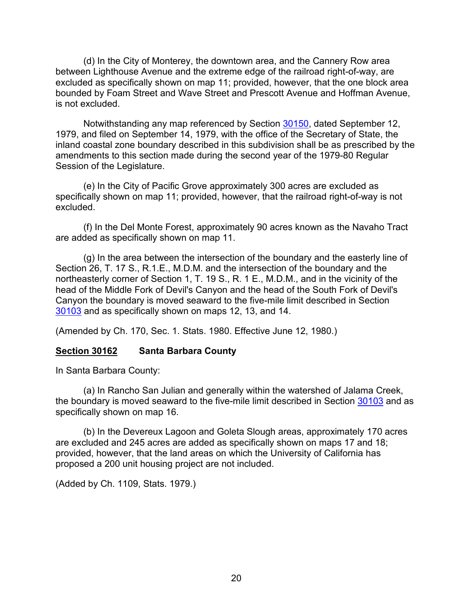(d) In the City of Monterey, the downtown area, and the Cannery Row area between Lighthouse Avenue and the extreme edge of the railroad right-of-way, are excluded as specifically shown on map 11; provided, however, that the one block area bounded by Foam Street and Wave Street and Prescott Avenue and Hoffman Avenue, is not excluded.

Notwithstanding any map referenced by Section [30150,](#page-19-0) dated September 12, 1979, and filed on September 14, 1979, with the office of the Secretary of State, the inland coastal zone boundary described in this subdivision shall be as prescribed by the amendments to this section made during the second year of the 1979-80 Regular Session of the Legislature.

(e) In the City of Pacific Grove approximately 300 acres are excluded as specifically shown on map 11; provided, however, that the railroad right-of-way is not excluded.

(f) In the Del Monte Forest, approximately 90 acres known as the Navaho Tract are added as specifically shown on map 11.

(g) In the area between the intersection of the boundary and the easterly line of Section 26, T. 17 S., R.1.E., M.D.M. and the intersection of the boundary and the northeasterly corner of Section 1, T. 19 S., R. 1 E., M.D.M., and in the vicinity of the head of the Middle Fork of Devil's Canyon and the head of the South Fork of Devil's Canyon the boundary is moved seaward to the five-mile limit described in Section [30103](#page-10-7) and as specifically shown on maps 12, 13, and 14.

(Amended by Ch. 170, Sec. 1. Stats. 1980. Effective June 12, 1980.)

# <span id="page-21-0"></span>**Section 30162 Santa Barbara County**

In Santa Barbara County:

(a) In Rancho San Julian and generally within the watershed of Jalama Creek, the boundary is moved seaward to the five-mile limit described in Section [30103](#page-10-7) and as specifically shown on map 16.

(b) In the Devereux Lagoon and Goleta Slough areas, approximately 170 acres are excluded and 245 acres are added as specifically shown on maps 17 and 18; provided, however, that the land areas on which the University of California has proposed a 200 unit housing project are not included.

(Added by Ch. 1109, Stats. 1979.)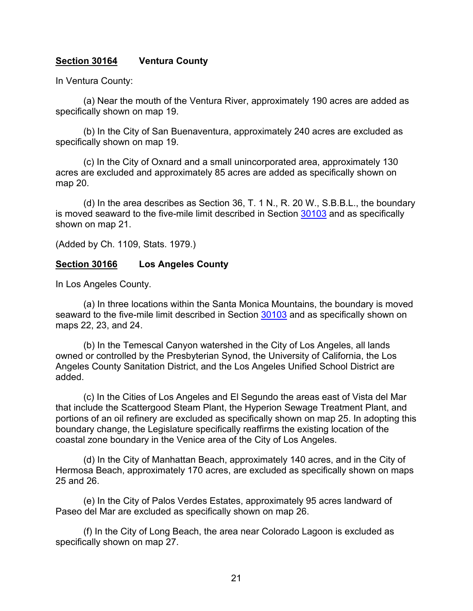#### <span id="page-22-0"></span>**Section 30164 Ventura County**

In Ventura County:

(a) Near the mouth of the Ventura River, approximately 190 acres are added as specifically shown on map 19.

(b) In the City of San Buenaventura, approximately 240 acres are excluded as specifically shown on map 19.

(c) In the City of Oxnard and a small unincorporated area, approximately 130 acres are excluded and approximately 85 acres are added as specifically shown on map 20.

(d) In the area describes as Section 36, T. 1 N., R. 20 W., S.B.B.L., the boundary is moved seaward to the five-mile limit described in Section [30103](#page-10-7) and as specifically shown on map 21.

(Added by Ch. 1109, Stats. 1979.)

#### <span id="page-22-1"></span>**Section 30166 Los Angeles County**

In Los Angeles County.

(a) In three locations within the Santa Monica Mountains, the boundary is moved seaward to the five-mile limit described in Section [30103](#page-10-7) and as specifically shown on maps 22, 23, and 24.

(b) In the Temescal Canyon watershed in the City of Los Angeles, all lands owned or controlled by the Presbyterian Synod, the University of California, the Los Angeles County Sanitation District, and the Los Angeles Unified School District are added.

(c) In the Cities of Los Angeles and El Segundo the areas east of Vista del Mar that include the Scattergood Steam Plant, the Hyperion Sewage Treatment Plant, and portions of an oil refinery are excluded as specifically shown on map 25. In adopting this boundary change, the Legislature specifically reaffirms the existing location of the coastal zone boundary in the Venice area of the City of Los Angeles.

(d) In the City of Manhattan Beach, approximately 140 acres, and in the City of Hermosa Beach, approximately 170 acres, are excluded as specifically shown on maps 25 and 26.

(e) In the City of Palos Verdes Estates, approximately 95 acres landward of Paseo del Mar are excluded as specifically shown on map 26.

(f) In the City of Long Beach, the area near Colorado Lagoon is excluded as specifically shown on map 27.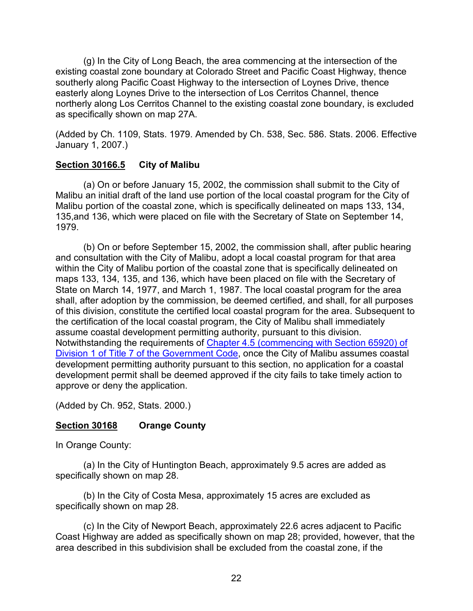(g) In the City of Long Beach, the area commencing at the intersection of the existing coastal zone boundary at Colorado Street and Pacific Coast Highway, thence southerly along Pacific Coast Highway to the intersection of Loynes Drive, thence easterly along Loynes Drive to the intersection of Los Cerritos Channel, thence northerly along Los Cerritos Channel to the existing coastal zone boundary, is excluded as specifically shown on map 27A.

(Added by Ch. 1109, Stats. 1979. Amended by Ch. 538, Sec. 586. Stats. 2006. Effective January 1, 2007.)

#### <span id="page-23-0"></span>**Section 30166.5 City of Malibu**

(a) On or before January 15, 2002, the commission shall submit to the City of Malibu an initial draft of the land use portion of the local coastal program for the City of Malibu portion of the coastal zone, which is specifically delineated on maps 133, 134, 135,and 136, which were placed on file with the Secretary of State on September 14, 1979.

(b) On or before September 15, 2002, the commission shall, after public hearing and consultation with the City of Malibu, adopt a local coastal program for that area within the City of Malibu portion of the coastal zone that is specifically delineated on maps 133, 134, 135, and 136, which have been placed on file with the Secretary of State on March 14, 1977, and March 1, 1987. The local coastal program for the area shall, after adoption by the commission, be deemed certified, and shall, for all purposes of this division, constitute the certified local coastal program for the area. Subsequent to the certification of the local coastal program, the City of Malibu shall immediately assume coastal development permitting authority, pursuant to this division. Notwithstanding the requirements of [Chapter 4.5 \(commencing with Section 65920\) of](http://leginfo.legislature.ca.gov/faces/codes_displayexpandedbranch.xhtml?tocCode=GOV&division=&title=7.&part=&chapter=&article=)  [Division 1 of Title 7 of the Government Code,](http://leginfo.legislature.ca.gov/faces/codes_displayexpandedbranch.xhtml?tocCode=GOV&division=&title=7.&part=&chapter=&article=) once the City of Malibu assumes coastal development permitting authority pursuant to this section, no application for a coastal development permit shall be deemed approved if the city fails to take timely action to approve or deny the application.

(Added by Ch. 952, Stats. 2000.)

# <span id="page-23-1"></span>**Section 30168 Orange County**

In Orange County:

(a) In the City of Huntington Beach, approximately 9.5 acres are added as specifically shown on map 28.

(b) In the City of Costa Mesa, approximately 15 acres are excluded as specifically shown on map 28.

(c) In the City of Newport Beach, approximately 22.6 acres adjacent to Pacific Coast Highway are added as specifically shown on map 28; provided, however, that the area described in this subdivision shall be excluded from the coastal zone, if the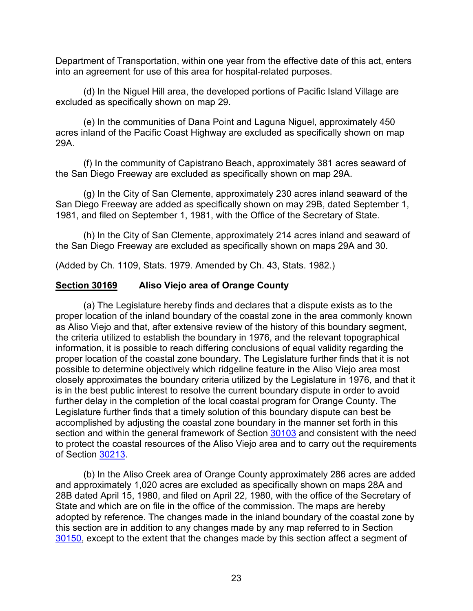Department of Transportation, within one year from the effective date of this act, enters into an agreement for use of this area for hospital-related purposes.

(d) In the Niguel Hill area, the developed portions of Pacific Island Village are excluded as specifically shown on map 29.

(e) In the communities of Dana Point and Laguna Niguel, approximately 450 acres inland of the Pacific Coast Highway are excluded as specifically shown on map 29A.

(f) In the community of Capistrano Beach, approximately 381 acres seaward of the San Diego Freeway are excluded as specifically shown on map 29A.

(g) In the City of San Clemente, approximately 230 acres inland seaward of the San Diego Freeway are added as specifically shown on may 29B, dated September 1, 1981, and filed on September 1, 1981, with the Office of the Secretary of State.

(h) In the City of San Clemente, approximately 214 acres inland and seaward of the San Diego Freeway are excluded as specifically shown on maps 29A and 30.

(Added by Ch. 1109, Stats. 1979. Amended by Ch. 43, Stats. 1982.)

#### <span id="page-24-0"></span>**Section 30169 Aliso Viejo area of Orange County**

(a) The Legislature hereby finds and declares that a dispute exists as to the proper location of the inland boundary of the coastal zone in the area commonly known as Aliso Viejo and that, after extensive review of the history of this boundary segment, the criteria utilized to establish the boundary in 1976, and the relevant topographical information, it is possible to reach differing conclusions of equal validity regarding the proper location of the coastal zone boundary. The Legislature further finds that it is not possible to determine objectively which ridgeline feature in the Aliso Viejo area most closely approximates the boundary criteria utilized by the Legislature in 1976, and that it is in the best public interest to resolve the current boundary dispute in order to avoid further delay in the completion of the local coastal program for Orange County. The Legislature further finds that a timely solution of this boundary dispute can best be accomplished by adjusting the coastal zone boundary in the manner set forth in this section and within the general framework of Section [30103](#page-10-7) and consistent with the need to protect the coastal resources of the Aliso Viejo area and to carry out the requirements of Section [30213.](#page-40-0)

(b) In the Aliso Creek area of Orange County approximately 286 acres are added and approximately 1,020 acres are excluded as specifically shown on maps 28A and 28B dated April 15, 1980, and filed on April 22, 1980, with the office of the Secretary of State and which are on file in the office of the commission. The maps are hereby adopted by reference. The changes made in the inland boundary of the coastal zone by this section are in addition to any changes made by any map referred to in Section [30150,](#page-19-0) except to the extent that the changes made by this section affect a segment of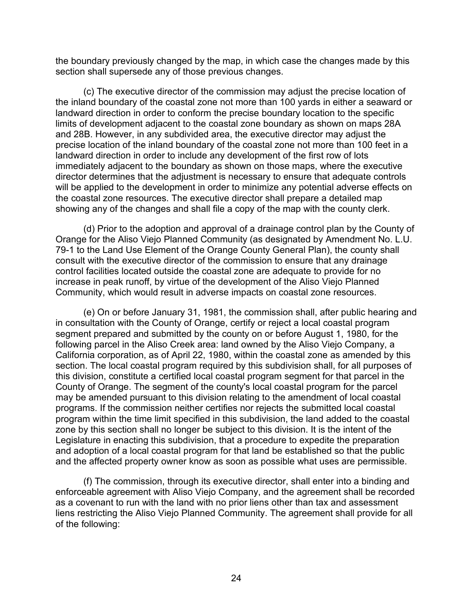the boundary previously changed by the map, in which case the changes made by this section shall supersede any of those previous changes.

(c) The executive director of the commission may adjust the precise location of the inland boundary of the coastal zone not more than 100 yards in either a seaward or landward direction in order to conform the precise boundary location to the specific limits of development adjacent to the coastal zone boundary as shown on maps 28A and 28B. However, in any subdivided area, the executive director may adjust the precise location of the inland boundary of the coastal zone not more than 100 feet in a landward direction in order to include any development of the first row of lots immediately adjacent to the boundary as shown on those maps, where the executive director determines that the adjustment is necessary to ensure that adequate controls will be applied to the development in order to minimize any potential adverse effects on the coastal zone resources. The executive director shall prepare a detailed map showing any of the changes and shall file a copy of the map with the county clerk.

(d) Prior to the adoption and approval of a drainage control plan by the County of Orange for the Aliso Viejo Planned Community (as designated by Amendment No. L.U. 79-1 to the Land Use Element of the Orange County General Plan), the county shall consult with the executive director of the commission to ensure that any drainage control facilities located outside the coastal zone are adequate to provide for no increase in peak runoff, by virtue of the development of the Aliso Viejo Planned Community, which would result in adverse impacts on coastal zone resources.

(e) On or before January 31, 1981, the commission shall, after public hearing and in consultation with the County of Orange, certify or reject a local coastal program segment prepared and submitted by the county on or before August 1, 1980, for the following parcel in the Aliso Creek area: land owned by the Aliso Viejo Company, a California corporation, as of April 22, 1980, within the coastal zone as amended by this section. The local coastal program required by this subdivision shall, for all purposes of this division, constitute a certified local coastal program segment for that parcel in the County of Orange. The segment of the county's local coastal program for the parcel may be amended pursuant to this division relating to the amendment of local coastal programs. If the commission neither certifies nor rejects the submitted local coastal program within the time limit specified in this subdivision, the land added to the coastal zone by this section shall no longer be subject to this division. It is the intent of the Legislature in enacting this subdivision, that a procedure to expedite the preparation and adoption of a local coastal program for that land be established so that the public and the affected property owner know as soon as possible what uses are permissible.

(f) The commission, through its executive director, shall enter into a binding and enforceable agreement with Aliso Viejo Company, and the agreement shall be recorded as a covenant to run with the land with no prior liens other than tax and assessment liens restricting the Aliso Viejo Planned Community. The agreement shall provide for all of the following: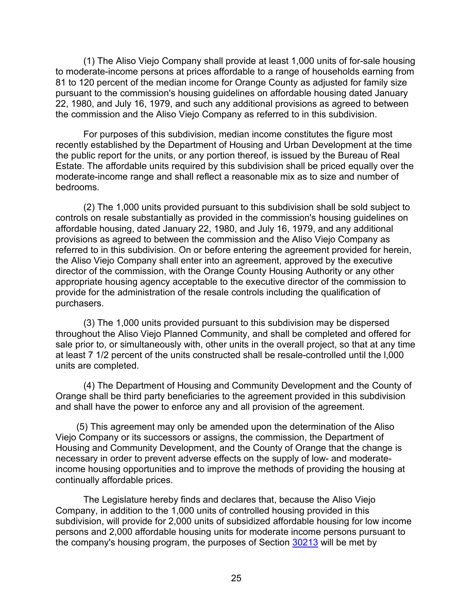(1) The Aliso Viejo Company shall provide at least 1,000 units of for-sale housing to moderate-income persons at prices affordable to a range of households earning from 81 to 120 percent of the median income for Orange County as adjusted for family size pursuant to the commission's housing guidelines on affordable housing dated January 22, 1980, and July 16, 1979, and such any additional provisions as agreed to between the commission and the Aliso Viejo Company as referred to in this subdivision.

For purposes of this subdivision, median income constitutes the figure most recently established by the Department of Housing and Urban Development at the time the public report for the units, or any portion thereof, is issued by the Bureau of Real Estate. The affordable units required by this subdivision shall be priced equally over the moderate-income range and shall reflect a reasonable mix as to size and number of bedrooms.

(2) The 1,000 units provided pursuant to this subdivision shall be sold subject to controls on resale substantially as provided in the commission's housing guidelines on affordable housing, dated January 22, 1980, and July 16, 1979, and any additional provisions as agreed to between the commission and the Aliso Viejo Company as referred to in this subdivision. On or before entering the agreement provided for herein, the Aliso Viejo Company shall enter into an agreement, approved by the executive director of the commission, with the Orange County Housing Authority or any other appropriate housing agency acceptable to the executive director of the commission to provide for the administration of the resale controls including the qualification of purchasers.

(3) The 1,000 units provided pursuant to this subdivision may be dispersed throughout the Aliso Viejo Planned Community, and shall be completed and offered for sale prior to, or simultaneously with, other units in the overall project, so that at any time at least 7 1/2 percent of the units constructed shall be resale-controlled until the l,000 units are completed.

(4) The Department of Housing and Community Development and the County of Orange shall be third party beneficiaries to the agreement provided in this subdivision and shall have the power to enforce any and all provision of the agreement.

(5) This agreement may only be amended upon the determination of the Aliso Viejo Company or its successors or assigns, the commission, the Department of Housing and Community Development, and the County of Orange that the change is necessary in order to prevent adverse effects on the supply of low- and moderateincome housing opportunities and to improve the methods of providing the housing at continually affordable prices.

The Legislature hereby finds and declares that, because the Aliso Viejo Company, in addition to the 1,000 units of controlled housing provided in this subdivision, will provide for 2,000 units of subsidized affordable housing for low income persons and 2,000 affordable housing units for moderate income persons pursuant to the company's housing program, the purposes of Section [30213](#page-40-0) will be met by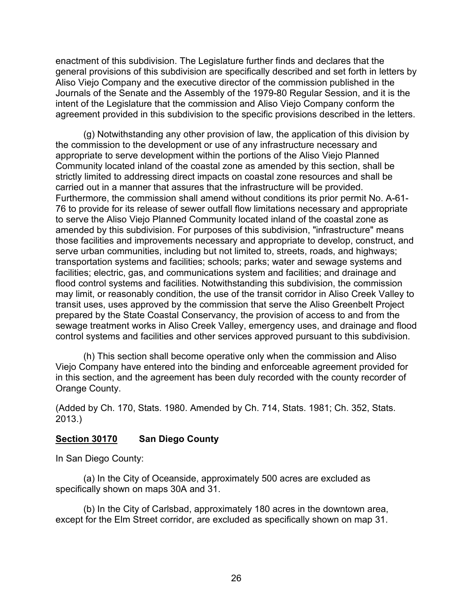enactment of this subdivision. The Legislature further finds and declares that the general provisions of this subdivision are specifically described and set forth in letters by Aliso Viejo Company and the executive director of the commission published in the Journals of the Senate and the Assembly of the 1979-80 Regular Session, and it is the intent of the Legislature that the commission and Aliso Viejo Company conform the agreement provided in this subdivision to the specific provisions described in the letters.

(g) Notwithstanding any other provision of law, the application of this division by the commission to the development or use of any infrastructure necessary and appropriate to serve development within the portions of the Aliso Viejo Planned Community located inland of the coastal zone as amended by this section, shall be strictly limited to addressing direct impacts on coastal zone resources and shall be carried out in a manner that assures that the infrastructure will be provided. Furthermore, the commission shall amend without conditions its prior permit No. A-61- 76 to provide for its release of sewer outfall flow limitations necessary and appropriate to serve the Aliso Viejo Planned Community located inland of the coastal zone as amended by this subdivision. For purposes of this subdivision, "infrastructure" means those facilities and improvements necessary and appropriate to develop, construct, and serve urban communities, including but not limited to, streets, roads, and highways; transportation systems and facilities; schools; parks; water and sewage systems and facilities; electric, gas, and communications system and facilities; and drainage and flood control systems and facilities. Notwithstanding this subdivision, the commission may limit, or reasonably condition, the use of the transit corridor in Aliso Creek Valley to transit uses, uses approved by the commission that serve the Aliso Greenbelt Project prepared by the State Coastal Conservancy, the provision of access to and from the sewage treatment works in Aliso Creek Valley, emergency uses, and drainage and flood control systems and facilities and other services approved pursuant to this subdivision.

(h) This section shall become operative only when the commission and Aliso Viejo Company have entered into the binding and enforceable agreement provided for in this section, and the agreement has been duly recorded with the county recorder of Orange County.

(Added by Ch. 170, Stats. 1980. Amended by Ch. 714, Stats. 1981; Ch. 352, Stats. 2013.)

# <span id="page-27-0"></span>**Section 30170 San Diego County**

In San Diego County:

(a) In the City of Oceanside, approximately 500 acres are excluded as specifically shown on maps 30A and 31.

(b) In the City of Carlsbad, approximately 180 acres in the downtown area, except for the Elm Street corridor, are excluded as specifically shown on map 31.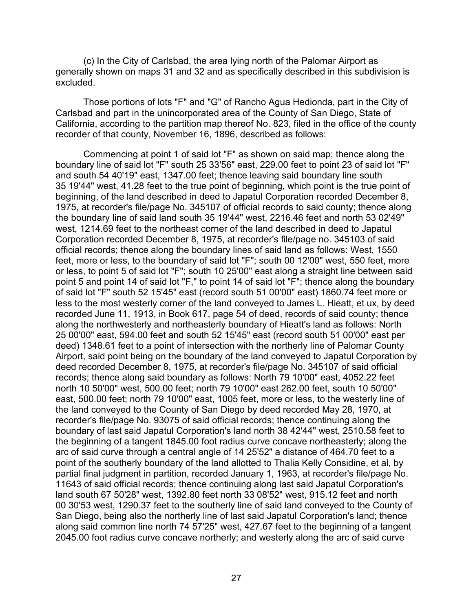(c) In the City of Carlsbad, the area lying north of the Palomar Airport as generally shown on maps 31 and 32 and as specifically described in this subdivision is excluded.

Those portions of lots "F" and "G" of Rancho Agua Hedionda, part in the City of Carlsbad and part in the unincorporated area of the County of San Diego, State of California, according to the partition map thereof No. 823, filed in the office of the county recorder of that county, November 16, 1896, described as follows:

Commencing at point 1 of said lot "F" as shown on said map; thence along the boundary line of said lot "F" south 25 33'56" east, 229.00 feet to point 23 of said lot "F" and south 54 40'19" east, 1347.00 feet; thence leaving said boundary line south 35 19'44" west, 41.28 feet to the true point of beginning, which point is the true point of beginning, of the land described in deed to Japatul Corporation recorded December 8, 1975, at recorder's file/page No. 345107 of official records to said county; thence along the boundary line of said land south 35 19'44" west, 2216.46 feet and north 53 02'49" west, 1214.69 feet to the northeast corner of the land described in deed to Japatul Corporation recorded December 8, 1975, at recorder's file/page no. 345103 of said official records; thence along the boundary lines of said land as follows: West, 1550 feet, more or less, to the boundary of said lot "F"; south 00 12'00" west, 550 feet, more or less, to point 5 of said lot "F"; south 10 25'00" east along a straight line between said point 5 and point 14 of said lot "F," to point 14 of said lot "F"; thence along the boundary of said lot "F" south 52 15'45" east (record south 51 00'00" east) 1860.74 feet more or less to the most westerly corner of the land conveyed to James L. Hieatt, et ux, by deed recorded June 11, 1913, in Book 617, page 54 of deed, records of said county; thence along the northwesterly and northeasterly boundary of Hieatt's land as follows: North 25 00'00" east, 594.00 feet and south 52 15'45" east (record south 51 00'00" east per deed) 1348.61 feet to a point of intersection with the northerly line of Palomar County Airport, said point being on the boundary of the land conveyed to Japatul Corporation by deed recorded December 8, 1975, at recorder's file/page No. 345107 of said official records; thence along said boundary as follows: North 79 10'00" east, 4052.22 feet north 10 50'00" west, 500.00 feet; north 79 10'00" east 262.00 feet, south 10 50'00" east, 500.00 feet; north 79 10'00" east, 1005 feet, more or less, to the westerly line of the land conveyed to the County of San Diego by deed recorded May 28, 1970, at recorder's file/page No. 93075 of said official records; thence continuing along the boundary of last said Japatul Corporation's land north 38 42'44" west, 2510.58 feet to the beginning of a tangent 1845.00 foot radius curve concave northeasterly; along the arc of said curve through a central angle of 14 25'52" a distance of 464.70 feet to a point of the southerly boundary of the land allotted to Thalia Kelly Considine, et al, by partial final judgment in partition, recorded January 1, 1963, at recorder's file/page No. 11643 of said official records; thence continuing along last said Japatul Corporation's land south 67 50'28" west, 1392.80 feet north 33 08'52" west, 915.12 feet and north 00 30'53 west, 1290.37 feet to the southerly line of said land conveyed to the County of San Diego, being also the northerly line of last said Japatul Corporation's land; thence along said common line north 74 57'25" west, 427.67 feet to the beginning of a tangent 2045.00 foot radius curve concave northerly; and westerly along the arc of said curve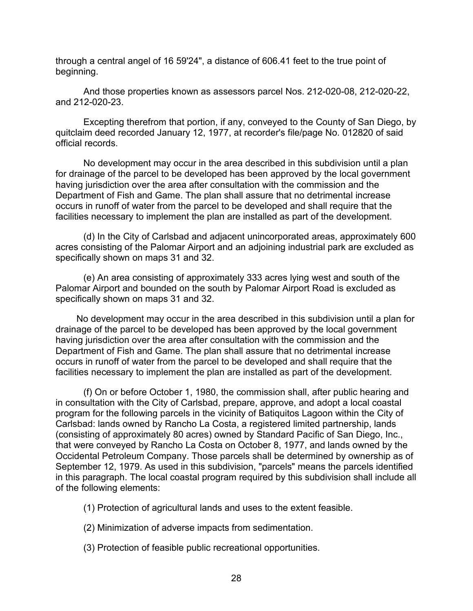through a central angel of 16 59'24", a distance of 606.41 feet to the true point of beginning.

And those properties known as assessors parcel Nos. 212-020-08, 212-020-22, and 212-020-23.

Excepting therefrom that portion, if any, conveyed to the County of San Diego, by quitclaim deed recorded January 12, 1977, at recorder's file/page No. 012820 of said official records.

No development may occur in the area described in this subdivision until a plan for drainage of the parcel to be developed has been approved by the local government having jurisdiction over the area after consultation with the commission and the Department of Fish and Game. The plan shall assure that no detrimental increase occurs in runoff of water from the parcel to be developed and shall require that the facilities necessary to implement the plan are installed as part of the development.

(d) In the City of Carlsbad and adjacent unincorporated areas, approximately 600 acres consisting of the Palomar Airport and an adjoining industrial park are excluded as specifically shown on maps 31 and 32.

(e) An area consisting of approximately 333 acres lying west and south of the Palomar Airport and bounded on the south by Palomar Airport Road is excluded as specifically shown on maps 31 and 32.

No development may occur in the area described in this subdivision until a plan for drainage of the parcel to be developed has been approved by the local government having jurisdiction over the area after consultation with the commission and the Department of Fish and Game. The plan shall assure that no detrimental increase occurs in runoff of water from the parcel to be developed and shall require that the facilities necessary to implement the plan are installed as part of the development.

(f) On or before October 1, 1980, the commission shall, after public hearing and in consultation with the City of Carlsbad, prepare, approve, and adopt a local coastal program for the following parcels in the vicinity of Batiquitos Lagoon within the City of Carlsbad: lands owned by Rancho La Costa, a registered limited partnership, lands (consisting of approximately 80 acres) owned by Standard Pacific of San Diego, Inc., that were conveyed by Rancho La Costa on October 8, 1977, and lands owned by the Occidental Petroleum Company. Those parcels shall be determined by ownership as of September 12, 1979. As used in this subdivision, "parcels" means the parcels identified in this paragraph. The local coastal program required by this subdivision shall include all of the following elements:

- (1) Protection of agricultural lands and uses to the extent feasible.
- (2) Minimization of adverse impacts from sedimentation.
- (3) Protection of feasible public recreational opportunities.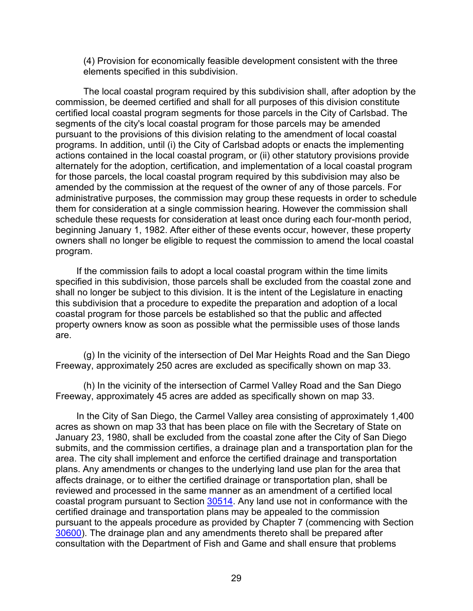(4) Provision for economically feasible development consistent with the three elements specified in this subdivision.

The local coastal program required by this subdivision shall, after adoption by the commission, be deemed certified and shall for all purposes of this division constitute certified local coastal program segments for those parcels in the City of Carlsbad. The segments of the city's local coastal program for those parcels may be amended pursuant to the provisions of this division relating to the amendment of local coastal programs. In addition, until (i) the City of Carlsbad adopts or enacts the implementing actions contained in the local coastal program, or (ii) other statutory provisions provide alternately for the adoption, certification, and implementation of a local coastal program for those parcels, the local coastal program required by this subdivision may also be amended by the commission at the request of the owner of any of those parcels. For administrative purposes, the commission may group these requests in order to schedule them for consideration at a single commission hearing. However the commission shall schedule these requests for consideration at least once during each four-month period, beginning January 1, 1982. After either of these events occur, however, these property owners shall no longer be eligible to request the commission to amend the local coastal program.

If the commission fails to adopt a local coastal program within the time limits specified in this subdivision, those parcels shall be excluded from the coastal zone and shall no longer be subject to this division. It is the intent of the Legislature in enacting this subdivision that a procedure to expedite the preparation and adoption of a local coastal program for those parcels be established so that the public and affected property owners know as soon as possible what the permissible uses of those lands are.

(g) In the vicinity of the intersection of Del Mar Heights Road and the San Diego Freeway, approximately 250 acres are excluded as specifically shown on map 33.

(h) In the vicinity of the intersection of Carmel Valley Road and the San Diego Freeway, approximately 45 acres are added as specifically shown on map 33.

In the City of San Diego, the Carmel Valley area consisting of approximately 1,400 acres as shown on map 33 that has been place on file with the Secretary of State on January 23, 1980, shall be excluded from the coastal zone after the City of San Diego submits, and the commission certifies, a drainage plan and a transportation plan for the area. The city shall implement and enforce the certified drainage and transportation plans. Any amendments or changes to the underlying land use plan for the area that affects drainage, or to either the certified drainage or transportation plan, shall be reviewed and processed in the same manner as an amendment of a certified local coastal program pursuant to Section [30514.](#page-101-0) Any land use not in conformance with the certified drainage and transportation plans may be appealed to the commission pursuant to the appeals procedure as provided by Chapter 7 (commencing with Section [30600\)](#page-116-0). The drainage plan and any amendments thereto shall be prepared after consultation with the Department of Fish and Game and shall ensure that problems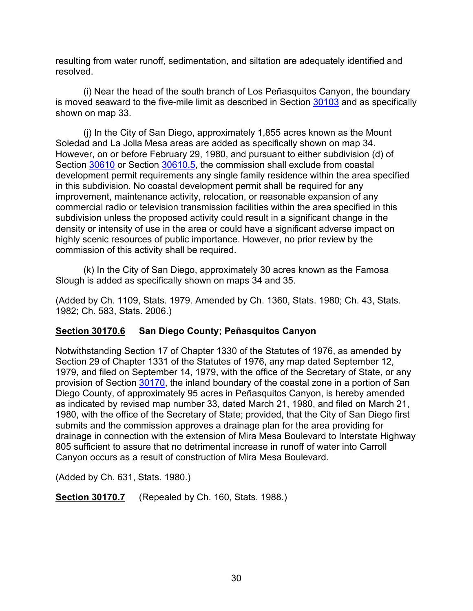resulting from water runoff, sedimentation, and siltation are adequately identified and resolved.

(i) Near the head of the south branch of Los Peñasquitos Canyon, the boundary is moved seaward to the five-mile limit as described in Section [30103](#page-10-7) and as specifically shown on map 33.

(j) In the City of San Diego, approximately 1,855 acres known as the Mount Soledad and La Jolla Mesa areas are added as specifically shown on map 34. However, on or before February 29, 1980, and pursuant to either subdivision (d) of Section [30610](#page-131-0) or Section [30610.5,](#page-136-0) the commission shall exclude from coastal development permit requirements any single family residence within the area specified in this subdivision. No coastal development permit shall be required for any improvement, maintenance activity, relocation, or reasonable expansion of any commercial radio or television transmission facilities within the area specified in this subdivision unless the proposed activity could result in a significant change in the density or intensity of use in the area or could have a significant adverse impact on highly scenic resources of public importance. However, no prior review by the commission of this activity shall be required.

(k) In the City of San Diego, approximately 30 acres known as the Famosa Slough is added as specifically shown on maps 34 and 35.

(Added by Ch. 1109, Stats. 1979. Amended by Ch. 1360, Stats. 1980; Ch. 43, Stats. 1982; Ch. 583, Stats. 2006.)

# <span id="page-31-0"></span>**Section 30170.6 San Diego County; Peñasquitos Canyon**

Notwithstanding Section 17 of Chapter 1330 of the Statutes of 1976, as amended by Section 29 of Chapter 1331 of the Statutes of 1976, any map dated September 12, 1979, and filed on September 14, 1979, with the office of the Secretary of State, or any provision of Section [30170,](#page-27-0) the inland boundary of the coastal zone in a portion of San Diego County, of approximately 95 acres in Peñasquitos Canyon, is hereby amended as indicated by revised map number 33, dated March 21, 1980, and filed on March 21, 1980, with the office of the Secretary of State; provided, that the City of San Diego first submits and the commission approves a drainage plan for the area providing for drainage in connection with the extension of Mira Mesa Boulevard to Interstate Highway 805 sufficient to assure that no detrimental increase in runoff of water into Carroll Canyon occurs as a result of construction of Mira Mesa Boulevard.

(Added by Ch. 631, Stats. 1980.)

<span id="page-31-1"></span>**Section 30170.7** (Repealed by Ch. 160, Stats. 1988.)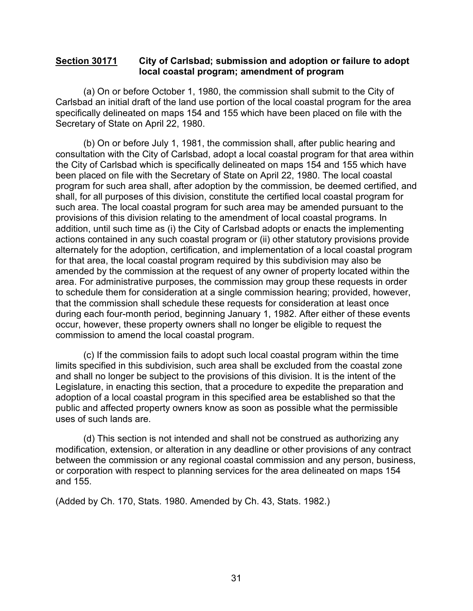#### <span id="page-32-0"></span>**Section 30171 City of Carlsbad; submission and adoption or failure to adopt local coastal program; amendment of program**

(a) On or before October 1, 1980, the commission shall submit to the City of Carlsbad an initial draft of the land use portion of the local coastal program for the area specifically delineated on maps 154 and 155 which have been placed on file with the Secretary of State on April 22, 1980.

(b) On or before July 1, 1981, the commission shall, after public hearing and consultation with the City of Carlsbad, adopt a local coastal program for that area within the City of Carlsbad which is specifically delineated on maps 154 and 155 which have been placed on file with the Secretary of State on April 22, 1980. The local coastal program for such area shall, after adoption by the commission, be deemed certified, and shall, for all purposes of this division, constitute the certified local coastal program for such area. The local coastal program for such area may be amended pursuant to the provisions of this division relating to the amendment of local coastal programs. In addition, until such time as (i) the City of Carlsbad adopts or enacts the implementing actions contained in any such coastal program or (ii) other statutory provisions provide alternately for the adoption, certification, and implementation of a local coastal program for that area, the local coastal program required by this subdivision may also be amended by the commission at the request of any owner of property located within the area. For administrative purposes, the commission may group these requests in order to schedule them for consideration at a single commission hearing; provided, however, that the commission shall schedule these requests for consideration at least once during each four-month period, beginning January 1, 1982. After either of these events occur, however, these property owners shall no longer be eligible to request the commission to amend the local coastal program.

(c) If the commission fails to adopt such local coastal program within the time limits specified in this subdivision, such area shall be excluded from the coastal zone and shall no longer be subject to the provisions of this division. It is the intent of the Legislature, in enacting this section, that a procedure to expedite the preparation and adoption of a local coastal program in this specified area be established so that the public and affected property owners know as soon as possible what the permissible uses of such lands are.

(d) This section is not intended and shall not be construed as authorizing any modification, extension, or alteration in any deadline or other provisions of any contract between the commission or any regional coastal commission and any person, business, or corporation with respect to planning services for the area delineated on maps 154 and 155.

(Added by Ch. 170, Stats. 1980. Amended by Ch. 43, Stats. 1982.)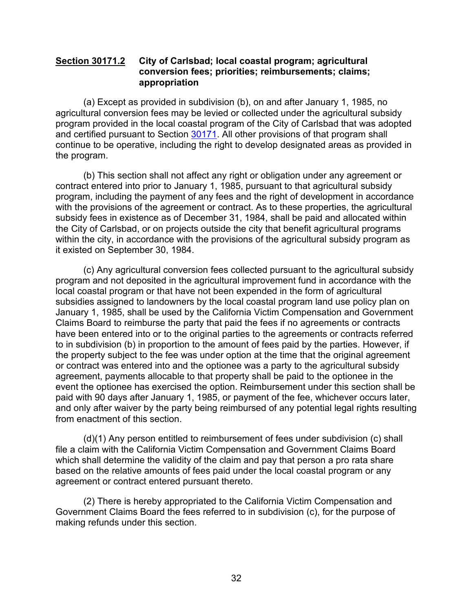#### <span id="page-33-0"></span>**Section 30171.2 City of Carlsbad; local coastal program; agricultural conversion fees; priorities; reimbursements; claims; appropriation**

(a) Except as provided in subdivision (b), on and after January 1, 1985, no agricultural conversion fees may be levied or collected under the agricultural subsidy program provided in the local coastal program of the City of Carlsbad that was adopted and certified pursuant to Section [30171.](#page-32-0) All other provisions of that program shall continue to be operative, including the right to develop designated areas as provided in the program.

(b) This section shall not affect any right or obligation under any agreement or contract entered into prior to January 1, 1985, pursuant to that agricultural subsidy program, including the payment of any fees and the right of development in accordance with the provisions of the agreement or contract. As to these properties, the agricultural subsidy fees in existence as of December 31, 1984, shall be paid and allocated within the City of Carlsbad, or on projects outside the city that benefit agricultural programs within the city, in accordance with the provisions of the agricultural subsidy program as it existed on September 30, 1984.

(c) Any agricultural conversion fees collected pursuant to the agricultural subsidy program and not deposited in the agricultural improvement fund in accordance with the local coastal program or that have not been expended in the form of agricultural subsidies assigned to landowners by the local coastal program land use policy plan on January 1, 1985, shall be used by the California Victim Compensation and Government Claims Board to reimburse the party that paid the fees if no agreements or contracts have been entered into or to the original parties to the agreements or contracts referred to in subdivision (b) in proportion to the amount of fees paid by the parties. However, if the property subject to the fee was under option at the time that the original agreement or contract was entered into and the optionee was a party to the agricultural subsidy agreement, payments allocable to that property shall be paid to the optionee in the event the optionee has exercised the option. Reimbursement under this section shall be paid with 90 days after January 1, 1985, or payment of the fee, whichever occurs later, and only after waiver by the party being reimbursed of any potential legal rights resulting from enactment of this section.

(d)(1) Any person entitled to reimbursement of fees under subdivision (c) shall file a claim with the California Victim Compensation and Government Claims Board which shall determine the validity of the claim and pay that person a pro rata share based on the relative amounts of fees paid under the local coastal program or any agreement or contract entered pursuant thereto.

(2) There is hereby appropriated to the California Victim Compensation and Government Claims Board the fees referred to in subdivision (c), for the purpose of making refunds under this section.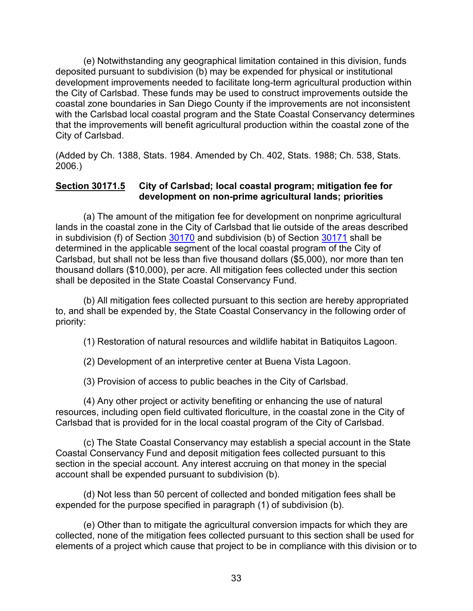(e) Notwithstanding any geographical limitation contained in this division, funds deposited pursuant to subdivision (b) may be expended for physical or institutional development improvements needed to facilitate long-term agricultural production within the City of Carlsbad. These funds may be used to construct improvements outside the coastal zone boundaries in San Diego County if the improvements are not inconsistent with the Carlsbad local coastal program and the State Coastal Conservancy determines that the improvements will benefit agricultural production within the coastal zone of the City of Carlsbad.

(Added by Ch. 1388, Stats. 1984. Amended by Ch. 402, Stats. 1988; Ch. 538, Stats. 2006.)

#### <span id="page-34-0"></span>**Section 30171.5 City of Carlsbad; local coastal program; mitigation fee for development on non-prime agricultural lands; priorities**

(a) The amount of the mitigation fee for development on nonprime agricultural lands in the coastal zone in the City of Carlsbad that lie outside of the areas described in subdivision (f) of Section [30170](#page-27-0) and subdivision (b) of Section [30171](#page-32-0) shall be determined in the applicable segment of the local coastal program of the City of Carlsbad, but shall not be less than five thousand dollars (\$5,000), nor more than ten thousand dollars (\$10,000), per acre. All mitigation fees collected under this section shall be deposited in the State Coastal Conservancy Fund.

(b) All mitigation fees collected pursuant to this section are hereby appropriated to, and shall be expended by, the State Coastal Conservancy in the following order of priority:

(1) Restoration of natural resources and wildlife habitat in Batiquitos Lagoon.

(2) Development of an interpretive center at Buena Vista Lagoon.

(3) Provision of access to public beaches in the City of Carlsbad.

(4) Any other project or activity benefiting or enhancing the use of natural resources, including open field cultivated floriculture, in the coastal zone in the City of Carlsbad that is provided for in the local coastal program of the City of Carlsbad.

(c) The State Coastal Conservancy may establish a special account in the State Coastal Conservancy Fund and deposit mitigation fees collected pursuant to this section in the special account. Any interest accruing on that money in the special account shall be expended pursuant to subdivision (b).

(d) Not less than 50 percent of collected and bonded mitigation fees shall be expended for the purpose specified in paragraph (1) of subdivision (b).

(e) Other than to mitigate the agricultural conversion impacts for which they are collected, none of the mitigation fees collected pursuant to this section shall be used for elements of a project which cause that project to be in compliance with this division or to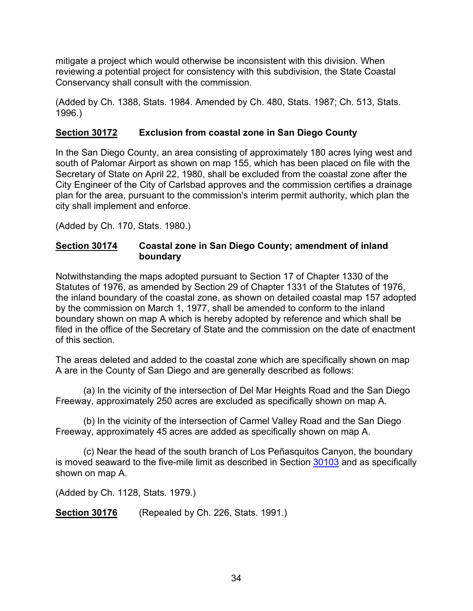mitigate a project which would otherwise be inconsistent with this division. When reviewing a potential project for consistency with this subdivision, the State Coastal Conservancy shall consult with the commission.

(Added by Ch. 1388, Stats. 1984. Amended by Ch. 480, Stats. 1987; Ch. 513, Stats. 1996.)

# <span id="page-35-0"></span>**Section 30172 Exclusion from coastal zone in San Diego County**

In the San Diego County, an area consisting of approximately 180 acres lying west and south of Palomar Airport as shown on map 155, which has been placed on file with the Secretary of State on April 22, 1980, shall be excluded from the coastal zone after the City Engineer of the City of Carlsbad approves and the commission certifies a drainage plan for the area, pursuant to the commission's interim permit authority, which plan the city shall implement and enforce.

(Added by Ch. 170, Stats. 1980.)

### <span id="page-35-1"></span>**Section 30174 Coastal zone in San Diego County; amendment of inland boundary**

Notwithstanding the maps adopted pursuant to Section 17 of Chapter 1330 of the Statutes of 1976, as amended by Section 29 of Chapter 1331 of the Statutes of 1976, the inland boundary of the coastal zone, as shown on detailed coastal map 157 adopted by the commission on March 1, 1977, shall be amended to conform to the inland boundary shown on map A which is hereby adopted by reference and which shall be filed in the office of the Secretary of State and the commission on the date of enactment of this section.

The areas deleted and added to the coastal zone which are specifically shown on map A are in the County of San Diego and are generally described as follows:

(a) In the vicinity of the intersection of Del Mar Heights Road and the San Diego Freeway, approximately 250 acres are excluded as specifically shown on map A.

(b) In the vicinity of the intersection of Carmel Valley Road and the San Diego Freeway, approximately 45 acres are added as specifically shown on map A.

(c) Near the head of the south branch of Los Peñasquitos Canyon, the boundary is moved seaward to the five-mile limit as described in Section [30103](#page-10-7) and as specifically shown on map A.

(Added by Ch. 1128, Stats. 1979.)

<span id="page-35-2"></span>**Section 30176** (Repealed by Ch. 226, Stats. 1991.)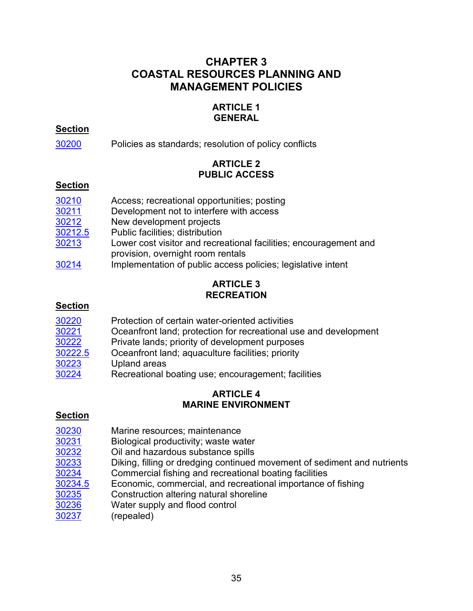# **CHAPTER 3 COASTAL RESOURCES PLANNING AND MANAGEMENT POLICIES**

# **ARTICLE 1 GENERAL**

# **Section**

[30200](#page-38-0) Policies as standards; resolution of policy conflicts

# **ARTICLE 2 PUBLIC ACCESS**

# **Section**

| 30210   | Access; recreational opportunities; posting                                                            |
|---------|--------------------------------------------------------------------------------------------------------|
| 30211   | Development not to interfere with access                                                               |
| 30212   | New development projects                                                                               |
| 30212.5 | Public facilities; distribution                                                                        |
| 30213   | Lower cost visitor and recreational facilities; encouragement and<br>provision, overnight room rentals |
| 30214   | Implementation of public access policies; legislative intent                                           |

# **ARTICLE 3 RECREATION**

# **Section**

| 30220   | Protection of certain water-oriented activities                  |
|---------|------------------------------------------------------------------|
| 30221   | Oceanfront land; protection for recreational use and development |
| 30222   | Private lands; priority of development purposes                  |
| 30222.5 | Oceanfront land; aquaculture facilities; priority                |
| 30223   | Upland areas                                                     |
| 30224   | Recreational boating use; encouragement; facilities              |

### **ARTICLE 4 MARINE ENVIRONMENT**

- [30230](#page-42-1) Marine resources; maintenance
- [30231](#page-42-2) Biological productivity; waste water
- [30232](#page-42-3) Oil and hazardous substance spills
- Diking, filling or dredging continued movement of sediment and nutrients
- [30234](#page-44-0) Commercial fishing and recreational boating facilities<br>30234.5 Economic, commercial, and recreational importance o
- Economic, commercial, and recreational importance of fishing
- [30235](#page-44-2) Construction altering natural shoreline
- [30236](#page-44-3) Water supply and flood control
- [30237](#page-44-4) (repealed)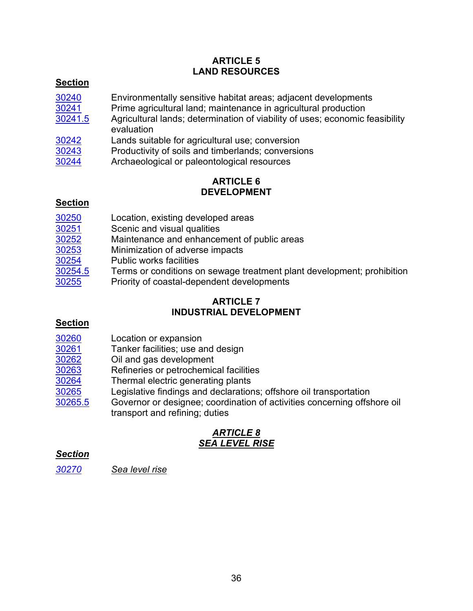# **ARTICLE 5 LAND RESOURCES**

# **Section**

- [30240](#page-45-0) Environmentally sensitive habitat areas; adjacent developments<br>30241 Prime agricultural land; maintenance in agricultural production
- [30241](#page-45-1) Prime agricultural land; maintenance in agricultural production<br>30241.5 Agricultural lands; determination of viability of uses; economic f
- Agricultural lands; determination of viability of uses; economic feasibility evaluation
- <u>[30242](#page-46-1)</u> Lands suitable for agricultural use; conversion<br>30243 Productivity of soils and timberlands: conversic
	- Productivity of soils and timberlands; conversions
- [30244](#page-47-1) Archaeological or paleontological resources

## **ARTICLE 6 DEVELOPMENT**

# **Section**

| 30250   | Location, existing developed areas                                     |
|---------|------------------------------------------------------------------------|
| 30251   | Scenic and visual qualities                                            |
| 30252   | Maintenance and enhancement of public areas                            |
| 30253   | Minimization of adverse impacts                                        |
| 30254   | <b>Public works facilities</b>                                         |
| 30254.5 | Terms or conditions on sewage treatment plant development; prohibition |
| 30255   | Priority of coastal-dependent developments                             |

### **ARTICLE 7 INDUSTRIAL DEVELOPMENT**

# **Section**

- [30260](#page-49-2) Location or expansion<br>30261 Tanker facilities; use a
- Tanker facilities; use and design
- [30262](#page-50-0) Oil and gas development
- [30263](#page-52-0) Refineries or petrochemical facilities
- [30264](#page-52-1) Thermal electric generating plants
- [30265](#page-52-2) Legislative findings and declarations; offshore oil transportation
- [30265.5](#page-53-0) Governor or designee; coordination of activities concerning offshore oil transport and refining; duties

# *ARTICLE 8 SEA LEVEL RISE*

# *Section*

*[30270](#page-54-0) Sea level rise*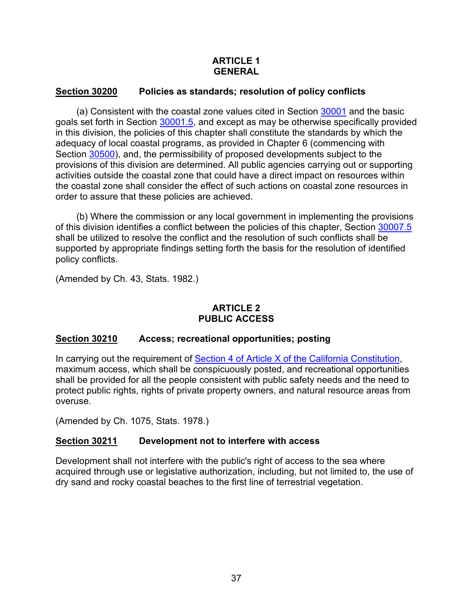## **ARTICLE 1 GENERAL**

## <span id="page-38-0"></span>**Section 30200 Policies as standards; resolution of policy conflicts**

(a) Consistent with the coastal zone values cited in Section [30001](#page-3-0) and the basic goals set forth in Section [30001.5,](#page-3-1) and except as may be otherwise specifically provided in this division, the policies of this chapter shall constitute the standards by which the adequacy of local coastal programs, as provided in Chapter 6 (commencing with Section [30500\)](#page-96-0), and, the permissibility of proposed developments subject to the provisions of this division are determined. All public agencies carrying out or supporting activities outside the coastal zone that could have a direct impact on resources within the coastal zone shall consider the effect of such actions on coastal zone resources in order to assure that these policies are achieved.

(b) Where the commission or any local government in implementing the provisions of this division identifies a conflict between the policies of this chapter, Section [30007.5](#page-6-0) shall be utilized to resolve the conflict and the resolution of such conflicts shall be supported by appropriate findings setting forth the basis for the resolution of identified policy conflicts.

(Amended by Ch. 43, Stats. 1982.)

# **ARTICLE 2 PUBLIC ACCESS**

### <span id="page-38-1"></span>**Section 30210 Access; recreational opportunities; posting**

In carrying out the requirement of [Section 4 of Article X of the California Constitution,](http://leginfo.legislature.ca.gov/faces/codes_displayText.xhtml?lawCode=CONS&division=&title=&part=&chapter=&article=X) maximum access, which shall be conspicuously posted, and recreational opportunities shall be provided for all the people consistent with public safety needs and the need to protect public rights, rights of private property owners, and natural resource areas from overuse.

(Amended by Ch. 1075, Stats. 1978.)

### <span id="page-38-2"></span>**Section 30211 Development not to interfere with access**

Development shall not interfere with the public's right of access to the sea where acquired through use or legislative authorization, including, but not limited to, the use of dry sand and rocky coastal beaches to the first line of terrestrial vegetation.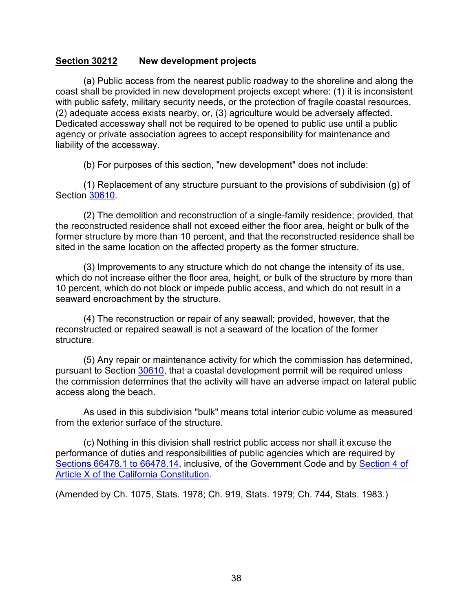#### <span id="page-39-0"></span>**Section 30212 New development projects**

(a) Public access from the nearest public roadway to the shoreline and along the coast shall be provided in new development projects except where: (1) it is inconsistent with public safety, military security needs, or the protection of fragile coastal resources, (2) adequate access exists nearby, or, (3) agriculture would be adversely affected. Dedicated accessway shall not be required to be opened to public use until a public agency or private association agrees to accept responsibility for maintenance and liability of the accessway.

(b) For purposes of this section, "new development" does not include:

(1) Replacement of any structure pursuant to the provisions of subdivision (g) of Section [30610.](#page-131-0)

(2) The demolition and reconstruction of a single-family residence; provided, that the reconstructed residence shall not exceed either the floor area, height or bulk of the former structure by more than 10 percent, and that the reconstructed residence shall be sited in the same location on the affected property as the former structure.

(3) Improvements to any structure which do not change the intensity of its use, which do not increase either the floor area, height, or bulk of the structure by more than 10 percent, which do not block or impede public access, and which do not result in a seaward encroachment by the structure.

(4) The reconstruction or repair of any seawall; provided, however, that the reconstructed or repaired seawall is not a seaward of the location of the former structure.

(5) Any repair or maintenance activity for which the commission has determined, pursuant to Section [30610,](#page-131-0) that a coastal development permit will be required unless the commission determines that the activity will have an adverse impact on lateral public access along the beach.

As used in this subdivision "bulk" means total interior cubic volume as measured from the exterior surface of the structure.

(c) Nothing in this division shall restrict public access nor shall it excuse the performance of duties and responsibilities of public agencies which are required by [Sections 66478.1 to 66478.14,](http://leginfo.legislature.ca.gov/faces/codes_displayText.xhtml?lawCode=GOV&division=2.&title=7.&part=&chapter=4.&article=3.5.) inclusive, of the Government Code and by [Section 4 of](http://leginfo.legislature.ca.gov/faces/codes_displayText.xhtml?lawCode=CONS&division=&title=&part=&chapter=&article=X)  [Article X of the California Constitution.](http://leginfo.legislature.ca.gov/faces/codes_displayText.xhtml?lawCode=CONS&division=&title=&part=&chapter=&article=X)

<span id="page-39-1"></span>(Amended by Ch. 1075, Stats. 1978; Ch. 919, Stats. 1979; Ch. 744, Stats. 1983.)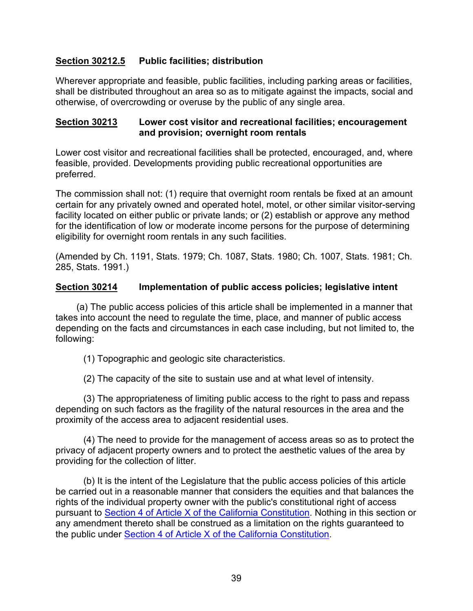## **Section 30212.5 Public facilities; distribution**

Wherever appropriate and feasible, public facilities, including parking areas or facilities, shall be distributed throughout an area so as to mitigate against the impacts, social and otherwise, of overcrowding or overuse by the public of any single area.

#### <span id="page-40-0"></span>**Section 30213 Lower cost visitor and recreational facilities; encouragement and provision; overnight room rentals**

Lower cost visitor and recreational facilities shall be protected, encouraged, and, where feasible, provided. Developments providing public recreational opportunities are preferred.

The commission shall not: (1) require that overnight room rentals be fixed at an amount certain for any privately owned and operated hotel, motel, or other similar visitor-serving facility located on either public or private lands; or (2) establish or approve any method for the identification of low or moderate income persons for the purpose of determining eligibility for overnight room rentals in any such facilities.

(Amended by Ch. 1191, Stats. 1979; Ch. 1087, Stats. 1980; Ch. 1007, Stats. 1981; Ch. 285, Stats. 1991.)

## <span id="page-40-1"></span>**Section 30214 Implementation of public access policies; legislative intent**

(a) The public access policies of this article shall be implemented in a manner that takes into account the need to regulate the time, place, and manner of public access depending on the facts and circumstances in each case including, but not limited to, the following:

(1) Topographic and geologic site characteristics.

(2) The capacity of the site to sustain use and at what level of intensity.

(3) The appropriateness of limiting public access to the right to pass and repass depending on such factors as the fragility of the natural resources in the area and the proximity of the access area to adjacent residential uses.

(4) The need to provide for the management of access areas so as to protect the privacy of adjacent property owners and to protect the aesthetic values of the area by providing for the collection of litter.

(b) It is the intent of the Legislature that the public access policies of this article be carried out in a reasonable manner that considers the equities and that balances the rights of the individual property owner with the public's constitutional right of access pursuant to [Section 4 of Article X of the California Constitution.](http://leginfo.legislature.ca.gov/faces/codes_displayText.xhtml?lawCode=CONS&division=&title=&part=&chapter=&article=X) Nothing in this section or any amendment thereto shall be construed as a limitation on the rights guaranteed to the public under [Section 4 of Article X of the California Constitution.](http://leginfo.legislature.ca.gov/faces/codes_displayText.xhtml?lawCode=CONS&division=&title=&part=&chapter=&article=X)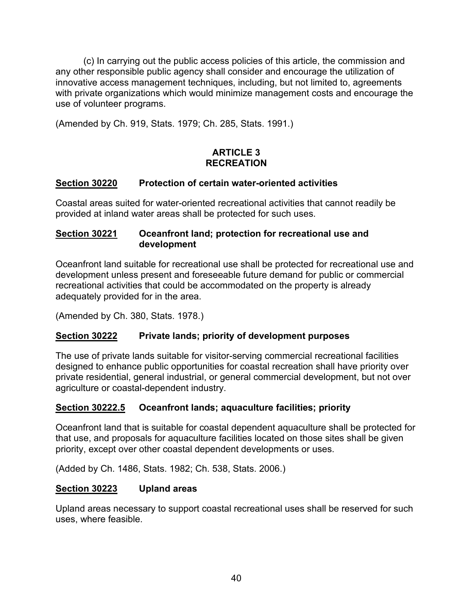(c) In carrying out the public access policies of this article, the commission and any other responsible public agency shall consider and encourage the utilization of innovative access management techniques, including, but not limited to, agreements with private organizations which would minimize management costs and encourage the use of volunteer programs.

(Amended by Ch. 919, Stats. 1979; Ch. 285, Stats. 1991.)

# **ARTICLE 3 RECREATION**

## <span id="page-41-0"></span>**Section 30220 Protection of certain water-oriented activities**

Coastal areas suited for water-oriented recreational activities that cannot readily be provided at inland water areas shall be protected for such uses.

## <span id="page-41-1"></span>**Section 30221 Oceanfront land; protection for recreational use and development**

Oceanfront land suitable for recreational use shall be protected for recreational use and development unless present and foreseeable future demand for public or commercial recreational activities that could be accommodated on the property is already adequately provided for in the area.

(Amended by Ch. 380, Stats. 1978.)

# <span id="page-41-2"></span>**Section 30222 Private lands; priority of development purposes**

The use of private lands suitable for visitor-serving commercial recreational facilities designed to enhance public opportunities for coastal recreation shall have priority over private residential, general industrial, or general commercial development, but not over agriculture or coastal-dependent industry.

# <span id="page-41-3"></span>**Section 30222.5 Oceanfront lands; aquaculture facilities; priority**

Oceanfront land that is suitable for coastal dependent aquaculture shall be protected for that use, and proposals for aquaculture facilities located on those sites shall be given priority, except over other coastal dependent developments or uses.

(Added by Ch. 1486, Stats. 1982; Ch. 538, Stats. 2006.)

### <span id="page-41-4"></span>**Section 30223 Upland areas**

Upland areas necessary to support coastal recreational uses shall be reserved for such uses, where feasible.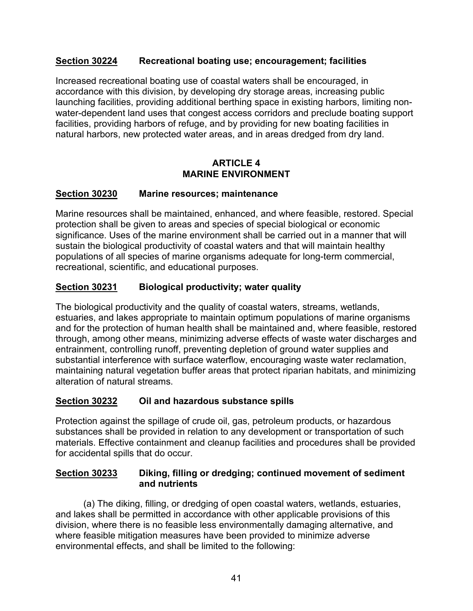## <span id="page-42-0"></span>**Section 30224 Recreational boating use; encouragement; facilities**

Increased recreational boating use of coastal waters shall be encouraged, in accordance with this division, by developing dry storage areas, increasing public launching facilities, providing additional berthing space in existing harbors, limiting nonwater-dependent land uses that congest access corridors and preclude boating support facilities, providing harbors of refuge, and by providing for new boating facilities in natural harbors, new protected water areas, and in areas dredged from dry land.

### **ARTICLE 4 MARINE ENVIRONMENT**

# <span id="page-42-1"></span>**Section 30230 Marine resources; maintenance**

Marine resources shall be maintained, enhanced, and where feasible, restored. Special protection shall be given to areas and species of special biological or economic significance. Uses of the marine environment shall be carried out in a manner that will sustain the biological productivity of coastal waters and that will maintain healthy populations of all species of marine organisms adequate for long-term commercial, recreational, scientific, and educational purposes.

## <span id="page-42-2"></span>**Section 30231 Biological productivity; water quality**

The biological productivity and the quality of coastal waters, streams, wetlands, estuaries, and lakes appropriate to maintain optimum populations of marine organisms and for the protection of human health shall be maintained and, where feasible, restored through, among other means, minimizing adverse effects of waste water discharges and entrainment, controlling runoff, preventing depletion of ground water supplies and substantial interference with surface waterflow, encouraging waste water reclamation, maintaining natural vegetation buffer areas that protect riparian habitats, and minimizing alteration of natural streams.

### <span id="page-42-3"></span>**Section 30232 Oil and hazardous substance spills**

Protection against the spillage of crude oil, gas, petroleum products, or hazardous substances shall be provided in relation to any development or transportation of such materials. Effective containment and cleanup facilities and procedures shall be provided for accidental spills that do occur.

### <span id="page-42-4"></span>**Section 30233 Diking, filling or dredging; continued movement of sediment and nutrients**

(a) The diking, filling, or dredging of open coastal waters, wetlands, estuaries, and lakes shall be permitted in accordance with other applicable provisions of this division, where there is no feasible less environmentally damaging alternative, and where feasible mitigation measures have been provided to minimize adverse environmental effects, and shall be limited to the following: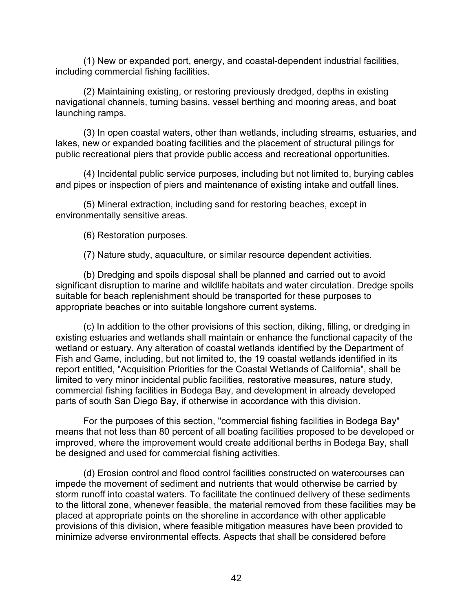(1) New or expanded port, energy, and coastal-dependent industrial facilities, including commercial fishing facilities.

(2) Maintaining existing, or restoring previously dredged, depths in existing navigational channels, turning basins, vessel berthing and mooring areas, and boat launching ramps.

(3) In open coastal waters, other than wetlands, including streams, estuaries, and lakes, new or expanded boating facilities and the placement of structural pilings for public recreational piers that provide public access and recreational opportunities.

(4) Incidental public service purposes, including but not limited to, burying cables and pipes or inspection of piers and maintenance of existing intake and outfall lines.

(5) Mineral extraction, including sand for restoring beaches, except in environmentally sensitive areas.

(6) Restoration purposes.

(7) Nature study, aquaculture, or similar resource dependent activities.

(b) Dredging and spoils disposal shall be planned and carried out to avoid significant disruption to marine and wildlife habitats and water circulation. Dredge spoils suitable for beach replenishment should be transported for these purposes to appropriate beaches or into suitable longshore current systems.

(c) In addition to the other provisions of this section, diking, filling, or dredging in existing estuaries and wetlands shall maintain or enhance the functional capacity of the wetland or estuary. Any alteration of coastal wetlands identified by the Department of Fish and Game, including, but not limited to, the 19 coastal wetlands identified in its report entitled, "Acquisition Priorities for the Coastal Wetlands of California", shall be limited to very minor incidental public facilities, restorative measures, nature study, commercial fishing facilities in Bodega Bay, and development in already developed parts of south San Diego Bay, if otherwise in accordance with this division.

For the purposes of this section, "commercial fishing facilities in Bodega Bay" means that not less than 80 percent of all boating facilities proposed to be developed or improved, where the improvement would create additional berths in Bodega Bay, shall be designed and used for commercial fishing activities.

(d) Erosion control and flood control facilities constructed on watercourses can impede the movement of sediment and nutrients that would otherwise be carried by storm runoff into coastal waters. To facilitate the continued delivery of these sediments to the littoral zone, whenever feasible, the material removed from these facilities may be placed at appropriate points on the shoreline in accordance with other applicable provisions of this division, where feasible mitigation measures have been provided to minimize adverse environmental effects. Aspects that shall be considered before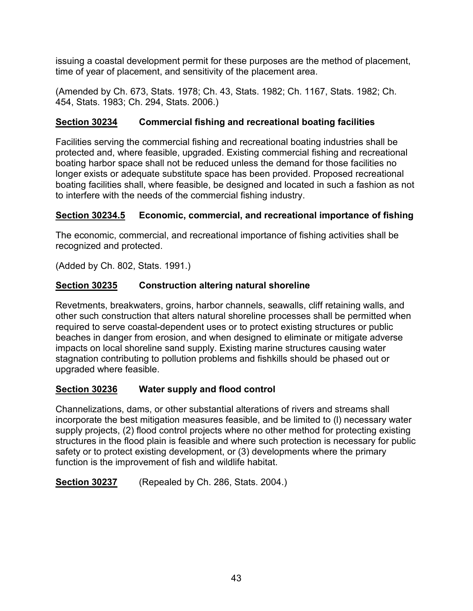issuing a coastal development permit for these purposes are the method of placement, time of year of placement, and sensitivity of the placement area.

(Amended by Ch. 673, Stats. 1978; Ch. 43, Stats. 1982; Ch. 1167, Stats. 1982; Ch. 454, Stats. 1983; Ch. 294, Stats. 2006.)

# <span id="page-44-0"></span>**Section 30234 Commercial fishing and recreational boating facilities**

Facilities serving the commercial fishing and recreational boating industries shall be protected and, where feasible, upgraded. Existing commercial fishing and recreational boating harbor space shall not be reduced unless the demand for those facilities no longer exists or adequate substitute space has been provided. Proposed recreational boating facilities shall, where feasible, be designed and located in such a fashion as not to interfere with the needs of the commercial fishing industry.

# <span id="page-44-1"></span>**Section 30234.5 Economic, commercial, and recreational importance of fishing**

The economic, commercial, and recreational importance of fishing activities shall be recognized and protected.

(Added by Ch. 802, Stats. 1991.)

# <span id="page-44-2"></span>**Section 30235 Construction altering natural shoreline**

Revetments, breakwaters, groins, harbor channels, seawalls, cliff retaining walls, and other such construction that alters natural shoreline processes shall be permitted when required to serve coastal-dependent uses or to protect existing structures or public beaches in danger from erosion, and when designed to eliminate or mitigate adverse impacts on local shoreline sand supply. Existing marine structures causing water stagnation contributing to pollution problems and fishkills should be phased out or upgraded where feasible.

# <span id="page-44-3"></span>**Section 30236 Water supply and flood control**

Channelizations, dams, or other substantial alterations of rivers and streams shall incorporate the best mitigation measures feasible, and be limited to (l) necessary water supply projects, (2) flood control projects where no other method for protecting existing structures in the flood plain is feasible and where such protection is necessary for public safety or to protect existing development, or (3) developments where the primary function is the improvement of fish and wildlife habitat.

<span id="page-44-4"></span>**Section 30237** (Repealed by Ch. 286, Stats. 2004.)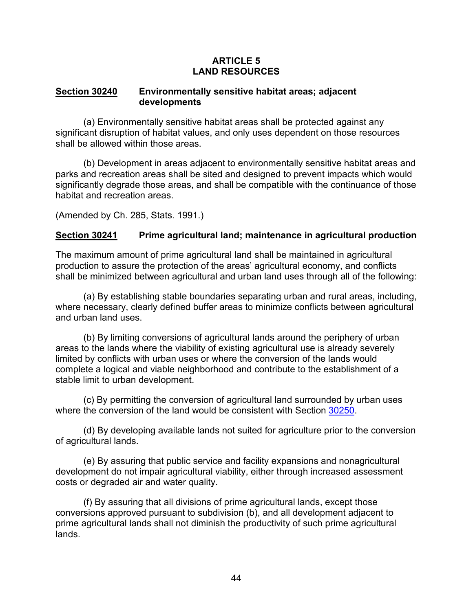## **ARTICLE 5 LAND RESOURCES**

#### <span id="page-45-0"></span>**Section 30240 Environmentally sensitive habitat areas; adjacent developments**

(a) Environmentally sensitive habitat areas shall be protected against any significant disruption of habitat values, and only uses dependent on those resources shall be allowed within those areas.

(b) Development in areas adjacent to environmentally sensitive habitat areas and parks and recreation areas shall be sited and designed to prevent impacts which would significantly degrade those areas, and shall be compatible with the continuance of those habitat and recreation areas.

(Amended by Ch. 285, Stats. 1991.)

# <span id="page-45-1"></span>**Section 30241 Prime agricultural land; maintenance in agricultural production**

The maximum amount of prime agricultural land shall be maintained in agricultural production to assure the protection of the areas' agricultural economy, and conflicts shall be minimized between agricultural and urban land uses through all of the following:

(a) By establishing stable boundaries separating urban and rural areas, including, where necessary, clearly defined buffer areas to minimize conflicts between agricultural and urban land uses.

(b) By limiting conversions of agricultural lands around the periphery of urban areas to the lands where the viability of existing agricultural use is already severely limited by conflicts with urban uses or where the conversion of the lands would complete a logical and viable neighborhood and contribute to the establishment of a stable limit to urban development.

(c) By permitting the conversion of agricultural land surrounded by urban uses where the conversion of the land would be consistent with Section [30250.](#page-47-2)

(d) By developing available lands not suited for agriculture prior to the conversion of agricultural lands.

(e) By assuring that public service and facility expansions and nonagricultural development do not impair agricultural viability, either through increased assessment costs or degraded air and water quality.

(f) By assuring that all divisions of prime agricultural lands, except those conversions approved pursuant to subdivision (b), and all development adjacent to prime agricultural lands shall not diminish the productivity of such prime agricultural lands.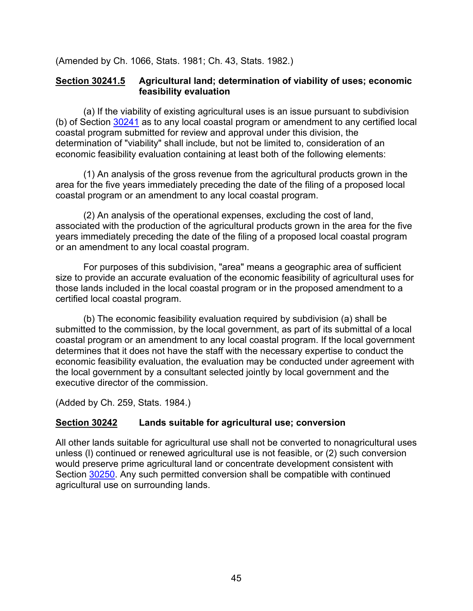(Amended by Ch. 1066, Stats. 1981; Ch. 43, Stats. 1982.)

## <span id="page-46-0"></span>**Section 30241.5 Agricultural land; determination of viability of uses; economic feasibility evaluation**

(a) If the viability of existing agricultural uses is an issue pursuant to subdivision (b) of Section [30241](#page-45-1) as to any local coastal program or amendment to any certified local coastal program submitted for review and approval under this division, the determination of "viability" shall include, but not be limited to, consideration of an economic feasibility evaluation containing at least both of the following elements:

(1) An analysis of the gross revenue from the agricultural products grown in the area for the five years immediately preceding the date of the filing of a proposed local coastal program or an amendment to any local coastal program.

(2) An analysis of the operational expenses, excluding the cost of land, associated with the production of the agricultural products grown in the area for the five years immediately preceding the date of the filing of a proposed local coastal program or an amendment to any local coastal program.

For purposes of this subdivision, "area" means a geographic area of sufficient size to provide an accurate evaluation of the economic feasibility of agricultural uses for those lands included in the local coastal program or in the proposed amendment to a certified local coastal program.

(b) The economic feasibility evaluation required by subdivision (a) shall be submitted to the commission, by the local government, as part of its submittal of a local coastal program or an amendment to any local coastal program. If the local government determines that it does not have the staff with the necessary expertise to conduct the economic feasibility evaluation, the evaluation may be conducted under agreement with the local government by a consultant selected jointly by local government and the executive director of the commission.

(Added by Ch. 259, Stats. 1984.)

# <span id="page-46-1"></span>**Section 30242 Lands suitable for agricultural use; conversion**

All other lands suitable for agricultural use shall not be converted to nonagricultural uses unless (l) continued or renewed agricultural use is not feasible, or (2) such conversion would preserve prime agricultural land or concentrate development consistent with Section [30250.](#page-47-2) Any such permitted conversion shall be compatible with continued agricultural use on surrounding lands.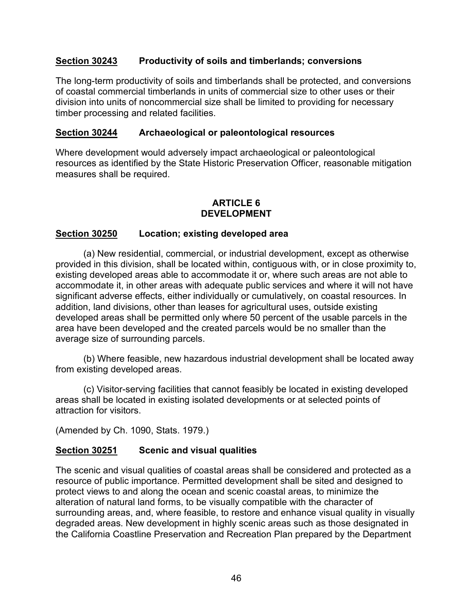## <span id="page-47-0"></span>**Section 30243 Productivity of soils and timberlands; conversions**

The long-term productivity of soils and timberlands shall be protected, and conversions of coastal commercial timberlands in units of commercial size to other uses or their division into units of noncommercial size shall be limited to providing for necessary timber processing and related facilities.

## <span id="page-47-1"></span>**Section 30244 Archaeological or paleontological resources**

Where development would adversely impact archaeological or paleontological resources as identified by the State Historic Preservation Officer, reasonable mitigation measures shall be required.

## **ARTICLE 6 DEVELOPMENT**

## <span id="page-47-2"></span>**Section 30250 Location; existing developed area**

(a) New residential, commercial, or industrial development, except as otherwise provided in this division, shall be located within, contiguous with, or in close proximity to, existing developed areas able to accommodate it or, where such areas are not able to accommodate it, in other areas with adequate public services and where it will not have significant adverse effects, either individually or cumulatively, on coastal resources. In addition, land divisions, other than leases for agricultural uses, outside existing developed areas shall be permitted only where 50 percent of the usable parcels in the area have been developed and the created parcels would be no smaller than the average size of surrounding parcels.

(b) Where feasible, new hazardous industrial development shall be located away from existing developed areas.

(c) Visitor-serving facilities that cannot feasibly be located in existing developed areas shall be located in existing isolated developments or at selected points of attraction for visitors.

(Amended by Ch. 1090, Stats. 1979.)

### <span id="page-47-3"></span>**Section 30251 Scenic and visual qualities**

The scenic and visual qualities of coastal areas shall be considered and protected as a resource of public importance. Permitted development shall be sited and designed to protect views to and along the ocean and scenic coastal areas, to minimize the alteration of natural land forms, to be visually compatible with the character of surrounding areas, and, where feasible, to restore and enhance visual quality in visually degraded areas. New development in highly scenic areas such as those designated in the California Coastline Preservation and Recreation Plan prepared by the Department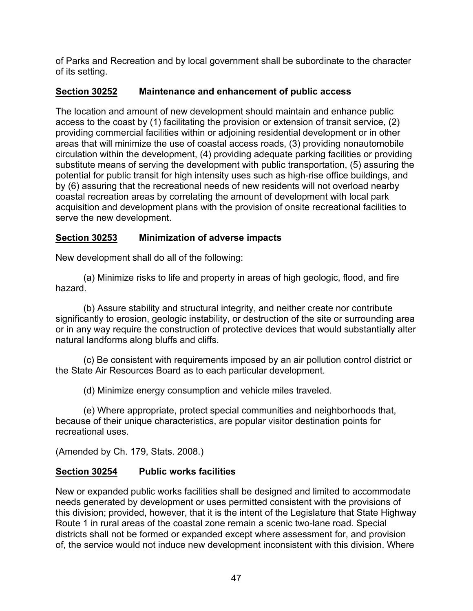of Parks and Recreation and by local government shall be subordinate to the character of its setting.

# <span id="page-48-0"></span>**Section 30252 Maintenance and enhancement of public access**

The location and amount of new development should maintain and enhance public access to the coast by (1) facilitating the provision or extension of transit service, (2) providing commercial facilities within or adjoining residential development or in other areas that will minimize the use of coastal access roads, (3) providing nonautomobile circulation within the development, (4) providing adequate parking facilities or providing substitute means of serving the development with public transportation, (5) assuring the potential for public transit for high intensity uses such as high-rise office buildings, and by (6) assuring that the recreational needs of new residents will not overload nearby coastal recreation areas by correlating the amount of development with local park acquisition and development plans with the provision of onsite recreational facilities to serve the new development.

# <span id="page-48-1"></span>**Section 30253 Minimization of adverse impacts**

New development shall do all of the following:

(a) Minimize risks to life and property in areas of high geologic, flood, and fire hazard.

(b) Assure stability and structural integrity, and neither create nor contribute significantly to erosion, geologic instability, or destruction of the site or surrounding area or in any way require the construction of protective devices that would substantially alter natural landforms along bluffs and cliffs.

(c) Be consistent with requirements imposed by an air pollution control district or the State Air Resources Board as to each particular development.

(d) Minimize energy consumption and vehicle miles traveled.

(e) Where appropriate, protect special communities and neighborhoods that, because of their unique characteristics, are popular visitor destination points for recreational uses.

(Amended by Ch. 179, Stats. 2008.)

# <span id="page-48-2"></span>**Section 30254 Public works facilities**

New or expanded public works facilities shall be designed and limited to accommodate needs generated by development or uses permitted consistent with the provisions of this division; provided, however, that it is the intent of the Legislature that State Highway Route 1 in rural areas of the coastal zone remain a scenic two-lane road. Special districts shall not be formed or expanded except where assessment for, and provision of, the service would not induce new development inconsistent with this division. Where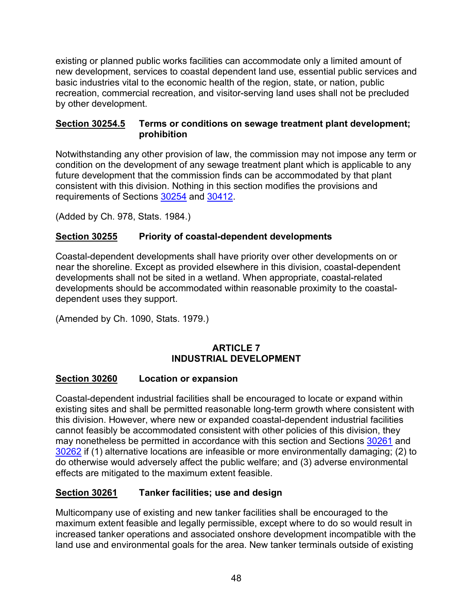existing or planned public works facilities can accommodate only a limited amount of new development, services to coastal dependent land use, essential public services and basic industries vital to the economic health of the region, state, or nation, public recreation, commercial recreation, and visitor-serving land uses shall not be precluded by other development.

### <span id="page-49-0"></span>**Section 30254.5 Terms or conditions on sewage treatment plant development; prohibition**

Notwithstanding any other provision of law, the commission may not impose any term or condition on the development of any sewage treatment plant which is applicable to any future development that the commission finds can be accommodated by that plant consistent with this division. Nothing in this section modifies the provisions and requirements of Sections [30254](#page-48-2) and [30412.](#page-86-0)

(Added by Ch. 978, Stats. 1984.)

# <span id="page-49-1"></span>**Section 30255 Priority of coastal-dependent developments**

Coastal-dependent developments shall have priority over other developments on or near the shoreline. Except as provided elsewhere in this division, coastal-dependent developments shall not be sited in a wetland. When appropriate, coastal-related developments should be accommodated within reasonable proximity to the coastaldependent uses they support.

(Amended by Ch. 1090, Stats. 1979.)

# **ARTICLE 7 INDUSTRIAL DEVELOPMENT**

# <span id="page-49-2"></span>**Section 30260 Location or expansion**

Coastal-dependent industrial facilities shall be encouraged to locate or expand within existing sites and shall be permitted reasonable long-term growth where consistent with this division. However, where new or expanded coastal-dependent industrial facilities cannot feasibly be accommodated consistent with other policies of this division, they may nonetheless be permitted in accordance with this section and Sections [30261](#page-49-3) and [30262](#page-50-0) if (1) alternative locations are infeasible or more environmentally damaging; (2) to do otherwise would adversely affect the public welfare; and (3) adverse environmental effects are mitigated to the maximum extent feasible.

# <span id="page-49-3"></span>**Section 30261 Tanker facilities; use and design**

Multicompany use of existing and new tanker facilities shall be encouraged to the maximum extent feasible and legally permissible, except where to do so would result in increased tanker operations and associated onshore development incompatible with the land use and environmental goals for the area. New tanker terminals outside of existing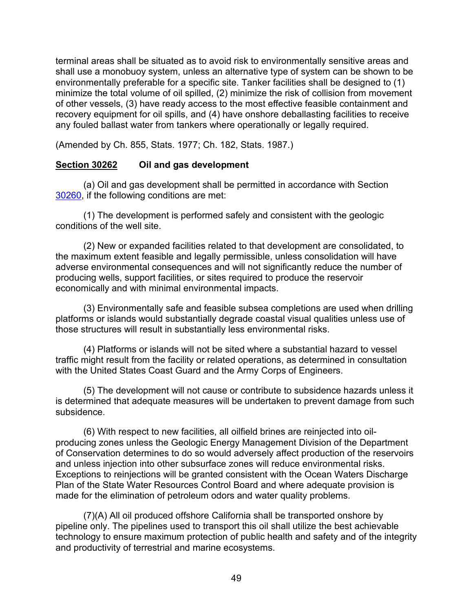terminal areas shall be situated as to avoid risk to environmentally sensitive areas and shall use a monobuoy system, unless an alternative type of system can be shown to be environmentally preferable for a specific site. Tanker facilities shall be designed to (1) minimize the total volume of oil spilled, (2) minimize the risk of collision from movement of other vessels, (3) have ready access to the most effective feasible containment and recovery equipment for oil spills, and (4) have onshore deballasting facilities to receive any fouled ballast water from tankers where operationally or legally required.

(Amended by Ch. 855, Stats. 1977; Ch. 182, Stats. 1987.)

### <span id="page-50-0"></span>**Section 30262 Oil and gas development**

(a) Oil and gas development shall be permitted in accordance with Section [30260,](#page-49-2) if the following conditions are met:

(1) The development is performed safely and consistent with the geologic conditions of the well site.

(2) New or expanded facilities related to that development are consolidated, to the maximum extent feasible and legally permissible, unless consolidation will have adverse environmental consequences and will not significantly reduce the number of producing wells, support facilities, or sites required to produce the reservoir economically and with minimal environmental impacts.

(3) Environmentally safe and feasible subsea completions are used when drilling platforms or islands would substantially degrade coastal visual qualities unless use of those structures will result in substantially less environmental risks.

(4) Platforms or islands will not be sited where a substantial hazard to vessel traffic might result from the facility or related operations, as determined in consultation with the United States Coast Guard and the Army Corps of Engineers.

(5) The development will not cause or contribute to subsidence hazards unless it is determined that adequate measures will be undertaken to prevent damage from such subsidence.

(6) With respect to new facilities, all oilfield brines are reinjected into oilproducing zones unless the Geologic Energy Management Division of the Department of Conservation determines to do so would adversely affect production of the reservoirs and unless injection into other subsurface zones will reduce environmental risks. Exceptions to reinjections will be granted consistent with the Ocean Waters Discharge Plan of the State Water Resources Control Board and where adequate provision is made for the elimination of petroleum odors and water quality problems.

(7)(A) All oil produced offshore California shall be transported onshore by pipeline only. The pipelines used to transport this oil shall utilize the best achievable technology to ensure maximum protection of public health and safety and of the integrity and productivity of terrestrial and marine ecosystems.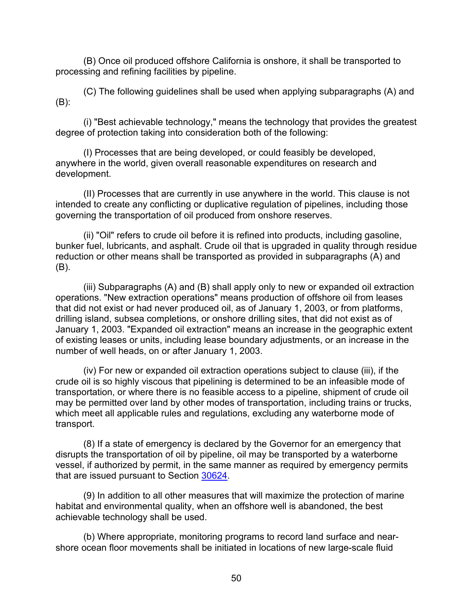(B) Once oil produced offshore California is onshore, it shall be transported to processing and refining facilities by pipeline.

(C) The following guidelines shall be used when applying subparagraphs (A) and (B):

(i) "Best achievable technology," means the technology that provides the greatest degree of protection taking into consideration both of the following:

(I) Processes that are being developed, or could feasibly be developed, anywhere in the world, given overall reasonable expenditures on research and development.

(II) Processes that are currently in use anywhere in the world. This clause is not intended to create any conflicting or duplicative regulation of pipelines, including those governing the transportation of oil produced from onshore reserves.

(ii) "Oil" refers to crude oil before it is refined into products, including gasoline, bunker fuel, lubricants, and asphalt. Crude oil that is upgraded in quality through residue reduction or other means shall be transported as provided in subparagraphs (A) and (B).

(iii) Subparagraphs (A) and (B) shall apply only to new or expanded oil extraction operations. "New extraction operations" means production of offshore oil from leases that did not exist or had never produced oil, as of January 1, 2003, or from platforms, drilling island, subsea completions, or onshore drilling sites, that did not exist as of January 1, 2003. "Expanded oil extraction" means an increase in the geographic extent of existing leases or units, including lease boundary adjustments, or an increase in the number of well heads, on or after January 1, 2003.

(iv) For new or expanded oil extraction operations subject to clause (iii), if the crude oil is so highly viscous that pipelining is determined to be an infeasible mode of transportation, or where there is no feasible access to a pipeline, shipment of crude oil may be permitted over land by other modes of transportation, including trains or trucks, which meet all applicable rules and regulations, excluding any waterborne mode of transport.

(8) If a state of emergency is declared by the Governor for an emergency that disrupts the transportation of oil by pipeline, oil may be transported by a waterborne vessel, if authorized by permit, in the same manner as required by emergency permits that are issued pursuant to Section [30624.](#page-151-0)

(9) In addition to all other measures that will maximize the protection of marine habitat and environmental quality, when an offshore well is abandoned, the best achievable technology shall be used.

(b) Where appropriate, monitoring programs to record land surface and nearshore ocean floor movements shall be initiated in locations of new large-scale fluid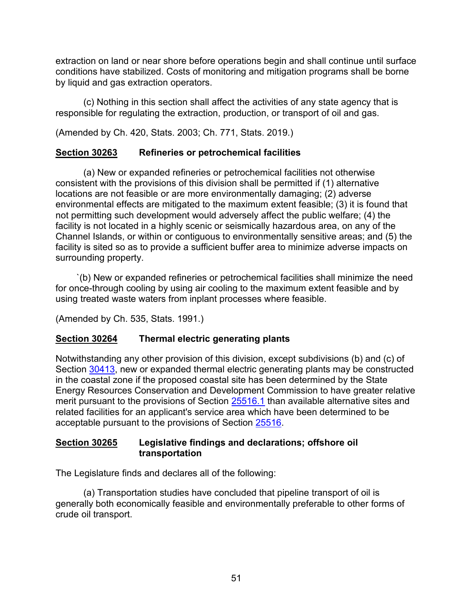extraction on land or near shore before operations begin and shall continue until surface conditions have stabilized. Costs of monitoring and mitigation programs shall be borne by liquid and gas extraction operators.

(c) Nothing in this section shall affect the activities of any state agency that is responsible for regulating the extraction, production, or transport of oil and gas.

(Amended by Ch. 420, Stats. 2003; Ch. 771, Stats. 2019.)

# <span id="page-52-0"></span>**Section 30263 Refineries or petrochemical facilities**

(a) New or expanded refineries or petrochemical facilities not otherwise consistent with the provisions of this division shall be permitted if (1) alternative locations are not feasible or are more environmentally damaging; (2) adverse environmental effects are mitigated to the maximum extent feasible; (3) it is found that not permitting such development would adversely affect the public welfare; (4) the facility is not located in a highly scenic or seismically hazardous area, on any of the Channel Islands, or within or contiguous to environmentally sensitive areas; and (5) the facility is sited so as to provide a sufficient buffer area to minimize adverse impacts on surrounding property.

`(b) New or expanded refineries or petrochemical facilities shall minimize the need for once-through cooling by using air cooling to the maximum extent feasible and by using treated waste waters from inplant processes where feasible.

(Amended by Ch. 535, Stats. 1991.)

# <span id="page-52-1"></span>**Section 30264 Thermal electric generating plants**

Notwithstanding any other provision of this division, except subdivisions (b) and (c) of Section [30413,](#page-88-0) new or expanded thermal electric generating plants may be constructed in the coastal zone if the proposed coastal site has been determined by the State Energy Resources Conservation and Development Commission to have greater relative merit pursuant to the provisions of Section [25516.1](https://leginfo.legislature.ca.gov/faces/codes_displaySection.xhtml?lawCode=PRC§ionNum=25516.1) than available alternative sites and related facilities for an applicant's service area which have been determined to be acceptable pursuant to the provisions of Section [25516.](https://leginfo.legislature.ca.gov/faces/codes_displaySection.xhtml?sectionNum=25516.&nodeTreePath=34.16&lawCode=PRC)

## <span id="page-52-2"></span>**Section 30265 Legislative findings and declarations; offshore oil transportation**

The Legislature finds and declares all of the following:

(a) Transportation studies have concluded that pipeline transport of oil is generally both economically feasible and environmentally preferable to other forms of crude oil transport.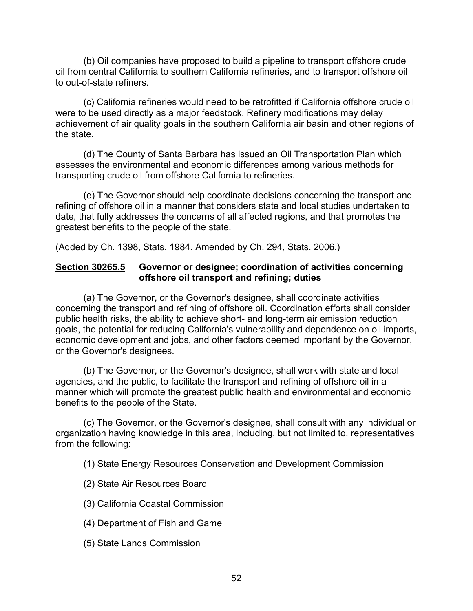(b) Oil companies have proposed to build a pipeline to transport offshore crude oil from central California to southern California refineries, and to transport offshore oil to out-of-state refiners.

(c) California refineries would need to be retrofitted if California offshore crude oil were to be used directly as a major feedstock. Refinery modifications may delay achievement of air quality goals in the southern California air basin and other regions of the state.

(d) The County of Santa Barbara has issued an Oil Transportation Plan which assesses the environmental and economic differences among various methods for transporting crude oil from offshore California to refineries.

(e) The Governor should help coordinate decisions concerning the transport and refining of offshore oil in a manner that considers state and local studies undertaken to date, that fully addresses the concerns of all affected regions, and that promotes the greatest benefits to the people of the state.

(Added by Ch. 1398, Stats. 1984. Amended by Ch. 294, Stats. 2006.)

### <span id="page-53-0"></span>**Section 30265.5 Governor or designee; coordination of activities concerning offshore oil transport and refining; duties**

(a) The Governor, or the Governor's designee, shall coordinate activities concerning the transport and refining of offshore oil. Coordination efforts shall consider public health risks, the ability to achieve short- and long-term air emission reduction goals, the potential for reducing California's vulnerability and dependence on oil imports, economic development and jobs, and other factors deemed important by the Governor, or the Governor's designees.

(b) The Governor, or the Governor's designee, shall work with state and local agencies, and the public, to facilitate the transport and refining of offshore oil in a manner which will promote the greatest public health and environmental and economic benefits to the people of the State.

(c) The Governor, or the Governor's designee, shall consult with any individual or organization having knowledge in this area, including, but not limited to, representatives from the following:

(1) State Energy Resources Conservation and Development Commission

- (2) State Air Resources Board
- (3) California Coastal Commission
- (4) Department of Fish and Game
- (5) State Lands Commission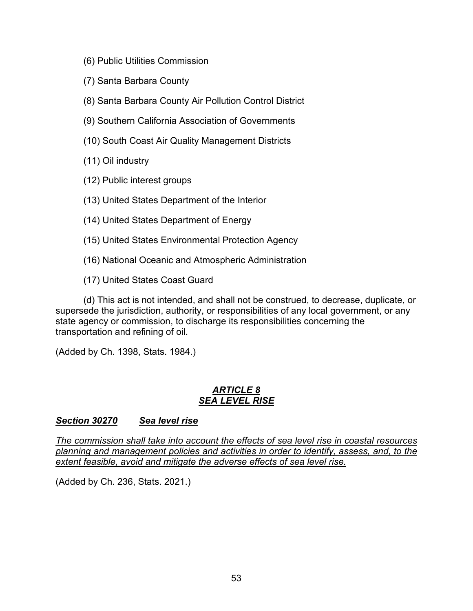- (6) Public Utilities Commission
- (7) Santa Barbara County
- (8) Santa Barbara County Air Pollution Control District
- (9) Southern California Association of Governments
- (10) South Coast Air Quality Management Districts
- (11) Oil industry
- (12) Public interest groups
- (13) United States Department of the Interior
- (14) United States Department of Energy
- (15) United States Environmental Protection Agency
- (16) National Oceanic and Atmospheric Administration

(17) United States Coast Guard

(d) This act is not intended, and shall not be construed, to decrease, duplicate, or supersede the jurisdiction, authority, or responsibilities of any local government, or any state agency or commission, to discharge its responsibilities concerning the transportation and refining of oil.

(Added by Ch. 1398, Stats. 1984.)

#### *ARTICLE 8 SEA LEVEL RISE*

### <span id="page-54-0"></span>*Section 30270 Sea level rise*

*The commission shall take into account the effects of sea level rise in coastal resources planning and management policies and activities in order to identify, assess, and, to the extent feasible, avoid and mitigate the adverse effects of sea level rise.*

(Added by Ch. 236, Stats. 2021.)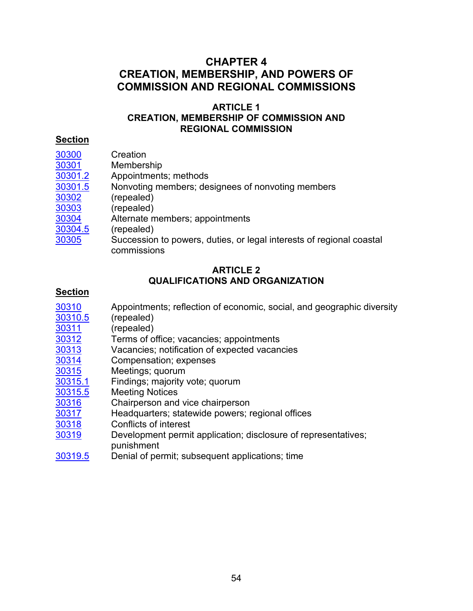# **CHAPTER 4 CREATION, MEMBERSHIP, AND POWERS OF COMMISSION AND REGIONAL COMMISSIONS**

### **ARTICLE 1 CREATION, MEMBERSHIP OF COMMISSION AND REGIONAL COMMISSION**

### **Section**

- 
- [30301](#page-58-1) Membership<br>30301.2 Appointment
- [30301.2](#page-59-0) Appointments; methods<br>30301.5 Nonvoting members; de Nonvoting members; designees of nonvoting members
- [30302](#page-60-1) (repealed)
- [30303](#page-60-1) (repealed)
- [30304](#page-60-2) Alternate members; appointments<br>30304.5 (repealed)
- (repealed)
- [30305](#page-60-4) Succession to powers, duties, or legal interests of regional coastal commissions

## **ARTICLE 2 QUALIFICATIONS AND ORGANIZATION**

- [30310](#page-61-0) Appointments; reflection of economic, social, and geographic diversity<br>30310.5 (repealed)
- (repealed)
- 
- <u>[30311](#page-61-2)</u> (repealed)<br>30312 Terms of o
- [30312](#page-61-3) Terms of office; vacancies; appointments<br>30313 Vacancies; notification of expected vacan [30313](#page-62-0) Vacancies; notification of expected vacancies<br>30314 Compensation: expenses
- Compensation; expenses
- [30315](#page-63-0) Meetings; quorum<br>30315.1 Findings; majority
- Findings; majority vote; quorum
- [30315.5](#page-63-2) Meeting Notices<br>30316 Chairperson and
- $\frac{30316}{30317}$  $\frac{30316}{30317}$  $\frac{30316}{30317}$  Chairperson and vice chairperson<br>30317 Headquarters: statewide powers: r
- [30317](#page-64-0) Headquarters; statewide powers; regional offices<br>30318 Conflicts of interest
- Conflicts of interest
- [30319](#page-64-2) Development permit application; disclosure of representatives; punishment
- [30319.5](#page-64-3) Denial of permit; subsequent applications; time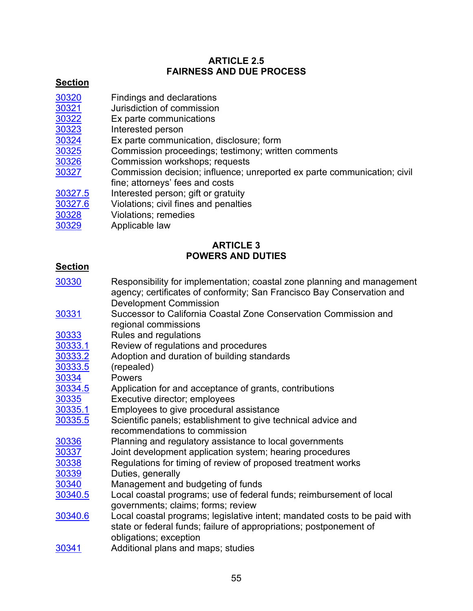## **ARTICLE 2.5 FAIRNESS AND DUE PROCESS**

# **Section**

- <u>[30320](#page-65-0)</u> Findings and declarations<br>30321 Jurisdiction of commission
- <u>[30321](#page-65-1)</u> Jurisdiction of commission<br>30322 Ex parte communications
- Ex parte communications
- <u>[30323](#page-66-0)</u> Interested person<br>30324 Ex parte communi
- [30324](#page-67-0) Ex parte communication, disclosure; form<br>30325 Commission proceedings; testimony; writte
- Commission proceedings; testimony; written comments
- [30326](#page-68-0) Commission workshops; requests
- [30327](#page-68-1) Commission decision; influence; unreported ex parte communication; civil fine; attorneys' fees and costs
- [30327.5](#page-68-2) Interested person; gift or gratuity<br>30327.6 Violations; civil fines and penaltie
- Violations; civil fines and penalties
- [30328](#page-69-1) Violations; remedies
- [30329](#page-70-0) Applicable law

# **ARTICLE 3 POWERS AND DUTIES**

- [30330](#page-70-1) Responsibility for implementation; coastal zone planning and management agency; certificates of conformity; San Francisco Bay Conservation and Development Commission
- [30331](#page-71-0) Successor to California Coastal Zone Conservation Commission and regional commissions
- [30333](#page-71-1) Rules and regulations
- [30333.1](#page-71-2) Review of regulations and procedures<br>30333.2 Adoption and duration of building stand
- [30333.2](#page-71-3) Adoption and duration of building standards<br>30333.5 (repealed)
- (repealed)
- <u>[30334](#page-72-1)</u> Powers<br>30334.5 Applicat
- [30334.5](#page-72-2) Application for and acceptance of grants, contributions<br>30335 Executive director; employees
- Executive director; employees
- [30335.1](#page-72-4) Employees to give procedural assistance<br>30335.5 Scientific panels; establishment to give te
- Scientific panels; establishment to give technical advice and recommendations to commission
- <u>[30336](#page-73-1)</u> Planning and regulatory assistance to local governments<br>30337 Joint development application system; hearing procedure
- Joint development application system; hearing procedures
- [30338](#page-74-1) Regulations for timing of review of proposed treatment works
- <u>[30339](#page-74-2)</u> Duties, generally<br>30340 Management and
- Management and budgeting of funds
- [30340.5](#page-75-0) Local coastal programs; use of federal funds; reimbursement of local governments; claims; forms; review
- [30340.6](#page-76-0) Local coastal programs; legislative intent; mandated costs to be paid with state or federal funds; failure of appropriations; postponement of obligations; exception
- [30341](#page-77-0) Additional plans and maps; studies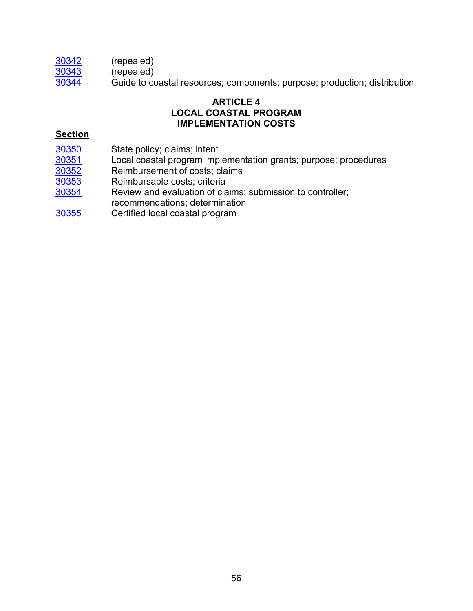[30342](#page-77-1) (repealed)

 $\overline{30343}$  $\overline{30343}$  $\overline{30343}$  (repealed)

[30344](#page-77-2) Guide to coastal resources; components; purpose; production; distribution

## **ARTICLE 4 LOCAL COASTAL PROGRAM IMPLEMENTATION COSTS**

- [30350](#page-78-0) State policy; claims; intent<br>30351 Local coastal program impl
- [30351](#page-79-0) Local coastal program implementation grants; purpose; procedures
- [30352](#page-79-1) Reimbursement of costs; claims<br>30353 Reimbursable costs; criteria
- Reimbursable costs; criteria
- [30354](#page-81-0) Review and evaluation of claims; submission to controller;
- recommendations; determination
- [30355](#page-82-0) Certified local coastal program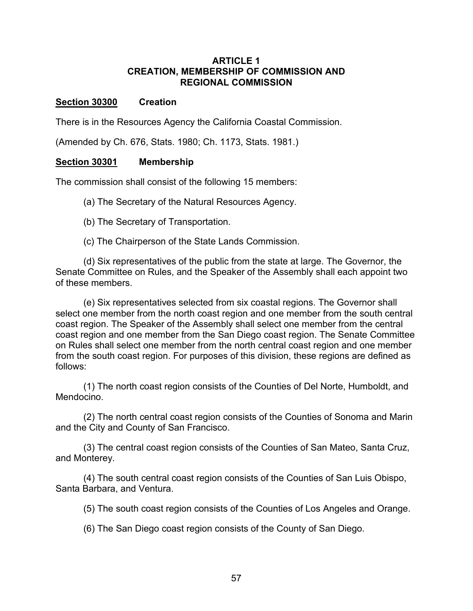#### **ARTICLE 1 CREATION, MEMBERSHIP OF COMMISSION AND REGIONAL COMMISSION**

#### <span id="page-58-0"></span>**Section 30300 Creation**

There is in the Resources Agency the California Coastal Commission.

(Amended by Ch. 676, Stats. 1980; Ch. 1173, Stats. 1981.)

#### <span id="page-58-1"></span>**Section 30301 Membership**

The commission shall consist of the following 15 members:

(a) The Secretary of the Natural Resources Agency.

(b) The Secretary of Transportation.

(c) The Chairperson of the State Lands Commission.

(d) Six representatives of the public from the state at large. The Governor, the Senate Committee on Rules, and the Speaker of the Assembly shall each appoint two of these members.

(e) Six representatives selected from six coastal regions. The Governor shall select one member from the north coast region and one member from the south central coast region. The Speaker of the Assembly shall select one member from the central coast region and one member from the San Diego coast region. The Senate Committee on Rules shall select one member from the north central coast region and one member from the south coast region. For purposes of this division, these regions are defined as follows:

(1) The north coast region consists of the Counties of Del Norte, Humboldt, and Mendocino.

(2) The north central coast region consists of the Counties of Sonoma and Marin and the City and County of San Francisco.

(3) The central coast region consists of the Counties of San Mateo, Santa Cruz, and Monterey.

(4) The south central coast region consists of the Counties of San Luis Obispo, Santa Barbara, and Ventura.

(5) The south coast region consists of the Counties of Los Angeles and Orange.

(6) The San Diego coast region consists of the County of San Diego.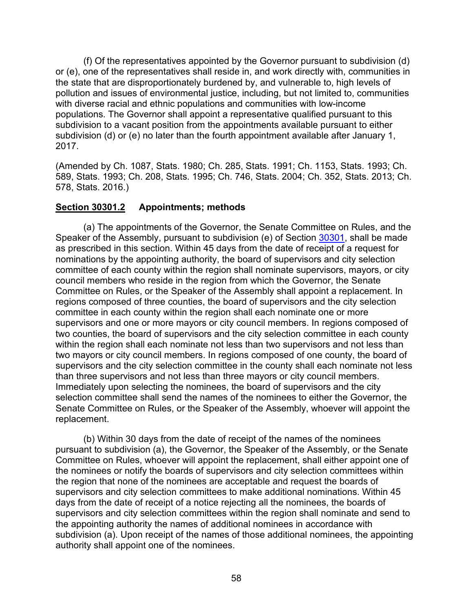(f) Of the representatives appointed by the Governor pursuant to subdivision (d) or (e), one of the representatives shall reside in, and work directly with, communities in the state that are disproportionately burdened by, and vulnerable to, high levels of pollution and issues of environmental justice, including, but not limited to, communities with diverse racial and ethnic populations and communities with low-income populations. The Governor shall appoint a representative qualified pursuant to this subdivision to a vacant position from the appointments available pursuant to either subdivision (d) or (e) no later than the fourth appointment available after January 1, 2017.

(Amended by Ch. 1087, Stats. 1980; Ch. 285, Stats. 1991; Ch. 1153, Stats. 1993; Ch. 589, Stats. 1993; Ch. 208, Stats. 1995; Ch. 746, Stats. 2004; Ch. 352, Stats. 2013; Ch. 578, Stats. 2016.)

# <span id="page-59-0"></span>**Section 30301.2 Appointments; methods**

(a) The appointments of the Governor, the Senate Committee on Rules, and the Speaker of the Assembly, pursuant to subdivision (e) of Section [30301,](#page-58-1) shall be made as prescribed in this section. Within 45 days from the date of receipt of a request for nominations by the appointing authority, the board of supervisors and city selection committee of each county within the region shall nominate supervisors, mayors, or city council members who reside in the region from which the Governor, the Senate Committee on Rules, or the Speaker of the Assembly shall appoint a replacement. In regions composed of three counties, the board of supervisors and the city selection committee in each county within the region shall each nominate one or more supervisors and one or more mayors or city council members. In regions composed of two counties, the board of supervisors and the city selection committee in each county within the region shall each nominate not less than two supervisors and not less than two mayors or city council members. In regions composed of one county, the board of supervisors and the city selection committee in the county shall each nominate not less than three supervisors and not less than three mayors or city council members. Immediately upon selecting the nominees, the board of supervisors and the city selection committee shall send the names of the nominees to either the Governor, the Senate Committee on Rules, or the Speaker of the Assembly, whoever will appoint the replacement.

(b) Within 30 days from the date of receipt of the names of the nominees pursuant to subdivision (a), the Governor, the Speaker of the Assembly, or the Senate Committee on Rules, whoever will appoint the replacement, shall either appoint one of the nominees or notify the boards of supervisors and city selection committees within the region that none of the nominees are acceptable and request the boards of supervisors and city selection committees to make additional nominations. Within 45 days from the date of receipt of a notice rejecting all the nominees, the boards of supervisors and city selection committees within the region shall nominate and send to the appointing authority the names of additional nominees in accordance with subdivision (a). Upon receipt of the names of those additional nominees, the appointing authority shall appoint one of the nominees.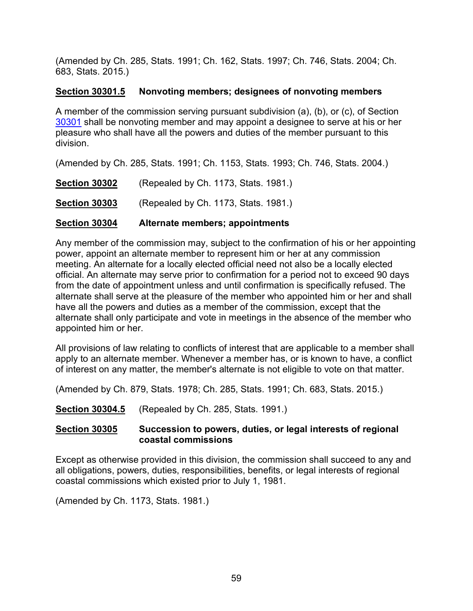(Amended by Ch. 285, Stats. 1991; Ch. 162, Stats. 1997; Ch. 746, Stats. 2004; Ch. 683, Stats. 2015.)

# <span id="page-60-0"></span>**Section 30301.5 Nonvoting members; designees of nonvoting members**

A member of the commission serving pursuant subdivision (a), (b), or (c), of Section [30301](#page-58-1) shall be nonvoting member and may appoint a designee to serve at his or her pleasure who shall have all the powers and duties of the member pursuant to this division.

(Amended by Ch. 285, Stats. 1991; Ch. 1153, Stats. 1993; Ch. 746, Stats. 2004.)

<span id="page-60-1"></span>

| Section 30304        | Alternate members; appointments      |
|----------------------|--------------------------------------|
| <b>Section 30303</b> | (Repealed by Ch. 1173, Stats. 1981.) |
| <b>Section 30302</b> | (Repealed by Ch. 1173, Stats. 1981.) |

<span id="page-60-2"></span>Any member of the commission may, subject to the confirmation of his or her appointing power, appoint an alternate member to represent him or her at any commission meeting. An alternate for a locally elected official need not also be a locally elected official. An alternate may serve prior to confirmation for a period not to exceed 90 days from the date of appointment unless and until confirmation is specifically refused. The alternate shall serve at the pleasure of the member who appointed him or her and shall have all the powers and duties as a member of the commission, except that the alternate shall only participate and vote in meetings in the absence of the member who appointed him or her.

All provisions of law relating to conflicts of interest that are applicable to a member shall apply to an alternate member. Whenever a member has, or is known to have, a conflict of interest on any matter, the member's alternate is not eligible to vote on that matter.

(Amended by Ch. 879, Stats. 1978; Ch. 285, Stats. 1991; Ch. 683, Stats. 2015.)

<span id="page-60-3"></span>**Section 30304.5** (Repealed by Ch. 285, Stats. 1991.)

## <span id="page-60-4"></span>**Section 30305 Succession to powers, duties, or legal interests of regional coastal commissions**

Except as otherwise provided in this division, the commission shall succeed to any and all obligations, powers, duties, responsibilities, benefits, or legal interests of regional coastal commissions which existed prior to July 1, 1981.

(Amended by Ch. 1173, Stats. 1981.)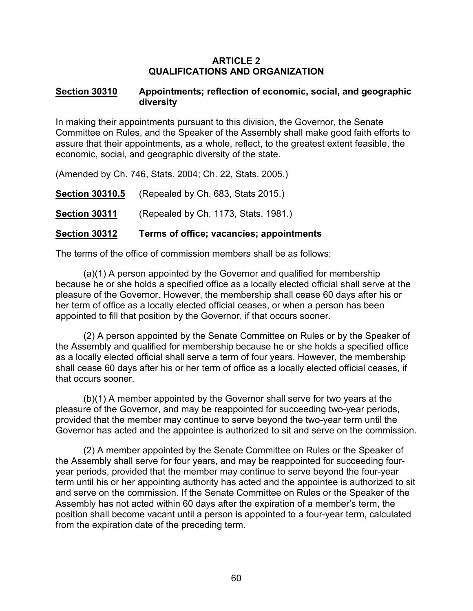#### **ARTICLE 2 QUALIFICATIONS AND ORGANIZATION**

#### <span id="page-61-0"></span>**Section 30310 Appointments; reflection of economic, social, and geographic diversity**

In making their appointments pursuant to this division, the Governor, the Senate Committee on Rules, and the Speaker of the Assembly shall make good faith efforts to assure that their appointments, as a whole, reflect, to the greatest extent feasible, the economic, social, and geographic diversity of the state.

(Amended by Ch. 746, Stats. 2004; Ch. 22, Stats. 2005.)

<span id="page-61-1"></span>**Section 30310.5** (Repealed by Ch. 683, Stats 2015.)

<span id="page-61-2"></span>**Section 30311** (Repealed by Ch. 1173, Stats. 1981.)

### <span id="page-61-3"></span>**Section 30312 Terms of office; vacancies; appointments**

The terms of the office of commission members shall be as follows:

(a)(1) A person appointed by the Governor and qualified for membership because he or she holds a specified office as a locally elected official shall serve at the pleasure of the Governor. However, the membership shall cease 60 days after his or her term of office as a locally elected official ceases, or when a person has been appointed to fill that position by the Governor, if that occurs sooner.

(2) A person appointed by the Senate Committee on Rules or by the Speaker of the Assembly and qualified for membership because he or she holds a specified office as a locally elected official shall serve a term of four years. However, the membership shall cease 60 days after his or her term of office as a locally elected official ceases, if that occurs sooner.

(b)(1) A member appointed by the Governor shall serve for two years at the pleasure of the Governor, and may be reappointed for succeeding two-year periods, provided that the member may continue to serve beyond the two-year term until the Governor has acted and the appointee is authorized to sit and serve on the commission.

(2) A member appointed by the Senate Committee on Rules or the Speaker of the Assembly shall serve for four years, and may be reappointed for succeeding fouryear periods, provided that the member may continue to serve beyond the four-year term until his or her appointing authority has acted and the appointee is authorized to sit and serve on the commission. If the Senate Committee on Rules or the Speaker of the Assembly has not acted within 60 days after the expiration of a member's term, the position shall become vacant until a person is appointed to a four-year term, calculated from the expiration date of the preceding term.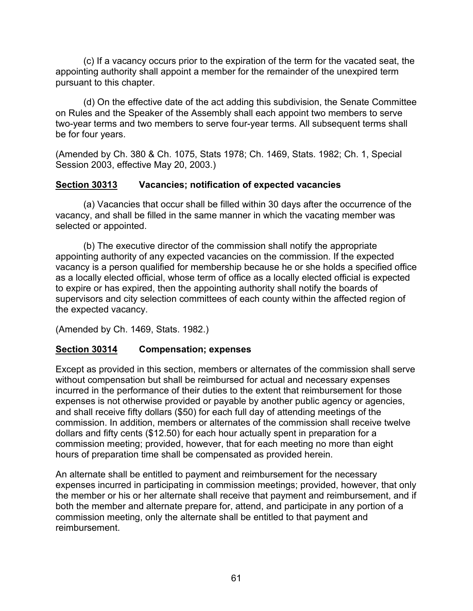(c) If a vacancy occurs prior to the expiration of the term for the vacated seat, the appointing authority shall appoint a member for the remainder of the unexpired term pursuant to this chapter.

(d) On the effective date of the act adding this subdivision, the Senate Committee on Rules and the Speaker of the Assembly shall each appoint two members to serve two-year terms and two members to serve four-year terms. All subsequent terms shall be for four years.

(Amended by Ch. 380 & Ch. 1075, Stats 1978; Ch. 1469, Stats. 1982; Ch. 1, Special Session 2003, effective May 20, 2003.)

## <span id="page-62-0"></span>**Section 30313 Vacancies; notification of expected vacancies**

(a) Vacancies that occur shall be filled within 30 days after the occurrence of the vacancy, and shall be filled in the same manner in which the vacating member was selected or appointed.

(b) The executive director of the commission shall notify the appropriate appointing authority of any expected vacancies on the commission. If the expected vacancy is a person qualified for membership because he or she holds a specified office as a locally elected official, whose term of office as a locally elected official is expected to expire or has expired, then the appointing authority shall notify the boards of supervisors and city selection committees of each county within the affected region of the expected vacancy.

(Amended by Ch. 1469, Stats. 1982.)

# <span id="page-62-1"></span>**Section 30314 Compensation; expenses**

Except as provided in this section, members or alternates of the commission shall serve without compensation but shall be reimbursed for actual and necessary expenses incurred in the performance of their duties to the extent that reimbursement for those expenses is not otherwise provided or payable by another public agency or agencies, and shall receive fifty dollars (\$50) for each full day of attending meetings of the commission. In addition, members or alternates of the commission shall receive twelve dollars and fifty cents (\$12.50) for each hour actually spent in preparation for a commission meeting; provided, however, that for each meeting no more than eight hours of preparation time shall be compensated as provided herein.

An alternate shall be entitled to payment and reimbursement for the necessary expenses incurred in participating in commission meetings; provided, however, that only the member or his or her alternate shall receive that payment and reimbursement, and if both the member and alternate prepare for, attend, and participate in any portion of a commission meeting, only the alternate shall be entitled to that payment and reimbursement.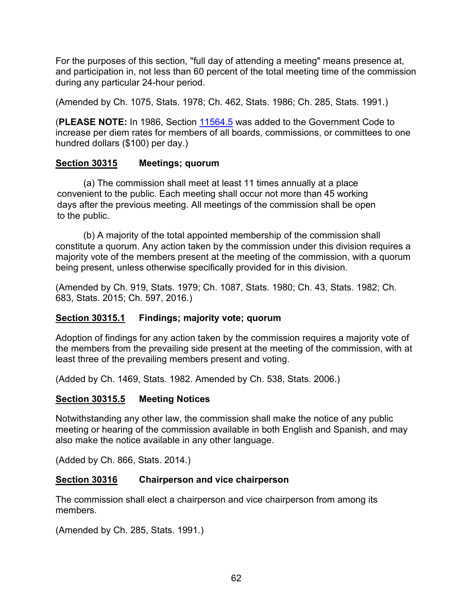For the purposes of this section, "full day of attending a meeting" means presence at, and participation in, not less than 60 percent of the total meeting time of the commission during any particular 24-hour period.

(Amended by Ch. 1075, Stats. 1978; Ch. 462, Stats. 1986; Ch. 285, Stats. 1991.)

(**PLEASE NOTE:** In 1986, Section [11564.5](https://leginfo.legislature.ca.gov/faces/codes_displaySection.xhtml?lawCode=GOV§ionNum=11564.5.) was added to the Government Code to increase per diem rates for members of all boards, commissions, or committees to one hundred dollars (\$100) per day.)

### <span id="page-63-0"></span>**Section 30315 Meetings; quorum**

(a) The commission shall meet at least 11 times annually at a place convenient to the public. Each meeting shall occur not more than 45 working days after the previous meeting. All meetings of the commission shall be open to the public.

(b) A majority of the total appointed membership of the commission shall constitute a quorum. Any action taken by the commission under this division requires a majority vote of the members present at the meeting of the commission, with a quorum being present, unless otherwise specifically provided for in this division.

(Amended by Ch. 919, Stats. 1979; Ch. 1087, Stats. 1980; Ch. 43, Stats. 1982; Ch. 683, Stats. 2015; Ch. 597, 2016.)

# <span id="page-63-1"></span>**Section 30315.1 Findings; majority vote; quorum**

Adoption of findings for any action taken by the commission requires a majority vote of the members from the prevailing side present at the meeting of the commission, with at least three of the prevailing members present and voting.

(Added by Ch. 1469, Stats. 1982. Amended by Ch. 538, Stats. 2006.)

### <span id="page-63-2"></span>**Section 30315.5 Meeting Notices**

Notwithstanding any other law, the commission shall make the notice of any public meeting or hearing of the commission available in both English and Spanish, and may also make the notice available in any other language.

(Added by Ch. 866, Stats. 2014.)

### **Section 30316 Chairperson and vice chairperson**

The commission shall elect a chairperson and vice chairperson from among its members.

(Amended by Ch. 285, Stats. 1991.)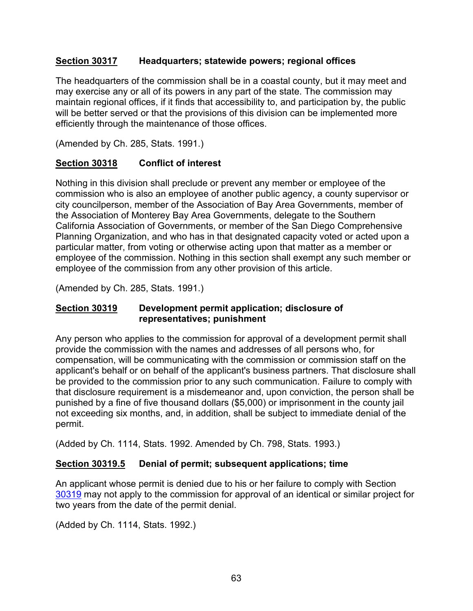### <span id="page-64-0"></span>**Section 30317 Headquarters; statewide powers; regional offices**

The headquarters of the commission shall be in a coastal county, but it may meet and may exercise any or all of its powers in any part of the state. The commission may maintain regional offices, if it finds that accessibility to, and participation by, the public will be better served or that the provisions of this division can be implemented more efficiently through the maintenance of those offices.

(Amended by Ch. 285, Stats. 1991.)

# <span id="page-64-1"></span>**Section 30318 Conflict of interest**

Nothing in this division shall preclude or prevent any member or employee of the commission who is also an employee of another public agency, a county supervisor or city councilperson, member of the Association of Bay Area Governments, member of the Association of Monterey Bay Area Governments, delegate to the Southern California Association of Governments, or member of the San Diego Comprehensive Planning Organization, and who has in that designated capacity voted or acted upon a particular matter, from voting or otherwise acting upon that matter as a member or employee of the commission. Nothing in this section shall exempt any such member or employee of the commission from any other provision of this article.

(Amended by Ch. 285, Stats. 1991.)

## <span id="page-64-2"></span>**Section 30319 Development permit application; disclosure of representatives; punishment**

Any person who applies to the commission for approval of a development permit shall provide the commission with the names and addresses of all persons who, for compensation, will be communicating with the commission or commission staff on the applicant's behalf or on behalf of the applicant's business partners. That disclosure shall be provided to the commission prior to any such communication. Failure to comply with that disclosure requirement is a misdemeanor and, upon conviction, the person shall be punished by a fine of five thousand dollars (\$5,000) or imprisonment in the county jail not exceeding six months, and, in addition, shall be subject to immediate denial of the permit.

(Added by Ch. 1114, Stats. 1992. Amended by Ch. 798, Stats. 1993.)

# <span id="page-64-3"></span>**Section 30319.5 Denial of permit; subsequent applications; time**

An applicant whose permit is denied due to his or her failure to comply with Section [30319](#page-64-2) may not apply to the commission for approval of an identical or similar project for two years from the date of the permit denial.

(Added by Ch. 1114, Stats. 1992.)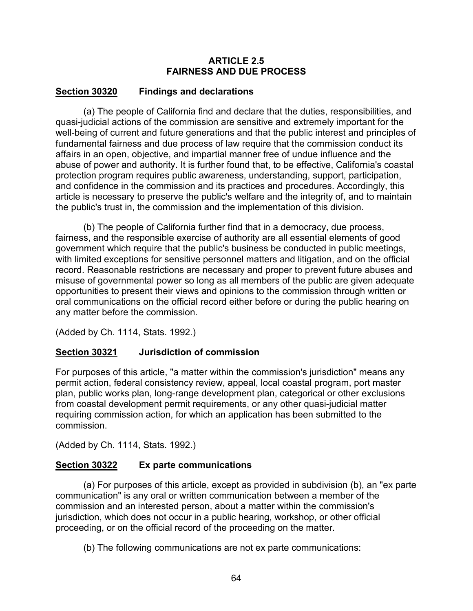### **ARTICLE 2.5 FAIRNESS AND DUE PROCESS**

# <span id="page-65-0"></span>**Section 30320 Findings and declarations**

(a) The people of California find and declare that the duties, responsibilities, and quasi-judicial actions of the commission are sensitive and extremely important for the well-being of current and future generations and that the public interest and principles of fundamental fairness and due process of law require that the commission conduct its affairs in an open, objective, and impartial manner free of undue influence and the abuse of power and authority. It is further found that, to be effective, California's coastal protection program requires public awareness, understanding, support, participation, and confidence in the commission and its practices and procedures. Accordingly, this article is necessary to preserve the public's welfare and the integrity of, and to maintain the public's trust in, the commission and the implementation of this division.

(b) The people of California further find that in a democracy, due process, fairness, and the responsible exercise of authority are all essential elements of good government which require that the public's business be conducted in public meetings, with limited exceptions for sensitive personnel matters and litigation, and on the official record. Reasonable restrictions are necessary and proper to prevent future abuses and misuse of governmental power so long as all members of the public are given adequate opportunities to present their views and opinions to the commission through written or oral communications on the official record either before or during the public hearing on any matter before the commission.

(Added by Ch. 1114, Stats. 1992.)

# <span id="page-65-1"></span>**Section 30321 Jurisdiction of commission**

For purposes of this article, "a matter within the commission's jurisdiction" means any permit action, federal consistency review, appeal, local coastal program, port master plan, public works plan, long-range development plan, categorical or other exclusions from coastal development permit requirements, or any other quasi-judicial matter requiring commission action, for which an application has been submitted to the commission.

(Added by Ch. 1114, Stats. 1992.)

# <span id="page-65-2"></span>**Section 30322 Ex parte communications**

(a) For purposes of this article, except as provided in subdivision (b), an "ex parte communication" is any oral or written communication between a member of the commission and an interested person, about a matter within the commission's jurisdiction, which does not occur in a public hearing, workshop, or other official proceeding, or on the official record of the proceeding on the matter.

(b) The following communications are not ex parte communications: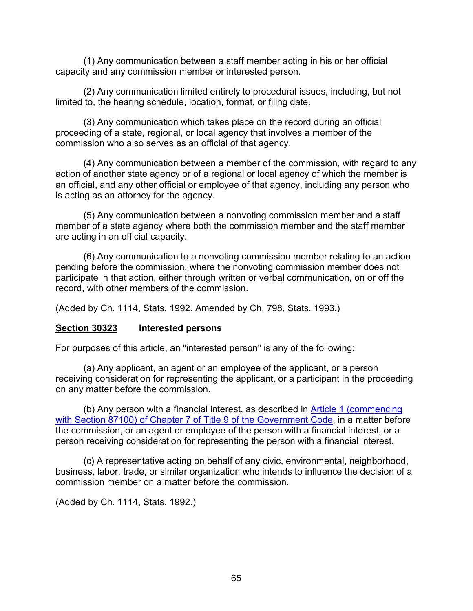(1) Any communication between a staff member acting in his or her official capacity and any commission member or interested person.

(2) Any communication limited entirely to procedural issues, including, but not limited to, the hearing schedule, location, format, or filing date.

(3) Any communication which takes place on the record during an official proceeding of a state, regional, or local agency that involves a member of the commission who also serves as an official of that agency.

(4) Any communication between a member of the commission, with regard to any action of another state agency or of a regional or local agency of which the member is an official, and any other official or employee of that agency, including any person who is acting as an attorney for the agency.

(5) Any communication between a nonvoting commission member and a staff member of a state agency where both the commission member and the staff member are acting in an official capacity.

(6) Any communication to a nonvoting commission member relating to an action pending before the commission, where the nonvoting commission member does not participate in that action, either through written or verbal communication, on or off the record, with other members of the commission.

(Added by Ch. 1114, Stats. 1992. Amended by Ch. 798, Stats. 1993.)

### <span id="page-66-0"></span>**Section 30323 Interested persons**

For purposes of this article, an "interested person" is any of the following:

(a) Any applicant, an agent or an employee of the applicant, or a person receiving consideration for representing the applicant, or a participant in the proceeding on any matter before the commission.

(b) Any person with a financial interest, as described in [Article 1 \(commencing](https://leginfo.legislature.ca.gov/faces/codes_displayText.xhtml?lawCode=GOV&division=&title=9.&part=&chapter=7.&article=1.)  [with Section 87100\) of Chapter 7 of Title 9 of the Government Code,](https://leginfo.legislature.ca.gov/faces/codes_displayText.xhtml?lawCode=GOV&division=&title=9.&part=&chapter=7.&article=1.) in a matter before the commission, or an agent or employee of the person with a financial interest, or a person receiving consideration for representing the person with a financial interest.

(c) A representative acting on behalf of any civic, environmental, neighborhood, business, labor, trade, or similar organization who intends to influence the decision of a commission member on a matter before the commission.

(Added by Ch. 1114, Stats. 1992.)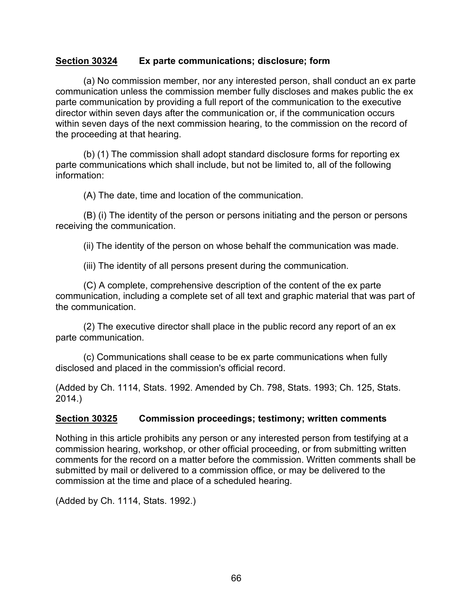#### <span id="page-67-0"></span>**Section 30324 Ex parte communications; disclosure; form**

(a) No commission member, nor any interested person, shall conduct an ex parte communication unless the commission member fully discloses and makes public the ex parte communication by providing a full report of the communication to the executive director within seven days after the communication or, if the communication occurs within seven days of the next commission hearing, to the commission on the record of the proceeding at that hearing.

(b) (1) The commission shall adopt standard disclosure forms for reporting ex parte communications which shall include, but not be limited to, all of the following information:

(A) The date, time and location of the communication.

(B) (i) The identity of the person or persons initiating and the person or persons receiving the communication.

(ii) The identity of the person on whose behalf the communication was made.

(iii) The identity of all persons present during the communication.

(C) A complete, comprehensive description of the content of the ex parte communication, including a complete set of all text and graphic material that was part of the communication.

(2) The executive director shall place in the public record any report of an ex parte communication.

(c) Communications shall cease to be ex parte communications when fully disclosed and placed in the commission's official record.

(Added by Ch. 1114, Stats. 1992. Amended by Ch. 798, Stats. 1993; Ch. 125, Stats. 2014.)

### <span id="page-67-1"></span>**Section 30325 Commission proceedings; testimony; written comments**

Nothing in this article prohibits any person or any interested person from testifying at a commission hearing, workshop, or other official proceeding, or from submitting written comments for the record on a matter before the commission. Written comments shall be submitted by mail or delivered to a commission office, or may be delivered to the commission at the time and place of a scheduled hearing.

(Added by Ch. 1114, Stats. 1992.)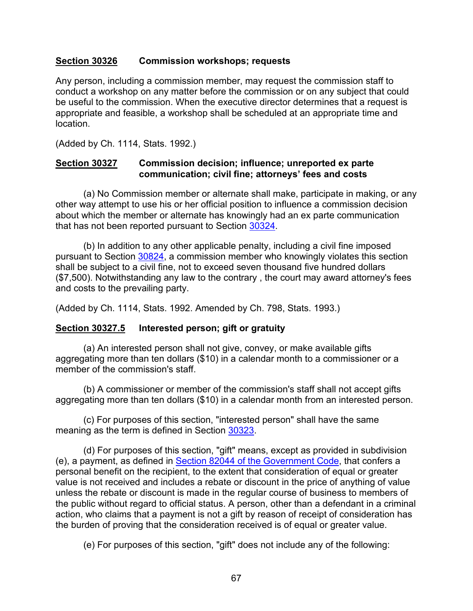## <span id="page-68-0"></span>**Section 30326 Commission workshops; requests**

Any person, including a commission member, may request the commission staff to conduct a workshop on any matter before the commission or on any subject that could be useful to the commission. When the executive director determines that a request is appropriate and feasible, a workshop shall be scheduled at an appropriate time and location.

(Added by Ch. 1114, Stats. 1992.)

#### <span id="page-68-1"></span>**Section 30327 Commission decision; influence; unreported ex parte communication; civil fine; attorneys' fees and costs**

(a) No Commission member or alternate shall make, participate in making, or any other way attempt to use his or her official position to influence a commission decision about which the member or alternate has knowingly had an ex parte communication that has not been reported pursuant to Section [30324.](#page-67-0)

(b) In addition to any other applicable penalty, including a civil fine imposed pursuant to Section [30824,](#page-178-0) a commission member who knowingly violates this section shall be subject to a civil fine, not to exceed seven thousand five hundred dollars (\$7,500). Notwithstanding any law to the contrary , the court may award attorney's fees and costs to the prevailing party.

(Added by Ch. 1114, Stats. 1992. Amended by Ch. 798, Stats. 1993.)

### <span id="page-68-2"></span>**Section 30327.5 Interested person; gift or gratuity**

(a) An interested person shall not give, convey, or make available gifts aggregating more than ten dollars (\$10) in a calendar month to a commissioner or a member of the commission's staff.

(b) A commissioner or member of the commission's staff shall not accept gifts aggregating more than ten dollars (\$10) in a calendar month from an interested person.

(c) For purposes of this section, "interested person" shall have the same meaning as the term is defined in Section [30323.](#page-66-0)

(d) For purposes of this section, "gift" means, except as provided in subdivision (e), a payment, as defined in [Section 82044 of the Government Code,](http://leginfo.legislature.ca.gov/faces/codes_displayText.xhtml?lawCode=GOV&division=&title=9.&part=&chapter=2.&article=) that confers a personal benefit on the recipient, to the extent that consideration of equal or greater value is not received and includes a rebate or discount in the price of anything of value unless the rebate or discount is made in the regular course of business to members of the public without regard to official status. A person, other than a defendant in a criminal action, who claims that a payment is not a gift by reason of receipt of consideration has the burden of proving that the consideration received is of equal or greater value.

(e) For purposes of this section, "gift" does not include any of the following: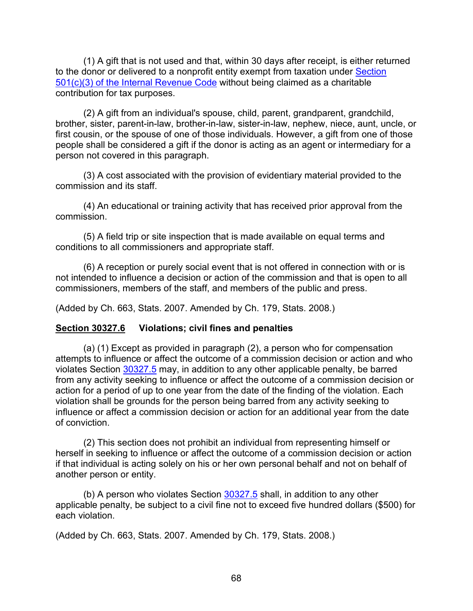(1) A gift that is not used and that, within 30 days after receipt, is either returned to the donor or delivered to a nonprofit entity exempt from taxation under [Section](http://www.findlaw.com/casecode/uscodes)  [501\(c\)\(3\) of the Internal Revenue Code](http://www.findlaw.com/casecode/uscodes) without being claimed as a charitable contribution for tax purposes.

(2) A gift from an individual's spouse, child, parent, grandparent, grandchild, brother, sister, parent-in-law, brother-in-law, sister-in-law, nephew, niece, aunt, uncle, or first cousin, or the spouse of one of those individuals. However, a gift from one of those people shall be considered a gift if the donor is acting as an agent or intermediary for a person not covered in this paragraph.

(3) A cost associated with the provision of evidentiary material provided to the commission and its staff.

(4) An educational or training activity that has received prior approval from the commission.

(5) A field trip or site inspection that is made available on equal terms and conditions to all commissioners and appropriate staff.

(6) A reception or purely social event that is not offered in connection with or is not intended to influence a decision or action of the commission and that is open to all commissioners, members of the staff, and members of the public and press.

<span id="page-69-1"></span>(Added by Ch. 663, Stats. 2007. Amended by Ch. 179, Stats. 2008.)

### <span id="page-69-0"></span>**Section 30327.6 Violations; civil fines and penalties**

(a) (1) Except as provided in paragraph (2), a person who for compensation attempts to influence or affect the outcome of a commission decision or action and who violates Section [30327.5](#page-68-2) may, in addition to any other applicable penalty, be barred from any activity seeking to influence or affect the outcome of a commission decision or action for a period of up to one year from the date of the finding of the violation. Each violation shall be grounds for the person being barred from any activity seeking to influence or affect a commission decision or action for an additional year from the date of conviction.

(2) This section does not prohibit an individual from representing himself or herself in seeking to influence or affect the outcome of a commission decision or action if that individual is acting solely on his or her own personal behalf and not on behalf of another person or entity.

(b) A person who violates Section [30327.5](#page-68-2) shall, in addition to any other applicable penalty, be subject to a civil fine not to exceed five hundred dollars (\$500) for each violation.

(Added by Ch. 663, Stats. 2007. Amended by Ch. 179, Stats. 2008.)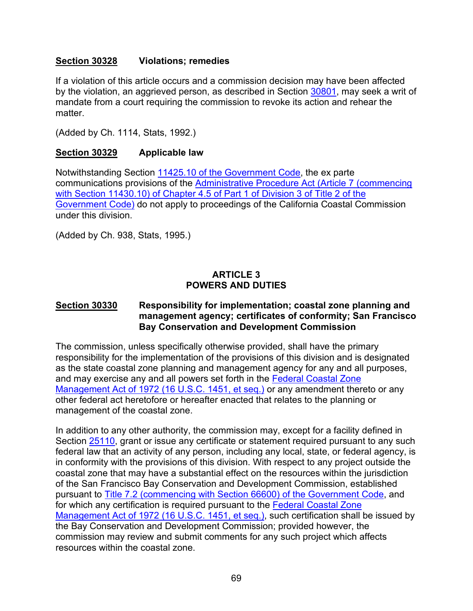## **Section 30328 Violations; remedies**

If a violation of this article occurs and a commission decision may have been affected by the violation, an aggrieved person, as described in Section [30801,](#page-167-0) may seek a writ of mandate from a court requiring the commission to revoke its action and rehear the matter.

(Added by Ch. 1114, Stats, 1992.)

## <span id="page-70-0"></span>**Section 30329 Applicable law**

Notwithstanding Section [11425.10 of the Government Code,](http://leginfo.legislature.ca.gov/faces/codes_displayText.xhtml?lawCode=GOV&division=3.&title=2.&part=1.&chapter=4.5.&article=6.) the ex parte communications provisions of the [Administrative Procedure Act \(Article 7 \(commencing](http://leginfo.legislature.ca.gov/faces/codes_displayText.xhtml?lawCode=GOV&division=3.&title=2.&part=1.&chapter=4.5.&article=7.)  [with Section 11430.10\) of Chapter 4.5 of Part 1 of Division 3 of Title 2 of the](http://leginfo.legislature.ca.gov/faces/codes_displayText.xhtml?lawCode=GOV&division=3.&title=2.&part=1.&chapter=4.5.&article=7.)  [Government Code\)](http://leginfo.legislature.ca.gov/faces/codes_displayText.xhtml?lawCode=GOV&division=3.&title=2.&part=1.&chapter=4.5.&article=7.) do not apply to proceedings of the California Coastal Commission under this division.

(Added by Ch. 938, Stats, 1995.)

# **ARTICLE 3 POWERS AND DUTIES**

### <span id="page-70-1"></span>**Section 30330 Responsibility for implementation; coastal zone planning and management agency; certificates of conformity; San Francisco Bay Conservation and Development Commission**

The commission, unless specifically otherwise provided, shall have the primary responsibility for the implementation of the provisions of this division and is designated as the state coastal zone planning and management agency for any and all purposes, and may exercise any and all powers set forth in the [Federal Coastal Zone](http://www.law.cornell.edu/uscode/)  [Management Act of 1972 \(16 U.S.C. 1451, et seq.\)](http://www.law.cornell.edu/uscode/) or any amendment thereto or any other federal act heretofore or hereafter enacted that relates to the planning or management of the coastal zone.

In addition to any other authority, the commission may, except for a facility defined in Section [25110,](http://leginfo.legislature.ca.gov/faces/codes_displayText.xhtml?lawCode=PRC&division=15.&title=&part=&chapter=2.&article=) grant or issue any certificate or statement required pursuant to any such federal law that an activity of any person, including any local, state, or federal agency, is in conformity with the provisions of this division. With respect to any project outside the coastal zone that may have a substantial effect on the resources within the jurisdiction of the San Francisco Bay Conservation and Development Commission, established pursuant to [Title 7.2 \(commencing with Section 66600\) of the Government Code,](http://leginfo.legislature.ca.gov/faces/codes_displayexpandedbranch.xhtml?tocCode=GOV&division=&title=7.2.&part=&chapter=&article=) and for which any certification is required pursuant to the [Federal Coastal Zone](http://www.law.cornell.edu/uscode/)  [Management Act of 1972 \(16 U.S.C. 1451, et seq.\),](http://www.law.cornell.edu/uscode/) such certification shall be issued by the Bay Conservation and Development Commission; provided however, the commission may review and submit comments for any such project which affects resources within the coastal zone.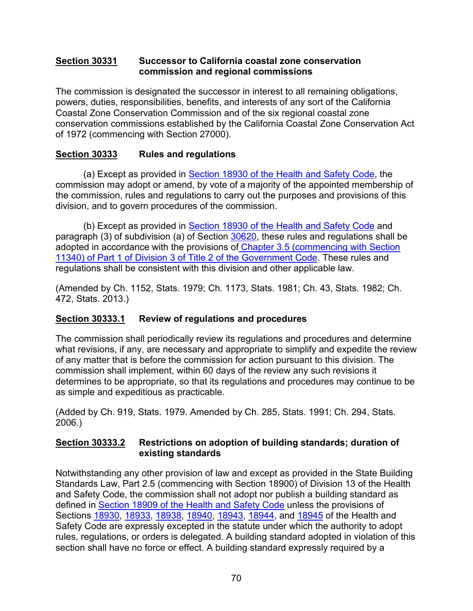## <span id="page-71-0"></span>**Section 30331 Successor to California coastal zone conservation commission and regional commissions**

The commission is designated the successor in interest to all remaining obligations, powers, duties, responsibilities, benefits, and interests of any sort of the California Coastal Zone Conservation Commission and of the six regional coastal zone conservation commissions established by the California Coastal Zone Conservation Act of 1972 (commencing with Section 27000).

# <span id="page-71-1"></span>**Section 30333 Rules and regulations**

(a) Except as provided in [Section 18930 of the Health and Safety Code,](http://leginfo.legislature.ca.gov/faces/codesTOCSelected.xhtml?tocCode=HSC&tocTitle=+Health+and+Safety+Code+-+HSC) the commission may adopt or amend, by vote of a majority of the appointed membership of the commission, rules and regulations to carry out the purposes and provisions of this division, and to govern procedures of the commission.

(b) Except as provided in [Section 18930 of the Health and Safety Code](http://leginfo.legislature.ca.gov/faces/codesTOCSelected.xhtml?tocCode=HSC&tocTitle=+Health+and+Safety+Code+-+HSC) and paragraph (3) of subdivision (a) of Section [30620,](#page-147-0) these rules and regulations shall be adopted in accordance with the provisions of [Chapter 3.5 \(commencing with Section](http://leginfo.legislature.ca.gov/faces/codes_displayexpandedbranch.xhtml?tocCode=GOV&division=&title=2.&part=&chapter=&article=)  [11340\) of Part 1 of Division 3 of Title 2 of the Government Code.](http://leginfo.legislature.ca.gov/faces/codes_displayexpandedbranch.xhtml?tocCode=GOV&division=&title=2.&part=&chapter=&article=) These rules and regulations shall be consistent with this division and other applicable law.

(Amended by Ch. 1152, Stats. 1979; Ch. 1173, Stats. 1981; Ch. 43, Stats. 1982; Ch. 472, Stats. 2013.)

# <span id="page-71-2"></span>**Section 30333.1 Review of regulations and procedures**

The commission shall periodically review its regulations and procedures and determine what revisions, if any, are necessary and appropriate to simplify and expedite the review of any matter that is before the commission for action pursuant to this division. The commission shall implement, within 60 days of the review any such revisions it determines to be appropriate, so that its regulations and procedures may continue to be as simple and expeditious as practicable.

(Added by Ch. 919, Stats. 1979. Amended by Ch. 285, Stats. 1991; Ch. 294, Stats. 2006.)

# <span id="page-71-3"></span>**Section 30333.2 Restrictions on adoption of building standards; duration of existing standards**

Notwithstanding any other provision of law and except as provided in the State Building Standards Law, Part 2.5 (commencing with Section 18900) of Division 13 of the Health and Safety Code, the commission shall not adopt nor publish a building standard as defined in [Section 18909 of the Health and Safety Code](http://leginfo.legislature.ca.gov/faces/codesTOCSelected.xhtml?tocCode=HSC&tocTitle=+Health+and+Safety+Code+-+HSC) unless the provisions of Sections [18930,](https://leginfo.legislature.ca.gov/faces/codes_displaySection.xhtml?sectionNum=18930.&nodeTreePath=21.8.3&lawCode=HSC) [18933,](https://leginfo.legislature.ca.gov/faces/codes_displaySection.xhtml?sectionNum=18933.&nodeTreePath=21.8.3&lawCode=HSC) [18938,](https://leginfo.legislature.ca.gov/faces/codes_displaySection.xhtml?sectionNum=18938.&lawCode=HSC) [18940,](https://leginfo.legislature.ca.gov/faces/codes_displaySection.xhtml?sectionNum=18940.&nodeTreePath=21.8.4&lawCode=HSC) [18943,](https://leginfo.legislature.ca.gov/faces/codes_displaySection.xhtml?sectionNum=18943.&nodeTreePath=21.8.4&lawCode=HSC) [18944,](https://leginfo.legislature.ca.gov/faces/codes_displaySection.xhtml?sectionNum=18944.&nodeTreePath=21.8.4&lawCode=HSC) and [18945](https://leginfo.legislature.ca.gov/faces/codes_displaySection.xhtml?sectionNum=18945.&lawCode=HSC#:%7E:text=(a)%20Any%20person%20adversely%20affected,for%20resolution%20to%20the%20commission.) of the Health and Safety Code are expressly excepted in the statute under which the authority to adopt rules, regulations, or orders is delegated. A building standard adopted in violation of this section shall have no force or effect. A building standard expressly required by a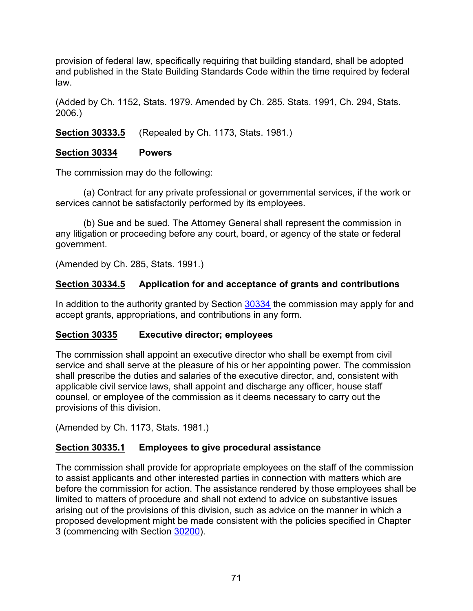provision of federal law, specifically requiring that building standard, shall be adopted and published in the State Building Standards Code within the time required by federal law.

(Added by Ch. 1152, Stats. 1979. Amended by Ch. 285. Stats. 1991, Ch. 294, Stats. 2006.)

**Section 30333.5** (Repealed by Ch. 1173, Stats. 1981.)

### <span id="page-72-0"></span>**Section 30334 Powers**

The commission may do the following:

(a) Contract for any private professional or governmental services, if the work or services cannot be satisfactorily performed by its employees.

(b) Sue and be sued. The Attorney General shall represent the commission in any litigation or proceeding before any court, board, or agency of the state or federal government.

(Amended by Ch. 285, Stats. 1991.)

# **Section 30334.5 Application for and acceptance of grants and contributions**

In addition to the authority granted by Section [30334](#page-72-0) the commission may apply for and accept grants, appropriations, and contributions in any form.

# **Section 30335 Executive director; employees**

The commission shall appoint an executive director who shall be exempt from civil service and shall serve at the pleasure of his or her appointing power. The commission shall prescribe the duties and salaries of the executive director, and, consistent with applicable civil service laws, shall appoint and discharge any officer, house staff counsel, or employee of the commission as it deems necessary to carry out the provisions of this division.

(Amended by Ch. 1173, Stats. 1981.)

# **Section 30335.1 Employees to give procedural assistance**

The commission shall provide for appropriate employees on the staff of the commission to assist applicants and other interested parties in connection with matters which are before the commission for action. The assistance rendered by those employees shall be limited to matters of procedure and shall not extend to advice on substantive issues arising out of the provisions of this division, such as advice on the manner in which a proposed development might be made consistent with the policies specified in Chapter 3 (commencing with Section [30200\)](#page-38-0).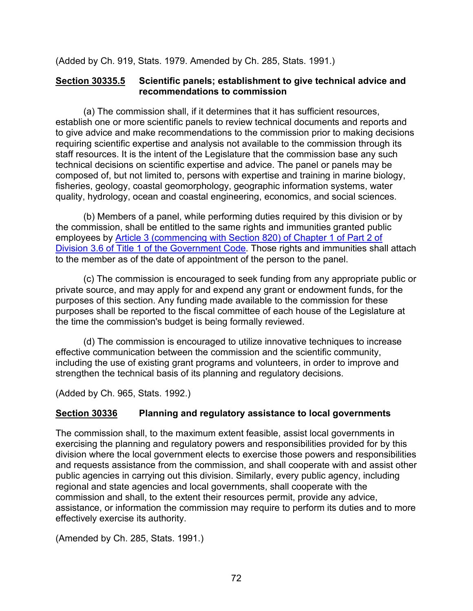(Added by Ch. 919, Stats. 1979. Amended by Ch. 285, Stats. 1991.)

### **Section 30335.5 Scientific panels; establishment to give technical advice and recommendations to commission**

(a) The commission shall, if it determines that it has sufficient resources, establish one or more scientific panels to review technical documents and reports and to give advice and make recommendations to the commission prior to making decisions requiring scientific expertise and analysis not available to the commission through its staff resources. It is the intent of the Legislature that the commission base any such technical decisions on scientific expertise and advice. The panel or panels may be composed of, but not limited to, persons with expertise and training in marine biology, fisheries, geology, coastal geomorphology, geographic information systems, water quality, hydrology, ocean and coastal engineering, economics, and social sciences.

(b) Members of a panel, while performing duties required by this division or by the commission, shall be entitled to the same rights and immunities granted public employees by [Article 3 \(commencing with Section 820\) of Chapter 1 of Part 2 of](http://leginfo.legislature.ca.gov/faces/codesTOCSelected.xhtml?tocCode=GOV&tocTitle=+Government+Code+-+GOV)  [Division 3.6 of Title 1 of the Government Code.](http://leginfo.legislature.ca.gov/faces/codesTOCSelected.xhtml?tocCode=GOV&tocTitle=+Government+Code+-+GOV) Those rights and immunities shall attach to the member as of the date of appointment of the person to the panel.

(c) The commission is encouraged to seek funding from any appropriate public or private source, and may apply for and expend any grant or endowment funds, for the purposes of this section. Any funding made available to the commission for these purposes shall be reported to the fiscal committee of each house of the Legislature at the time the commission's budget is being formally reviewed.

(d) The commission is encouraged to utilize innovative techniques to increase effective communication between the commission and the scientific community, including the use of existing grant programs and volunteers, in order to improve and strengthen the technical basis of its planning and regulatory decisions.

(Added by Ch. 965, Stats. 1992.)

# **Section 30336 Planning and regulatory assistance to local governments**

The commission shall, to the maximum extent feasible, assist local governments in exercising the planning and regulatory powers and responsibilities provided for by this division where the local government elects to exercise those powers and responsibilities and requests assistance from the commission, and shall cooperate with and assist other public agencies in carrying out this division. Similarly, every public agency, including regional and state agencies and local governments, shall cooperate with the commission and shall, to the extent their resources permit, provide any advice, assistance, or information the commission may require to perform its duties and to more effectively exercise its authority.

(Amended by Ch. 285, Stats. 1991.)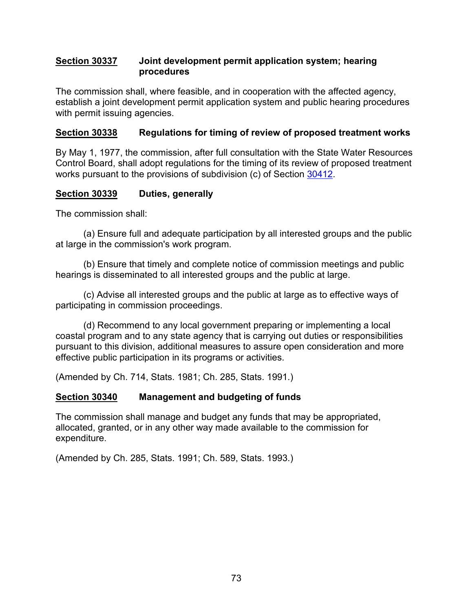#### **Section 30337 Joint development permit application system; hearing procedures**

The commission shall, where feasible, and in cooperation with the affected agency, establish a joint development permit application system and public hearing procedures with permit issuing agencies.

# **Section 30338 Regulations for timing of review of proposed treatment works**

By May 1, 1977, the commission, after full consultation with the State Water Resources Control Board, shall adopt regulations for the timing of its review of proposed treatment works pursuant to the provisions of subdivision (c) of Section [30412.](#page-86-0)

# **Section 30339 Duties, generally**

The commission shall:

(a) Ensure full and adequate participation by all interested groups and the public at large in the commission's work program.

(b) Ensure that timely and complete notice of commission meetings and public hearings is disseminated to all interested groups and the public at large.

(c) Advise all interested groups and the public at large as to effective ways of participating in commission proceedings.

(d) Recommend to any local government preparing or implementing a local coastal program and to any state agency that is carrying out duties or responsibilities pursuant to this division, additional measures to assure open consideration and more effective public participation in its programs or activities.

(Amended by Ch. 714, Stats. 1981; Ch. 285, Stats. 1991.)

# **Section 30340 Management and budgeting of funds**

The commission shall manage and budget any funds that may be appropriated, allocated, granted, or in any other way made available to the commission for expenditure.

(Amended by Ch. 285, Stats. 1991; Ch. 589, Stats. 1993.)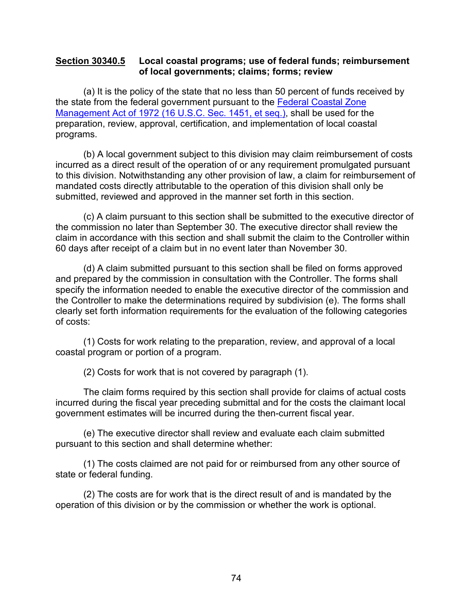#### <span id="page-75-0"></span>**Section 30340.5 Local coastal programs; use of federal funds; reimbursement of local governments; claims; forms; review**

(a) It is the policy of the state that no less than 50 percent of funds received by the state from the federal government pursuant to the [Federal Coastal Zone](http://www.law.cornell.edu/uscode/)  Management Act [of 1972 \(16 U.S.C. Sec.](http://www.law.cornell.edu/uscode/) 1451, et seq.), shall be used for the preparation, review, approval, certification, and implementation of local coastal programs.

(b) A local government subject to this division may claim reimbursement of costs incurred as a direct result of the operation of or any requirement promulgated pursuant to this division. Notwithstanding any other provision of law, a claim for reimbursement of mandated costs directly attributable to the operation of this division shall only be submitted, reviewed and approved in the manner set forth in this section.

(c) A claim pursuant to this section shall be submitted to the executive director of the commission no later than September 30. The executive director shall review the claim in accordance with this section and shall submit the claim to the Controller within 60 days after receipt of a claim but in no event later than November 30.

(d) A claim submitted pursuant to this section shall be filed on forms approved and prepared by the commission in consultation with the Controller. The forms shall specify the information needed to enable the executive director of the commission and the Controller to make the determinations required by subdivision (e). The forms shall clearly set forth information requirements for the evaluation of the following categories of costs:

(1) Costs for work relating to the preparation, review, and approval of a local coastal program or portion of a program.

(2) Costs for work that is not covered by paragraph (1).

The claim forms required by this section shall provide for claims of actual costs incurred during the fiscal year preceding submittal and for the costs the claimant local government estimates will be incurred during the then-current fiscal year.

(e) The executive director shall review and evaluate each claim submitted pursuant to this section and shall determine whether:

(1) The costs claimed are not paid for or reimbursed from any other source of state or federal funding.

(2) The costs are for work that is the direct result of and is mandated by the operation of this division or by the commission or whether the work is optional.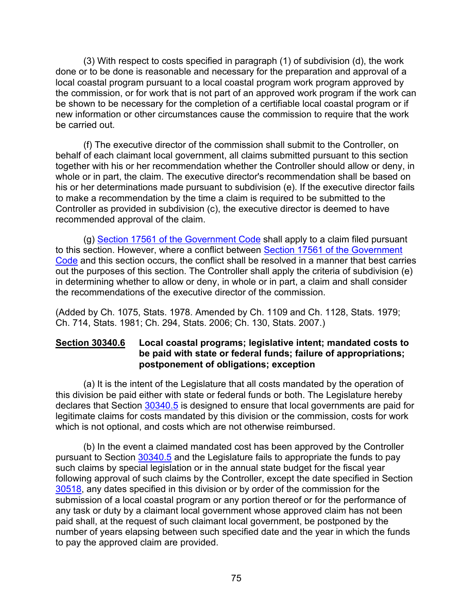(3) With respect to costs specified in paragraph (1) of subdivision (d), the work done or to be done is reasonable and necessary for the preparation and approval of a local coastal program pursuant to a local coastal program work program approved by the commission, or for work that is not part of an approved work program if the work can be shown to be necessary for the completion of a certifiable local coastal program or if new information or other circumstances cause the commission to require that the work be carried out.

(f) The executive director of the commission shall submit to the Controller, on behalf of each claimant local government, all claims submitted pursuant to this section together with his or her recommendation whether the Controller should allow or deny, in whole or in part, the claim. The executive director's recommendation shall be based on his or her determinations made pursuant to subdivision (e). If the executive director fails to make a recommendation by the time a claim is required to be submitted to the Controller as provided in subdivision (c), the executive director is deemed to have recommended approval of the claim.

(g) [Section 17561 of the Government Code](http://leginfo.legislature.ca.gov/faces/codes_displayText.xhtml?lawCode=GOV&division=4.&title=2.&part=7.&chapter=4.&article=1.) shall apply to a claim filed pursuant to this section. However, where a conflict between [Section 17561 of the Government](http://leginfo.legislature.ca.gov/faces/codes_displayText.xhtml?lawCode=GOV&division=4.&title=2.&part=7.&chapter=4.&article=1.)  [Code](http://leginfo.legislature.ca.gov/faces/codes_displayText.xhtml?lawCode=GOV&division=4.&title=2.&part=7.&chapter=4.&article=1.) and this section occurs, the conflict shall be resolved in a manner that best carries out the purposes of this section. The Controller shall apply the criteria of subdivision (e) in determining whether to allow or deny, in whole or in part, a claim and shall consider the recommendations of the executive director of the commission.

(Added by Ch. 1075, Stats. 1978. Amended by Ch. 1109 and Ch. 1128, Stats. 1979; Ch. 714, Stats. 1981; Ch. 294, Stats. 2006; Ch. 130, Stats. 2007.)

### **Section 30340.6 Local coastal programs; legislative intent; mandated costs to be paid with state or federal funds; failure of appropriations; postponement of obligations; exception**

(a) It is the intent of the Legislature that all costs mandated by the operation of this division be paid either with state or federal funds or both. The Legislature hereby declares that Section [30340.5](#page-75-0) is designed to ensure that local governments are paid for legitimate claims for costs mandated by this division or the commission, costs for work which is not optional, and costs which are not otherwise reimbursed.

(b) In the event a claimed mandated cost has been approved by the Controller pursuant to Section [30340.5](#page-75-0) and the Legislature fails to appropriate the funds to pay such claims by special legislation or in the annual state budget for the fiscal year following approval of such claims by the Controller, except the date specified in Section [30518,](#page-105-0) any dates specified in this division or by order of the commission for the submission of a local coastal program or any portion thereof or for the performance of any task or duty by a claimant local government whose approved claim has not been paid shall, at the request of such claimant local government, be postponed by the number of years elapsing between such specified date and the year in which the funds to pay the approved claim are provided.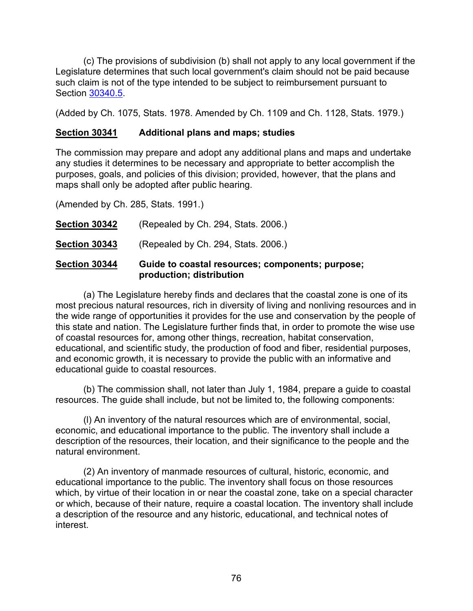(c) The provisions of subdivision (b) shall not apply to any local government if the Legislature determines that such local government's claim should not be paid because such claim is not of the type intended to be subject to reimbursement pursuant to Section [30340.5.](#page-75-0)

(Added by Ch. 1075, Stats. 1978. Amended by Ch. 1109 and Ch. 1128, Stats. 1979.)

### **Section 30341 Additional plans and maps; studies**

The commission may prepare and adopt any additional plans and maps and undertake any studies it determines to be necessary and appropriate to better accomplish the purposes, goals, and policies of this division; provided, however, that the plans and maps shall only be adopted after public hearing.

(Amended by Ch. 285, Stats. 1991.)

|                      | production; distribution                         |
|----------------------|--------------------------------------------------|
| Section 30344        | Guide to coastal resources; components; purpose; |
| <b>Section 30343</b> | (Repealed by Ch. 294, Stats. 2006.)              |
| <b>Section 30342</b> | (Repealed by Ch. 294, Stats. 2006.)              |

(a) The Legislature hereby finds and declares that the coastal zone is one of its most precious natural resources, rich in diversity of living and nonliving resources and in the wide range of opportunities it provides for the use and conservation by the people of this state and nation. The Legislature further finds that, in order to promote the wise use of coastal resources for, among other things, recreation, habitat conservation, educational, and scientific study, the production of food and fiber, residential purposes, and economic growth, it is necessary to provide the public with an informative and educational guide to coastal resources.

(b) The commission shall, not later than July 1, 1984, prepare a guide to coastal resources. The guide shall include, but not be limited to, the following components:

(l) An inventory of the natural resources which are of environmental, social, economic, and educational importance to the public. The inventory shall include a description of the resources, their location, and their significance to the people and the natural environment.

(2) An inventory of manmade resources of cultural, historic, economic, and educational importance to the public. The inventory shall focus on those resources which, by virtue of their location in or near the coastal zone, take on a special character or which, because of their nature, require a coastal location. The inventory shall include a description of the resource and any historic, educational, and technical notes of interest.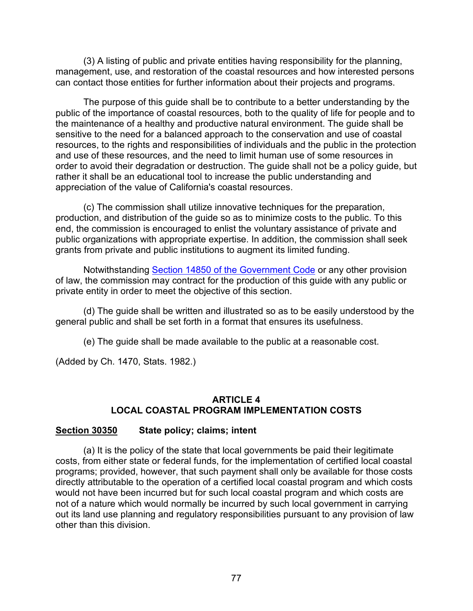(3) A listing of public and private entities having responsibility for the planning, management, use, and restoration of the coastal resources and how interested persons can contact those entities for further information about their projects and programs.

The purpose of this guide shall be to contribute to a better understanding by the public of the importance of coastal resources, both to the quality of life for people and to the maintenance of a healthy and productive natural environment. The guide shall be sensitive to the need for a balanced approach to the conservation and use of coastal resources, to the rights and responsibilities of individuals and the public in the protection and use of these resources, and the need to limit human use of some resources in order to avoid their degradation or destruction. The guide shall not be a policy guide, but rather it shall be an educational tool to increase the public understanding and appreciation of the value of California's coastal resources.

(c) The commission shall utilize innovative techniques for the preparation, production, and distribution of the guide so as to minimize costs to the public. To this end, the commission is encouraged to enlist the voluntary assistance of private and public organizations with appropriate expertise. In addition, the commission shall seek grants from private and public institutions to augment its limited funding.

Notwithstanding [Section 14850 of the Government Code](http://leginfo.legislature.ca.gov/faces/codes_displayexpandedbranch.xhtml?tocCode=GOV&division=3.&title=2.&part=5.5.&chapter=7.&article=) or any other provision of law, the commission may contract for the production of this guide with any public or private entity in order to meet the objective of this section.

(d) The guide shall be written and illustrated so as to be easily understood by the general public and shall be set forth in a format that ensures its usefulness.

(e) The guide shall be made available to the public at a reasonable cost.

(Added by Ch. 1470, Stats. 1982.)

### **ARTICLE 4 LOCAL COASTAL PROGRAM IMPLEMENTATION COSTS**

# <span id="page-78-0"></span>**Section 30350 State policy; claims; intent**

(a) It is the policy of the state that local governments be paid their legitimate costs, from either state or federal funds, for the implementation of certified local coastal programs; provided, however, that such payment shall only be available for those costs directly attributable to the operation of a certified local coastal program and which costs would not have been incurred but for such local coastal program and which costs are not of a nature which would normally be incurred by such local government in carrying out its land use planning and regulatory responsibilities pursuant to any provision of law other than this division.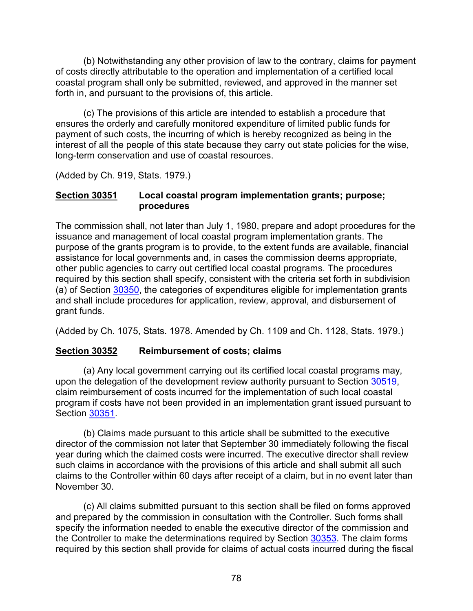(b) Notwithstanding any other provision of law to the contrary, claims for payment of costs directly attributable to the operation and implementation of a certified local coastal program shall only be submitted, reviewed, and approved in the manner set forth in, and pursuant to the provisions of, this article.

(c) The provisions of this article are intended to establish a procedure that ensures the orderly and carefully monitored expenditure of limited public funds for payment of such costs, the incurring of which is hereby recognized as being in the interest of all the people of this state because they carry out state policies for the wise, long-term conservation and use of coastal resources.

(Added by Ch. 919, Stats. 1979.)

### <span id="page-79-0"></span>**Section 30351 Local coastal program implementation grants; purpose; procedures**

The commission shall, not later than July 1, 1980, prepare and adopt procedures for the issuance and management of local coastal program implementation grants. The purpose of the grants program is to provide, to the extent funds are available, financial assistance for local governments and, in cases the commission deems appropriate, other public agencies to carry out certified local coastal programs. The procedures required by this section shall specify, consistent with the criteria set forth in subdivision (a) of Section [30350,](#page-78-0) the categories of expenditures eligible for implementation grants and shall include procedures for application, review, approval, and disbursement of grant funds.

(Added by Ch. 1075, Stats. 1978. Amended by Ch. 1109 and Ch. 1128, Stats. 1979.)

# <span id="page-79-1"></span>**Section 30352 Reimbursement of costs; claims**

(a) Any local government carrying out its certified local coastal programs may, upon the delegation of the development review authority pursuant to Section [30519,](#page-105-1) claim reimbursement of costs incurred for the implementation of such local coastal program if costs have not been provided in an implementation grant issued pursuant to Section [30351.](#page-79-0)

(b) Claims made pursuant to this article shall be submitted to the executive director of the commission not later that September 30 immediately following the fiscal year during which the claimed costs were incurred. The executive director shall review such claims in accordance with the provisions of this article and shall submit all such claims to the Controller within 60 days after receipt of a claim, but in no event later than November 30.

(c) All claims submitted pursuant to this section shall be filed on forms approved and prepared by the commission in consultation with the Controller. Such forms shall specify the information needed to enable the executive director of the commission and the Controller to make the determinations required by Section [30353.](#page-80-0) The claim forms required by this section shall provide for claims of actual costs incurred during the fiscal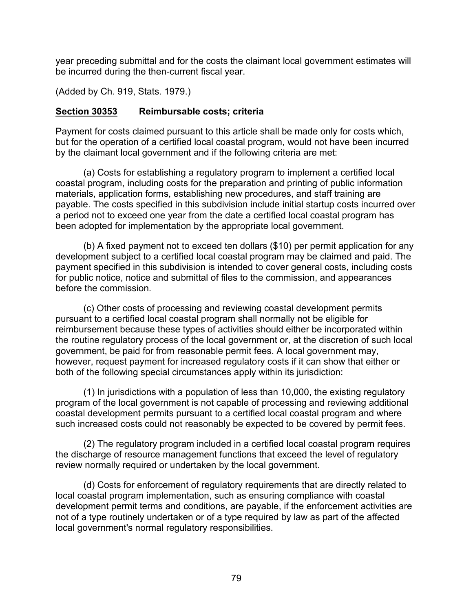year preceding submittal and for the costs the claimant local government estimates will be incurred during the then-current fiscal year.

(Added by Ch. 919, Stats. 1979.)

### <span id="page-80-0"></span>**Section 30353 Reimbursable costs; criteria**

Payment for costs claimed pursuant to this article shall be made only for costs which, but for the operation of a certified local coastal program, would not have been incurred by the claimant local government and if the following criteria are met:

(a) Costs for establishing a regulatory program to implement a certified local coastal program, including costs for the preparation and printing of public information materials, application forms, establishing new procedures, and staff training are payable. The costs specified in this subdivision include initial startup costs incurred over a period not to exceed one year from the date a certified local coastal program has been adopted for implementation by the appropriate local government.

(b) A fixed payment not to exceed ten dollars (\$10) per permit application for any development subject to a certified local coastal program may be claimed and paid. The payment specified in this subdivision is intended to cover general costs, including costs for public notice, notice and submittal of files to the commission, and appearances before the commission.

(c) Other costs of processing and reviewing coastal development permits pursuant to a certified local coastal program shall normally not be eligible for reimbursement because these types of activities should either be incorporated within the routine regulatory process of the local government or, at the discretion of such local government, be paid for from reasonable permit fees. A local government may, however, request payment for increased regulatory costs if it can show that either or both of the following special circumstances apply within its jurisdiction:

(1) In jurisdictions with a population of less than 10,000, the existing regulatory program of the local government is not capable of processing and reviewing additional coastal development permits pursuant to a certified local coastal program and where such increased costs could not reasonably be expected to be covered by permit fees.

(2) The regulatory program included in a certified local coastal program requires the discharge of resource management functions that exceed the level of regulatory review normally required or undertaken by the local government.

(d) Costs for enforcement of regulatory requirements that are directly related to local coastal program implementation, such as ensuring compliance with coastal development permit terms and conditions, are payable, if the enforcement activities are not of a type routinely undertaken or of a type required by law as part of the affected local government's normal regulatory responsibilities.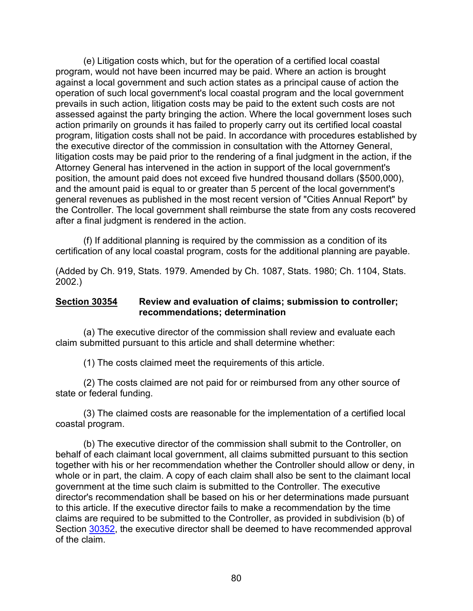(e) Litigation costs which, but for the operation of a certified local coastal program, would not have been incurred may be paid. Where an action is brought against a local government and such action states as a principal cause of action the operation of such local government's local coastal program and the local government prevails in such action, litigation costs may be paid to the extent such costs are not assessed against the party bringing the action. Where the local government loses such action primarily on grounds it has failed to properly carry out its certified local coastal program, litigation costs shall not be paid. In accordance with procedures established by the executive director of the commission in consultation with the Attorney General, litigation costs may be paid prior to the rendering of a final judgment in the action, if the Attorney General has intervened in the action in support of the local government's position, the amount paid does not exceed five hundred thousand dollars (\$500,000), and the amount paid is equal to or greater than 5 percent of the local government's general revenues as published in the most recent version of "Cities Annual Report" by the Controller. The local government shall reimburse the state from any costs recovered after a final judgment is rendered in the action.

(f) If additional planning is required by the commission as a condition of its certification of any local coastal program, costs for the additional planning are payable.

(Added by Ch. 919, Stats. 1979. Amended by Ch. 1087, Stats. 1980; Ch. 1104, Stats. 2002.)

#### **Section 30354 Review and evaluation of claims; submission to controller; recommendations; determination**

(a) The executive director of the commission shall review and evaluate each claim submitted pursuant to this article and shall determine whether:

(1) The costs claimed meet the requirements of this article.

(2) The costs claimed are not paid for or reimbursed from any other source of state or federal funding.

(3) The claimed costs are reasonable for the implementation of a certified local coastal program.

(b) The executive director of the commission shall submit to the Controller, on behalf of each claimant local government, all claims submitted pursuant to this section together with his or her recommendation whether the Controller should allow or deny, in whole or in part, the claim. A copy of each claim shall also be sent to the claimant local government at the time such claim is submitted to the Controller. The executive director's recommendation shall be based on his or her determinations made pursuant to this article. If the executive director fails to make a recommendation by the time claims are required to be submitted to the Controller, as provided in subdivision (b) of Section [30352,](#page-79-1) the executive director shall be deemed to have recommended approval of the claim.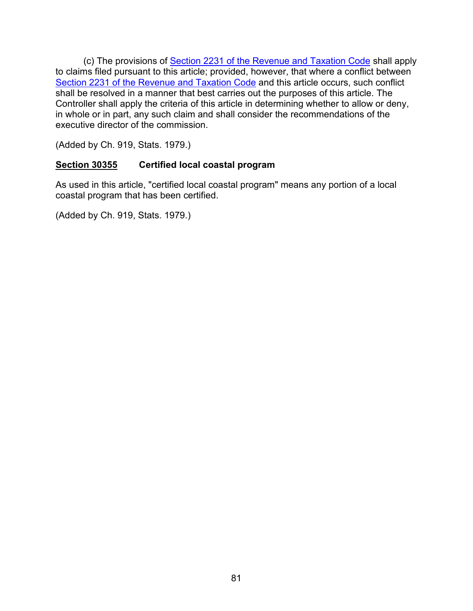(c) The provisions of [Section 2231 of the Revenue and Taxation Code](http://leginfo.legislature.ca.gov/faces/codesTOCSelected.xhtml?tocCode=RTC&tocTitle=+Revenue+and+Taxation+Code+-+RTC) shall apply to claims filed pursuant to this article; provided, however, that where a conflict between [Section 2231 of the Revenue and Taxation Code](http://leginfo.legislature.ca.gov/faces/codesTOCSelected.xhtml?tocCode=RTC&tocTitle=+Revenue+and+Taxation+Code+-+RTC) and this article occurs, such conflict shall be resolved in a manner that best carries out the purposes of this article. The Controller shall apply the criteria of this article in determining whether to allow or deny, in whole or in part, any such claim and shall consider the recommendations of the executive director of the commission.

(Added by Ch. 919, Stats. 1979.)

# **Section 30355 Certified local coastal program**

As used in this article, "certified local coastal program" means any portion of a local coastal program that has been certified.

(Added by Ch. 919, Stats. 1979.)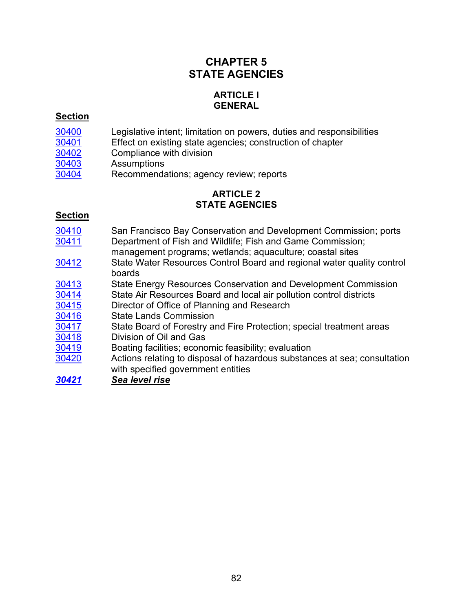# **CHAPTER 5 STATE AGENCIES**

# **ARTICLE l GENERAL**

#### **Section**

- [30400](#page-84-0) Legislative intent; limitation on powers, duties and responsibilities<br>30401 Effect on existing state agencies; construction of chapter
- [30401](#page-84-1) Effect on existing state agencies; construction of chapter
- [30402](#page-84-2) Compliance with division<br>30403 Assumptions
- 
- <u>[30403](#page-84-3)</u> Assumptions<br>30404 Recommenda Recommendations; agency review; reports

# **ARTICLE 2 STATE AGENCIES**

#### **Section**

- [30410](#page-85-1) San Francisco Bay Conservation and Development Commission; ports [30411](#page-85-2) Department of Fish and Wildlife; Fish and Game Commission;
- management programs; wetlands; aquaculture; coastal sites
- 30412 State Water Resources Control Board and regional water quality control boards
- [30413](#page-88-0) State Energy Resources Conservation and Development Commission<br>30414 State Air Resources Board and local air pollution control districts
- State Air Resources Board and local air pollution control districts
- [30415](#page-90-1) Director of Office of Planning and Research
- [30416](#page-90-2) State Lands Commission<br>30417 State Board of Forestry are
- State Board of Forestry and Fire Protection; special treatment areas
- [30418](#page-91-1) Division of Oil and Gas
- [30419](#page-92-0) Boating facilities; economic feasibility; evaluation
- [30420](#page-92-1) Actions relating to disposal of hazardous substances at sea; consultation with specified government entities
- *[30421](#page-93-0) Sea level rise*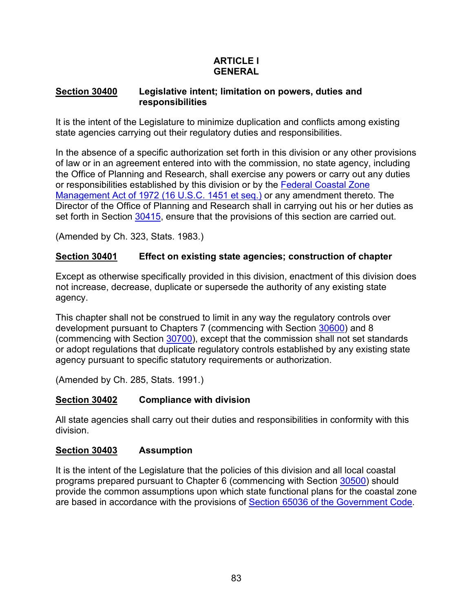# **ARTICLE l GENERAL**

### <span id="page-84-0"></span>**Section 30400 Legislative intent; limitation on powers, duties and responsibilities**

It is the intent of the Legislature to minimize duplication and conflicts among existing state agencies carrying out their regulatory duties and responsibilities.

In the absence of a specific authorization set forth in this division or any other provisions of law or in an agreement entered into with the commission, no state agency, including the Office of Planning and Research, shall exercise any powers or carry out any duties or responsibilities established by this division or by the [Federal Coastal Zone](http://www.law.cornell.edu/uscode/)  [Management Act of 1972 \(16 U.S.C. 1451 et seq.\)](http://www.law.cornell.edu/uscode/) or any amendment thereto. The Director of the Office of Planning and Research shall in carrying out his or her duties as set forth in Section [30415,](#page-90-1) ensure that the provisions of this section are carried out.

(Amended by Ch. 323, Stats. 1983.)

### <span id="page-84-1"></span>**Section 30401 Effect on existing state agencies; construction of chapter**

Except as otherwise specifically provided in this division, enactment of this division does not increase, decrease, duplicate or supersede the authority of any existing state agency.

This chapter shall not be construed to limit in any way the regulatory controls over development pursuant to Chapters 7 (commencing with Section [30600\)](#page-116-0) and 8 (commencing with Section [30700\)](#page-156-0), except that the commission shall not set standards or adopt regulations that duplicate regulatory controls established by any existing state agency pursuant to specific statutory requirements or authorization.

(Amended by Ch. 285, Stats. 1991.)

# <span id="page-84-2"></span>**Section 30402 Compliance with division**

All state agencies shall carry out their duties and responsibilities in conformity with this division.

# <span id="page-84-3"></span>**Section 30403 Assumption**

It is the intent of the Legislature that the policies of this division and all local coastal programs prepared pursuant to Chapter 6 (commencing with Section [30500\)](#page-96-0) should provide the common assumptions upon which state functional plans for the coastal zone are based in accordance with the provisions of [Section 65036 of the Government Code.](http://www.leginfo.ca.gov/calaw.html)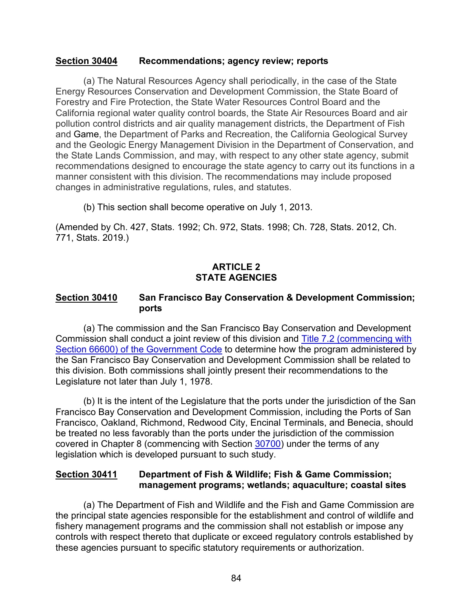#### <span id="page-85-0"></span>**Section 30404 Recommendations; agency review; reports**

(a) The Natural Resources Agency shall periodically, in the case of the State Energy Resources Conservation and Development Commission, the State Board of Forestry and Fire Protection, the State Water Resources Control Board and the California regional water quality control boards, the State Air Resources Board and air pollution control districts and air quality management districts, the Department of Fish and Game, the Department of Parks and Recreation, the California Geological Survey and the Geologic Energy Management Division in the Department of Conservation, and the State Lands Commission, and may, with respect to any other state agency, submit recommendations designed to encourage the state agency to carry out its functions in a manner consistent with this division. The recommendations may include proposed changes in administrative regulations, rules, and statutes.

(b) This section shall become operative on July 1, 2013.

(Amended by Ch. 427, Stats. 1992; Ch. 972, Stats. 1998; Ch. 728, Stats. 2012, Ch. 771, Stats. 2019.)

### **ARTICLE 2 STATE AGENCIES**

### <span id="page-85-1"></span>**Section 30410 San Francisco Bay Conservation & Development Commission; ports**

(a) The commission and the San Francisco Bay Conservation and Development Commission shall conduct a joint review of this division and [Title 7.2 \(commencing with](http://www.leginfo.ca.gov/calaw.html)  [Section 66600\) of the Government Code](http://www.leginfo.ca.gov/calaw.html) to determine how the program administered by the San Francisco Bay Conservation and Development Commission shall be related to this division. Both commissions shall jointly present their recommendations to the Legislature not later than July 1, 1978.

(b) It is the intent of the Legislature that the ports under the jurisdiction of the San Francisco Bay Conservation and Development Commission, including the Ports of San Francisco, Oakland, Richmond, Redwood City, Encinal Terminals, and Benecia, should be treated no less favorably than the ports under the jurisdiction of the commission covered in Chapter 8 (commencing with Section [30700\)](#page-156-0) under the terms of any legislation which is developed pursuant to such study.

# <span id="page-85-2"></span>**Section 30411 Department of Fish & Wildlife; Fish & Game Commission; management programs; wetlands; aquaculture; coastal sites**

(a) The Department of Fish and Wildlife and the Fish and Game Commission are the principal state agencies responsible for the establishment and control of wildlife and fishery management programs and the commission shall not establish or impose any controls with respect thereto that duplicate or exceed regulatory controls established by these agencies pursuant to specific statutory requirements or authorization.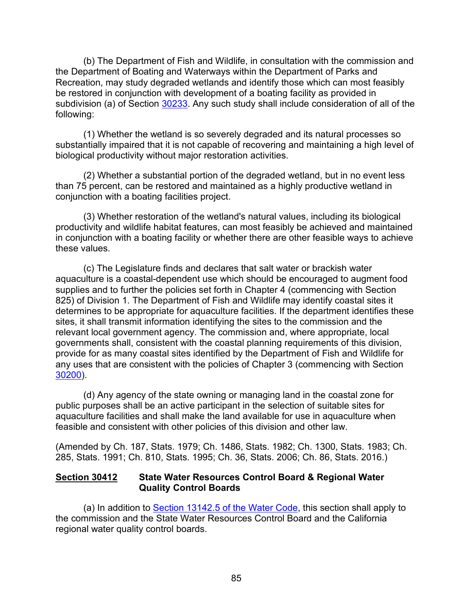(b) The Department of Fish and Wildlife, in consultation with the commission and the Department of Boating and Waterways within the Department of Parks and Recreation, may study degraded wetlands and identify those which can most feasibly be restored in conjunction with development of a boating facility as provided in subdivision (a) of Section [30233.](#page-42-0) Any such study shall include consideration of all of the following:

(1) Whether the wetland is so severely degraded and its natural processes so substantially impaired that it is not capable of recovering and maintaining a high level of biological productivity without major restoration activities.

(2) Whether a substantial portion of the degraded wetland, but in no event less than 75 percent, can be restored and maintained as a highly productive wetland in conjunction with a boating facilities project.

(3) Whether restoration of the wetland's natural values, including its biological productivity and wildlife habitat features, can most feasibly be achieved and maintained in conjunction with a boating facility or whether there are other feasible ways to achieve these values.

(c) The Legislature finds and declares that salt water or brackish water aquaculture is a coastal-dependent use which should be encouraged to augment food supplies and to further the policies set forth in Chapter 4 (commencing with Section 825) of Division 1. The Department of Fish and Wildlife may identify coastal sites it determines to be appropriate for aquaculture facilities. If the department identifies these sites, it shall transmit information identifying the sites to the commission and the relevant local government agency. The commission and, where appropriate, local governments shall, consistent with the coastal planning requirements of this division, provide for as many coastal sites identified by the Department of Fish and Wildlife for any uses that are consistent with the policies of Chapter 3 (commencing with Section [30200\)](#page-38-0).

(d) Any agency of the state owning or managing land in the coastal zone for public purposes shall be an active participant in the selection of suitable sites for aquaculture facilities and shall make the land available for use in aquaculture when feasible and consistent with other policies of this division and other law.

(Amended by Ch. 187, Stats. 1979; Ch. 1486, Stats. 1982; Ch. 1300, Stats. 1983; Ch. 285, Stats. 1991; Ch. 810, Stats. 1995; Ch. 36, Stats. 2006; Ch. 86, Stats. 2016.)

### <span id="page-86-0"></span>**Section 30412 State Water Resources Control Board & Regional Water Quality Control Boards**

(a) In addition to [Section 13142.5 of the Water Code,](http://www.leginfo.ca.gov/calaw.html) this section shall apply to the commission and the State Water Resources Control Board and the California regional water quality control boards.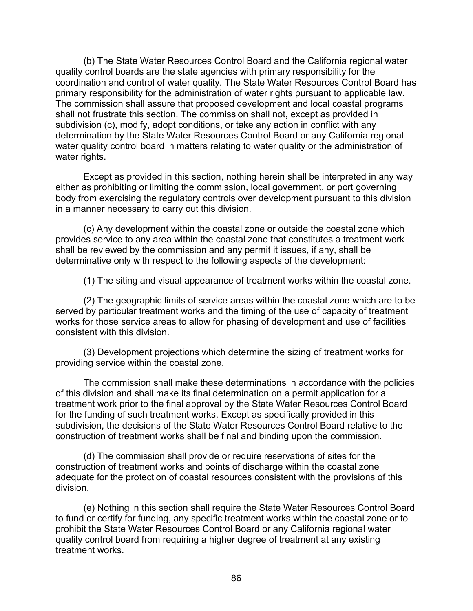(b) The State Water Resources Control Board and the California regional water quality control boards are the state agencies with primary responsibility for the coordination and control of water quality. The State Water Resources Control Board has primary responsibility for the administration of water rights pursuant to applicable law. The commission shall assure that proposed development and local coastal programs shall not frustrate this section. The commission shall not, except as provided in subdivision (c), modify, adopt conditions, or take any action in conflict with any determination by the State Water Resources Control Board or any California regional water quality control board in matters relating to water quality or the administration of water rights.

Except as provided in this section, nothing herein shall be interpreted in any way either as prohibiting or limiting the commission, local government, or port governing body from exercising the regulatory controls over development pursuant to this division in a manner necessary to carry out this division.

(c) Any development within the coastal zone or outside the coastal zone which provides service to any area within the coastal zone that constitutes a treatment work shall be reviewed by the commission and any permit it issues, if any, shall be determinative only with respect to the following aspects of the development:

(1) The siting and visual appearance of treatment works within the coastal zone.

(2) The geographic limits of service areas within the coastal zone which are to be served by particular treatment works and the timing of the use of capacity of treatment works for those service areas to allow for phasing of development and use of facilities consistent with this division.

(3) Development projections which determine the sizing of treatment works for providing service within the coastal zone.

The commission shall make these determinations in accordance with the policies of this division and shall make its final determination on a permit application for a treatment work prior to the final approval by the State Water Resources Control Board for the funding of such treatment works. Except as specifically provided in this subdivision, the decisions of the State Water Resources Control Board relative to the construction of treatment works shall be final and binding upon the commission.

(d) The commission shall provide or require reservations of sites for the construction of treatment works and points of discharge within the coastal zone adequate for the protection of coastal resources consistent with the provisions of this division.

(e) Nothing in this section shall require the State Water Resources Control Board to fund or certify for funding, any specific treatment works within the coastal zone or to prohibit the State Water Resources Control Board or any California regional water quality control board from requiring a higher degree of treatment at any existing treatment works.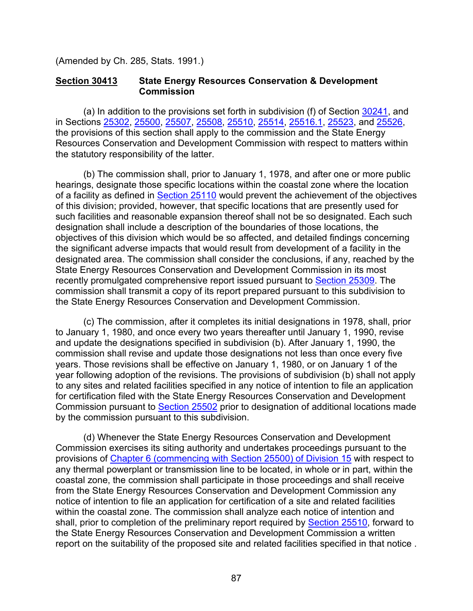(Amended by Ch. 285, Stats. 1991.)

#### <span id="page-88-0"></span>**Section 30413 State Energy Resources Conservation & Development Commission**

(a) In addition to the provisions set forth in subdivision (f) of Section [30241,](#page-45-0) and in Sections [25302,](https://leginfo.legislature.ca.gov/faces/codes_displaySection.xhtml?lawCode=PRC§ionNum=25302) [25500,](https://leginfo.legislature.ca.gov/faces/codes_displaySection.xhtml?sectionNum=25500.&nodeTreePath=34.16&lawCode=PRC) [25507,](https://leginfo.legislature.ca.gov/faces/codes_displaySection.xhtml?sectionNum=25507.&nodeTreePath=34.16&lawCode=PRC) [25508,](https://leginfo.legislature.ca.gov/faces/codes_displaySection.xhtml?sectionNum=25508.&nodeTreePath=34.16&lawCode=PRC) [25510,](https://leginfo.legislature.ca.gov/faces/codes_displaySection.xhtml?sectionNum=25510.&nodeTreePath=34.16&lawCode=PRC) [25514,](https://leginfo.legislature.ca.gov/faces/codes_displaySection.xhtml?sectionNum=25514.&nodeTreePath=34.16&lawCode=PRC) [25516.1,](https://leginfo.legislature.ca.gov/faces/codes_displaySection.xhtml?sectionNum=25516.1.&nodeTreePath=34.16&lawCode=PRC) [25523,](https://leginfo.legislature.ca.gov/faces/codes_displaySection.xhtml?sectionNum=25523.&nodeTreePath=34.16&lawCode=PRC) and [25526,](https://leginfo.legislature.ca.gov/faces/codes_displaySection.xhtml?sectionNum=25526.&nodeTreePath=34.16&lawCode=PRC) the provisions of this section shall apply to the commission and the State Energy Resources Conservation and Development Commission with respect to matters within the statutory responsibility of the latter.

(b) The commission shall, prior to January 1, 1978, and after one or more public hearings, designate those specific locations within the coastal zone where the location of a facility as defined in [Section 25110](http://leginfo.legislature.ca.gov/faces/codes_displayexpandedbranch.xhtml?tocCode=PRC&division=15.&title=&part=&chapter=&article=) would prevent the achievement of the objectives of this division; provided, however, that specific locations that are presently used for such facilities and reasonable expansion thereof shall not be so designated. Each such designation shall include a description of the boundaries of those locations, the objectives of this division which would be so affected, and detailed findings concerning the significant adverse impacts that would result from development of a facility in the designated area. The commission shall consider the conclusions, if any, reached by the State Energy Resources Conservation and Development Commission in its most recently promulgated comprehensive report issued pursuant to [Section 25309.](http://leginfo.legislature.ca.gov/faces/codes_displayexpandedbranch.xhtml?tocCode=PRC&division=15.&title=&part=&chapter=&article=) The commission shall transmit a copy of its report prepared pursuant to this subdivision to the State Energy Resources Conservation and Development Commission.

(c) The commission, after it completes its initial designations in 1978, shall, prior to January 1, 1980, and once every two years thereafter until January 1, 1990, revise and update the designations specified in subdivision (b). After January 1, 1990, the commission shall revise and update those designations not less than once every five years. Those revisions shall be effective on January 1, 1980, or on January 1 of the year following adoption of the revisions. The provisions of subdivision (b) shall not apply to any sites and related facilities specified in any notice of intention to file an application for certification filed with the State Energy Resources Conservation and Development Commission pursuant to [Section 25502](http://leginfo.legislature.ca.gov/faces/codes_displayexpandedbranch.xhtml?tocCode=PRC&division=15.&title=&part=&chapter=&article=) prior to designation of additional locations made by the commission pursuant to this subdivision.

(d) Whenever the State Energy Resources Conservation and Development Commission exercises its siting authority and undertakes proceedings pursuant to the provisions of [Chapter 6 \(commencing with Section 25500\) of Division 15](http://leginfo.legislature.ca.gov/faces/codes_displayexpandedbranch.xhtml?tocCode=PRC&division=15.&title=&part=&chapter=&article=) with respect to any thermal powerplant or transmission line to be located, in whole or in part, within the coastal zone, the commission shall participate in those proceedings and shall receive from the State Energy Resources Conservation and Development Commission any notice of intention to file an application for certification of a site and related facilities within the coastal zone. The commission shall analyze each notice of intention and shall, prior to completion of the preliminary report required by [Section 25510,](http://leginfo.legislature.ca.gov/faces/codes_displayexpandedbranch.xhtml?tocCode=PRC&division=15.&title=&part=&chapter=&article=) forward to the State Energy Resources Conservation and Development Commission a written report on the suitability of the proposed site and related facilities specified in that notice .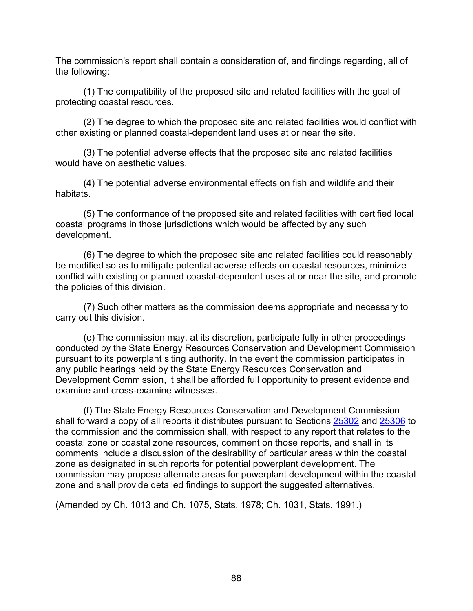The commission's report shall contain a consideration of, and findings regarding, all of the following:

(1) The compatibility of the proposed site and related facilities with the goal of protecting coastal resources.

(2) The degree to which the proposed site and related facilities would conflict with other existing or planned coastal-dependent land uses at or near the site.

(3) The potential adverse effects that the proposed site and related facilities would have on aesthetic values.

(4) The potential adverse environmental effects on fish and wildlife and their habitats.

(5) The conformance of the proposed site and related facilities with certified local coastal programs in those jurisdictions which would be affected by any such development.

(6) The degree to which the proposed site and related facilities could reasonably be modified so as to mitigate potential adverse effects on coastal resources, minimize conflict with existing or planned coastal-dependent uses at or near the site, and promote the policies of this division.

(7) Such other matters as the commission deems appropriate and necessary to carry out this division.

(e) The commission may, at its discretion, participate fully in other proceedings conducted by the State Energy Resources Conservation and Development Commission pursuant to its powerplant siting authority. In the event the commission participates in any public hearings held by the State Energy Resources Conservation and Development Commission, it shall be afforded full opportunity to present evidence and examine and cross-examine witnesses.

(f) The State Energy Resources Conservation and Development Commission shall forward a copy of all reports it distributes pursuant to Sections [25302](https://leginfo.legislature.ca.gov/faces/codes_displaySection.xhtml?lawCode=PRC§ionNum=25302) and [25306](https://leginfo.legislature.ca.gov/faces/codes_displaySection.xhtml?sectionNum=25306.&nodeTreePath=34.4&lawCode=PRC) to the commission and the commission shall, with respect to any report that relates to the coastal zone or coastal zone resources, comment on those reports, and shall in its comments include a discussion of the desirability of particular areas within the coastal zone as designated in such reports for potential powerplant development. The commission may propose alternate areas for powerplant development within the coastal zone and shall provide detailed findings to support the suggested alternatives.

(Amended by Ch. 1013 and Ch. 1075, Stats. 1978; Ch. 1031, Stats. 1991.)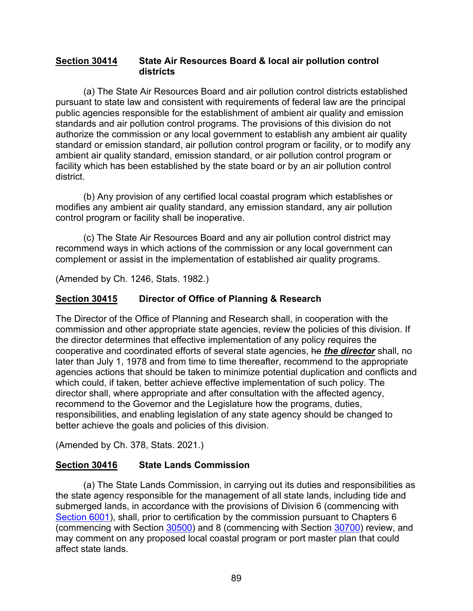#### <span id="page-90-0"></span>**Section 30414 State Air Resources Board & local air pollution control districts**

(a) The State Air Resources Board and air pollution control districts established pursuant to state law and consistent with requirements of federal law are the principal public agencies responsible for the establishment of ambient air quality and emission standards and air pollution control programs. The provisions of this division do not authorize the commission or any local government to establish any ambient air quality standard or emission standard, air pollution control program or facility, or to modify any ambient air quality standard, emission standard, or air pollution control program or facility which has been established by the state board or by an air pollution control district.

(b) Any provision of any certified local coastal program which establishes or modifies any ambient air quality standard, any emission standard, any air pollution control program or facility shall be inoperative.

(c) The State Air Resources Board and any air pollution control district may recommend ways in which actions of the commission or any local government can complement or assist in the implementation of established air quality programs.

(Amended by Ch. 1246, Stats. 1982.)

# <span id="page-90-1"></span>**Section 30415 Director of Office of Planning & Research**

The Director of the Office of Planning and Research shall, in cooperation with the commission and other appropriate state agencies, review the policies of this division. If the director determines that effective implementation of any policy requires the cooperative and coordinated efforts of several state agencies, he *the director* shall, no later than July 1, 1978 and from time to time thereafter, recommend to the appropriate agencies actions that should be taken to minimize potential duplication and conflicts and which could, if taken, better achieve effective implementation of such policy. The director shall, where appropriate and after consultation with the affected agency, recommend to the Governor and the Legislature how the programs, duties, responsibilities, and enabling legislation of any state agency should be changed to better achieve the goals and policies of this division.

(Amended by Ch. 378, Stats. 2021.)

# <span id="page-90-2"></span>**Section 30416 State Lands Commission**

(a) The State Lands Commission, in carrying out its duties and responsibilities as the state agency responsible for the management of all state lands, including tide and submerged lands, in accordance with the provisions of Division 6 (commencing with [Section 6001\)](http://leginfo.legislature.ca.gov/faces/codes_displayexpandedbranch.xhtml?tocCode=PRC&division=6.&title=&part=&chapter=&article=), shall, prior to certification by the commission pursuant to Chapters 6 (commencing with Section [30500\)](#page-96-0) and 8 (commencing with Section [30700\)](#page-156-0) review, and may comment on any proposed local coastal program or port master plan that could affect state lands.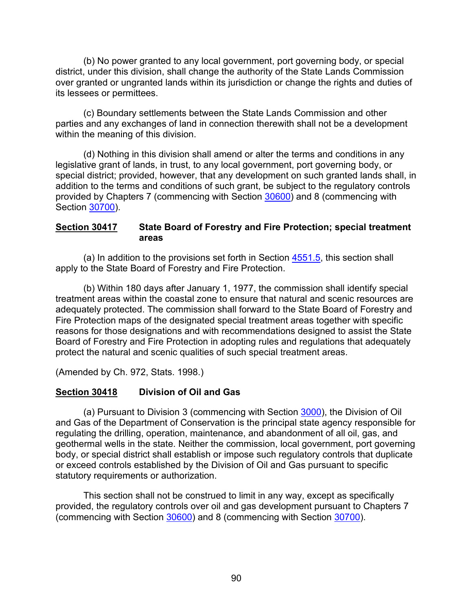(b) No power granted to any local government, port governing body, or special district, under this division, shall change the authority of the State Lands Commission over granted or ungranted lands within its jurisdiction or change the rights and duties of its lessees or permittees.

(c) Boundary settlements between the State Lands Commission and other parties and any exchanges of land in connection therewith shall not be a development within the meaning of this division.

(d) Nothing in this division shall amend or alter the terms and conditions in any legislative grant of lands, in trust, to any local government, port governing body, or special district; provided, however, that any development on such granted lands shall, in addition to the terms and conditions of such grant, be subject to the regulatory controls provided by Chapters 7 (commencing with Section [30600\)](#page-116-0) and 8 (commencing with Section [30700\)](#page-156-0).

#### <span id="page-91-0"></span>**Section 30417 State Board of Forestry and Fire Protection; special treatment areas**

(a) In addition to the provisions set forth in Section [4551.5,](https://leginfo.legislature.ca.gov/faces/codes_displaySection.xhtml?lawCode=PRC§ionNum=4551.5.) this section shall apply to the State Board of Forestry and Fire Protection.

(b) Within 180 days after January 1, 1977, the commission shall identify special treatment areas within the coastal zone to ensure that natural and scenic resources are adequately protected. The commission shall forward to the State Board of Forestry and Fire Protection maps of the designated special treatment areas together with specific reasons for those designations and with recommendations designed to assist the State Board of Forestry and Fire Protection in adopting rules and regulations that adequately protect the natural and scenic qualities of such special treatment areas.

(Amended by Ch. 972, Stats. 1998.)

# <span id="page-91-1"></span>**Section 30418 Division of Oil and Gas**

(a) Pursuant to Division 3 (commencing with Section [3000\)](https://leginfo.legislature.ca.gov/faces/codes_displaySection.xhtml?lawCode=PRC§ionNum=3000.), the Division of Oil and Gas of the Department of Conservation is the principal state agency responsible for regulating the drilling, operation, maintenance, and abandonment of all oil, gas, and geothermal wells in the state. Neither the commission, local government, port governing body, or special district shall establish or impose such regulatory controls that duplicate or exceed controls established by the Division of Oil and Gas pursuant to specific statutory requirements or authorization.

This section shall not be construed to limit in any way, except as specifically provided, the regulatory controls over oil and gas development pursuant to Chapters 7 (commencing with Section [30600\)](#page-116-0) and 8 (commencing with Section [30700\)](#page-156-0).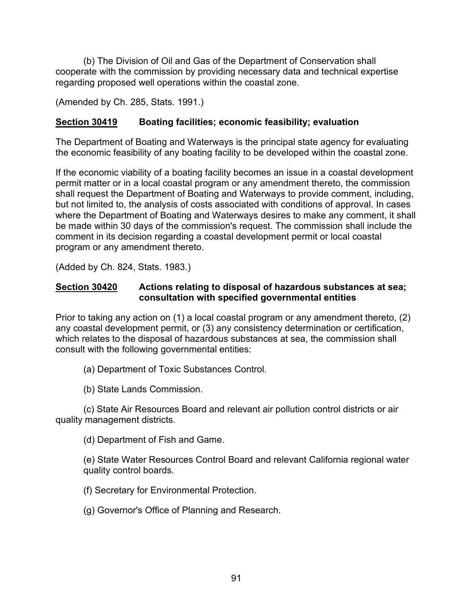(b) The Division of Oil and Gas of the Department of Conservation shall cooperate with the commission by providing necessary data and technical expertise regarding proposed well operations within the coastal zone.

(Amended by Ch. 285, Stats. 1991.)

### <span id="page-92-0"></span>**Section 30419 Boating facilities; economic feasibility; evaluation**

The Department of Boating and Waterways is the principal state agency for evaluating the economic feasibility of any boating facility to be developed within the coastal zone.

If the economic viability of a boating facility becomes an issue in a coastal development permit matter or in a local coastal program or any amendment thereto, the commission shall request the Department of Boating and Waterways to provide comment, including, but not limited to, the analysis of costs associated with conditions of approval. In cases where the Department of Boating and Waterways desires to make any comment, it shall be made within 30 days of the commission's request. The commission shall include the comment in its decision regarding a coastal development permit or local coastal program or any amendment thereto.

(Added by Ch. 824, Stats. 1983.)

#### <span id="page-92-1"></span>**Section 30420 Actions relating to disposal of hazardous substances at sea; consultation with specified governmental entities**

Prior to taking any action on (1) a local coastal program or any amendment thereto, (2) any coastal development permit, or (3) any consistency determination or certification, which relates to the disposal of hazardous substances at sea, the commission shall consult with the following governmental entities:

(a) Department of Toxic Substances Control.

(b) State Lands Commission.

(c) State Air Resources Board and relevant air pollution control districts or air quality management districts.

(d) Department of Fish and Game.

(e) State Water Resources Control Board and relevant California regional water quality control boards.

(f) Secretary for Environmental Protection.

(g) Governor's Office of Planning and Research.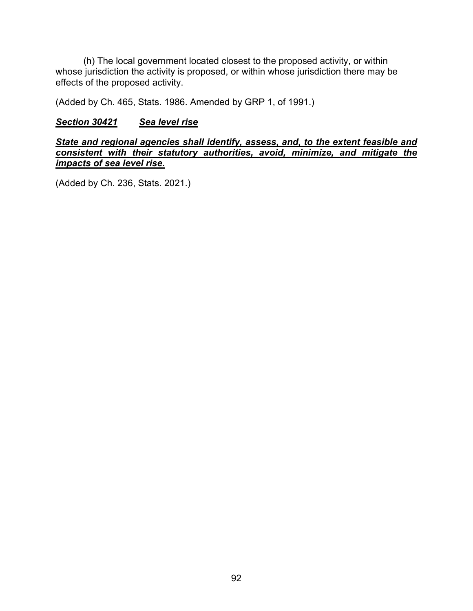(h) The local government located closest to the proposed activity, or within whose jurisdiction the activity is proposed, or within whose jurisdiction there may be effects of the proposed activity.

(Added by Ch. 465, Stats. 1986. Amended by GRP 1, of 1991.)

#### <span id="page-93-0"></span>*Section 30421 Sea level rise*

*State and regional agencies shall identify, assess, and, to the extent feasible and consistent with their statutory authorities, avoid, minimize, and mitigate the impacts of sea level rise.*

(Added by Ch. 236, Stats. 2021.)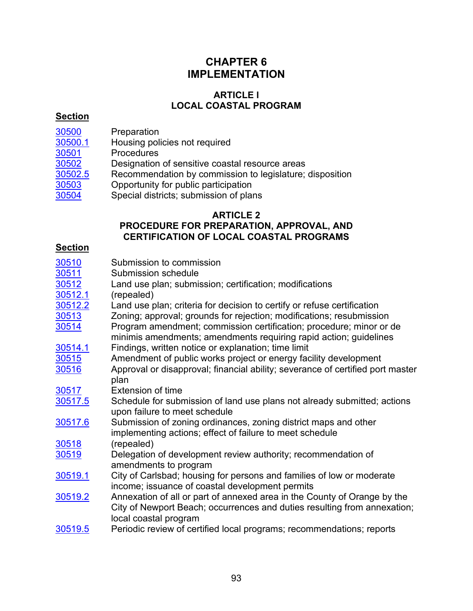# **CHAPTER 6 IMPLEMENTATION**

### **ARTICLE l LOCAL COASTAL PROGRAM**

### **Section**

- 
- [30500](#page-96-0) Preparation<br>30500.1 Housing poli [30500.1](#page-96-1) Housing policies not required<br>30501 Procedures
	- **Procedures**
- 
- [30502](#page-97-0) Designation of sensitive coastal resource areas<br>30502.5 Recommendation by commission to legislature; Recommendation by commission to legislature; disposition
- $\overline{30503}$  $\overline{30503}$  $\overline{30503}$  Opportunity for public participation
- [30504](#page-98-1) Special districts; submission of plans

### **ARTICLE 2**

# **PROCEDURE FOR PREPARATION, APPROVAL, AND CERTIFICATION OF LOCAL COASTAL PROGRAMS**

# **Section**

| 30510   | Submission to commission                                                       |
|---------|--------------------------------------------------------------------------------|
| 30511   | Submission schedule                                                            |
| 30512   | Land use plan; submission; certification; modifications                        |
| 30512.1 | (repealed)                                                                     |
| 30512.2 | Land use plan; criteria for decision to certify or refuse certification        |
| 30513   | Zoning; approval; grounds for rejection; modifications; resubmission           |
| 30514   | Program amendment; commission certification; procedure; minor or de            |
|         | minimis amendments; amendments requiring rapid action; guidelines              |
| 30514.1 | Findings, written notice or explanation; time limit                            |
| 30515   | Amendment of public works project or energy facility development               |
| 30516   | Approval or disapproval; financial ability; severance of certified port master |
|         | plan                                                                           |
| 30517   | <b>Extension of time</b>                                                       |
| 30517.5 | Schedule for submission of land use plans not already submitted; actions       |
|         | upon failure to meet schedule                                                  |
| 30517.6 | Submission of zoning ordinances, zoning district maps and other                |
|         | implementing actions; effect of failure to meet schedule                       |
| 30518   | (repealed)                                                                     |
| 30519   | Delegation of development review authority; recommendation of                  |
|         | amendments to program                                                          |
| 30519.1 | City of Carlsbad; housing for persons and families of low or moderate          |
|         | income; issuance of coastal development permits                                |
| 30519.2 | Annexation of all or part of annexed area in the County of Orange by the       |
|         | City of Newport Beach; occurrences and duties resulting from annexation;       |
|         | local coastal program                                                          |
| 20510E  | Deriodic review of certified local programs: recommendations: reports          |

[30519.5](#page-108-0) Periodic review of certified local programs; recommendations; reports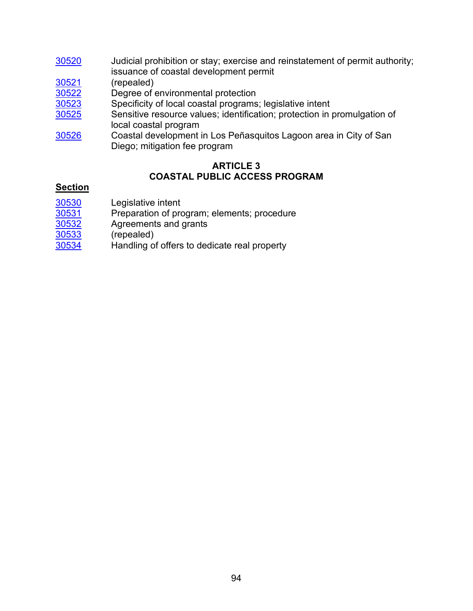- [30520](#page-108-1) Judicial prohibition or stay; exercise and reinstatement of permit authority; issuance of coastal development permit [30521](#page-109-0) (repealed) [30522](#page-109-1) Degree of environmental protection<br>30523 Specificity of local coastal programs Specificity of local coastal programs; legislative intent
- [30525](#page-109-3) Sensitive resource values; identification; protection in promulgation of local coastal program
- [30526](#page-110-0) Coastal development in Los Peñasquitos Lagoon area in City of San Diego; mitigation fee program

# **ARTICLE 3 COASTAL PUBLIC ACCESS PROGRAM**

# **Section**

- [30530](#page-111-0) Legislative intent<br>30531 Preparation of pro
- $\frac{30531}{30532}$  $\frac{30531}{30532}$  $\frac{30531}{30532}$  Preparation of program; elements; procedure  $\frac{30532}{30532}$
- Agreements and grants
- [30533](#page-113-1) (repealed)
- [30534](#page-113-2) Handling of offers to dedicate real property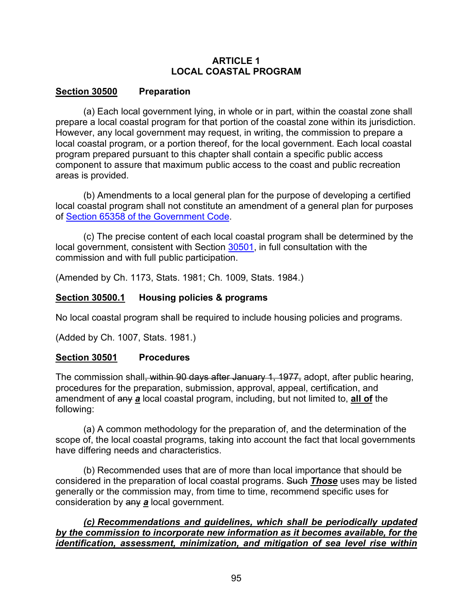### **ARTICLE 1 LOCAL COASTAL PROGRAM**

### <span id="page-96-0"></span>**Section 30500 Preparation**

(a) Each local government lying, in whole or in part, within the coastal zone shall prepare a local coastal program for that portion of the coastal zone within its jurisdiction. However, any local government may request, in writing, the commission to prepare a local coastal program, or a portion thereof, for the local government. Each local coastal program prepared pursuant to this chapter shall contain a specific public access component to assure that maximum public access to the coast and public recreation areas is provided.

(b) Amendments to a local general plan for the purpose of developing a certified local coastal program shall not constitute an amendment of a general plan for purposes of [Section 65358 of the Government Code.](http://leginfo.legislature.ca.gov/faces/codes_displayexpandedbranch.xhtml?tocCode=GOV&division=&title=7.&part=&chapter=&article=)

(c) The precise content of each local coastal program shall be determined by the local government, consistent with Section [30501,](#page-96-2) in full consultation with the commission and with full public participation.

(Amended by Ch. 1173, Stats. 1981; Ch. 1009, Stats. 1984.)

# <span id="page-96-1"></span>**Section 30500.1 Housing policies & programs**

No local coastal program shall be required to include housing policies and programs.

(Added by Ch. 1007, Stats. 1981.)

# <span id="page-96-2"></span>**Section 30501 Procedures**

The commission shall<del>, within 90 days after January 1, 1977,</del> adopt, after public hearing, procedures for the preparation, submission, approval, appeal, certification, and amendment of any *a* local coastal program, including, but not limited to, **all of** the following:

(a) A common methodology for the preparation of, and the determination of the scope of, the local coastal programs, taking into account the fact that local governments have differing needs and characteristics.

(b) Recommended uses that are of more than local importance that should be considered in the preparation of local coastal programs. Such *Those* uses may be listed generally or the commission may, from time to time, recommend specific uses for consideration by any *a* local government.

*(c) Recommendations and guidelines, which shall be periodically updated by the commission to incorporate new information as it becomes available, for the identification, assessment, minimization, and mitigation of sea level rise within*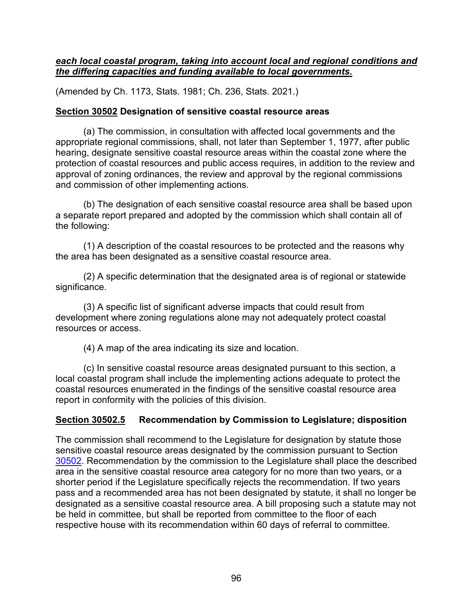#### *each local coastal program, taking into account local and regional conditions and the differing capacities and funding available to local governments.*

(Amended by Ch. 1173, Stats. 1981; Ch. 236, Stats. 2021.)

### <span id="page-97-0"></span>**Section 30502 Designation of sensitive coastal resource areas**

(a) The commission, in consultation with affected local governments and the appropriate regional commissions, shall, not later than September 1, 1977, after public hearing, designate sensitive coastal resource areas within the coastal zone where the protection of coastal resources and public access requires, in addition to the review and approval of zoning ordinances, the review and approval by the regional commissions and commission of other implementing actions.

(b) The designation of each sensitive coastal resource area shall be based upon a separate report prepared and adopted by the commission which shall contain all of the following:

(1) A description of the coastal resources to be protected and the reasons why the area has been designated as a sensitive coastal resource area.

(2) A specific determination that the designated area is of regional or statewide significance.

(3) A specific list of significant adverse impacts that could result from development where zoning regulations alone may not adequately protect coastal resources or access.

(4) A map of the area indicating its size and location.

(c) In sensitive coastal resource areas designated pursuant to this section, a local coastal program shall include the implementing actions adequate to protect the coastal resources enumerated in the findings of the sensitive coastal resource area report in conformity with the policies of this division.

# <span id="page-97-1"></span>**Section 30502.5 Recommendation by Commission to Legislature; disposition**

The commission shall recommend to the Legislature for designation by statute those sensitive coastal resource areas designated by the commission pursuant to Section [30502.](#page-97-0) Recommendation by the commission to the Legislature shall place the described area in the sensitive coastal resource area category for no more than two years, or a shorter period if the Legislature specifically rejects the recommendation. If two years pass and a recommended area has not been designated by statute, it shall no longer be designated as a sensitive coastal resource area. A bill proposing such a statute may not be held in committee, but shall be reported from committee to the floor of each respective house with its recommendation within 60 days of referral to committee.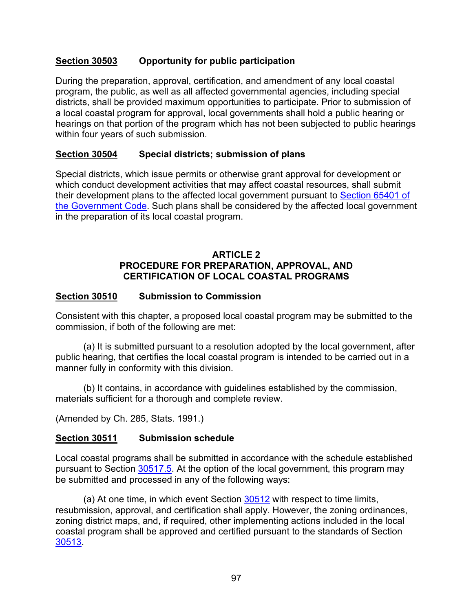### <span id="page-98-0"></span>**Section 30503 Opportunity for public participation**

During the preparation, approval, certification, and amendment of any local coastal program, the public, as well as all affected governmental agencies, including special districts, shall be provided maximum opportunities to participate. Prior to submission of a local coastal program for approval, local governments shall hold a public hearing or hearings on that portion of the program which has not been subjected to public hearings within four years of such submission.

#### <span id="page-98-1"></span>**Section 30504 Special districts; submission of plans**

Special districts, which issue permits or otherwise grant approval for development or which conduct development activities that may affect coastal resources, shall submit their development plans to the affected local government pursuant to [Section 65401 of](http://leginfo.legislature.ca.gov/faces/codes_displayexpandedbranch.xhtml?tocCode=GOV&division=&title=7.&part=&chapter=&article=)  [the Government Code.](http://leginfo.legislature.ca.gov/faces/codes_displayexpandedbranch.xhtml?tocCode=GOV&division=&title=7.&part=&chapter=&article=) Such plans shall be considered by the affected local government in the preparation of its local coastal program.

#### **ARTICLE 2 PROCEDURE FOR PREPARATION, APPROVAL, AND CERTIFICATION OF LOCAL COASTAL PROGRAMS**

### <span id="page-98-2"></span>**Section 30510 Submission to Commission**

Consistent with this chapter, a proposed local coastal program may be submitted to the commission, if both of the following are met:

(a) It is submitted pursuant to a resolution adopted by the local government, after public hearing, that certifies the local coastal program is intended to be carried out in a manner fully in conformity with this division.

(b) It contains, in accordance with guidelines established by the commission, materials sufficient for a thorough and complete review.

(Amended by Ch. 285, Stats. 1991.)

#### <span id="page-98-3"></span>**Section 30511 Submission schedule**

Local coastal programs shall be submitted in accordance with the schedule established pursuant to Section [30517.5.](#page-104-2) At the option of the local government, this program may be submitted and processed in any of the following ways:

(a) At one time, in which event Section  $30512$  with respect to time limits, resubmission, approval, and certification shall apply. However, the zoning ordinances, zoning district maps, and, if required, other implementing actions included in the local coastal program shall be approved and certified pursuant to the standards of Section [30513.](#page-100-2)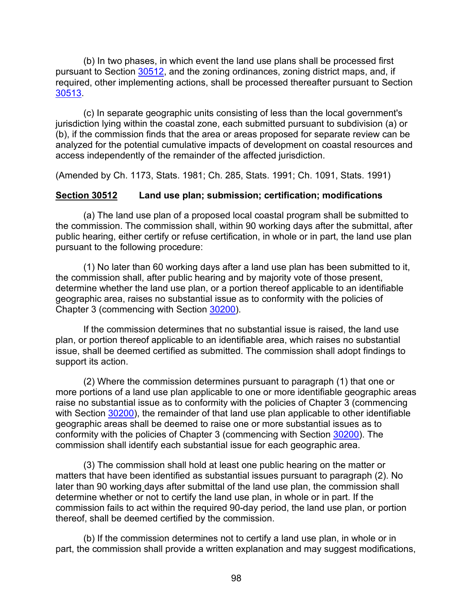(b) In two phases, in which event the land use plans shall be processed first pursuant to Section [30512,](#page-99-0) and the zoning ordinances, zoning district maps, and, if required, other implementing actions, shall be processed thereafter pursuant to Section [30513.](#page-100-2)

(c) In separate geographic units consisting of less than the local government's jurisdiction lying within the coastal zone, each submitted pursuant to subdivision (a) or (b), if the commission finds that the area or areas proposed for separate review can be analyzed for the potential cumulative impacts of development on coastal resources and access independently of the remainder of the affected jurisdiction.

(Amended by Ch. 1173, Stats. 1981; Ch. 285, Stats. 1991; Ch. 1091, Stats. 1991)

#### <span id="page-99-0"></span>**Section 30512 Land use plan; submission; certification; modifications**

(a) The land use plan of a proposed local coastal program shall be submitted to the commission. The commission shall, within 90 working days after the submittal, after public hearing, either certify or refuse certification, in whole or in part, the land use plan pursuant to the following procedure:

(1) No later than 60 working days after a land use plan has been submitted to it, the commission shall, after public hearing and by majority vote of those present, determine whether the land use plan, or a portion thereof applicable to an identifiable geographic area, raises no substantial issue as to conformity with the policies of Chapter 3 (commencing with Section [30200\)](#page-38-0).

If the commission determines that no substantial issue is raised, the land use plan, or portion thereof applicable to an identifiable area, which raises no substantial issue, shall be deemed certified as submitted. The commission shall adopt findings to support its action.

(2) Where the commission determines pursuant to paragraph (1) that one or more portions of a land use plan applicable to one or more identifiable geographic areas raise no substantial issue as to conformity with the policies of Chapter 3 (commencing with Section [30200\)](#page-38-0), the remainder of that land use plan applicable to other identifiable geographic areas shall be deemed to raise one or more substantial issues as to conformity with the policies of Chapter 3 (commencing with Section [30200\)](#page-38-0). The commission shall identify each substantial issue for each geographic area.

(3) The commission shall hold at least one public hearing on the matter or matters that have been identified as substantial issues pursuant to paragraph (2). No later than 90 working days after submittal of the land use plan, the commission shall determine whether or not to certify the land use plan, in whole or in part. If the commission fails to act within the required 90-day period, the land use plan, or portion thereof, shall be deemed certified by the commission.

(b) If the commission determines not to certify a land use plan, in whole or in part, the commission shall provide a written explanation and may suggest modifications,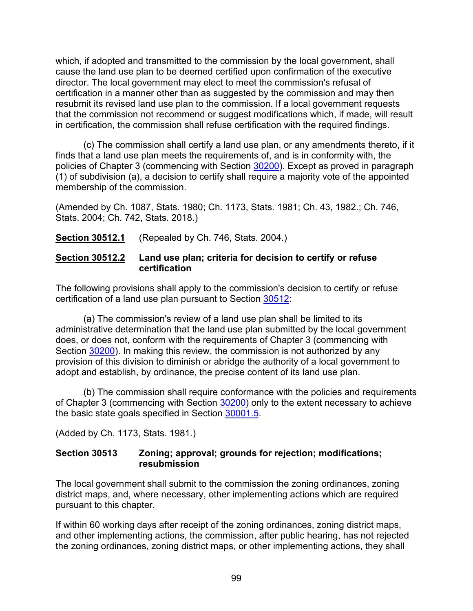which, if adopted and transmitted to the commission by the local government, shall cause the land use plan to be deemed certified upon confirmation of the executive director. The local government may elect to meet the commission's refusal of certification in a manner other than as suggested by the commission and may then resubmit its revised land use plan to the commission. If a local government requests that the commission not recommend or suggest modifications which, if made, will result in certification, the commission shall refuse certification with the required findings.

(c) The commission shall certify a land use plan, or any amendments thereto, if it finds that a land use plan meets the requirements of, and is in conformity with, the policies of Chapter 3 (commencing with Section [30200\)](#page-38-0). Except as proved in paragraph (1) of subdivision (a), a decision to certify shall require a majority vote of the appointed membership of the commission.

(Amended by Ch. 1087, Stats. 1980; Ch. 1173, Stats. 1981; Ch. 43, 1982.; Ch. 746, Stats. 2004; Ch. 742, Stats. 2018.)

<span id="page-100-0"></span>**Section 30512.1** (Repealed by Ch. 746, Stats. 2004.)

#### <span id="page-100-1"></span>**Section 30512.2 Land use plan; criteria for decision to certify or refuse certification**

The following provisions shall apply to the commission's decision to certify or refuse certification of a land use plan pursuant to Section [30512:](#page-99-0)

(a) The commission's review of a land use plan shall be limited to its administrative determination that the land use plan submitted by the local government does, or does not, conform with the requirements of Chapter 3 (commencing with Section [30200\)](#page-38-0). In making this review, the commission is not authorized by any provision of this division to diminish or abridge the authority of a local government to adopt and establish, by ordinance, the precise content of its land use plan.

(b) The commission shall require conformance with the policies and requirements of Chapter 3 (commencing with Section [30200\)](#page-38-0) only to the extent necessary to achieve the basic state goals specified in Section [30001.5.](#page-3-0)

<span id="page-100-2"></span>(Added by Ch. 1173, Stats. 1981.)

#### **Section 30513 Zoning; approval; grounds for rejection; modifications; resubmission**

The local government shall submit to the commission the zoning ordinances, zoning district maps, and, where necessary, other implementing actions which are required pursuant to this chapter.

If within 60 working days after receipt of the zoning ordinances, zoning district maps, and other implementing actions, the commission, after public hearing, has not rejected the zoning ordinances, zoning district maps, or other implementing actions, they shall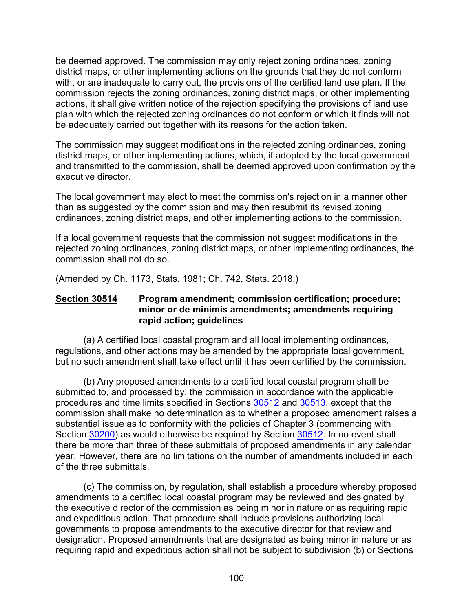be deemed approved. The commission may only reject zoning ordinances, zoning district maps, or other implementing actions on the grounds that they do not conform with, or are inadequate to carry out, the provisions of the certified land use plan. If the commission rejects the zoning ordinances, zoning district maps, or other implementing actions, it shall give written notice of the rejection specifying the provisions of land use plan with which the rejected zoning ordinances do not conform or which it finds will not be adequately carried out together with its reasons for the action taken.

The commission may suggest modifications in the rejected zoning ordinances, zoning district maps, or other implementing actions, which, if adopted by the local government and transmitted to the commission, shall be deemed approved upon confirmation by the executive director.

The local government may elect to meet the commission's rejection in a manner other than as suggested by the commission and may then resubmit its revised zoning ordinances, zoning district maps, and other implementing actions to the commission.

If a local government requests that the commission not suggest modifications in the rejected zoning ordinances, zoning district maps, or other implementing ordinances, the commission shall not do so.

(Amended by Ch. 1173, Stats. 1981; Ch. 742, Stats. 2018.)

#### <span id="page-101-0"></span>**Section 30514 Program amendment; commission certification; procedure; minor or de minimis amendments; amendments requiring rapid action; guidelines**

(a) A certified local coastal program and all local implementing ordinances, regulations, and other actions may be amended by the appropriate local government, but no such amendment shall take effect until it has been certified by the commission.

(b) Any proposed amendments to a certified local coastal program shall be submitted to, and processed by, the commission in accordance with the applicable procedures and time limits specified in Sections [30512](#page-99-0) and [30513,](#page-100-2) except that the commission shall make no determination as to whether a proposed amendment raises a substantial issue as to conformity with the policies of Chapter 3 (commencing with Section [30200\)](#page-38-0) as would otherwise be required by Section [30512.](#page-99-0) In no event shall there be more than three of these submittals of proposed amendments in any calendar year. However, there are no limitations on the number of amendments included in each of the three submittals.

(c) The commission, by regulation, shall establish a procedure whereby proposed amendments to a certified local coastal program may be reviewed and designated by the executive director of the commission as being minor in nature or as requiring rapid and expeditious action. That procedure shall include provisions authorizing local governments to propose amendments to the executive director for that review and designation. Proposed amendments that are designated as being minor in nature or as requiring rapid and expeditious action shall not be subject to subdivision (b) or Sections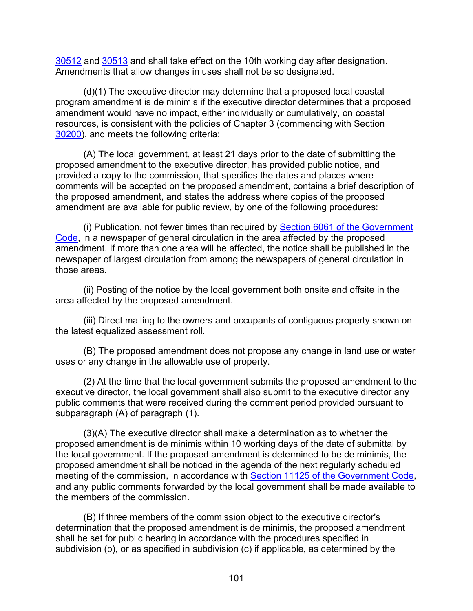[30512](#page-99-0) and [30513](#page-100-2) and shall take effect on the 10th working day after designation. Amendments that allow changes in uses shall not be so designated.

(d)(1) The executive director may determine that a proposed local coastal program amendment is de minimis if the executive director determines that a proposed amendment would have no impact, either individually or cumulatively, on coastal resources, is consistent with the policies of Chapter 3 (commencing with Section [30200\)](#page-38-0), and meets the following criteria:

(A) The local government, at least 21 days prior to the date of submitting the proposed amendment to the executive director, has provided public notice, and provided a copy to the commission, that specifies the dates and places where comments will be accepted on the proposed amendment, contains a brief description of the proposed amendment, and states the address where copies of the proposed amendment are available for public review, by one of the following procedures:

(i) Publication, not fewer times than required by **Section 6061 of the Government** [Code,](http://leginfo.legislature.ca.gov/faces/codes_displayexpandedbranch.xhtml?tocCode=GOV&division=&title=1.&part=&chapter=&article=) in a newspaper of general circulation in the area affected by the proposed amendment. If more than one area will be affected, the notice shall be published in the newspaper of largest circulation from among the newspapers of general circulation in those areas.

(ii) Posting of the notice by the local government both onsite and offsite in the area affected by the proposed amendment.

(iii) Direct mailing to the owners and occupants of contiguous property shown on the latest equalized assessment roll.

(B) The proposed amendment does not propose any change in land use or water uses or any change in the allowable use of property.

(2) At the time that the local government submits the proposed amendment to the executive director, the local government shall also submit to the executive director any public comments that were received during the comment period provided pursuant to subparagraph (A) of paragraph (1).

(3)(A) The executive director shall make a determination as to whether the proposed amendment is de minimis within 10 working days of the date of submittal by the local government. If the proposed amendment is determined to be de minimis, the proposed amendment shall be noticed in the agenda of the next regularly scheduled meeting of the commission, in accordance with [Section 11125 of the Government Code,](http://leginfo.legislature.ca.gov/faces/codes_displayexpandedbranch.xhtml?tocCode=GOV&division=&title=2.&part=&chapter=&article=) and any public comments forwarded by the local government shall be made available to the members of the commission.

(B) If three members of the commission object to the executive director's determination that the proposed amendment is de minimis, the proposed amendment shall be set for public hearing in accordance with the procedures specified in subdivision (b), or as specified in subdivision (c) if applicable, as determined by the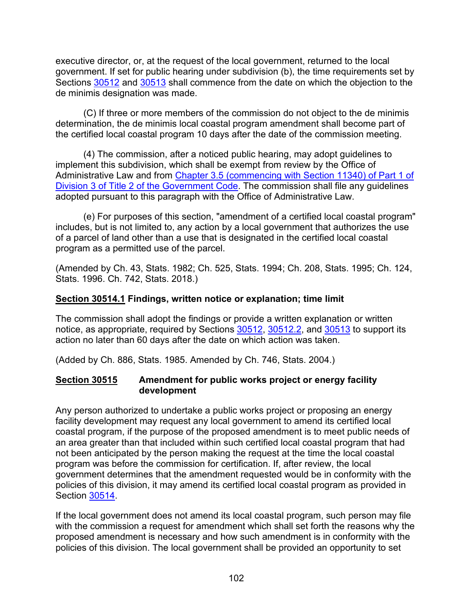executive director, or, at the request of the local government, returned to the local government. If set for public hearing under subdivision (b), the time requirements set by Sections [30512](#page-99-0) and [30513](#page-100-2) shall commence from the date on which the objection to the de minimis designation was made.

(C) If three or more members of the commission do not object to the de minimis determination, the de minimis local coastal program amendment shall become part of the certified local coastal program 10 days after the date of the commission meeting.

(4) The commission, after a noticed public hearing, may adopt guidelines to implement this subdivision, which shall be exempt from review by the Office of Administrative Law and from [Chapter 3.5 \(commencing with Section 11340\) of Part 1 of](http://leginfo.legislature.ca.gov/faces/codes_displayText.xhtml?lawCode=GOV&division=3.&title=2.&part=1.&chapter=3.5.&article=1.)  [Division 3 of Title 2 of the Government Code.](http://leginfo.legislature.ca.gov/faces/codes_displayText.xhtml?lawCode=GOV&division=3.&title=2.&part=1.&chapter=3.5.&article=1.) The commission shall file any guidelines adopted pursuant to this paragraph with the Office of Administrative Law.

(e) For purposes of this section, "amendment of a certified local coastal program" includes, but is not limited to, any action by a local government that authorizes the use of a parcel of land other than a use that is designated in the certified local coastal program as a permitted use of the parcel.

(Amended by Ch. 43, Stats. 1982; Ch. 525, Stats. 1994; Ch. 208, Stats. 1995; Ch. 124, Stats. 1996. Ch. 742, Stats. 2018.)

### <span id="page-103-0"></span>**Section 30514.1 Findings, written notice or explanation; time limit**

The commission shall adopt the findings or provide a written explanation or written notice, as appropriate, required by Sections [30512,](#page-99-0) [30512.2,](#page-100-1) and [30513](#page-100-2) to support its action no later than 60 days after the date on which action was taken.

(Added by Ch. 886, Stats. 1985. Amended by Ch. 746, Stats. 2004.)

#### <span id="page-103-1"></span>**Section 30515 Amendment for public works project or energy facility development**

Any person authorized to undertake a public works project or proposing an energy facility development may request any local government to amend its certified local coastal program, if the purpose of the proposed amendment is to meet public needs of an area greater than that included within such certified local coastal program that had not been anticipated by the person making the request at the time the local coastal program was before the commission for certification. If, after review, the local government determines that the amendment requested would be in conformity with the policies of this division, it may amend its certified local coastal program as provided in Section [30514.](#page-101-0)

If the local government does not amend its local coastal program, such person may file with the commission a request for amendment which shall set forth the reasons why the proposed amendment is necessary and how such amendment is in conformity with the policies of this division. The local government shall be provided an opportunity to set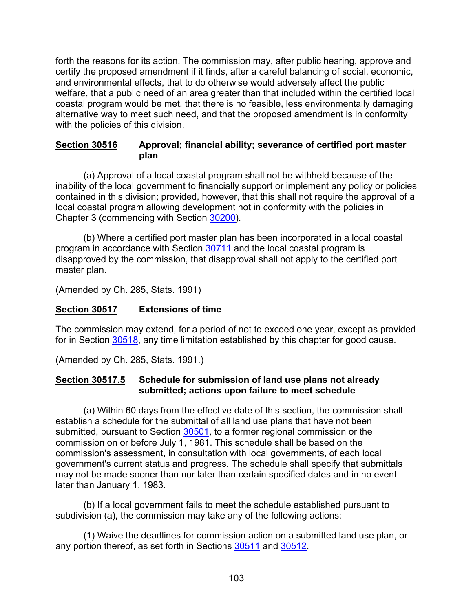forth the reasons for its action. The commission may, after public hearing, approve and certify the proposed amendment if it finds, after a careful balancing of social, economic, and environmental effects, that to do otherwise would adversely affect the public welfare, that a public need of an area greater than that included within the certified local coastal program would be met, that there is no feasible, less environmentally damaging alternative way to meet such need, and that the proposed amendment is in conformity with the policies of this division.

### <span id="page-104-0"></span>**Section 30516 Approval; financial ability; severance of certified port master plan**

(a) Approval of a local coastal program shall not be withheld because of the inability of the local government to financially support or implement any policy or policies contained in this division; provided, however, that this shall not require the approval of a local coastal program allowing development not in conformity with the policies in Chapter 3 (commencing with Section [30200\)](#page-38-0).

(b) Where a certified port master plan has been incorporated in a local coastal program in accordance with Section [30711](#page-159-0) and the local coastal program is disapproved by the commission, that disapproval shall not apply to the certified port master plan.

(Amended by Ch. 285, Stats. 1991)

# <span id="page-104-1"></span>**Section 30517 Extensions of time**

The commission may extend, for a period of not to exceed one year, except as provided for in Section [30518,](#page-105-0) any time limitation established by this chapter for good cause.

(Amended by Ch. 285, Stats. 1991.)

### <span id="page-104-2"></span>**Section 30517.5 Schedule for submission of land use plans not already submitted; actions upon failure to meet schedule**

(a) Within 60 days from the effective date of this section, the commission shall establish a schedule for the submittal of all land use plans that have not been submitted, pursuant to Section [30501,](#page-96-2) to a former regional commission or the commission on or before July 1, 1981. This schedule shall be based on the commission's assessment, in consultation with local governments, of each local government's current status and progress. The schedule shall specify that submittals may not be made sooner than nor later than certain specified dates and in no event later than January 1, 1983.

(b) If a local government fails to meet the schedule established pursuant to subdivision (a), the commission may take any of the following actions:

(1) Waive the deadlines for commission action on a submitted land use plan, or any portion thereof, as set forth in Sections [30511](#page-98-3) and [30512.](#page-99-0)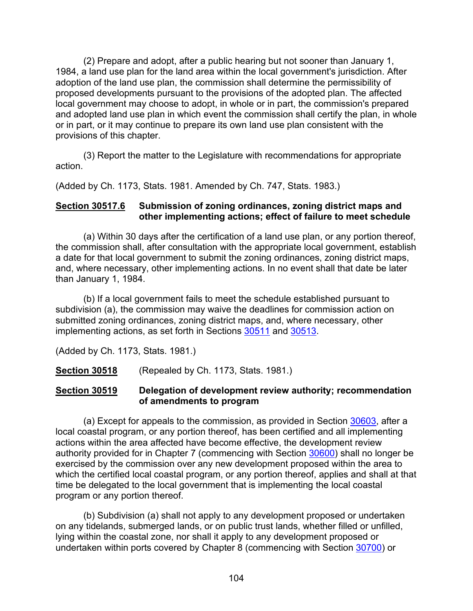(2) Prepare and adopt, after a public hearing but not sooner than January 1, 1984, a land use plan for the land area within the local government's jurisdiction. After adoption of the land use plan, the commission shall determine the permissibility of proposed developments pursuant to the provisions of the adopted plan. The affected local government may choose to adopt, in whole or in part, the commission's prepared and adopted land use plan in which event the commission shall certify the plan, in whole or in part, or it may continue to prepare its own land use plan consistent with the provisions of this chapter.

(3) Report the matter to the Legislature with recommendations for appropriate action.

(Added by Ch. 1173, Stats. 1981. Amended by Ch. 747, Stats. 1983.)

### <span id="page-105-2"></span>**Section 30517.6 Submission of zoning ordinances, zoning district maps and other implementing actions; effect of failure to meet schedule**

(a) Within 30 days after the certification of a land use plan, or any portion thereof, the commission shall, after consultation with the appropriate local government, establish a date for that local government to submit the zoning ordinances, zoning district maps, and, where necessary, other implementing actions. In no event shall that date be later than January 1, 1984.

(b) If a local government fails to meet the schedule established pursuant to subdivision (a), the commission may waive the deadlines for commission action on submitted zoning ordinances, zoning district maps, and, where necessary, other implementing actions, as set forth in Sections [30511](#page-98-3) and [30513.](#page-100-2)

(Added by Ch. 1173, Stats. 1981.)

<span id="page-105-0"></span>**Section 30518** (Repealed by Ch. 1173, Stats. 1981.)

#### <span id="page-105-1"></span>**Section 30519 Delegation of development review authority; recommendation of amendments to program**

(a) Except for appeals to the commission, as provided in Section [30603,](#page-122-0) after a local coastal program, or any portion thereof, has been certified and all implementing actions within the area affected have become effective, the development review authority provided for in Chapter 7 (commencing with Section [30600\)](#page-116-0) shall no longer be exercised by the commission over any new development proposed within the area to which the certified local coastal program, or any portion thereof, applies and shall at that time be delegated to the local government that is implementing the local coastal program or any portion thereof.

(b) Subdivision (a) shall not apply to any development proposed or undertaken on any tidelands, submerged lands, or on public trust lands, whether filled or unfilled, lying within the coastal zone, nor shall it apply to any development proposed or undertaken within ports covered by Chapter 8 (commencing with Section [30700\)](#page-156-0) or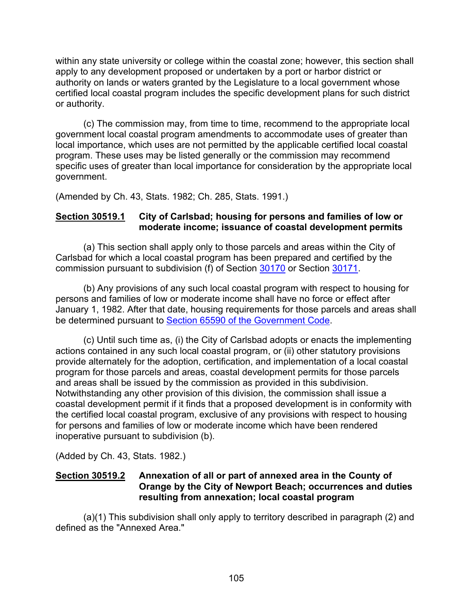within any state university or college within the coastal zone; however, this section shall apply to any development proposed or undertaken by a port or harbor district or authority on lands or waters granted by the Legislature to a local government whose certified local coastal program includes the specific development plans for such district or authority.

(c) The commission may, from time to time, recommend to the appropriate local government local coastal program amendments to accommodate uses of greater than local importance, which uses are not permitted by the applicable certified local coastal program. These uses may be listed generally or the commission may recommend specific uses of greater than local importance for consideration by the appropriate local government.

(Amended by Ch. 43, Stats. 1982; Ch. 285, Stats. 1991.)

### <span id="page-106-0"></span>**Section 30519.1 City of Carlsbad; housing for persons and families of low or moderate income; issuance of coastal development permits**

(a) This section shall apply only to those parcels and areas within the City of Carlsbad for which a local coastal program has been prepared and certified by the commission pursuant to subdivision (f) of Section [30170](#page-27-0) or Section [30171.](#page-32-0)

(b) Any provisions of any such local coastal program with respect to housing for persons and families of low or moderate income shall have no force or effect after January 1, 1982. After that date, housing requirements for those parcels and areas shall be determined pursuant to [Section 65590 of the Government Code.](http://leginfo.legislature.ca.gov/faces/codes_displayexpandedbranch.xhtml?tocCode=GOV&division=&title=7.&part=&chapter=&article=)

(c) Until such time as, (i) the City of Carlsbad adopts or enacts the implementing actions contained in any such local coastal program, or (ii) other statutory provisions provide alternately for the adoption, certification, and implementation of a local coastal program for those parcels and areas, coastal development permits for those parcels and areas shall be issued by the commission as provided in this subdivision. Notwithstanding any other provision of this division, the commission shall issue a coastal development permit if it finds that a proposed development is in conformity with the certified local coastal program, exclusive of any provisions with respect to housing for persons and families of low or moderate income which have been rendered inoperative pursuant to subdivision (b).

(Added by Ch. 43, Stats. 1982.)

### <span id="page-106-1"></span>**Section 30519.2 Annexation of all or part of annexed area in the County of Orange by the City of Newport Beach; occurrences and duties resulting from annexation; local coastal program**

(a)(1) This subdivision shall only apply to territory described in paragraph (2) and defined as the "Annexed Area."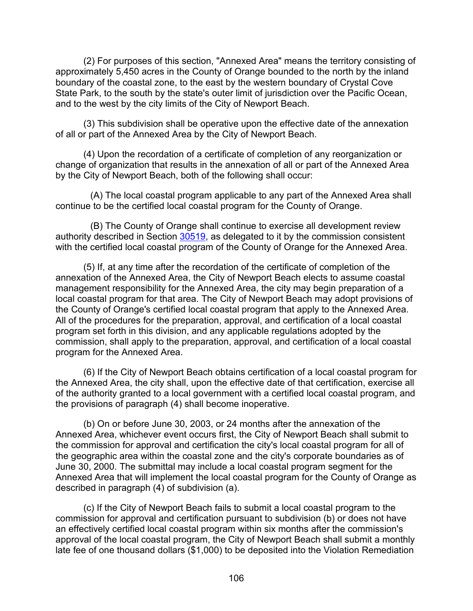(2) For purposes of this section, "Annexed Area" means the territory consisting of approximately 5,450 acres in the County of Orange bounded to the north by the inland boundary of the coastal zone, to the east by the western boundary of Crystal Cove State Park, to the south by the state's outer limit of jurisdiction over the Pacific Ocean, and to the west by the city limits of the City of Newport Beach.

(3) This subdivision shall be operative upon the effective date of the annexation of all or part of the Annexed Area by the City of Newport Beach.

(4) Upon the recordation of a certificate of completion of any reorganization or change of organization that results in the annexation of all or part of the Annexed Area by the City of Newport Beach, both of the following shall occur:

(A) The local coastal program applicable to any part of the Annexed Area shall continue to be the certified local coastal program for the County of Orange.

(B) The County of Orange shall continue to exercise all development review authority described in Section [30519,](#page-105-1) as delegated to it by the commission consistent with the certified local coastal program of the County of Orange for the Annexed Area.

(5) If, at any time after the recordation of the certificate of completion of the annexation of the Annexed Area, the City of Newport Beach elects to assume coastal management responsibility for the Annexed Area, the city may begin preparation of a local coastal program for that area. The City of Newport Beach may adopt provisions of the County of Orange's certified local coastal program that apply to the Annexed Area. All of the procedures for the preparation, approval, and certification of a local coastal program set forth in this division, and any applicable regulations adopted by the commission, shall apply to the preparation, approval, and certification of a local coastal program for the Annexed Area.

(6) If the City of Newport Beach obtains certification of a local coastal program for the Annexed Area, the city shall, upon the effective date of that certification, exercise all of the authority granted to a local government with a certified local coastal program, and the provisions of paragraph (4) shall become inoperative.

(b) On or before June 30, 2003, or 24 months after the annexation of the Annexed Area, whichever event occurs first, the City of Newport Beach shall submit to the commission for approval and certification the city's local coastal program for all of the geographic area within the coastal zone and the city's corporate boundaries as of June 30, 2000. The submittal may include a local coastal program segment for the Annexed Area that will implement the local coastal program for the County of Orange as described in paragraph (4) of subdivision (a).

(c) If the City of Newport Beach fails to submit a local coastal program to the commission for approval and certification pursuant to subdivision (b) or does not have an effectively certified local coastal program within six months after the commission's approval of the local coastal program, the City of Newport Beach shall submit a monthly late fee of one thousand dollars (\$1,000) to be deposited into the Violation Remediation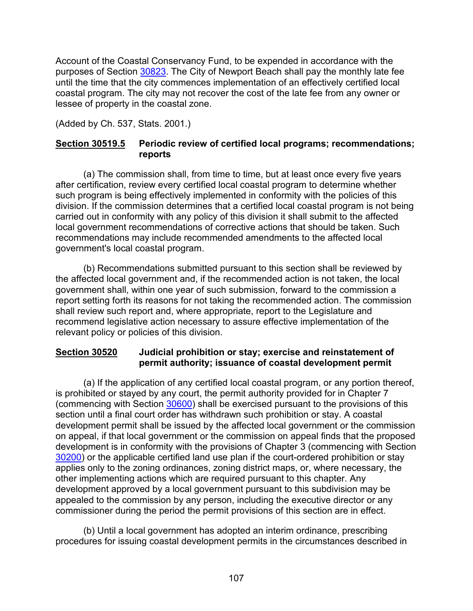Account of the Coastal Conservancy Fund, to be expended in accordance with the purposes of Section [30823.](#page-178-0) The City of Newport Beach shall pay the monthly late fee until the time that the city commences implementation of an effectively certified local coastal program. The city may not recover the cost of the late fee from any owner or lessee of property in the coastal zone.

(Added by Ch. 537, Stats. 2001.)

# **Section 30519.5 Periodic review of certified local programs; recommendations; reports**

(a) The commission shall, from time to time, but at least once every five years after certification, review every certified local coastal program to determine whether such program is being effectively implemented in conformity with the policies of this division. If the commission determines that a certified local coastal program is not being carried out in conformity with any policy of this division it shall submit to the affected local government recommendations of corrective actions that should be taken. Such recommendations may include recommended amendments to the affected local government's local coastal program.

(b) Recommendations submitted pursuant to this section shall be reviewed by the affected local government and, if the recommended action is not taken, the local government shall, within one year of such submission, forward to the commission a report setting forth its reasons for not taking the recommended action. The commission shall review such report and, where appropriate, report to the Legislature and recommend legislative action necessary to assure effective implementation of the relevant policy or policies of this division.

# **Section 30520 Judicial prohibition or stay; exercise and reinstatement of permit authority; issuance of coastal development permit**

(a) If the application of any certified local coastal program, or any portion thereof, is prohibited or stayed by any court, the permit authority provided for in Chapter 7 (commencing with Section [30600\)](#page-116-0) shall be exercised pursuant to the provisions of this section until a final court order has withdrawn such prohibition or stay. A coastal development permit shall be issued by the affected local government or the commission on appeal, if that local government or the commission on appeal finds that the proposed development is in conformity with the provisions of Chapter 3 (commencing with Section [30200\)](#page-38-0) or the applicable certified land use plan if the court-ordered prohibition or stay applies only to the zoning ordinances, zoning district maps, or, where necessary, the other implementing actions which are required pursuant to this chapter. Any development approved by a local government pursuant to this subdivision may be appealed to the commission by any person, including the executive director or any commissioner during the period the permit provisions of this section are in effect.

(b) Until a local government has adopted an interim ordinance, prescribing procedures for issuing coastal development permits in the circumstances described in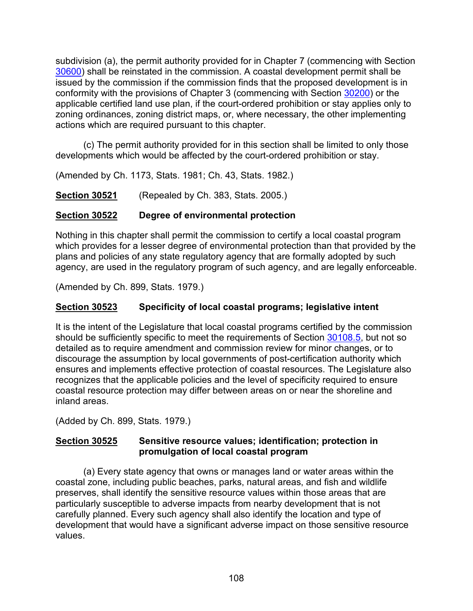subdivision (a), the permit authority provided for in Chapter 7 (commencing with Section [30600\)](#page-116-0) shall be reinstated in the commission. A coastal development permit shall be issued by the commission if the commission finds that the proposed development is in conformity with the provisions of Chapter 3 (commencing with Section [30200\)](#page-38-0) or the applicable certified land use plan, if the court-ordered prohibition or stay applies only to zoning ordinances, zoning district maps, or, where necessary, the other implementing actions which are required pursuant to this chapter.

(c) The permit authority provided for in this section shall be limited to only those developments which would be affected by the court-ordered prohibition or stay.

(Amended by Ch. 1173, Stats. 1981; Ch. 43, Stats. 1982.)

**Section 30521** (Repealed by Ch. 383, Stats. 2005.)

# **Section 30522 Degree of environmental protection**

Nothing in this chapter shall permit the commission to certify a local coastal program which provides for a lesser degree of environmental protection than that provided by the plans and policies of any state regulatory agency that are formally adopted by such agency, are used in the regulatory program of such agency, and are legally enforceable.

(Amended by Ch. 899, Stats. 1979.)

# **Section 30523 Specificity of local coastal programs; legislative intent**

It is the intent of the Legislature that local coastal programs certified by the commission should be sufficiently specific to meet the requirements of Section [30108.5,](#page-14-0) but not so detailed as to require amendment and commission review for minor changes, or to discourage the assumption by local governments of post-certification authority which ensures and implements effective protection of coastal resources. The Legislature also recognizes that the applicable policies and the level of specificity required to ensure coastal resource protection may differ between areas on or near the shoreline and inland areas.

(Added by Ch. 899, Stats. 1979.)

# **Section 30525 Sensitive resource values; identification; protection in promulgation of local coastal program**

(a) Every state agency that owns or manages land or water areas within the coastal zone, including public beaches, parks, natural areas, and fish and wildlife preserves, shall identify the sensitive resource values within those areas that are particularly susceptible to adverse impacts from nearby development that is not carefully planned. Every such agency shall also identify the location and type of development that would have a significant adverse impact on those sensitive resource values.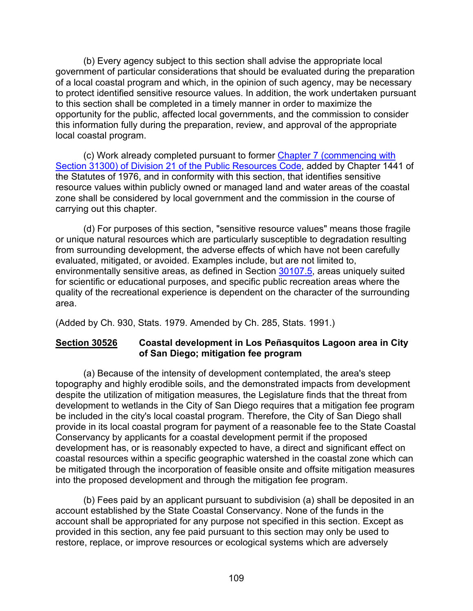(b) Every agency subject to this section shall advise the appropriate local government of particular considerations that should be evaluated during the preparation of a local coastal program and which, in the opinion of such agency, may be necessary to protect identified sensitive resource values. In addition, the work undertaken pursuant to this section shall be completed in a timely manner in order to maximize the opportunity for the public, affected local governments, and the commission to consider this information fully during the preparation, review, and approval of the appropriate local coastal program.

(c) Work already completed pursuant to former [Chapter 7 \(commencing with](http://leginfo.legislature.ca.gov/faces/codes_displayexpandedbranch.xhtml?tocCode=PRC&division=21.&title=&part=&chapter=&article=)  [Section 31300\) of Division 21 of the Public Resources Code,](http://leginfo.legislature.ca.gov/faces/codes_displayexpandedbranch.xhtml?tocCode=PRC&division=21.&title=&part=&chapter=&article=) added by Chapter 1441 of the Statutes of 1976, and in conformity with this section, that identifies sensitive resource values within publicly owned or managed land and water areas of the coastal zone shall be considered by local government and the commission in the course of carrying out this chapter.

(d) For purposes of this section, "sensitive resource values" means those fragile or unique natural resources which are particularly susceptible to degradation resulting from surrounding development, the adverse effects of which have not been carefully evaluated, mitigated, or avoided. Examples include, but are not limited to, environmentally sensitive areas, as defined in Section [30107.5,](#page-12-0) areas uniquely suited for scientific or educational purposes, and specific public recreation areas where the quality of the recreational experience is dependent on the character of the surrounding area.

(Added by Ch. 930, Stats. 1979. Amended by Ch. 285, Stats. 1991.)

# **Section 30526 Coastal development in Los Peñasquitos Lagoon area in City of San Diego; mitigation fee program**

(a) Because of the intensity of development contemplated, the area's steep topography and highly erodible soils, and the demonstrated impacts from development despite the utilization of mitigation measures, the Legislature finds that the threat from development to wetlands in the City of San Diego requires that a mitigation fee program be included in the city's local coastal program. Therefore, the City of San Diego shall provide in its local coastal program for payment of a reasonable fee to the State Coastal Conservancy by applicants for a coastal development permit if the proposed development has, or is reasonably expected to have, a direct and significant effect on coastal resources within a specific geographic watershed in the coastal zone which can be mitigated through the incorporation of feasible onsite and offsite mitigation measures into the proposed development and through the mitigation fee program.

(b) Fees paid by an applicant pursuant to subdivision (a) shall be deposited in an account established by the State Coastal Conservancy. None of the funds in the account shall be appropriated for any purpose not specified in this section. Except as provided in this section, any fee paid pursuant to this section may only be used to restore, replace, or improve resources or ecological systems which are adversely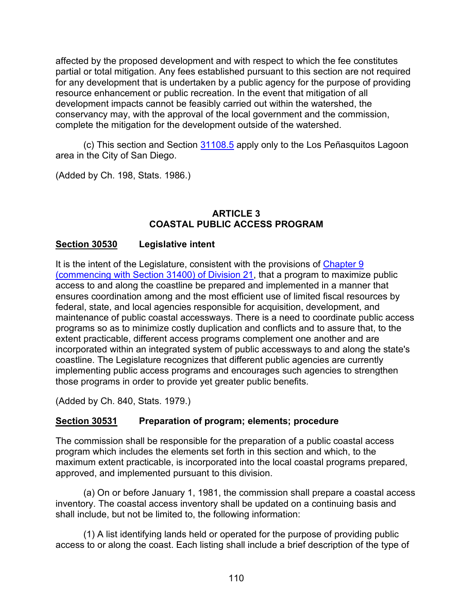affected by the proposed development and with respect to which the fee constitutes partial or total mitigation. Any fees established pursuant to this section are not required for any development that is undertaken by a public agency for the purpose of providing resource enhancement or public recreation. In the event that mitigation of all development impacts cannot be feasibly carried out within the watershed, the conservancy may, with the approval of the local government and the commission, complete the mitigation for the development outside of the watershed.

(c) This section and Section [31108.5](https://leginfo.legislature.ca.gov/faces/codes_displaySection.xhtml?lawCode=PRC§ionNum=31108.5.) apply only to the Los Peñasquitos Lagoon area in the City of San Diego.

(Added by Ch. 198, Stats. 1986.)

### **ARTICLE 3 COASTAL PUBLIC ACCESS PROGRAM**

# **Section 30530 Legislative intent**

It is the intent of the Legislature, consistent with the provisions of Chapter 9 [\(commencing with Section 31400\) of Division 21,](https://leginfo.legislature.ca.gov/faces/codes_displayText.xhtml?lawCode=PRC&division=21.&title=&part=&chapter=9.&article=) that a program to maximize public access to and along the coastline be prepared and implemented in a manner that ensures coordination among and the most efficient use of limited fiscal resources by federal, state, and local agencies responsible for acquisition, development, and maintenance of public coastal accessways. There is a need to coordinate public access programs so as to minimize costly duplication and conflicts and to assure that, to the extent practicable, different access programs complement one another and are incorporated within an integrated system of public accessways to and along the state's coastline. The Legislature recognizes that different public agencies are currently implementing public access programs and encourages such agencies to strengthen those programs in order to provide yet greater public benefits.

(Added by Ch. 840, Stats. 1979.)

#### <span id="page-111-0"></span>**Section 30531 Preparation of program; elements; procedure**

The commission shall be responsible for the preparation of a public coastal access program which includes the elements set forth in this section and which, to the maximum extent practicable, is incorporated into the local coastal programs prepared, approved, and implemented pursuant to this division.

(a) On or before January 1, 1981, the commission shall prepare a coastal access inventory. The coastal access inventory shall be updated on a continuing basis and shall include, but not be limited to, the following information:

(1) A list identifying lands held or operated for the purpose of providing public access to or along the coast. Each listing shall include a brief description of the type of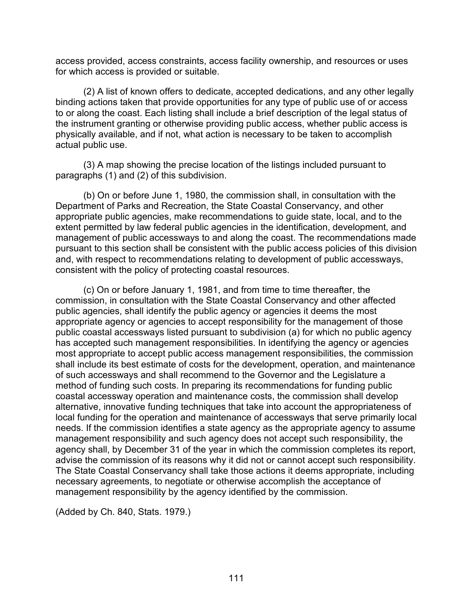access provided, access constraints, access facility ownership, and resources or uses for which access is provided or suitable.

(2) A list of known offers to dedicate, accepted dedications, and any other legally binding actions taken that provide opportunities for any type of public use of or access to or along the coast. Each listing shall include a brief description of the legal status of the instrument granting or otherwise providing public access, whether public access is physically available, and if not, what action is necessary to be taken to accomplish actual public use.

(3) A map showing the precise location of the listings included pursuant to paragraphs (1) and (2) of this subdivision.

(b) On or before June 1, 1980, the commission shall, in consultation with the Department of Parks and Recreation, the State Coastal Conservancy, and other appropriate public agencies, make recommendations to guide state, local, and to the extent permitted by law federal public agencies in the identification, development, and management of public accessways to and along the coast. The recommendations made pursuant to this section shall be consistent with the public access policies of this division and, with respect to recommendations relating to development of public accessways, consistent with the policy of protecting coastal resources.

(c) On or before January 1, 1981, and from time to time thereafter, the commission, in consultation with the State Coastal Conservancy and other affected public agencies, shall identify the public agency or agencies it deems the most appropriate agency or agencies to accept responsibility for the management of those public coastal accessways listed pursuant to subdivision (a) for which no public agency has accepted such management responsibilities. In identifying the agency or agencies most appropriate to accept public access management responsibilities, the commission shall include its best estimate of costs for the development, operation, and maintenance of such accessways and shall recommend to the Governor and the Legislature a method of funding such costs. In preparing its recommendations for funding public coastal accessway operation and maintenance costs, the commission shall develop alternative, innovative funding techniques that take into account the appropriateness of local funding for the operation and maintenance of accessways that serve primarily local needs. If the commission identifies a state agency as the appropriate agency to assume management responsibility and such agency does not accept such responsibility, the agency shall, by December 31 of the year in which the commission completes its report, advise the commission of its reasons why it did not or cannot accept such responsibility. The State Coastal Conservancy shall take those actions it deems appropriate, including necessary agreements, to negotiate or otherwise accomplish the acceptance of management responsibility by the agency identified by the commission.

(Added by Ch. 840, Stats. 1979.)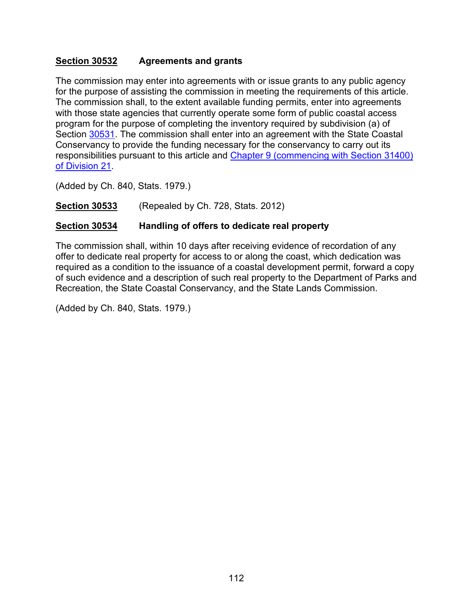### **Section 30532 Agreements and grants**

The commission may enter into agreements with or issue grants to any public agency for the purpose of assisting the commission in meeting the requirements of this article. The commission shall, to the extent available funding permits, enter into agreements with those state agencies that currently operate some form of public coastal access program for the purpose of completing the inventory required by subdivision (a) of Section [30531.](#page-111-0) The commission shall enter into an agreement with the State Coastal Conservancy to provide the funding necessary for the conservancy to carry out its responsibilities pursuant to this article and [Chapter 9 \(commencing with Section 31400\)](https://leginfo.legislature.ca.gov/faces/codes_displayText.xhtml?lawCode=PRC&division=21.&title=&part=&chapter=9.&article=)  [of Division 21.](https://leginfo.legislature.ca.gov/faces/codes_displayText.xhtml?lawCode=PRC&division=21.&title=&part=&chapter=9.&article=)

(Added by Ch. 840, Stats. 1979.)

**Section 30533** (Repealed by Ch. 728, Stats. 2012)

# **Section 30534 Handling of offers to dedicate real property**

The commission shall, within 10 days after receiving evidence of recordation of any offer to dedicate real property for access to or along the coast, which dedication was required as a condition to the issuance of a coastal development permit, forward a copy of such evidence and a description of such real property to the Department of Parks and Recreation, the State Coastal Conservancy, and the State Lands Commission.

(Added by Ch. 840, Stats. 1979.)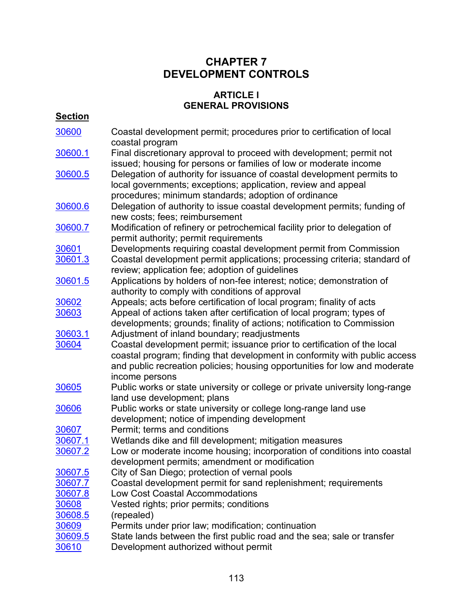# **CHAPTER 7 DEVELOPMENT CONTROLS**

### **ARTICLE l GENERAL PROVISIONS**

# **Section**

| 30600   | Coastal development permit; procedures prior to certification of local<br>coastal program                                                                                                                                                              |
|---------|--------------------------------------------------------------------------------------------------------------------------------------------------------------------------------------------------------------------------------------------------------|
| 30600.1 | Final discretionary approval to proceed with development; permit not                                                                                                                                                                                   |
| 30600.5 | issued; housing for persons or families of low or moderate income<br>Delegation of authority for issuance of coastal development permits to<br>local governments; exceptions; application, review and appeal                                           |
| 30600.6 | procedures; minimum standards; adoption of ordinance<br>Delegation of authority to issue coastal development permits; funding of<br>new costs; fees; reimbursement                                                                                     |
| 30600.7 | Modification of refinery or petrochemical facility prior to delegation of<br>permit authority; permit requirements                                                                                                                                     |
| 30601   | Developments requiring coastal development permit from Commission                                                                                                                                                                                      |
| 30601.3 | Coastal development permit applications; processing criteria; standard of<br>review; application fee; adoption of guidelines                                                                                                                           |
| 30601.5 | Applications by holders of non-fee interest; notice; demonstration of                                                                                                                                                                                  |
|         | authority to comply with conditions of approval                                                                                                                                                                                                        |
| 30602   | Appeals; acts before certification of local program; finality of acts                                                                                                                                                                                  |
| 30603   | Appeal of actions taken after certification of local program; types of                                                                                                                                                                                 |
|         | developments; grounds; finality of actions; notification to Commission                                                                                                                                                                                 |
| 30603.1 | Adjustment of inland boundary; readjustments                                                                                                                                                                                                           |
| 30604   | Coastal development permit; issuance prior to certification of the local<br>coastal program; finding that development in conformity with public access<br>and public recreation policies; housing opportunities for low and moderate<br>income persons |
| 30605   | Public works or state university or college or private university long-range<br>land use development; plans                                                                                                                                            |
| 30606   | Public works or state university or college long-range land use                                                                                                                                                                                        |
|         | development; notice of impending development                                                                                                                                                                                                           |
| 30607   | Permit; terms and conditions                                                                                                                                                                                                                           |
| 30607.1 | Wetlands dike and fill development; mitigation measures                                                                                                                                                                                                |
| 30607.2 | Low or moderate income housing; incorporation of conditions into coastal                                                                                                                                                                               |
|         | development permits; amendment or modification                                                                                                                                                                                                         |
| 30607.5 | City of San Diego; protection of vernal pools                                                                                                                                                                                                          |
| 30607.7 | Coastal development permit for sand replenishment; requirements                                                                                                                                                                                        |
| 30607.8 | Low Cost Coastal Accommodations                                                                                                                                                                                                                        |
| 30608   | Vested rights; prior permits; conditions                                                                                                                                                                                                               |
| 30608.5 | (repealed)                                                                                                                                                                                                                                             |
| 30609   | Permits under prior law; modification; continuation                                                                                                                                                                                                    |
| 30609.5 | State lands between the first public road and the sea; sale or transfer                                                                                                                                                                                |
| 30610   | Development authorized without permit                                                                                                                                                                                                                  |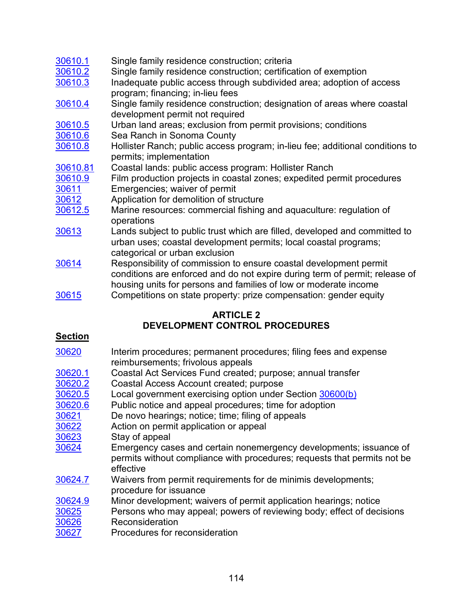### [30610.1](#page-133-0) Single family residence construction; criteria [30610.2](#page-134-0) Single family residence construction; certification of exemption [30610.3](#page-134-1) Inadequate public access through subdivided area; adoption of access program; financing; in-lieu fees [30610.4](#page-136-0) Single family residence construction; designation of areas where coastal development permit not required [30610.5](#page-136-1) Urban land areas; exclusion from permit provisions; conditions [30610.6](#page-137-0) Sea Ranch in Sonoma County [30610.8](#page-141-0) Hollister Ranch; public access program; in-lieu fee; additional conditions to permits; implementation [30610.81](#page-142-0) Coastal lands: public access program: Hollister Ranch  $\frac{30610.9}{30611}$  $\frac{30610.9}{30611}$  $\frac{30610.9}{30611}$  Film production projects in coastal zones; expedited permit procedures  $\overline{\phantom{0}}$ Emergencies: waiver of permit [30612](#page-145-0) Application for demolition of structure [30612.5](#page-145-1) Marine resources: commercial fishing and aquaculture: regulation of operations [30613](#page-145-1) Lands subject to public trust which are filled, developed and committed to urban uses; coastal development permits; local coastal programs; categorical or urban exclusion [30614](#page-146-0) Responsibility of commission to ensure coastal development permit conditions are enforced and do not expire during term of permit; release of housing units for persons and families of low or moderate income [30615](#page-146-1) Competitions on state property: prize compensation: gender equity

# **ARTICLE 2 DEVELOPMENT CONTROL PROCEDURES**

# **Section**

| 30620   | Interim procedures; permanent procedures; filing fees and expense<br>reimbursements; frivolous appeals                                                      |
|---------|-------------------------------------------------------------------------------------------------------------------------------------------------------------|
|         |                                                                                                                                                             |
| 30620.1 | Coastal Act Services Fund created; purpose; annual transfer                                                                                                 |
| 30620.2 | Coastal Access Account created; purpose                                                                                                                     |
| 30620.5 | Local government exercising option under Section 30600(b)                                                                                                   |
| 30620.6 | Public notice and appeal procedures; time for adoption                                                                                                      |
| 30621   | De novo hearings; notice; time; filing of appeals                                                                                                           |
| 30622   | Action on permit application or appeal                                                                                                                      |
| 30623   | Stay of appeal                                                                                                                                              |
| 30624   | Emergency cases and certain nonemergency developments; issuance of<br>permits without compliance with procedures; requests that permits not be<br>effective |
| 30624.7 | Waivers from permit requirements for de minimis developments;<br>procedure for issuance                                                                     |
| 30624.9 | Minor development; waivers of permit application hearings; notice                                                                                           |
| 30625   | Persons who may appeal; powers of reviewing body; effect of decisions                                                                                       |
| 30626   | Reconsideration                                                                                                                                             |
| 30627   | Procedures for reconsideration                                                                                                                              |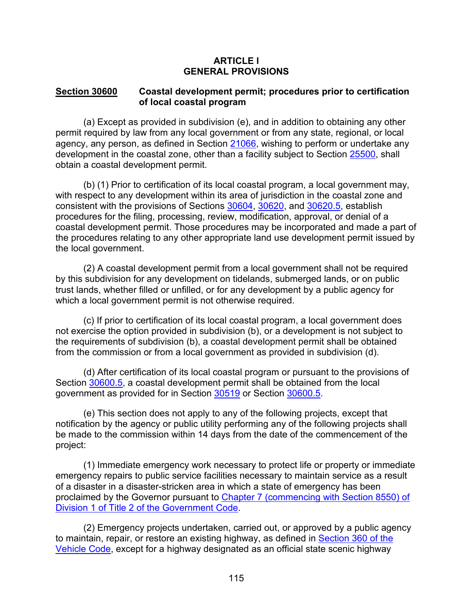#### **ARTICLE l GENERAL PROVISIONS**

#### <span id="page-116-0"></span>**Section 30600 Coastal development permit; procedures prior to certification of local coastal program**

(a) Except as provided in subdivision (e), and in addition to obtaining any other permit required by law from any local government or from any state, regional, or local agency, any person, as defined in Section [21066,](https://leginfo.legislature.ca.gov/faces/codes_displaySection.xhtml?lawCode=PRC§ionNum=21066.) wishing to perform or undertake any development in the coastal zone, other than a facility subject to Section [25500,](https://leginfo.legislature.ca.gov/faces/codes_displaySection.xhtml?lawCode=PRC§ionNum=25500.) shall obtain a coastal development permit.

(b) (1) Prior to certification of its local coastal program, a local government may, with respect to any development within its area of jurisdiction in the coastal zone and consistent with the provisions of Sections [30604,](#page-124-0) [30620,](#page-147-0) and [30620.5,](#page-149-1) establish procedures for the filing, processing, review, modification, approval, or denial of a coastal development permit. Those procedures may be incorporated and made a part of the procedures relating to any other appropriate land use development permit issued by the local government.

(2) A coastal development permit from a local government shall not be required by this subdivision for any development on tidelands, submerged lands, or on public trust lands, whether filled or unfilled, or for any development by a public agency for which a local government permit is not otherwise required.

(c) If prior to certification of its local coastal program, a local government does not exercise the option provided in subdivision (b), or a development is not subject to the requirements of subdivision (b), a coastal development permit shall be obtained from the commission or from a local government as provided in subdivision (d).

(d) After certification of its local coastal program or pursuant to the provisions of Section [30600.5,](#page-118-0) a coastal development permit shall be obtained from the local government as provided for in Section [30519](#page-105-0) or Section [30600.5.](#page-118-0)

(e) This section does not apply to any of the following projects, except that notification by the agency or public utility performing any of the following projects shall be made to the commission within 14 days from the date of the commencement of the project:

(1) Immediate emergency work necessary to protect life or property or immediate emergency repairs to public service facilities necessary to maintain service as a result of a disaster in a disaster-stricken area in which a state of emergency has been proclaimed by the Governor pursuant to Chapter 7 (commencing with Section 8550) of [Division 1 of Title 2 of the Government Code.](http://leginfo.legislature.ca.gov/faces/codes_displayexpandedbranch.xhtml?tocCode=GOV&division=&title=2.&part=&chapter=&article=)

(2) Emergency projects undertaken, carried out, or approved by a public agency to maintain, repair, or restore an existing highway, as defined in Section 360 of the [Vehicle Code,](http://leginfo.legislature.ca.gov/faces/codesTOCSelected.xhtml?tocCode=VEH&tocTitle=+Vehicle+Code+-+VEH) except for a highway designated as an official state scenic highway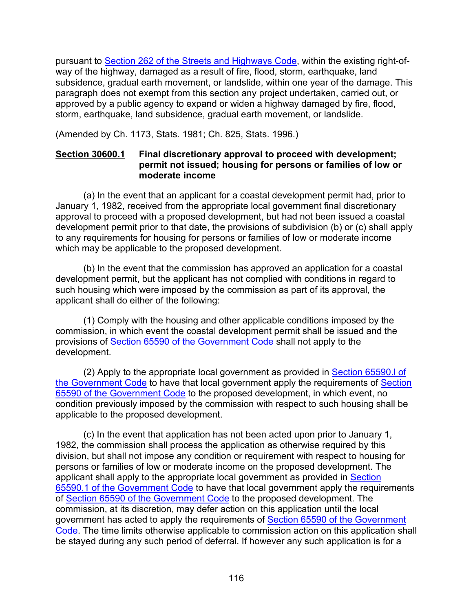pursuant to [Section 262 of the Streets and Highways Code,](http://leginfo.legislature.ca.gov/faces/codesTOCSelected.xhtml?tocCode=SHC&tocTitle=+Streets+and+Highways+Code+-+SHC) within the existing right-ofway of the highway, damaged as a result of fire, flood, storm, earthquake, land subsidence, gradual earth movement, or landslide, within one year of the damage. This paragraph does not exempt from this section any project undertaken, carried out, or approved by a public agency to expand or widen a highway damaged by fire, flood, storm, earthquake, land subsidence, gradual earth movement, or landslide.

<span id="page-117-0"></span>(Amended by Ch. 1173, Stats. 1981; Ch. 825, Stats. 1996.)

### **Section 30600.1 Final discretionary approval to proceed with development; permit not issued; housing for persons or families of low or moderate income**

(a) In the event that an applicant for a coastal development permit had, prior to January 1, 1982, received from the appropriate local government final discretionary approval to proceed with a proposed development, but had not been issued a coastal development permit prior to that date, the provisions of subdivision (b) or (c) shall apply to any requirements for housing for persons or families of low or moderate income which may be applicable to the proposed development.

(b) In the event that the commission has approved an application for a coastal development permit, but the applicant has not complied with conditions in regard to such housing which were imposed by the commission as part of its approval, the applicant shall do either of the following:

(1) Comply with the housing and other applicable conditions imposed by the commission, in which event the coastal development permit shall be issued and the provisions of [Section 65590 of the Government Code](http://leginfo.legislature.ca.gov/faces/codes_displayexpandedbranch.xhtml?tocCode=GOV&division=&title=7.&part=&chapter=&article=) shall not apply to the development.

(2) Apply to the appropriate local government as provided in [Section 65590.l of](http://leginfo.legislature.ca.gov/faces/codes_displayexpandedbranch.xhtml?tocCode=GOV&division=&title=7.&part=&chapter=&article=)  [the Government Code](http://leginfo.legislature.ca.gov/faces/codes_displayexpandedbranch.xhtml?tocCode=GOV&division=&title=7.&part=&chapter=&article=) to have that local government apply the requirements of [Section](http://leginfo.legislature.ca.gov/faces/codes_displayText.xhtml?lawCode=GOV&division=1.&title=7.&part=&chapter=3.&article=10.7.)  [65590 of the Government Code](http://leginfo.legislature.ca.gov/faces/codes_displayText.xhtml?lawCode=GOV&division=1.&title=7.&part=&chapter=3.&article=10.7.) to the proposed development, in which event, no condition previously imposed by the commission with respect to such housing shall be applicable to the proposed development.

(c) In the event that application has not been acted upon prior to January 1, 1982, the commission shall process the application as otherwise required by this division, but shall not impose any condition or requirement with respect to housing for persons or families of low or moderate income on the proposed development. The applicant shall apply to the appropriate local government as provided in [Section](http://leginfo.legislature.ca.gov/faces/codes_displayexpandedbranch.xhtml?tocCode=GOV&division=&title=7.&part=&chapter=&article=)  [65590.1 of the Government Code](http://leginfo.legislature.ca.gov/faces/codes_displayexpandedbranch.xhtml?tocCode=GOV&division=&title=7.&part=&chapter=&article=) to have that local government apply the requirements of [Section 65590 of the Government Code](http://leginfo.legislature.ca.gov/faces/codes_displayText.xhtml?lawCode=GOV&division=1.&title=7.&part=&chapter=3.&article=10.7.) to the proposed development. The commission, at its discretion, may defer action on this application until the local government has acted to apply the requirements of [Section 65590 of the Government](http://leginfo.legislature.ca.gov/faces/codes_displayText.xhtml?lawCode=GOV&division=1.&title=7.&part=&chapter=3.&article=10.7.)  [Code.](http://leginfo.legislature.ca.gov/faces/codes_displayText.xhtml?lawCode=GOV&division=1.&title=7.&part=&chapter=3.&article=10.7.) The time limits otherwise applicable to commission action on this application shall be stayed during any such period of deferral. If however any such application is for a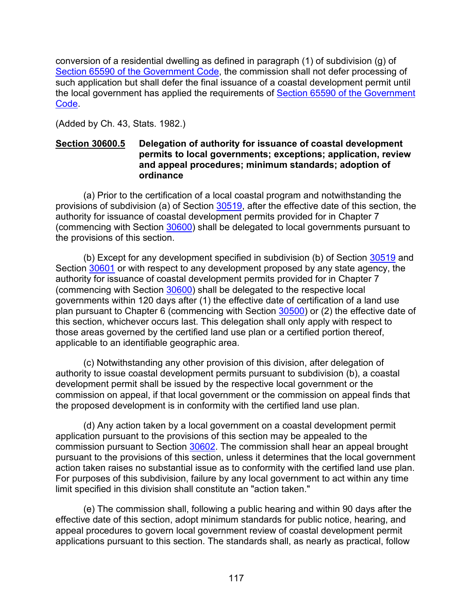conversion of a residential dwelling as defined in paragraph (1) of subdivision (g) of [Section 65590 of the Government Code,](http://leginfo.legislature.ca.gov/faces/codes_displayText.xhtml?lawCode=GOV&division=1.&title=7.&part=&chapter=3.&article=10.7.) the commission shall not defer processing of such application but shall defer the final issuance of a coastal development permit until the local government has applied the requirements of [Section 65590 of the Government](http://leginfo.legislature.ca.gov/faces/codes_displayText.xhtml?lawCode=GOV&division=1.&title=7.&part=&chapter=3.&article=10.7.)  [Code.](http://leginfo.legislature.ca.gov/faces/codes_displayText.xhtml?lawCode=GOV&division=1.&title=7.&part=&chapter=3.&article=10.7.)

(Added by Ch. 43, Stats. 1982.)

### <span id="page-118-0"></span>**Section 30600.5 Delegation of authority for issuance of coastal development permits to local governments; exceptions; application, review and appeal procedures; minimum standards; adoption of ordinance**

(a) Prior to the certification of a local coastal program and notwithstanding the provisions of subdivision (a) of Section [30519,](#page-105-0) after the effective date of this section, the authority for issuance of coastal development permits provided for in Chapter 7 (commencing with Section [30600\)](#page-116-0) shall be delegated to local governments pursuant to the provisions of this section.

(b) Except for any development specified in subdivision (b) of Section [30519](#page-105-0) and Section [30601](#page-121-0) or with respect to any development proposed by any state agency, the authority for issuance of coastal development permits provided for in Chapter 7 (commencing with Section [30600\)](#page-116-0) shall be delegated to the respective local governments within 120 days after (1) the effective date of certification of a land use plan pursuant to Chapter 6 (commencing with Section [30500\)](#page-96-0) or (2) the effective date of this section, whichever occurs last. This delegation shall only apply with respect to those areas governed by the certified land use plan or a certified portion thereof, applicable to an identifiable geographic area.

(c) Notwithstanding any other provision of this division, after delegation of authority to issue coastal development permits pursuant to subdivision (b), a coastal development permit shall be issued by the respective local government or the commission on appeal, if that local government or the commission on appeal finds that the proposed development is in conformity with the certified land use plan.

(d) Any action taken by a local government on a coastal development permit application pursuant to the provisions of this section may be appealed to the commission pursuant to Section [30602.](#page-122-1) The commission shall hear an appeal brought pursuant to the provisions of this section, unless it determines that the local government action taken raises no substantial issue as to conformity with the certified land use plan. For purposes of this subdivision, failure by any local government to act within any time limit specified in this division shall constitute an "action taken."

(e) The commission shall, following a public hearing and within 90 days after the effective date of this section, adopt minimum standards for public notice, hearing, and appeal procedures to govern local government review of coastal development permit applications pursuant to this section. The standards shall, as nearly as practical, follow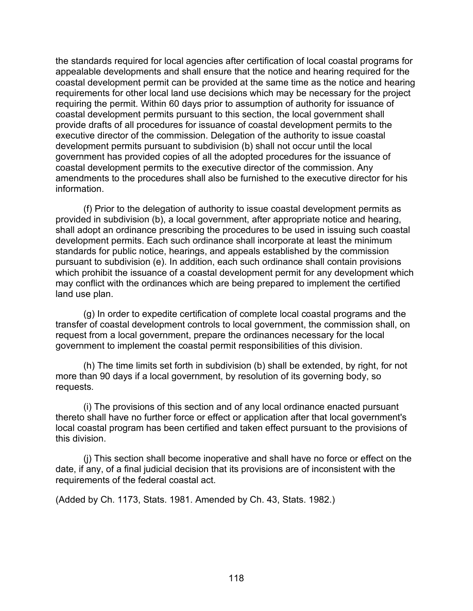the standards required for local agencies after certification of local coastal programs for appealable developments and shall ensure that the notice and hearing required for the coastal development permit can be provided at the same time as the notice and hearing requirements for other local land use decisions which may be necessary for the project requiring the permit. Within 60 days prior to assumption of authority for issuance of coastal development permits pursuant to this section, the local government shall provide drafts of all procedures for issuance of coastal development permits to the executive director of the commission. Delegation of the authority to issue coastal development permits pursuant to subdivision (b) shall not occur until the local government has provided copies of all the adopted procedures for the issuance of coastal development permits to the executive director of the commission. Any amendments to the procedures shall also be furnished to the executive director for his information.

(f) Prior to the delegation of authority to issue coastal development permits as provided in subdivision (b), a local government, after appropriate notice and hearing, shall adopt an ordinance prescribing the procedures to be used in issuing such coastal development permits. Each such ordinance shall incorporate at least the minimum standards for public notice, hearings, and appeals established by the commission pursuant to subdivision (e). In addition, each such ordinance shall contain provisions which prohibit the issuance of a coastal development permit for any development which may conflict with the ordinances which are being prepared to implement the certified land use plan.

(g) In order to expedite certification of complete local coastal programs and the transfer of coastal development controls to local government, the commission shall, on request from a local government, prepare the ordinances necessary for the local government to implement the coastal permit responsibilities of this division.

(h) The time limits set forth in subdivision (b) shall be extended, by right, for not more than 90 days if a local government, by resolution of its governing body, so requests.

(i) The provisions of this section and of any local ordinance enacted pursuant thereto shall have no further force or effect or application after that local government's local coastal program has been certified and taken effect pursuant to the provisions of this division.

(j) This section shall become inoperative and shall have no force or effect on the date, if any, of a final judicial decision that its provisions are of inconsistent with the requirements of the federal coastal act.

<span id="page-119-0"></span>(Added by Ch. 1173, Stats. 1981. Amended by Ch. 43, Stats. 1982.)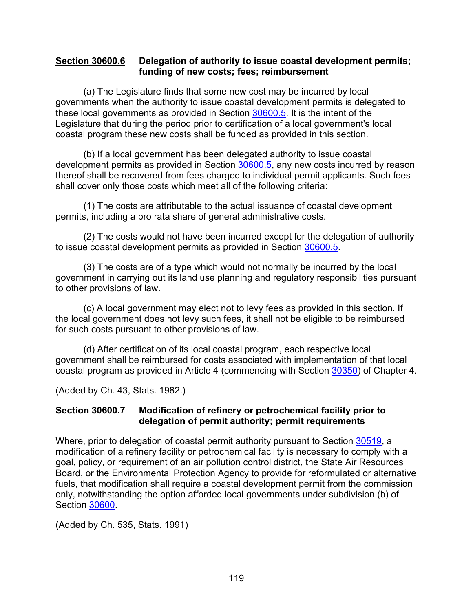#### **Section 30600.6 Delegation of authority to issue coastal development permits; funding of new costs; fees; reimbursement**

(a) The Legislature finds that some new cost may be incurred by local governments when the authority to issue coastal development permits is delegated to these local governments as provided in Section [30600.5.](#page-118-0) It is the intent of the Legislature that during the period prior to certification of a local government's local coastal program these new costs shall be funded as provided in this section.

(b) If a local government has been delegated authority to issue coastal development permits as provided in Section [30600.5,](#page-118-0) any new costs incurred by reason thereof shall be recovered from fees charged to individual permit applicants. Such fees shall cover only those costs which meet all of the following criteria:

(1) The costs are attributable to the actual issuance of coastal development permits, including a pro rata share of general administrative costs.

(2) The costs would not have been incurred except for the delegation of authority to issue coastal development permits as provided in Section [30600.5.](#page-118-0)

(3) The costs are of a type which would not normally be incurred by the local government in carrying out its land use planning and regulatory responsibilities pursuant to other provisions of law.

(c) A local government may elect not to levy fees as provided in this section. If the local government does not levy such fees, it shall not be eligible to be reimbursed for such costs pursuant to other provisions of law.

(d) After certification of its local coastal program, each respective local government shall be reimbursed for costs associated with implementation of that local coastal program as provided in Article 4 (commencing with Section [30350\)](#page-78-0) of Chapter 4.

(Added by Ch. 43, Stats. 1982.)

### <span id="page-120-0"></span>**Section 30600.7 Modification of refinery or petrochemical facility prior to delegation of permit authority; permit requirements**

Where, prior to delegation of coastal permit authority pursuant to Section [30519,](#page-105-0) a modification of a refinery facility or petrochemical facility is necessary to comply with a goal, policy, or requirement of an air pollution control district, the State Air Resources Board, or the Environmental Protection Agency to provide for reformulated or alternative fuels, that modification shall require a coastal development permit from the commission only, notwithstanding the option afforded local governments under subdivision (b) of Section [30600.](#page-116-0)

(Added by Ch. 535, Stats. 1991)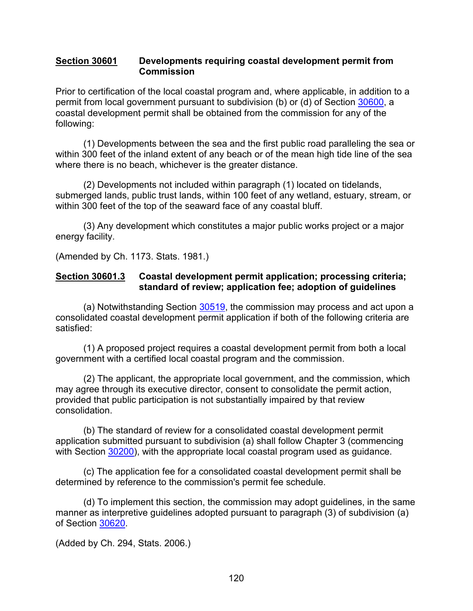#### <span id="page-121-0"></span>**Section 30601 Developments requiring coastal development permit from Commission**

Prior to certification of the local coastal program and, where applicable, in addition to a permit from local government pursuant to subdivision (b) or (d) of Section [30600,](#page-116-0) a coastal development permit shall be obtained from the commission for any of the following:

(1) Developments between the sea and the first public road paralleling the sea or within 300 feet of the inland extent of any beach or of the mean high tide line of the sea where there is no beach, whichever is the greater distance.

(2) Developments not included within paragraph (1) located on tidelands, submerged lands, public trust lands, within 100 feet of any wetland, estuary, stream, or within 300 feet of the top of the seaward face of any coastal bluff.

(3) Any development which constitutes a major public works project or a major energy facility.

(Amended by Ch. 1173. Stats. 1981.)

#### <span id="page-121-1"></span>**Section 30601.3 Coastal development permit application; processing criteria; standard of review; application fee; adoption of guidelines**

(a) Notwithstanding Section [30519,](#page-105-0) the commission may process and act upon a consolidated coastal development permit application if both of the following criteria are satisfied:

(1) A proposed project requires a coastal development permit from both a local government with a certified local coastal program and the commission.

(2) The applicant, the appropriate local government, and the commission, which may agree through its executive director, consent to consolidate the permit action, provided that public participation is not substantially impaired by that review consolidation.

(b) The standard of review for a consolidated coastal development permit application submitted pursuant to subdivision (a) shall follow Chapter 3 (commencing with Section [30200\)](#page-38-0), with the appropriate local coastal program used as guidance.

(c) The application fee for a consolidated coastal development permit shall be determined by reference to the commission's permit fee schedule.

(d) To implement this section, the commission may adopt guidelines, in the same manner as interpretive guidelines adopted pursuant to paragraph (3) of subdivision (a) of Section [30620.](#page-147-0)

(Added by Ch. 294, Stats. 2006.)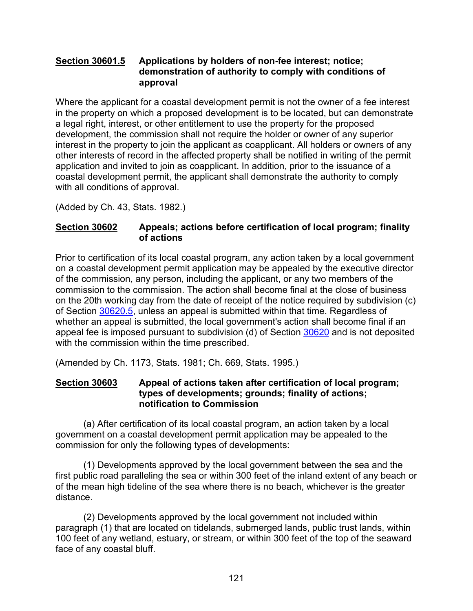### <span id="page-122-0"></span>**Section 30601.5 Applications by holders of non-fee interest; notice; demonstration of authority to comply with conditions of approval**

Where the applicant for a coastal development permit is not the owner of a fee interest in the property on which a proposed development is to be located, but can demonstrate a legal right, interest, or other entitlement to use the property for the proposed development, the commission shall not require the holder or owner of any superior interest in the property to join the applicant as coapplicant. All holders or owners of any other interests of record in the affected property shall be notified in writing of the permit application and invited to join as coapplicant. In addition, prior to the issuance of a coastal development permit, the applicant shall demonstrate the authority to comply with all conditions of approval.

(Added by Ch. 43, Stats. 1982.)

### <span id="page-122-1"></span>**Section 30602 Appeals; actions before certification of local program; finality of actions**

Prior to certification of its local coastal program, any action taken by a local government on a coastal development permit application may be appealed by the executive director of the commission, any person, including the applicant, or any two members of the commission to the commission. The action shall become final at the close of business on the 20th working day from the date of receipt of the notice required by subdivision (c) of Section [30620.5,](#page-149-1) unless an appeal is submitted within that time. Regardless of whether an appeal is submitted, the local government's action shall become final if an appeal fee is imposed pursuant to subdivision (d) of Section [30620](#page-147-0) and is not deposited with the commission within the time prescribed.

(Amended by Ch. 1173, Stats. 1981; Ch. 669, Stats. 1995.)

### <span id="page-122-2"></span>**Section 30603 Appeal of actions taken after certification of local program; types of developments; grounds; finality of actions; notification to Commission**

(a) After certification of its local coastal program, an action taken by a local government on a coastal development permit application may be appealed to the commission for only the following types of developments:

(1) Developments approved by the local government between the sea and the first public road paralleling the sea or within 300 feet of the inland extent of any beach or of the mean high tideline of the sea where there is no beach, whichever is the greater distance.

(2) Developments approved by the local government not included within paragraph (1) that are located on tidelands, submerged lands, public trust lands, within 100 feet of any wetland, estuary, or stream, or within 300 feet of the top of the seaward face of any coastal bluff.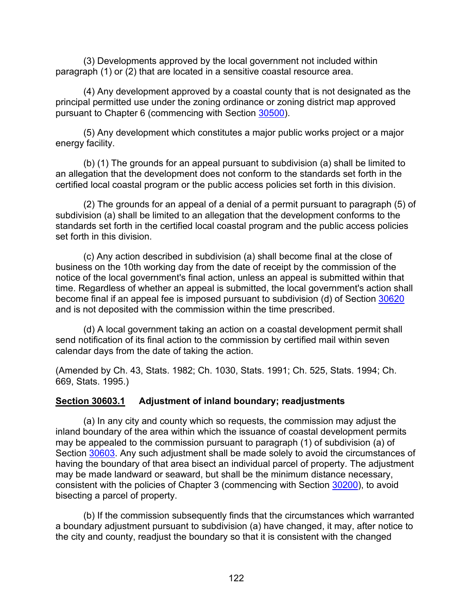(3) Developments approved by the local government not included within paragraph (1) or (2) that are located in a sensitive coastal resource area.

(4) Any development approved by a coastal county that is not designated as the principal permitted use under the zoning ordinance or zoning district map approved pursuant to Chapter 6 (commencing with Section [30500\)](#page-96-0).

(5) Any development which constitutes a major public works project or a major energy facility.

(b) (1) The grounds for an appeal pursuant to subdivision (a) shall be limited to an allegation that the development does not conform to the standards set forth in the certified local coastal program or the public access policies set forth in this division.

(2) The grounds for an appeal of a denial of a permit pursuant to paragraph (5) of subdivision (a) shall be limited to an allegation that the development conforms to the standards set forth in the certified local coastal program and the public access policies set forth in this division.

(c) Any action described in subdivision (a) shall become final at the close of business on the 10th working day from the date of receipt by the commission of the notice of the local government's final action, unless an appeal is submitted within that time. Regardless of whether an appeal is submitted, the local government's action shall become final if an appeal fee is imposed pursuant to subdivision (d) of Section [30620](#page-147-0) and is not deposited with the commission within the time prescribed.

(d) A local government taking an action on a coastal development permit shall send notification of its final action to the commission by certified mail within seven calendar days from the date of taking the action.

(Amended by Ch. 43, Stats. 1982; Ch. 1030, Stats. 1991; Ch. 525, Stats. 1994; Ch. 669, Stats. 1995.)

#### <span id="page-123-0"></span>**Section 30603.1 Adjustment of inland boundary; readjustments**

(a) In any city and county which so requests, the commission may adjust the inland boundary of the area within which the issuance of coastal development permits may be appealed to the commission pursuant to paragraph (1) of subdivision (a) of Section [30603.](#page-122-2) Any such adjustment shall be made solely to avoid the circumstances of having the boundary of that area bisect an individual parcel of property. The adjustment may be made landward or seaward, but shall be the minimum distance necessary, consistent with the policies of Chapter 3 (commencing with Section [30200\)](#page-38-0), to avoid bisecting a parcel of property.

(b) If the commission subsequently finds that the circumstances which warranted a boundary adjustment pursuant to subdivision (a) have changed, it may, after notice to the city and county, readjust the boundary so that it is consistent with the changed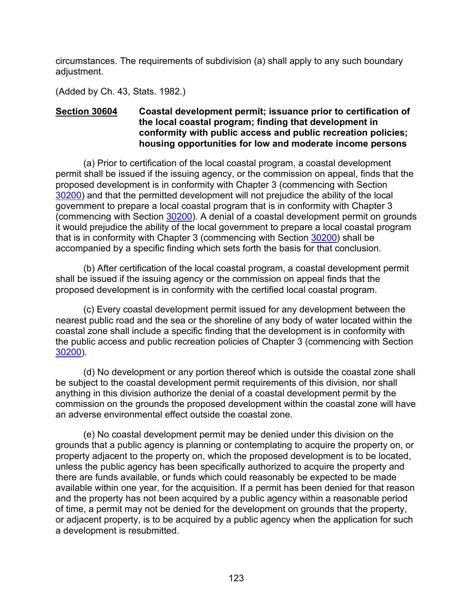circumstances. The requirements of subdivision (a) shall apply to any such boundary adjustment.

(Added by Ch. 43, Stats. 1982.)

### <span id="page-124-0"></span>**Section 30604 Coastal development permit; issuance prior to certification of the local coastal program; finding that development in conformity with public access and public recreation policies; housing opportunities for low and moderate income persons**

(a) Prior to certification of the local coastal program, a coastal development permit shall be issued if the issuing agency, or the commission on appeal, finds that the proposed development is in conformity with Chapter 3 (commencing with Section [30200\)](#page-38-0) and that the permitted development will not prejudice the ability of the local government to prepare a local coastal program that is in conformity with Chapter 3 (commencing with Section [30200\)](#page-38-0). A denial of a coastal development permit on grounds it would prejudice the ability of the local government to prepare a local coastal program that is in conformity with Chapter 3 (commencing with Section [30200\)](#page-38-0) shall be accompanied by a specific finding which sets forth the basis for that conclusion.

(b) After certification of the local coastal program, a coastal development permit shall be issued if the issuing agency or the commission on appeal finds that the proposed development is in conformity with the certified local coastal program.

(c) Every coastal development permit issued for any development between the nearest public road and the sea or the shoreline of any body of water located within the coastal zone shall include a specific finding that the development is in conformity with the public access and public recreation policies of Chapter 3 (commencing with Section [30200\)](#page-38-0).

(d) No development or any portion thereof which is outside the coastal zone shall be subject to the coastal development permit requirements of this division, nor shall anything in this division authorize the denial of a coastal development permit by the commission on the grounds the proposed development within the coastal zone will have an adverse environmental effect outside the coastal zone.

(e) No coastal development permit may be denied under this division on the grounds that a public agency is planning or contemplating to acquire the property on, or property adjacent to the property on, which the proposed development is to be located, unless the public agency has been specifically authorized to acquire the property and there are funds available, or funds which could reasonably be expected to be made available within one year, for the acquisition. If a permit has been denied for that reason and the property has not been acquired by a public agency within a reasonable period of time, a permit may not be denied for the development on grounds that the property, or adjacent property, is to be acquired by a public agency when the application for such a development is resubmitted.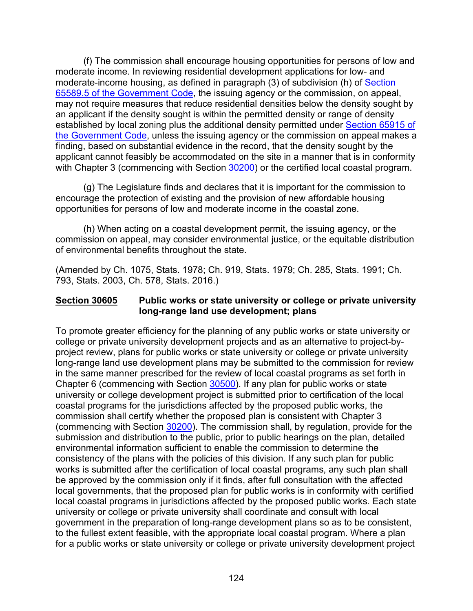(f) The commission shall encourage housing opportunities for persons of low and moderate income. In reviewing residential development applications for low- and moderate-income housing, as defined in paragraph (3) of subdivision (h) of [Section](http://leginfo.legislature.ca.gov/faces/codes_displayexpandedbranch.xhtml?tocCode=GOV&division=&title=7.&part=&chapter=&article=)  [65589.5 of the Government Code,](http://leginfo.legislature.ca.gov/faces/codes_displayexpandedbranch.xhtml?tocCode=GOV&division=&title=7.&part=&chapter=&article=) the issuing agency or the commission, on appeal, may not require measures that reduce residential densities below the density sought by an applicant if the density sought is within the permitted density or range of density established by local zoning plus the additional density permitted under Section 65915 of [the Government Code,](http://leginfo.legislature.ca.gov/faces/codes_displayexpandedbranch.xhtml?tocCode=GOV&division=&title=7.&part=&chapter=&article=) unless the issuing agency or the commission on appeal makes a finding, based on substantial evidence in the record, that the density sought by the applicant cannot feasibly be accommodated on the site in a manner that is in conformity with Chapter 3 (commencing with Section [30200\)](#page-38-0) or the certified local coastal program.

(g) The Legislature finds and declares that it is important for the commission to encourage the protection of existing and the provision of new affordable housing opportunities for persons of low and moderate income in the coastal zone.

(h) When acting on a coastal development permit, the issuing agency, or the commission on appeal, may consider environmental justice, or the equitable distribution of environmental benefits throughout the state.

(Amended by Ch. 1075, Stats. 1978; Ch. 919, Stats. 1979; Ch. 285, Stats. 1991; Ch. 793, Stats. 2003, Ch. 578, Stats. 2016.)

#### <span id="page-125-0"></span>**Section 30605 Public works or state university or college or private university long-range land use development; plans**

To promote greater efficiency for the planning of any public works or state university or college or private university development projects and as an alternative to project-byproject review, plans for public works or state university or college or private university long-range land use development plans may be submitted to the commission for review in the same manner prescribed for the review of local coastal programs as set forth in Chapter 6 (commencing with Section [30500\)](#page-96-0). If any plan for public works or state university or college development project is submitted prior to certification of the local coastal programs for the jurisdictions affected by the proposed public works, the commission shall certify whether the proposed plan is consistent with Chapter 3 (commencing with Section [30200\)](#page-38-0). The commission shall, by regulation, provide for the submission and distribution to the public, prior to public hearings on the plan, detailed environmental information sufficient to enable the commission to determine the consistency of the plans with the policies of this division. If any such plan for public works is submitted after the certification of local coastal programs, any such plan shall be approved by the commission only if it finds, after full consultation with the affected local governments, that the proposed plan for public works is in conformity with certified local coastal programs in jurisdictions affected by the proposed public works. Each state university or college or private university shall coordinate and consult with local government in the preparation of long-range development plans so as to be consistent, to the fullest extent feasible, with the appropriate local coastal program. Where a plan for a public works or state university or college or private university development project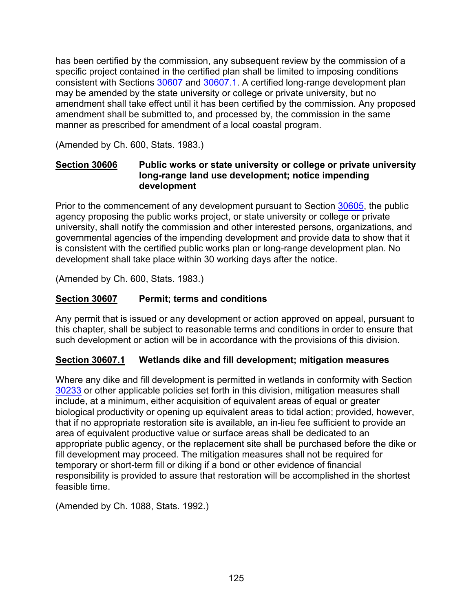has been certified by the commission, any subsequent review by the commission of a specific project contained in the certified plan shall be limited to imposing conditions consistent with Sections [30607](#page-126-1) and [30607.1.](#page-126-2) A certified long-range development plan may be amended by the state university or college or private university, but no amendment shall take effect until it has been certified by the commission. Any proposed amendment shall be submitted to, and processed by, the commission in the same manner as prescribed for amendment of a local coastal program.

(Amended by Ch. 600, Stats. 1983.)

### <span id="page-126-0"></span>**Section 30606 Public works or state university or college or private university long-range land use development; notice impending development**

Prior to the commencement of any development pursuant to Section [30605,](#page-125-0) the public agency proposing the public works project, or state university or college or private university, shall notify the commission and other interested persons, organizations, and governmental agencies of the impending development and provide data to show that it is consistent with the certified public works plan or long-range development plan. No development shall take place within 30 working days after the notice.

<span id="page-126-1"></span>(Amended by Ch. 600, Stats. 1983.)

# **Section 30607 Permit; terms and conditions**

Any permit that is issued or any development or action approved on appeal, pursuant to this chapter, shall be subject to reasonable terms and conditions in order to ensure that such development or action will be in accordance with the provisions of this division.

# <span id="page-126-2"></span>**Section 30607.1 Wetlands dike and fill development; mitigation measures**

Where any dike and fill development is permitted in wetlands in conformity with Section [30233](#page-42-0) or other applicable policies set forth in this division, mitigation measures shall include, at a minimum, either acquisition of equivalent areas of equal or greater biological productivity or opening up equivalent areas to tidal action; provided, however, that if no appropriate restoration site is available, an in-lieu fee sufficient to provide an area of equivalent productive value or surface areas shall be dedicated to an appropriate public agency, or the replacement site shall be purchased before the dike or fill development may proceed. The mitigation measures shall not be required for temporary or short-term fill or diking if a bond or other evidence of financial responsibility is provided to assure that restoration will be accomplished in the shortest feasible time.

(Amended by Ch. 1088, Stats. 1992.)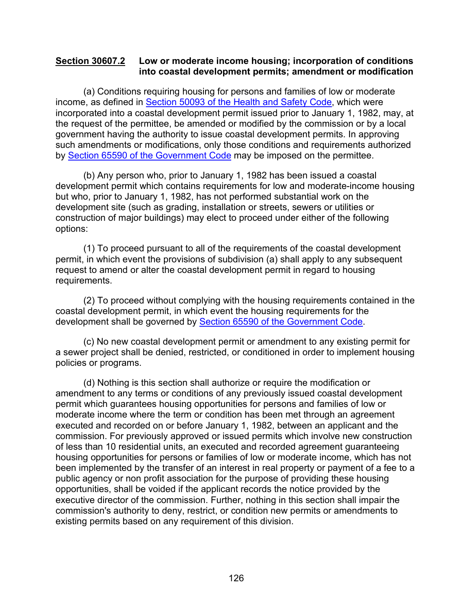#### <span id="page-127-0"></span>**Section 30607.2 Low or moderate income housing; incorporation of conditions into coastal development permits; amendment or modification**

(a) Conditions requiring housing for persons and families of low or moderate income, as defined in [Section 50093 of the Health and Safety Code,](http://leginfo.legislature.ca.gov/faces/codesTOCSelected.xhtml?tocCode=HSC&tocTitle=+Health+and+Safety+Code+-+HSC) which were incorporated into a coastal development permit issued prior to January 1, 1982, may, at the request of the permittee, be amended or modified by the commission or by a local government having the authority to issue coastal development permits. In approving such amendments or modifications, only those conditions and requirements authorized by [Section 65590 of the Government Code](http://leginfo.legislature.ca.gov/faces/codes_displayexpandedbranch.xhtml?tocCode=GOV&division=&title=7.&part=&chapter=&article=) may be imposed on the permittee.

(b) Any person who, prior to January 1, 1982 has been issued a coastal development permit which contains requirements for low and moderate-income housing but who, prior to January 1, 1982, has not performed substantial work on the development site (such as grading, installation or streets, sewers or utilities or construction of major buildings) may elect to proceed under either of the following options:

(1) To proceed pursuant to all of the requirements of the coastal development permit, in which event the provisions of subdivision (a) shall apply to any subsequent request to amend or alter the coastal development permit in regard to housing requirements.

(2) To proceed without complying with the housing requirements contained in the coastal development permit, in which event the housing requirements for the development shall be governed by [Section 65590 of the Government Code.](http://leginfo.legislature.ca.gov/faces/codes_displayexpandedbranch.xhtml?tocCode=GOV&division=&title=7.&part=&chapter=&article=)

(c) No new coastal development permit or amendment to any existing permit for a sewer project shall be denied, restricted, or conditioned in order to implement housing policies or programs.

(d) Nothing is this section shall authorize or require the modification or amendment to any terms or conditions of any previously issued coastal development permit which guarantees housing opportunities for persons and families of low or moderate income where the term or condition has been met through an agreement executed and recorded on or before January 1, 1982, between an applicant and the commission. For previously approved or issued permits which involve new construction of less than 10 residential units, an executed and recorded agreement guaranteeing housing opportunities for persons or families of low or moderate income, which has not been implemented by the transfer of an interest in real property or payment of a fee to a public agency or non profit association for the purpose of providing these housing opportunities, shall be voided if the applicant records the notice provided by the executive director of the commission. Further, nothing in this section shall impair the commission's authority to deny, restrict, or condition new permits or amendments to existing permits based on any requirement of this division.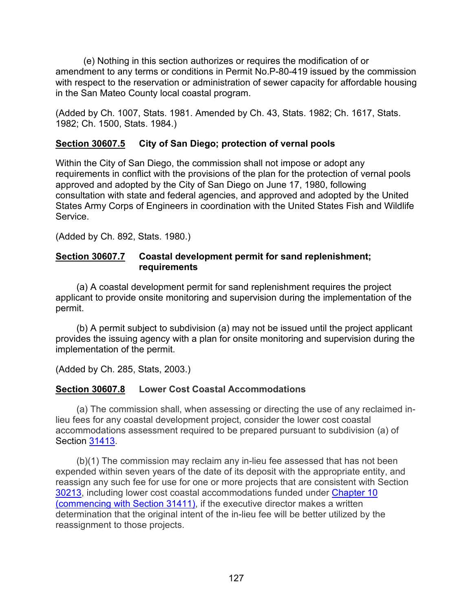(e) Nothing in this section authorizes or requires the modification of or amendment to any terms or conditions in Permit No.P-80-419 issued by the commission with respect to the reservation or administration of sewer capacity for affordable housing in the San Mateo County local coastal program.

(Added by Ch. 1007, Stats. 1981. Amended by Ch. 43, Stats. 1982; Ch. 1617, Stats. 1982; Ch. 1500, Stats. 1984.)

# <span id="page-128-0"></span>**Section 30607.5 City of San Diego; protection of vernal pools**

Within the City of San Diego, the commission shall not impose or adopt any requirements in conflict with the provisions of the plan for the protection of vernal pools approved and adopted by the City of San Diego on June 17, 1980, following consultation with state and federal agencies, and approved and adopted by the United States Army Corps of Engineers in coordination with the United States Fish and Wildlife Service.

(Added by Ch. 892, Stats. 1980.)

### <span id="page-128-1"></span>**Section 30607.7 Coastal development permit for sand replenishment; requirements**

(a) A coastal development permit for sand replenishment requires the project applicant to provide onsite monitoring and supervision during the implementation of the permit.

(b) A permit subject to subdivision (a) may not be issued until the project applicant provides the issuing agency with a plan for onsite monitoring and supervision during the implementation of the permit.

(Added by Ch. 285, Stats, 2003.)

# <span id="page-128-2"></span>**Section 30607.8 Lower Cost Coastal Accommodations**

(a) The commission shall, when assessing or directing the use of any reclaimed inlieu fees for any coastal development project, consider the lower cost coastal accommodations assessment required to be prepared pursuant to subdivision (a) of Section [31413.](https://leginfo.legislature.ca.gov/faces/codes_displaySection.xhtml?lawCode=PRC§ionNum=31413.)

(b)(1) The commission may reclaim any in-lieu fee assessed that has not been expended within seven years of the date of its deposit with the appropriate entity, and reassign any such fee for use for one or more projects that are consistent with Section [30213,](#page-40-0) including lower cost coastal accommodations funded under [Chapter 10](https://leginfo.legislature.ca.gov/faces/codes_displayText.xhtml?lawCode=PRC&division=21.&title=&part=&chapter=10.&article=)  [\(commencing with Section 31411\),](https://leginfo.legislature.ca.gov/faces/codes_displayText.xhtml?lawCode=PRC&division=21.&title=&part=&chapter=10.&article=) if the executive director makes a written determination that the original intent of the in-lieu fee will be better utilized by the reassignment to those projects.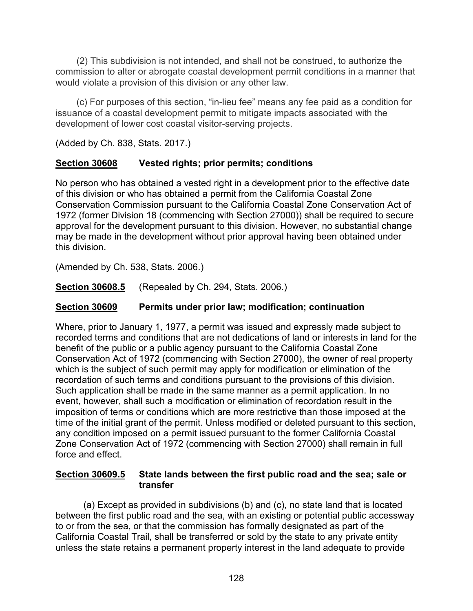(2) This subdivision is not intended, and shall not be construed, to authorize the commission to alter or abrogate coastal development permit conditions in a manner that would violate a provision of this division or any other law.

(c) For purposes of this section, "in-lieu fee" means any fee paid as a condition for issuance of a coastal development permit to mitigate impacts associated with the development of lower cost coastal visitor-serving projects.

(Added by Ch. 838, Stats. 2017.)

# <span id="page-129-0"></span>**Section 30608 Vested rights; prior permits; conditions**

No person who has obtained a vested right in a development prior to the effective date of this division or who has obtained a permit from the California Coastal Zone Conservation Commission pursuant to the California Coastal Zone Conservation Act of 1972 (former Division 18 (commencing with Section 27000)) shall be required to secure approval for the development pursuant to this division. However, no substantial change may be made in the development without prior approval having been obtained under this division.

(Amended by Ch. 538, Stats. 2006.)

<span id="page-129-1"></span>**Section 30608.5** (Repealed by Ch. 294, Stats. 2006.)

# <span id="page-129-2"></span>**Section 30609 Permits under prior law; modification; continuation**

Where, prior to January 1, 1977, a permit was issued and expressly made subject to recorded terms and conditions that are not dedications of land or interests in land for the benefit of the public or a public agency pursuant to the California Coastal Zone Conservation Act of 1972 (commencing with Section 27000), the owner of real property which is the subject of such permit may apply for modification or elimination of the recordation of such terms and conditions pursuant to the provisions of this division. Such application shall be made in the same manner as a permit application. In no event, however, shall such a modification or elimination of recordation result in the imposition of terms or conditions which are more restrictive than those imposed at the time of the initial grant of the permit. Unless modified or deleted pursuant to this section, any condition imposed on a permit issued pursuant to the former California Coastal Zone Conservation Act of 1972 (commencing with Section 27000) shall remain in full force and effect.

### <span id="page-129-3"></span>**Section 30609.5 State lands between the first public road and the sea; sale or transfer**

(a) Except as provided in subdivisions (b) and (c), no state land that is located between the first public road and the sea, with an existing or potential public accessway to or from the sea, or that the commission has formally designated as part of the California Coastal Trail, shall be transferred or sold by the state to any private entity unless the state retains a permanent property interest in the land adequate to provide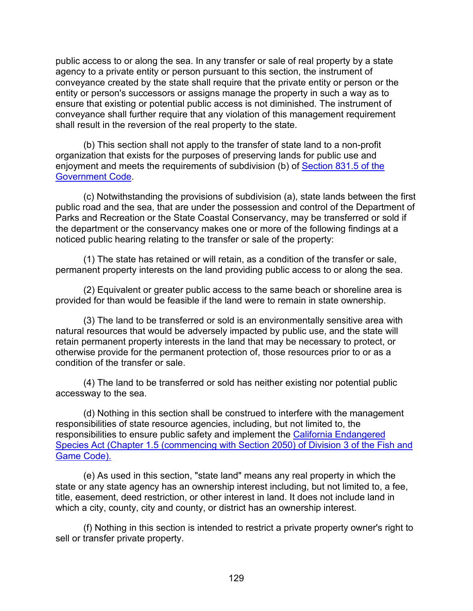public access to or along the sea. In any transfer or sale of real property by a state agency to a private entity or person pursuant to this section, the instrument of conveyance created by the state shall require that the private entity or person or the entity or person's successors or assigns manage the property in such a way as to ensure that existing or potential public access is not diminished. The instrument of conveyance shall further require that any violation of this management requirement shall result in the reversion of the real property to the state.

(b) This section shall not apply to the transfer of state land to a non-profit organization that exists for the purposes of preserving lands for public use and enjoyment and meets the requirements of subdivision (b) of [Section 831.5 of the](http://leginfo.legislature.ca.gov/faces/codes_displayexpandedbranch.xhtml?tocCode=GOV&division=&title=1.&part=&chapter=&article=)  [Government Code.](http://leginfo.legislature.ca.gov/faces/codes_displayexpandedbranch.xhtml?tocCode=GOV&division=&title=1.&part=&chapter=&article=)

(c) Notwithstanding the provisions of subdivision (a), state lands between the first public road and the sea, that are under the possession and control of the Department of Parks and Recreation or the State Coastal Conservancy, may be transferred or sold if the department or the conservancy makes one or more of the following findings at a noticed public hearing relating to the transfer or sale of the property:

(1) The state has retained or will retain, as a condition of the transfer or sale, permanent property interests on the land providing public access to or along the sea.

(2) Equivalent or greater public access to the same beach or shoreline area is provided for than would be feasible if the land were to remain in state ownership.

(3) The land to be transferred or sold is an environmentally sensitive area with natural resources that would be adversely impacted by public use, and the state will retain permanent property interests in the land that may be necessary to protect, or otherwise provide for the permanent protection of, those resources prior to or as a condition of the transfer or sale.

(4) The land to be transferred or sold has neither existing nor potential public accessway to the sea.

(d) Nothing in this section shall be construed to interfere with the management responsibilities of state resource agencies, including, but not limited to, the responsibilities to ensure public safety and implement the [California Endangered](http://leginfo.legislature.ca.gov/faces/codes_displayexpandedbranch.xhtml?tocCode=FGC&division=3.&title=&part=&chapter=&article=)  [Species Act \(Chapter 1.5 \(commencing with Section 2050\) of Division 3 of the Fish and](http://leginfo.legislature.ca.gov/faces/codes_displayexpandedbranch.xhtml?tocCode=FGC&division=3.&title=&part=&chapter=&article=)  [Game Code\).](http://leginfo.legislature.ca.gov/faces/codes_displayexpandedbranch.xhtml?tocCode=FGC&division=3.&title=&part=&chapter=&article=)

(e) As used in this section, "state land" means any real property in which the state or any state agency has an ownership interest including, but not limited to, a fee, title, easement, deed restriction, or other interest in land. It does not include land in which a city, county, city and county, or district has an ownership interest.

(f) Nothing in this section is intended to restrict a private property owner's right to sell or transfer private property.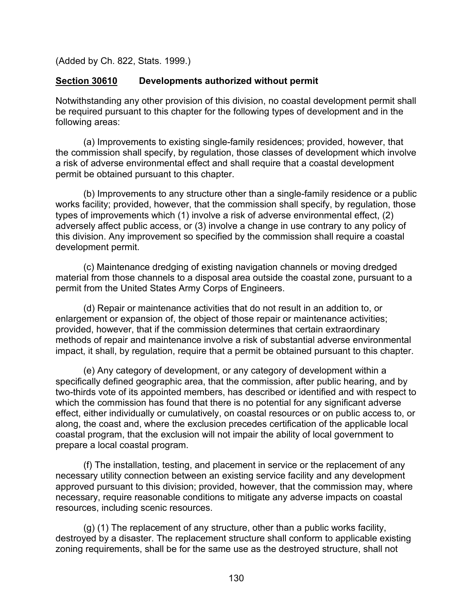(Added by Ch. 822, Stats. 1999.)

### <span id="page-131-0"></span>**Section 30610 Developments authorized without permit**

Notwithstanding any other provision of this division, no coastal development permit shall be required pursuant to this chapter for the following types of development and in the following areas:

(a) Improvements to existing single-family residences; provided, however, that the commission shall specify, by regulation, those classes of development which involve a risk of adverse environmental effect and shall require that a coastal development permit be obtained pursuant to this chapter.

(b) Improvements to any structure other than a single-family residence or a public works facility; provided, however, that the commission shall specify, by regulation, those types of improvements which (1) involve a risk of adverse environmental effect, (2) adversely affect public access, or (3) involve a change in use contrary to any policy of this division. Any improvement so specified by the commission shall require a coastal development permit.

(c) Maintenance dredging of existing navigation channels or moving dredged material from those channels to a disposal area outside the coastal zone, pursuant to a permit from the United States Army Corps of Engineers.

(d) Repair or maintenance activities that do not result in an addition to, or enlargement or expansion of, the object of those repair or maintenance activities; provided, however, that if the commission determines that certain extraordinary methods of repair and maintenance involve a risk of substantial adverse environmental impact, it shall, by regulation, require that a permit be obtained pursuant to this chapter.

(e) Any category of development, or any category of development within a specifically defined geographic area, that the commission, after public hearing, and by two-thirds vote of its appointed members, has described or identified and with respect to which the commission has found that there is no potential for any significant adverse effect, either individually or cumulatively, on coastal resources or on public access to, or along, the coast and, where the exclusion precedes certification of the applicable local coastal program, that the exclusion will not impair the ability of local government to prepare a local coastal program.

(f) The installation, testing, and placement in service or the replacement of any necessary utility connection between an existing service facility and any development approved pursuant to this division; provided, however, that the commission may, where necessary, require reasonable conditions to mitigate any adverse impacts on coastal resources, including scenic resources.

(g) (1) The replacement of any structure, other than a public works facility, destroyed by a disaster. The replacement structure shall conform to applicable existing zoning requirements, shall be for the same use as the destroyed structure, shall not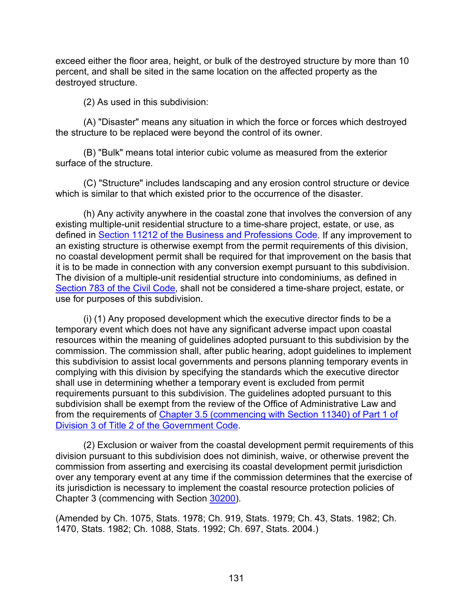exceed either the floor area, height, or bulk of the destroyed structure by more than 10 percent, and shall be sited in the same location on the affected property as the destroyed structure.

(2) As used in this subdivision:

(A) "Disaster" means any situation in which the force or forces which destroyed the structure to be replaced were beyond the control of its owner.

(B) "Bulk" means total interior cubic volume as measured from the exterior surface of the structure.

(C) "Structure" includes landscaping and any erosion control structure or device which is similar to that which existed prior to the occurrence of the disaster.

(h) Any activity anywhere in the coastal zone that involves the conversion of any existing multiple-unit residential structure to a time-share project, estate, or use, as defined in [Section 11212 of the Business and Professions Code.](http://leginfo.legislature.ca.gov/faces/codes_displayexpandedbranch.xhtml?tocCode=BPC&division=4.&title=&part=&chapter=&article=) If any improvement to an existing structure is otherwise exempt from the permit requirements of this division, no coastal development permit shall be required for that improvement on the basis that it is to be made in connection with any conversion exempt pursuant to this subdivision. The division of a multiple-unit residential structure into condominiums, as defined in [Section 783 of the Civil Code,](http://leginfo.legislature.ca.gov/faces/codes_displayexpandedbranch.xhtml?tocCode=CIV&division=2.&title=&part=&chapter=&article=) shall not be considered a time-share project, estate, or use for purposes of this subdivision.

(i) (1) Any proposed development which the executive director finds to be a temporary event which does not have any significant adverse impact upon coastal resources within the meaning of guidelines adopted pursuant to this subdivision by the commission. The commission shall, after public hearing, adopt guidelines to implement this subdivision to assist local governments and persons planning temporary events in complying with this division by specifying the standards which the executive director shall use in determining whether a temporary event is excluded from permit requirements pursuant to this subdivision. The guidelines adopted pursuant to this subdivision shall be exempt from the review of the Office of Administrative Law and from the requirements of [Chapter 3.5 \(commencing with Section 11340\) of Part 1 of](http://leginfo.legislature.ca.gov/faces/codes_displayexpandedbranch.xhtml?tocCode=GOV&division=&title=2.&part=&chapter=&article=)  [Division 3 of Title 2 of the Government Code.](http://leginfo.legislature.ca.gov/faces/codes_displayexpandedbranch.xhtml?tocCode=GOV&division=&title=2.&part=&chapter=&article=)

(2) Exclusion or waiver from the coastal development permit requirements of this division pursuant to this subdivision does not diminish, waive, or otherwise prevent the commission from asserting and exercising its coastal development permit jurisdiction over any temporary event at any time if the commission determines that the exercise of its jurisdiction is necessary to implement the coastal resource protection policies of Chapter 3 (commencing with Section [30200\)](#page-38-0).

(Amended by Ch. 1075, Stats. 1978; Ch. 919, Stats. 1979; Ch. 43, Stats. 1982; Ch. 1470, Stats. 1982; Ch. 1088, Stats. 1992; Ch. 697, Stats. 2004.)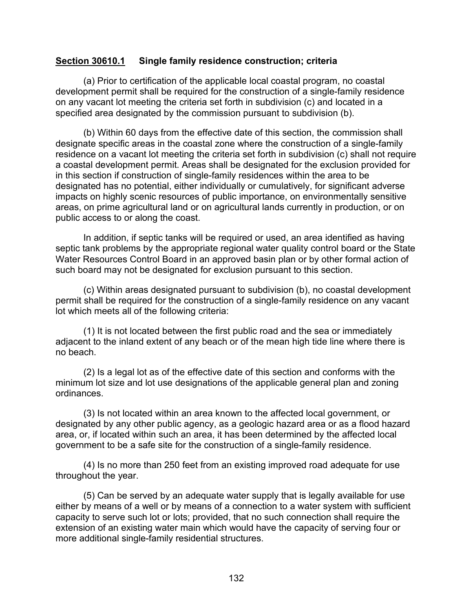#### <span id="page-133-0"></span>**Section 30610.1 Single family residence construction; criteria**

(a) Prior to certification of the applicable local coastal program, no coastal development permit shall be required for the construction of a single-family residence on any vacant lot meeting the criteria set forth in subdivision (c) and located in a specified area designated by the commission pursuant to subdivision (b).

(b) Within 60 days from the effective date of this section, the commission shall designate specific areas in the coastal zone where the construction of a single-family residence on a vacant lot meeting the criteria set forth in subdivision (c) shall not require a coastal development permit. Areas shall be designated for the exclusion provided for in this section if construction of single-family residences within the area to be designated has no potential, either individually or cumulatively, for significant adverse impacts on highly scenic resources of public importance, on environmentally sensitive areas, on prime agricultural land or on agricultural lands currently in production, or on public access to or along the coast.

In addition, if septic tanks will be required or used, an area identified as having septic tank problems by the appropriate regional water quality control board or the State Water Resources Control Board in an approved basin plan or by other formal action of such board may not be designated for exclusion pursuant to this section.

(c) Within areas designated pursuant to subdivision (b), no coastal development permit shall be required for the construction of a single-family residence on any vacant lot which meets all of the following criteria:

(1) It is not located between the first public road and the sea or immediately adjacent to the inland extent of any beach or of the mean high tide line where there is no beach.

(2) Is a legal lot as of the effective date of this section and conforms with the minimum lot size and lot use designations of the applicable general plan and zoning ordinances.

(3) Is not located within an area known to the affected local government, or designated by any other public agency, as a geologic hazard area or as a flood hazard area, or, if located within such an area, it has been determined by the affected local government to be a safe site for the construction of a single-family residence.

(4) Is no more than 250 feet from an existing improved road adequate for use throughout the year.

(5) Can be served by an adequate water supply that is legally available for use either by means of a well or by means of a connection to a water system with sufficient capacity to serve such lot or lots; provided, that no such connection shall require the extension of an existing water main which would have the capacity of serving four or more additional single-family residential structures.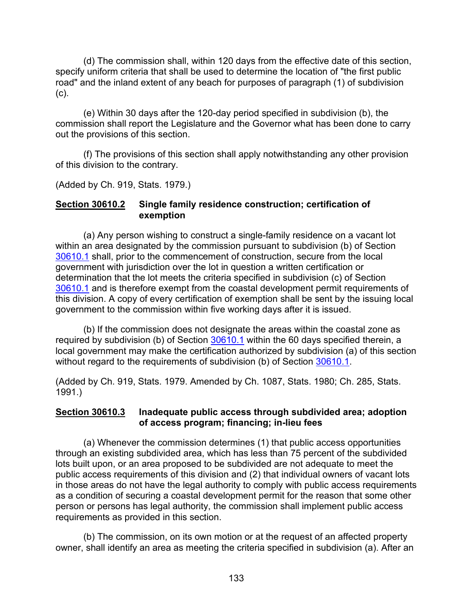(d) The commission shall, within 120 days from the effective date of this section, specify uniform criteria that shall be used to determine the location of "the first public road" and the inland extent of any beach for purposes of paragraph (1) of subdivision (c).

(e) Within 30 days after the 120-day period specified in subdivision (b), the commission shall report the Legislature and the Governor what has been done to carry out the provisions of this section.

(f) The provisions of this section shall apply notwithstanding any other provision of this division to the contrary.

(Added by Ch. 919, Stats. 1979.)

#### <span id="page-134-0"></span>**Section 30610.2 Single family residence construction; certification of exemption**

(a) Any person wishing to construct a single-family residence on a vacant lot within an area designated by the commission pursuant to subdivision (b) of Section [30610.1](#page-133-0) shall, prior to the commencement of construction, secure from the local government with jurisdiction over the lot in question a written certification or determination that the lot meets the criteria specified in subdivision (c) of Section [30610.1](#page-133-0) and is therefore exempt from the coastal development permit requirements of this division. A copy of every certification of exemption shall be sent by the issuing local government to the commission within five working days after it is issued.

(b) If the commission does not designate the areas within the coastal zone as required by subdivision (b) of Section [30610.1](#page-133-0) within the 60 days specified therein, a local government may make the certification authorized by subdivision (a) of this section without regard to the requirements of subdivision (b) of Section [30610.1.](#page-133-0)

(Added by Ch. 919, Stats. 1979. Amended by Ch. 1087, Stats. 1980; Ch. 285, Stats. 1991.)

### <span id="page-134-1"></span>**Section 30610.3 Inadequate public access through subdivided area; adoption of access program; financing; in-lieu fees**

(a) Whenever the commission determines (1) that public access opportunities through an existing subdivided area, which has less than 75 percent of the subdivided lots built upon, or an area proposed to be subdivided are not adequate to meet the public access requirements of this division and (2) that individual owners of vacant lots in those areas do not have the legal authority to comply with public access requirements as a condition of securing a coastal development permit for the reason that some other person or persons has legal authority, the commission shall implement public access requirements as provided in this section.

(b) The commission, on its own motion or at the request of an affected property owner, shall identify an area as meeting the criteria specified in subdivision (a). After an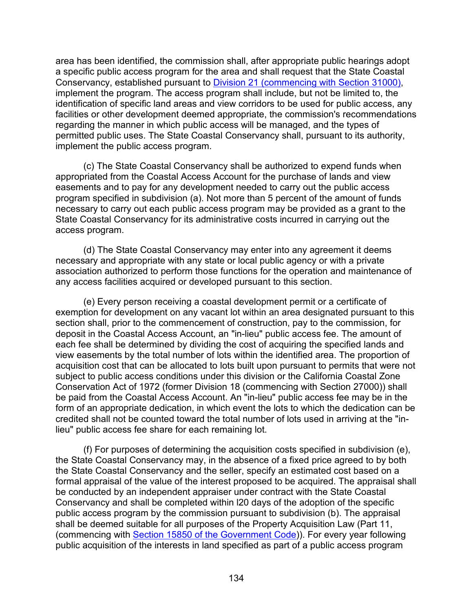area has been identified, the commission shall, after appropriate public hearings adopt a specific public access program for the area and shall request that the State Coastal Conservancy, established pursuant to [Division 21 \(commencing with Section 31000\),](https://leginfo.legislature.ca.gov/faces/codes_displayexpandedbranch.xhtml?lawCode=PRC&division=21.&title=&part=&chapter=10.&article=&goUp=Y) implement the program. The access program shall include, but not be limited to, the identification of specific land areas and view corridors to be used for public access, any facilities or other development deemed appropriate, the commission's recommendations regarding the manner in which public access will be managed, and the types of permitted public uses. The State Coastal Conservancy shall, pursuant to its authority, implement the public access program.

(c) The State Coastal Conservancy shall be authorized to expend funds when appropriated from the Coastal Access Account for the purchase of lands and view easements and to pay for any development needed to carry out the public access program specified in subdivision (a). Not more than 5 percent of the amount of funds necessary to carry out each public access program may be provided as a grant to the State Coastal Conservancy for its administrative costs incurred in carrying out the access program.

(d) The State Coastal Conservancy may enter into any agreement it deems necessary and appropriate with any state or local public agency or with a private association authorized to perform those functions for the operation and maintenance of any access facilities acquired or developed pursuant to this section.

(e) Every person receiving a coastal development permit or a certificate of exemption for development on any vacant lot within an area designated pursuant to this section shall, prior to the commencement of construction, pay to the commission, for deposit in the Coastal Access Account, an "in-lieu" public access fee. The amount of each fee shall be determined by dividing the cost of acquiring the specified lands and view easements by the total number of lots within the identified area. The proportion of acquisition cost that can be allocated to lots built upon pursuant to permits that were not subject to public access conditions under this division or the California Coastal Zone Conservation Act of 1972 (former Division 18 (commencing with Section 27000)) shall be paid from the Coastal Access Account. An "in-lieu" public access fee may be in the form of an appropriate dedication, in which event the lots to which the dedication can be credited shall not be counted toward the total number of lots used in arriving at the "inlieu" public access fee share for each remaining lot.

(f) For purposes of determining the acquisition costs specified in subdivision (e), the State Coastal Conservancy may, in the absence of a fixed price agreed to by both the State Coastal Conservancy and the seller, specify an estimated cost based on a formal appraisal of the value of the interest proposed to be acquired. The appraisal shall be conducted by an independent appraiser under contract with the State Coastal Conservancy and shall be completed within l20 days of the adoption of the specific public access program by the commission pursuant to subdivision (b). The appraisal shall be deemed suitable for all purposes of the Property Acquisition Law (Part 11, (commencing with [Section 15850 of the Government Code\)](http://leginfo.legislature.ca.gov/faces/codes_displayexpandedbranch.xhtml?tocCode=GOV&division=&title=2.&part=&chapter=&article=)). For every year following public acquisition of the interests in land specified as part of a public access program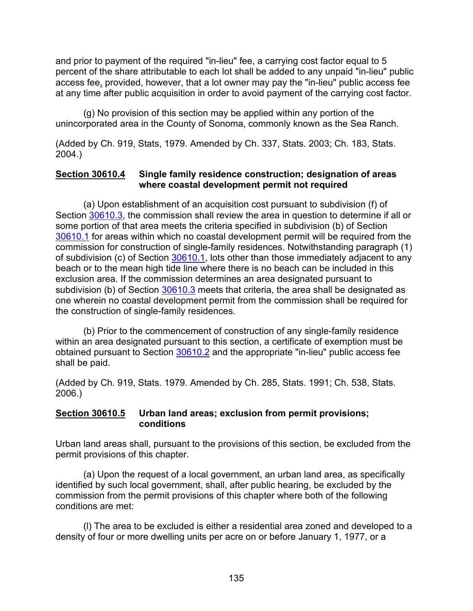and prior to payment of the required "in-lieu" fee, a carrying cost factor equal to 5 percent of the share attributable to each lot shall be added to any unpaid "in-lieu" public access fee, provided, however, that a lot owner may pay the "in-lieu" public access fee at any time after public acquisition in order to avoid payment of the carrying cost factor.

(g) No provision of this section may be applied within any portion of the unincorporated area in the County of Sonoma, commonly known as the Sea Ranch.

(Added by Ch. 919, Stats, 1979. Amended by Ch. 337, Stats. 2003; Ch. 183, Stats. 2004.)

#### <span id="page-136-0"></span>**Section 30610.4 Single family residence construction; designation of areas where coastal development permit not required**

(a) Upon establishment of an acquisition cost pursuant to subdivision (f) of Section [30610.3,](#page-134-1) the commission shall review the area in question to determine if all or some portion of that area meets the criteria specified in subdivision (b) of Section [30610.1](#page-133-0) for areas within which no coastal development permit will be required from the commission for construction of single-family residences. Notwithstanding paragraph (1) of subdivision (c) of Section [30610.1,](#page-133-0) lots other than those immediately adjacent to any beach or to the mean high tide line where there is no beach can be included in this exclusion area. If the commission determines an area designated pursuant to subdivision (b) of Section [30610.3](#page-134-1) meets that criteria, the area shall be designated as one wherein no coastal development permit from the commission shall be required for the construction of single-family residences.

(b) Prior to the commencement of construction of any single-family residence within an area designated pursuant to this section, a certificate of exemption must be obtained pursuant to Section [30610.2](#page-134-0) and the appropriate "in-lieu" public access fee shall be paid.

<span id="page-136-1"></span>(Added by Ch. 919, Stats. 1979. Amended by Ch. 285, Stats. 1991; Ch. 538, Stats. 2006.)

#### **Section 30610.5 Urban land areas; exclusion from permit provisions; conditions**

Urban land areas shall, pursuant to the provisions of this section, be excluded from the permit provisions of this chapter.

(a) Upon the request of a local government, an urban land area, as specifically identified by such local government, shall, after public hearing, be excluded by the commission from the permit provisions of this chapter where both of the following conditions are met:

(l) The area to be excluded is either a residential area zoned and developed to a density of four or more dwelling units per acre on or before January 1, 1977, or a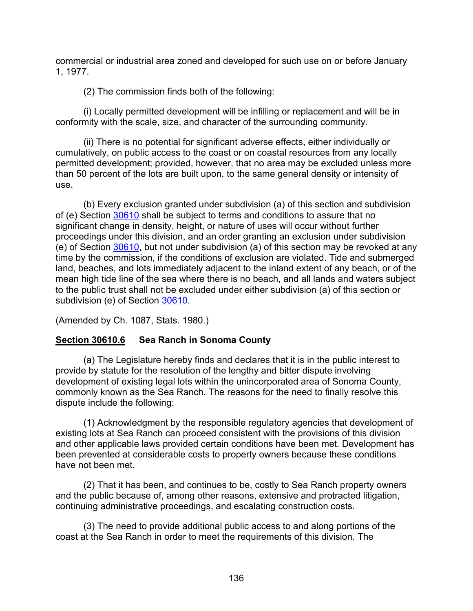commercial or industrial area zoned and developed for such use on or before January 1, 1977.

(2) The commission finds both of the following:

(i) Locally permitted development will be infilling or replacement and will be in conformity with the scale, size, and character of the surrounding community.

(ii) There is no potential for significant adverse effects, either individually or cumulatively, on public access to the coast or on coastal resources from any locally permitted development; provided, however, that no area may be excluded unless more than 50 percent of the lots are built upon, to the same general density or intensity of use.

(b) Every exclusion granted under subdivision (a) of this section and subdivision of (e) Section [30610](#page-131-0) shall be subject to terms and conditions to assure that no significant change in density, height, or nature of uses will occur without further proceedings under this division, and an order granting an exclusion under subdivision (e) of Section [30610,](#page-131-0) but not under subdivision (a) of this section may be revoked at any time by the commission, if the conditions of exclusion are violated. Tide and submerged land, beaches, and lots immediately adjacent to the inland extent of any beach, or of the mean high tide line of the sea where there is no beach, and all lands and waters subject to the public trust shall not be excluded under either subdivision (a) of this section or subdivision (e) of Section [30610.](#page-131-0)

(Amended by Ch. 1087, Stats. 1980.)

# <span id="page-137-0"></span>**Section 30610.6 Sea Ranch in Sonoma County**

(a) The Legislature hereby finds and declares that it is in the public interest to provide by statute for the resolution of the lengthy and bitter dispute involving development of existing legal lots within the unincorporated area of Sonoma County, commonly known as the Sea Ranch. The reasons for the need to finally resolve this dispute include the following:

(1) Acknowledgment by the responsible regulatory agencies that development of existing lots at Sea Ranch can proceed consistent with the provisions of this division and other applicable laws provided certain conditions have been met. Development has been prevented at considerable costs to property owners because these conditions have not been met.

(2) That it has been, and continues to be, costly to Sea Ranch property owners and the public because of, among other reasons, extensive and protracted litigation, continuing administrative proceedings, and escalating construction costs.

(3) The need to provide additional public access to and along portions of the coast at the Sea Ranch in order to meet the requirements of this division. The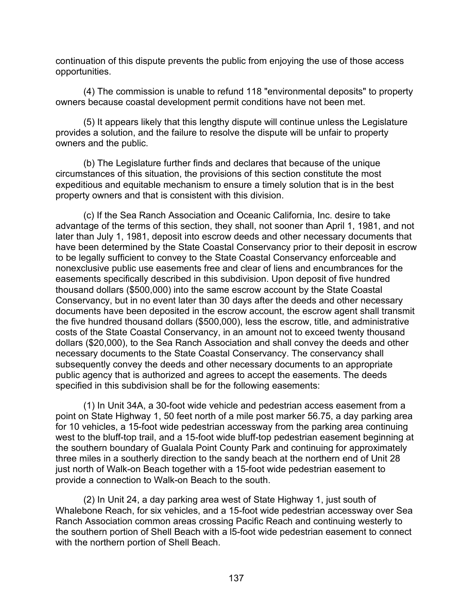continuation of this dispute prevents the public from enjoying the use of those access opportunities.

(4) The commission is unable to refund 118 "environmental deposits" to property owners because coastal development permit conditions have not been met.

(5) It appears likely that this lengthy dispute will continue unless the Legislature provides a solution, and the failure to resolve the dispute will be unfair to property owners and the public.

(b) The Legislature further finds and declares that because of the unique circumstances of this situation, the provisions of this section constitute the most expeditious and equitable mechanism to ensure a timely solution that is in the best property owners and that is consistent with this division.

(c) If the Sea Ranch Association and Oceanic California, Inc. desire to take advantage of the terms of this section, they shall, not sooner than April 1, 1981, and not later than July 1, 1981, deposit into escrow deeds and other necessary documents that have been determined by the State Coastal Conservancy prior to their deposit in escrow to be legally sufficient to convey to the State Coastal Conservancy enforceable and nonexclusive public use easements free and clear of liens and encumbrances for the easements specifically described in this subdivision. Upon deposit of five hundred thousand dollars (\$500,000) into the same escrow account by the State Coastal Conservancy, but in no event later than 30 days after the deeds and other necessary documents have been deposited in the escrow account, the escrow agent shall transmit the five hundred thousand dollars (\$500,000), less the escrow, title, and administrative costs of the State Coastal Conservancy, in an amount not to exceed twenty thousand dollars (\$20,000), to the Sea Ranch Association and shall convey the deeds and other necessary documents to the State Coastal Conservancy. The conservancy shall subsequently convey the deeds and other necessary documents to an appropriate public agency that is authorized and agrees to accept the easements. The deeds specified in this subdivision shall be for the following easements:

(1) In Unit 34A, a 30-foot wide vehicle and pedestrian access easement from a point on State Highway 1, 50 feet north of a mile post marker 56.75, a day parking area for 10 vehicles, a 15-foot wide pedestrian accessway from the parking area continuing west to the bluff-top trail, and a 15-foot wide bluff-top pedestrian easement beginning at the southern boundary of Gualala Point County Park and continuing for approximately three miles in a southerly direction to the sandy beach at the northern end of Unit 28 just north of Walk-on Beach together with a 15-foot wide pedestrian easement to provide a connection to Walk-on Beach to the south.

(2) In Unit 24, a day parking area west of State Highway 1, just south of Whalebone Reach, for six vehicles, and a 15-foot wide pedestrian accessway over Sea Ranch Association common areas crossing Pacific Reach and continuing westerly to the southern portion of Shell Beach with a l5-foot wide pedestrian easement to connect with the northern portion of Shell Beach.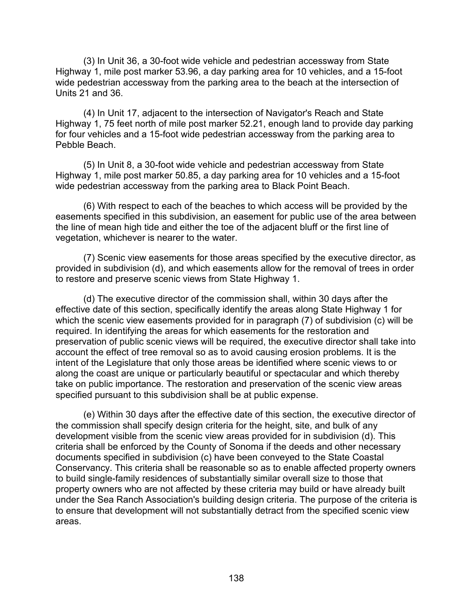(3) In Unit 36, a 30-foot wide vehicle and pedestrian accessway from State Highway 1, mile post marker 53.96, a day parking area for 10 vehicles, and a 15-foot wide pedestrian accessway from the parking area to the beach at the intersection of Units 21 and 36.

(4) In Unit 17, adjacent to the intersection of Navigator's Reach and State Highway 1, 75 feet north of mile post marker 52.21, enough land to provide day parking for four vehicles and a 15-foot wide pedestrian accessway from the parking area to Pebble Beach.

(5) In Unit 8, a 30-foot wide vehicle and pedestrian accessway from State Highway 1, mile post marker 50.85, a day parking area for 10 vehicles and a 15-foot wide pedestrian accessway from the parking area to Black Point Beach.

(6) With respect to each of the beaches to which access will be provided by the easements specified in this subdivision, an easement for public use of the area between the line of mean high tide and either the toe of the adjacent bluff or the first line of vegetation, whichever is nearer to the water.

(7) Scenic view easements for those areas specified by the executive director, as provided in subdivision (d), and which easements allow for the removal of trees in order to restore and preserve scenic views from State Highway 1.

(d) The executive director of the commission shall, within 30 days after the effective date of this section, specifically identify the areas along State Highway 1 for which the scenic view easements provided for in paragraph (7) of subdivision (c) will be required. In identifying the areas for which easements for the restoration and preservation of public scenic views will be required, the executive director shall take into account the effect of tree removal so as to avoid causing erosion problems. It is the intent of the Legislature that only those areas be identified where scenic views to or along the coast are unique or particularly beautiful or spectacular and which thereby take on public importance. The restoration and preservation of the scenic view areas specified pursuant to this subdivision shall be at public expense.

(e) Within 30 days after the effective date of this section, the executive director of the commission shall specify design criteria for the height, site, and bulk of any development visible from the scenic view areas provided for in subdivision (d). This criteria shall be enforced by the County of Sonoma if the deeds and other necessary documents specified in subdivision (c) have been conveyed to the State Coastal Conservancy. This criteria shall be reasonable so as to enable affected property owners to build single-family residences of substantially similar overall size to those that property owners who are not affected by these criteria may build or have already built under the Sea Ranch Association's building design criteria. The purpose of the criteria is to ensure that development will not substantially detract from the specified scenic view areas.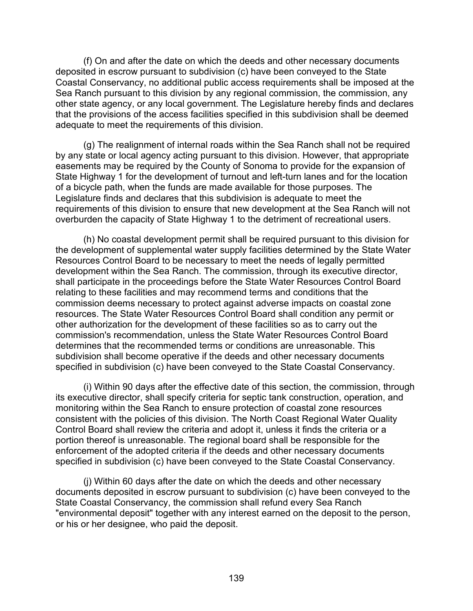(f) On and after the date on which the deeds and other necessary documents deposited in escrow pursuant to subdivision (c) have been conveyed to the State Coastal Conservancy, no additional public access requirements shall be imposed at the Sea Ranch pursuant to this division by any regional commission, the commission, any other state agency, or any local government. The Legislature hereby finds and declares that the provisions of the access facilities specified in this subdivision shall be deemed adequate to meet the requirements of this division.

(g) The realignment of internal roads within the Sea Ranch shall not be required by any state or local agency acting pursuant to this division. However, that appropriate easements may be required by the County of Sonoma to provide for the expansion of State Highway 1 for the development of turnout and left-turn lanes and for the location of a bicycle path, when the funds are made available for those purposes. The Legislature finds and declares that this subdivision is adequate to meet the requirements of this division to ensure that new development at the Sea Ranch will not overburden the capacity of State Highway 1 to the detriment of recreational users.

(h) No coastal development permit shall be required pursuant to this division for the development of supplemental water supply facilities determined by the State Water Resources Control Board to be necessary to meet the needs of legally permitted development within the Sea Ranch. The commission, through its executive director, shall participate in the proceedings before the State Water Resources Control Board relating to these facilities and may recommend terms and conditions that the commission deems necessary to protect against adverse impacts on coastal zone resources. The State Water Resources Control Board shall condition any permit or other authorization for the development of these facilities so as to carry out the commission's recommendation, unless the State Water Resources Control Board determines that the recommended terms or conditions are unreasonable. This subdivision shall become operative if the deeds and other necessary documents specified in subdivision (c) have been conveyed to the State Coastal Conservancy.

(i) Within 90 days after the effective date of this section, the commission, through its executive director, shall specify criteria for septic tank construction, operation, and monitoring within the Sea Ranch to ensure protection of coastal zone resources consistent with the policies of this division. The North Coast Regional Water Quality Control Board shall review the criteria and adopt it, unless it finds the criteria or a portion thereof is unreasonable. The regional board shall be responsible for the enforcement of the adopted criteria if the deeds and other necessary documents specified in subdivision (c) have been conveyed to the State Coastal Conservancy.

(j) Within 60 days after the date on which the deeds and other necessary documents deposited in escrow pursuant to subdivision (c) have been conveyed to the State Coastal Conservancy, the commission shall refund every Sea Ranch "environmental deposit" together with any interest earned on the deposit to the person, or his or her designee, who paid the deposit.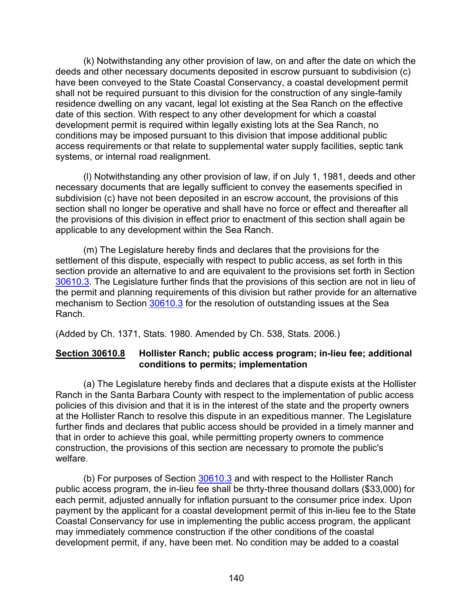(k) Notwithstanding any other provision of law, on and after the date on which the deeds and other necessary documents deposited in escrow pursuant to subdivision (c) have been conveyed to the State Coastal Conservancy, a coastal development permit shall not be required pursuant to this division for the construction of any single-family residence dwelling on any vacant, legal lot existing at the Sea Ranch on the effective date of this section. With respect to any other development for which a coastal development permit is required within legally existing lots at the Sea Ranch, no conditions may be imposed pursuant to this division that impose additional public access requirements or that relate to supplemental water supply facilities, septic tank systems, or internal road realignment.

(l) Notwithstanding any other provision of law, if on July 1, 1981, deeds and other necessary documents that are legally sufficient to convey the easements specified in subdivision (c) have not been deposited in an escrow account, the provisions of this section shall no longer be operative and shall have no force or effect and thereafter all the provisions of this division in effect prior to enactment of this section shall again be applicable to any development within the Sea Ranch.

(m) The Legislature hereby finds and declares that the provisions for the settlement of this dispute, especially with respect to public access, as set forth in this section provide an alternative to and are equivalent to the provisions set forth in Section [30610.3.](#page-134-1) The Legislature further finds that the provisions of this section are not in lieu of the permit and planning requirements of this division but rather provide for an alternative mechanism to Section [30610.3](#page-134-1) for the resolution of outstanding issues at the Sea Ranch.

(Added by Ch. 1371, Stats. 1980. Amended by Ch. 538, Stats. 2006.)

### <span id="page-141-0"></span>**Section 30610.8 Hollister Ranch; public access program; in-lieu fee; additional conditions to permits; implementation**

(a) The Legislature hereby finds and declares that a dispute exists at the Hollister Ranch in the Santa Barbara County with respect to the implementation of public access policies of this division and that it is in the interest of the state and the property owners at the Hollister Ranch to resolve this dispute in an expeditious manner. The Legislature further finds and declares that public access should be provided in a timely manner and that in order to achieve this goal, while permitting property owners to commence construction, the provisions of this section are necessary to promote the public's welfare.

(b) For purposes of Section [30610.3](#page-134-1) and with respect to the Hollister Ranch public access program, the in-lieu fee shall be thrty-three thousand dollars (\$33,000) for each permit, adjusted annually for inflation pursuant to the consumer price index. Upon payment by the applicant for a coastal development permit of this in-lieu fee to the State Coastal Conservancy for use in implementing the public access program, the applicant may immediately commence construction if the other conditions of the coastal development permit, if any, have been met. No condition may be added to a coastal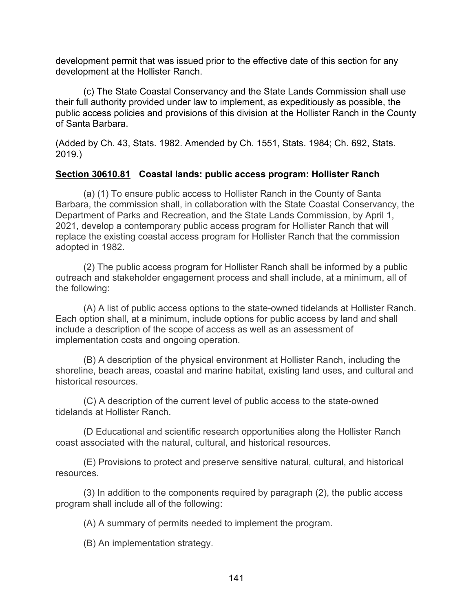development permit that was issued prior to the effective date of this section for any development at the Hollister Ranch.

(c) The State Coastal Conservancy and the State Lands Commission shall use their full authority provided under law to implement, as expeditiously as possible, the public access policies and provisions of this division at the Hollister Ranch in the County of Santa Barbara.

(Added by Ch. 43, Stats. 1982. Amended by Ch. 1551, Stats. 1984; Ch. 692, Stats. 2019.)

### <span id="page-142-0"></span>**Section 30610.81 Coastal lands: public access program: Hollister Ranch**

(a) (1) To ensure public access to Hollister Ranch in the County of Santa Barbara, the commission shall, in collaboration with the State Coastal Conservancy, the Department of Parks and Recreation, and the State Lands Commission, by April 1, 2021, develop a contemporary public access program for Hollister Ranch that will replace the existing coastal access program for Hollister Ranch that the commission adopted in 1982.

(2) The public access program for Hollister Ranch shall be informed by a public outreach and stakeholder engagement process and shall include, at a minimum, all of the following:

(A) A list of public access options to the state-owned tidelands at Hollister Ranch. Each option shall, at a minimum, include options for public access by land and shall include a description of the scope of access as well as an assessment of implementation costs and ongoing operation.

(B) A description of the physical environment at Hollister Ranch, including the shoreline, beach areas, coastal and marine habitat, existing land uses, and cultural and historical resources.

(C) A description of the current level of public access to the state-owned tidelands at Hollister Ranch.

(D Educational and scientific research opportunities along the Hollister Ranch coast associated with the natural, cultural, and historical resources.

(E) Provisions to protect and preserve sensitive natural, cultural, and historical resources.

(3) In addition to the components required by paragraph (2), the public access program shall include all of the following:

(A) A summary of permits needed to implement the program.

(B) An implementation strategy.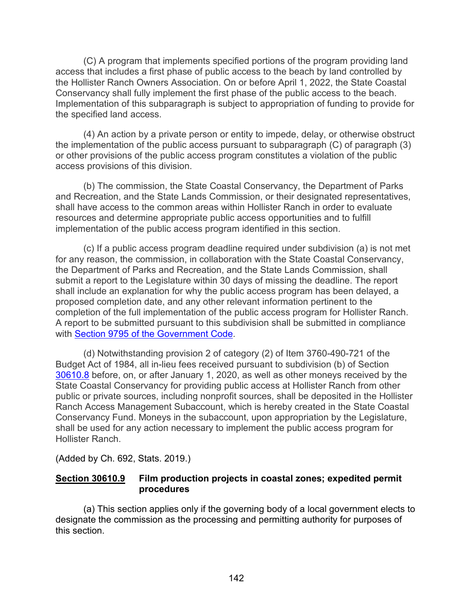(C) A program that implements specified portions of the program providing land access that includes a first phase of public access to the beach by land controlled by the Hollister Ranch Owners Association. On or before April 1, 2022, the State Coastal Conservancy shall fully implement the first phase of the public access to the beach. Implementation of this subparagraph is subject to appropriation of funding to provide for the specified land access.

(4) An action by a private person or entity to impede, delay, or otherwise obstruct the implementation of the public access pursuant to subparagraph (C) of paragraph (3) or other provisions of the public access program constitutes a violation of the public access provisions of this division.

(b) The commission, the State Coastal Conservancy, the Department of Parks and Recreation, and the State Lands Commission, or their designated representatives, shall have access to the common areas within Hollister Ranch in order to evaluate resources and determine appropriate public access opportunities and to fulfill implementation of the public access program identified in this section.

(c) If a public access program deadline required under subdivision (a) is not met for any reason, the commission, in collaboration with the State Coastal Conservancy, the Department of Parks and Recreation, and the State Lands Commission, shall submit a report to the Legislature within 30 days of missing the deadline. The report shall include an explanation for why the public access program has been delayed, a proposed completion date, and any other relevant information pertinent to the completion of the full implementation of the public access program for Hollister Ranch. A report to be submitted pursuant to this subdivision shall be submitted in compliance with [Section 9795 of the Government Code.](https://leginfo.legislature.ca.gov/faces/codes_displayText.xhtml?lawCode=GOV&division=2.&title=2.&part=1.&chapter=7.&article=6.)

(d) Notwithstanding provision 2 of category (2) of Item 3760-490-721 of the Budget Act of 1984, all in-lieu fees received pursuant to subdivision (b) of Section [30610.8](#page-141-0) before, on, or after January 1, 2020, as well as other moneys received by the State Coastal Conservancy for providing public access at Hollister Ranch from other public or private sources, including nonprofit sources, shall be deposited in the Hollister Ranch Access Management Subaccount, which is hereby created in the State Coastal Conservancy Fund. Moneys in the subaccount, upon appropriation by the Legislature, shall be used for any action necessary to implement the public access program for Hollister Ranch.

(Added by Ch. 692, Stats. 2019.)

#### **Section 30610.9 Film production projects in coastal zones; expedited permit procedures**

(a) This section applies only if the governing body of a local government elects to designate the commission as the processing and permitting authority for purposes of this section.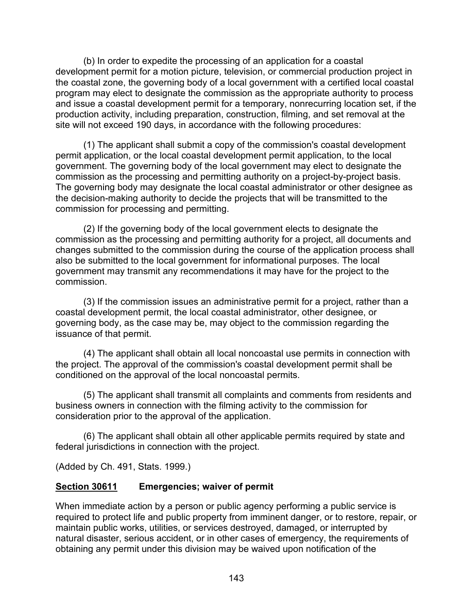(b) In order to expedite the processing of an application for a coastal development permit for a motion picture, television, or commercial production project in the coastal zone, the governing body of a local government with a certified local coastal program may elect to designate the commission as the appropriate authority to process and issue a coastal development permit for a temporary, nonrecurring location set, if the production activity, including preparation, construction, filming, and set removal at the site will not exceed 190 days, in accordance with the following procedures:

(1) The applicant shall submit a copy of the commission's coastal development permit application, or the local coastal development permit application, to the local government. The governing body of the local government may elect to designate the commission as the processing and permitting authority on a project-by-project basis. The governing body may designate the local coastal administrator or other designee as the decision-making authority to decide the projects that will be transmitted to the commission for processing and permitting.

(2) If the governing body of the local government elects to designate the commission as the processing and permitting authority for a project, all documents and changes submitted to the commission during the course of the application process shall also be submitted to the local government for informational purposes. The local government may transmit any recommendations it may have for the project to the commission.

(3) If the commission issues an administrative permit for a project, rather than a coastal development permit, the local coastal administrator, other designee, or governing body, as the case may be, may object to the commission regarding the issuance of that permit.

(4) The applicant shall obtain all local noncoastal use permits in connection with the project. The approval of the commission's coastal development permit shall be conditioned on the approval of the local noncoastal permits.

(5) The applicant shall transmit all complaints and comments from residents and business owners in connection with the filming activity to the commission for consideration prior to the approval of the application.

(6) The applicant shall obtain all other applicable permits required by state and federal jurisdictions in connection with the project.

(Added by Ch. 491, Stats. 1999.)

## <span id="page-144-0"></span>**Section 30611 Emergencies; waiver of permit**

When immediate action by a person or public agency performing a public service is required to protect life and public property from imminent danger, or to restore, repair, or maintain public works, utilities, or services destroyed, damaged, or interrupted by natural disaster, serious accident, or in other cases of emergency, the requirements of obtaining any permit under this division may be waived upon notification of the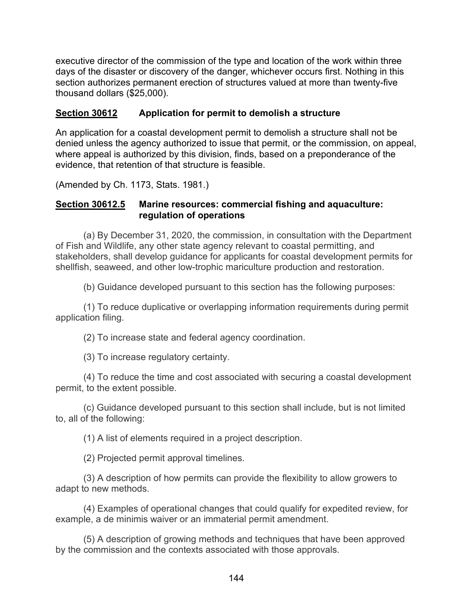executive director of the commission of the type and location of the work within three days of the disaster or discovery of the danger, whichever occurs first. Nothing in this section authorizes permanent erection of structures valued at more than twenty-five thousand dollars (\$25,000).

## **Section 30612 Application for permit to demolish a structure**

An application for a coastal development permit to demolish a structure shall not be denied unless the agency authorized to issue that permit, or the commission, on appeal, where appeal is authorized by this division, finds, based on a preponderance of the evidence, that retention of that structure is feasible.

(Amended by Ch. 1173, Stats. 1981.)

#### **Section 30612.5 Marine resources: commercial fishing and aquaculture: regulation of operations**

(a) By December 31, 2020, the commission, in consultation with the Department of Fish and Wildlife, any other state agency relevant to coastal permitting, and stakeholders, shall develop guidance for applicants for coastal development permits for shellfish, seaweed, and other low-trophic mariculture production and restoration.

(b) Guidance developed pursuant to this section has the following purposes:

(1) To reduce duplicative or overlapping information requirements during permit application filing.

(2) To increase state and federal agency coordination.

(3) To increase regulatory certainty.

(4) To reduce the time and cost associated with securing a coastal development permit, to the extent possible.

(c) Guidance developed pursuant to this section shall include, but is not limited to, all of the following:

(1) A list of elements required in a project description.

(2) Projected permit approval timelines.

(3) A description of how permits can provide the flexibility to allow growers to adapt to new methods.

(4) Examples of operational changes that could qualify for expedited review, for example, a de minimis waiver or an immaterial permit amendment.

(5) A description of growing methods and techniques that have been approved by the commission and the contexts associated with those approvals.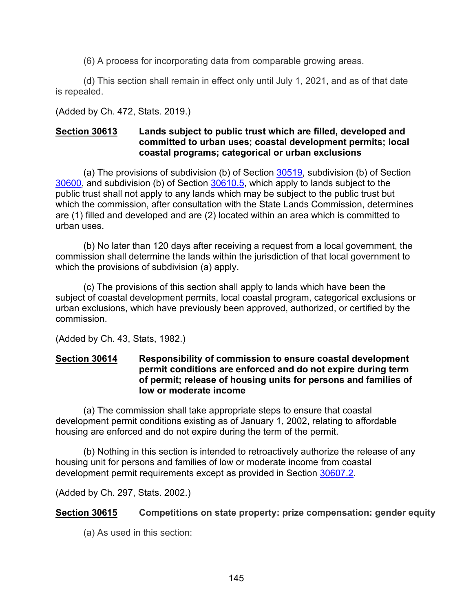(6) A process for incorporating data from comparable growing areas.

(d) This section shall remain in effect only until July 1, 2021, and as of that date is repealed.

(Added by Ch. 472, Stats. 2019.)

#### **Section 30613 Lands subject to public trust which are filled, developed and committed to urban uses; coastal development permits; local coastal programs; categorical or urban exclusions**

(a) The provisions of subdivision (b) of Section [30519,](#page-105-0) subdivision (b) of Section [30600,](#page-116-0) and subdivision (b) of Section [30610.5,](#page-136-0) which apply to lands subject to the public trust shall not apply to any lands which may be subject to the public trust but which the commission, after consultation with the State Lands Commission, determines are (1) filled and developed and are (2) located within an area which is committed to urban uses.

(b) No later than 120 days after receiving a request from a local government, the commission shall determine the lands within the jurisdiction of that local government to which the provisions of subdivision (a) apply.

(c) The provisions of this section shall apply to lands which have been the subject of coastal development permits, local coastal program, categorical exclusions or urban exclusions, which have previously been approved, authorized, or certified by the commission.

(Added by Ch. 43, Stats, 1982.)

### **Section 30614 Responsibility of commission to ensure coastal development permit conditions are enforced and do not expire during term of permit; release of housing units for persons and families of low or moderate income**

(a) The commission shall take appropriate steps to ensure that coastal development permit conditions existing as of January 1, 2002, relating to affordable housing are enforced and do not expire during the term of the permit.

(b) Nothing in this section is intended to retroactively authorize the release of any housing unit for persons and families of low or moderate income from coastal development permit requirements except as provided in Section [30607.2.](#page-127-0)

(Added by Ch. 297, Stats. 2002.)

## **Section 30615 Competitions on state property: prize compensation: gender equity**

(a) As used in this section: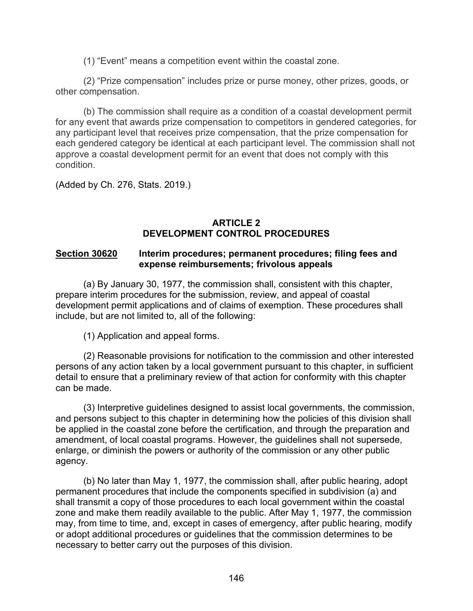(1) "Event" means a competition event within the coastal zone.

(2) "Prize compensation" includes prize or purse money, other prizes, goods, or other compensation.

(b) The commission shall require as a condition of a coastal development permit for any event that awards prize compensation to competitors in gendered categories, for any participant level that receives prize compensation, that the prize compensation for each gendered category be identical at each participant level. The commission shall not approve a coastal development permit for an event that does not comply with this condition.

(Added by Ch. 276, Stats. 2019.)

#### **ARTICLE 2 DEVELOPMENT CONTROL PROCEDURES**

#### <span id="page-147-0"></span>**Section 30620 Interim procedures; permanent procedures; filing fees and expense reimbursements; frivolous appeals**

(a) By January 30, 1977, the commission shall, consistent with this chapter, prepare interim procedures for the submission, review, and appeal of coastal development permit applications and of claims of exemption. These procedures shall include, but are not limited to, all of the following:

(1) Application and appeal forms.

(2) Reasonable provisions for notification to the commission and other interested persons of any action taken by a local government pursuant to this chapter, in sufficient detail to ensure that a preliminary review of that action for conformity with this chapter can be made.

(3) Interpretive guidelines designed to assist local governments, the commission, and persons subject to this chapter in determining how the policies of this division shall be applied in the coastal zone before the certification, and through the preparation and amendment, of local coastal programs. However, the guidelines shall not supersede, enlarge, or diminish the powers or authority of the commission or any other public agency.

(b) No later than May 1, 1977, the commission shall, after public hearing, adopt permanent procedures that include the components specified in subdivision (a) and shall transmit a copy of those procedures to each local government within the coastal zone and make them readily available to the public. After May 1, 1977, the commission may, from time to time, and, except in cases of emergency, after public hearing, modify or adopt additional procedures or guidelines that the commission determines to be necessary to better carry out the purposes of this division.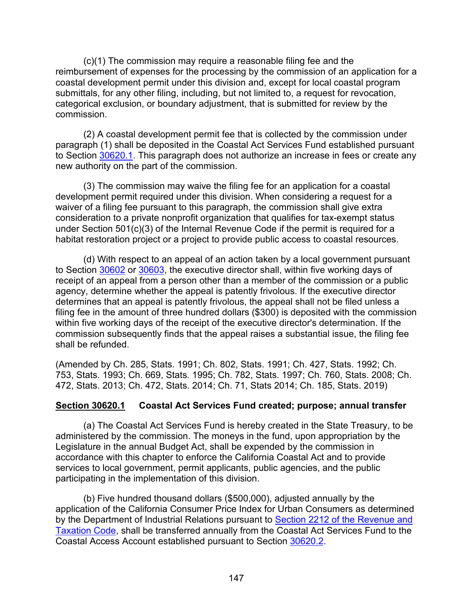(c)(1) The commission may require a reasonable filing fee and the reimbursement of expenses for the processing by the commission of an application for a coastal development permit under this division and, except for local coastal program submittals, for any other filing, including, but not limited to, a request for revocation, categorical exclusion, or boundary adjustment, that is submitted for review by the commission.

(2) A coastal development permit fee that is collected by the commission under paragraph (1) shall be deposited in the Coastal Act Services Fund established pursuant to Section [30620.1.](#page-148-0) This paragraph does not authorize an increase in fees or create any new authority on the part of the commission.

(3) The commission may waive the filing fee for an application for a coastal development permit required under this division. When considering a request for a waiver of a filing fee pursuant to this paragraph, the commission shall give extra consideration to a private nonprofit organization that qualifies for tax-exempt status under Section 501(c)(3) of the Internal Revenue Code if the permit is required for a habitat restoration project or a project to provide public access to coastal resources.

(d) With respect to an appeal of an action taken by a local government pursuant to Section [30602](#page-122-0) or [30603,](#page-122-1) the executive director shall, within five working days of receipt of an appeal from a person other than a member of the commission or a public agency, determine whether the appeal is patently frivolous. If the executive director determines that an appeal is patently frivolous, the appeal shall not be filed unless a filing fee in the amount of three hundred dollars (\$300) is deposited with the commission within five working days of the receipt of the executive director's determination. If the commission subsequently finds that the appeal raises a substantial issue, the filing fee shall be refunded.

(Amended by Ch. 285, Stats. 1991; Ch. 802, Stats. 1991; Ch. 427, Stats. 1992; Ch. 753, Stats. 1993; Ch. 669, Stats. 1995; Ch. 782, Stats. 1997; Ch. 760, Stats. 2008; Ch. 472, Stats. 2013; Ch. 472, Stats. 2014; Ch. 71, Stats 2014; Ch. 185, Stats. 2019)

#### <span id="page-148-0"></span>**Section 30620.1 Coastal Act Services Fund created; purpose; annual transfer**

(a) The Coastal Act Services Fund is hereby created in the State Treasury, to be administered by the commission. The moneys in the fund, upon appropriation by the Legislature in the annual Budget Act, shall be expended by the commission in accordance with this chapter to enforce the California Coastal Act and to provide services to local government, permit applicants, public agencies, and the public participating in the implementation of this division.

(b) Five hundred thousand dollars (\$500,000), adjusted annually by the application of the California Consumer Price Index for Urban Consumers as determined by the Department of Industrial Relations pursuant to [Section 2212 of the Revenue and](http://leginfo.legislature.ca.gov/faces/codesTOCSelected.xhtml?tocCode=RTC&tocTitle=+Revenue+and+Taxation+Code+-+RTC)  [Taxation Code,](http://leginfo.legislature.ca.gov/faces/codesTOCSelected.xhtml?tocCode=RTC&tocTitle=+Revenue+and+Taxation+Code+-+RTC) shall be transferred annually from the Coastal Act Services Fund to the Coastal Access Account established pursuant to Section [30620.2.](#page-149-0)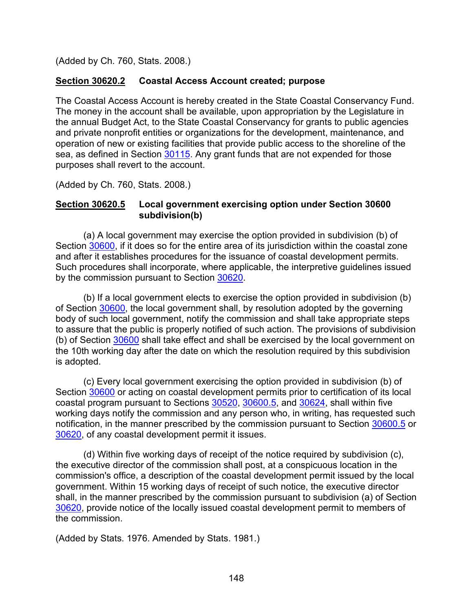(Added by Ch. 760, Stats. 2008.)

## <span id="page-149-0"></span>**Section 30620.2 Coastal Access Account created; purpose**

The Coastal Access Account is hereby created in the State Coastal Conservancy Fund. The money in the account shall be available, upon appropriation by the Legislature in the annual Budget Act, to the State Coastal Conservancy for grants to public agencies and private nonprofit entities or organizations for the development, maintenance, and operation of new or existing facilities that provide public access to the shoreline of the sea, as defined in Section [30115.](#page-15-0) Any grant funds that are not expended for those purposes shall revert to the account.

(Added by Ch. 760, Stats. 2008.)

#### **Section 30620.5 Local government exercising option under Section 30600 subdivision(b)**

(a) A local government may exercise the option provided in subdivision (b) of Section [30600,](#page-116-0) if it does so for the entire area of its jurisdiction within the coastal zone and after it establishes procedures for the issuance of coastal development permits. Such procedures shall incorporate, where applicable, the interpretive guidelines issued by the commission pursuant to Section [30620.](#page-147-0)

(b) If a local government elects to exercise the option provided in subdivision (b) of Section [30600,](#page-116-0) the local government shall, by resolution adopted by the governing body of such local government, notify the commission and shall take appropriate steps to assure that the public is properly notified of such action. The provisions of subdivision (b) of Section [30600](#page-116-0) shall take effect and shall be exercised by the local government on the 10th working day after the date on which the resolution required by this subdivision is adopted.

(c) Every local government exercising the option provided in subdivision (b) of Section [30600](#page-116-0) or acting on coastal development permits prior to certification of its local coastal program pursuant to Sections [30520,](#page-108-0) [30600.5,](#page-118-0) and [30624,](#page-151-0) shall within five working days notify the commission and any person who, in writing, has requested such notification, in the manner prescribed by the commission pursuant to Section [30600.5](#page-118-0) or [30620,](#page-147-0) of any coastal development permit it issues.

(d) Within five working days of receipt of the notice required by subdivision (c), the executive director of the commission shall post, at a conspicuous location in the commission's office, a description of the coastal development permit issued by the local government. Within 15 working days of receipt of such notice, the executive director shall, in the manner prescribed by the commission pursuant to subdivision (a) of Section [30620,](#page-147-0) provide notice of the locally issued coastal development permit to members of the commission.

(Added by Stats. 1976. Amended by Stats. 1981.)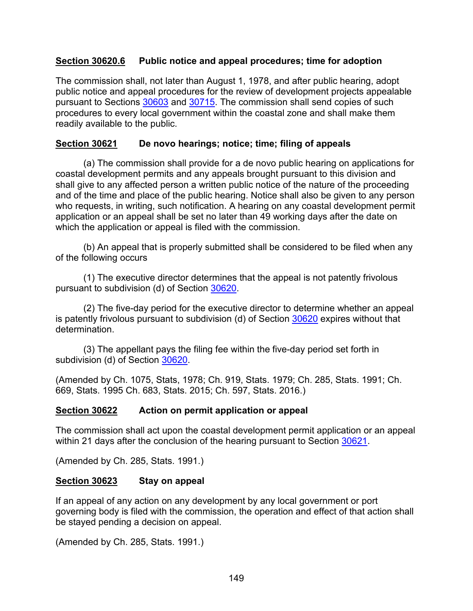### **Section 30620.6 Public notice and appeal procedures; time for adoption**

The commission shall, not later than August 1, 1978, and after public hearing, adopt public notice and appeal procedures for the review of development projects appealable pursuant to Sections [30603](#page-122-1) and [30715.](#page-161-0) The commission shall send copies of such procedures to every local government within the coastal zone and shall make them readily available to the public.

## <span id="page-150-0"></span>**Section 30621 De novo hearings; notice; time; filing of appeals**

(a) The commission shall provide for a de novo public hearing on applications for coastal development permits and any appeals brought pursuant to this division and shall give to any affected person a written public notice of the nature of the proceeding and of the time and place of the public hearing. Notice shall also be given to any person who requests, in writing, such notification. A hearing on any coastal development permit application or an appeal shall be set no later than 49 working days after the date on which the application or appeal is filed with the commission.

(b) An appeal that is properly submitted shall be considered to be filed when any of the following occurs

(1) The executive director determines that the appeal is not patently frivolous pursuant to subdivision (d) of Section [30620.](#page-147-0)

(2) The five-day period for the executive director to determine whether an appeal is patently frivolous pursuant to subdivision (d) of Section [30620](#page-147-0) expires without that determination.

(3) The appellant pays the filing fee within the five-day period set forth in subdivision (d) of Section [30620.](#page-147-0)

(Amended by Ch. 1075, Stats, 1978; Ch. 919, Stats. 1979; Ch. 285, Stats. 1991; Ch. 669, Stats. 1995 Ch. 683, Stats. 2015; Ch. 597, Stats. 2016.)

#### <span id="page-150-1"></span>**Section 30622 Action on permit application or appeal**

The commission shall act upon the coastal development permit application or an appeal within 21 days after the conclusion of the hearing pursuant to Section [30621.](#page-150-0)

(Amended by Ch. 285, Stats. 1991.)

#### **Section 30623 Stay on appeal**

If an appeal of any action on any development by any local government or port governing body is filed with the commission, the operation and effect of that action shall be stayed pending a decision on appeal.

(Amended by Ch. 285, Stats. 1991.)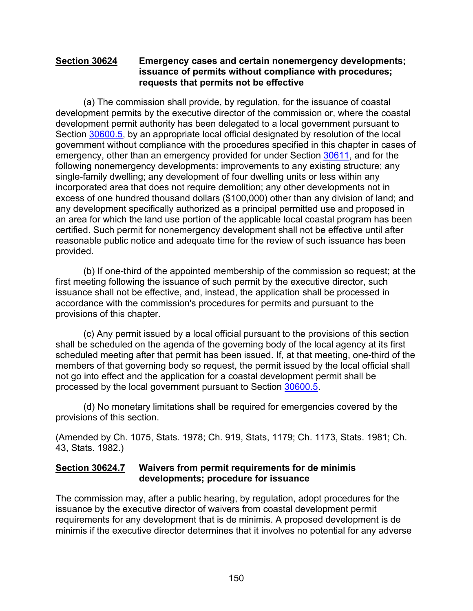#### <span id="page-151-0"></span>**Section 30624 Emergency cases and certain nonemergency developments; issuance of permits without compliance with procedures; requests that permits not be effective**

(a) The commission shall provide, by regulation, for the issuance of coastal development permits by the executive director of the commission or, where the coastal development permit authority has been delegated to a local government pursuant to Section [30600.5,](#page-118-0) by an appropriate local official designated by resolution of the local government without compliance with the procedures specified in this chapter in cases of emergency, other than an emergency provided for under Section [30611,](#page-144-0) and for the following nonemergency developments: improvements to any existing structure; any single-family dwelling; any development of four dwelling units or less within any incorporated area that does not require demolition; any other developments not in excess of one hundred thousand dollars (\$100,000) other than any division of land; and any development specifically authorized as a principal permitted use and proposed in an area for which the land use portion of the applicable local coastal program has been certified. Such permit for nonemergency development shall not be effective until after reasonable public notice and adequate time for the review of such issuance has been provided.

(b) If one-third of the appointed membership of the commission so request; at the first meeting following the issuance of such permit by the executive director, such issuance shall not be effective, and, instead, the application shall be processed in accordance with the commission's procedures for permits and pursuant to the provisions of this chapter.

(c) Any permit issued by a local official pursuant to the provisions of this section shall be scheduled on the agenda of the governing body of the local agency at its first scheduled meeting after that permit has been issued. If, at that meeting, one-third of the members of that governing body so request, the permit issued by the local official shall not go into effect and the application for a coastal development permit shall be processed by the local government pursuant to Section [30600.5.](#page-118-0)

(d) No monetary limitations shall be required for emergencies covered by the provisions of this section.

(Amended by Ch. 1075, Stats. 1978; Ch. 919, Stats, 1179; Ch. 1173, Stats. 1981; Ch. 43, Stats. 1982.)

## **Section 30624.7 Waivers from permit requirements for de minimis developments; procedure for issuance**

The commission may, after a public hearing, by regulation, adopt procedures for the issuance by the executive director of waivers from coastal development permit requirements for any development that is de minimis. A proposed development is de minimis if the executive director determines that it involves no potential for any adverse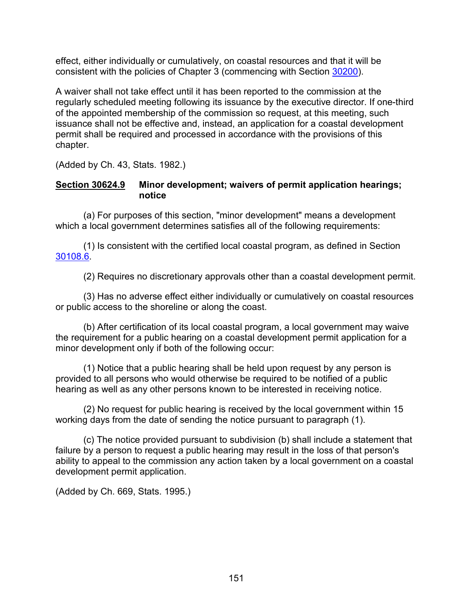effect, either individually or cumulatively, on coastal resources and that it will be consistent with the policies of Chapter 3 (commencing with Section [30200\)](#page-38-0).

A waiver shall not take effect until it has been reported to the commission at the regularly scheduled meeting following its issuance by the executive director. If one-third of the appointed membership of the commission so request, at this meeting, such issuance shall not be effective and, instead, an application for a coastal development permit shall be required and processed in accordance with the provisions of this chapter.

(Added by Ch. 43, Stats. 1982.)

### **Section 30624.9 Minor development; waivers of permit application hearings; notice**

(a) For purposes of this section, "minor development" means a development which a local government determines satisfies all of the following requirements:

(1) Is consistent with the certified local coastal program, as defined in Section [30108.6.](#page-14-0)

(2) Requires no discretionary approvals other than a coastal development permit.

(3) Has no adverse effect either individually or cumulatively on coastal resources or public access to the shoreline or along the coast.

(b) After certification of its local coastal program, a local government may waive the requirement for a public hearing on a coastal development permit application for a minor development only if both of the following occur:

(1) Notice that a public hearing shall be held upon request by any person is provided to all persons who would otherwise be required to be notified of a public hearing as well as any other persons known to be interested in receiving notice.

(2) No request for public hearing is received by the local government within 15 working days from the date of sending the notice pursuant to paragraph (1).

(c) The notice provided pursuant to subdivision (b) shall include a statement that failure by a person to request a public hearing may result in the loss of that person's ability to appeal to the commission any action taken by a local government on a coastal development permit application.

(Added by Ch. 669, Stats. 1995.)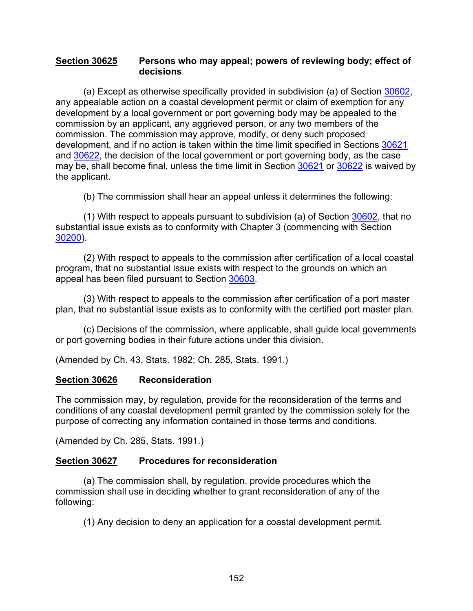#### <span id="page-153-0"></span>**Section 30625 Persons who may appeal; powers of reviewing body; effect of decisions**

(a) Except as otherwise specifically provided in subdivision (a) of Section [30602,](#page-122-0) any appealable action on a coastal development permit or claim of exemption for any development by a local government or port governing body may be appealed to the commission by an applicant, any aggrieved person, or any two members of the commission. The commission may approve, modify, or deny such proposed development, and if no action is taken within the time limit specified in Sections [30621](#page-150-0) and [30622,](#page-150-1) the decision of the local government or port governing body, as the case may be, shall become final, unless the time limit in Section [30621](#page-150-0) or [30622](#page-150-1) is waived by the applicant.

(b) The commission shall hear an appeal unless it determines the following:

(1) With respect to appeals pursuant to subdivision (a) of Section [30602,](#page-122-0) that no substantial issue exists as to conformity with Chapter 3 (commencing with Section [30200\)](#page-38-0).

(2) With respect to appeals to the commission after certification of a local coastal program, that no substantial issue exists with respect to the grounds on which an appeal has been filed pursuant to Section [30603.](#page-122-1)

(3) With respect to appeals to the commission after certification of a port master plan, that no substantial issue exists as to conformity with the certified port master plan.

(c) Decisions of the commission, where applicable, shall guide local governments or port governing bodies in their future actions under this division.

(Amended by Ch. 43, Stats. 1982; Ch. 285, Stats. 1991.)

#### **Section 30626 Reconsideration**

The commission may, by regulation, provide for the reconsideration of the terms and conditions of any coastal development permit granted by the commission solely for the purpose of correcting any information contained in those terms and conditions.

(Amended by Ch. 285, Stats. 1991.)

#### **Section 30627 Procedures for reconsideration**

(a) The commission shall, by regulation, provide procedures which the commission shall use in deciding whether to grant reconsideration of any of the following:

(1) Any decision to deny an application for a coastal development permit.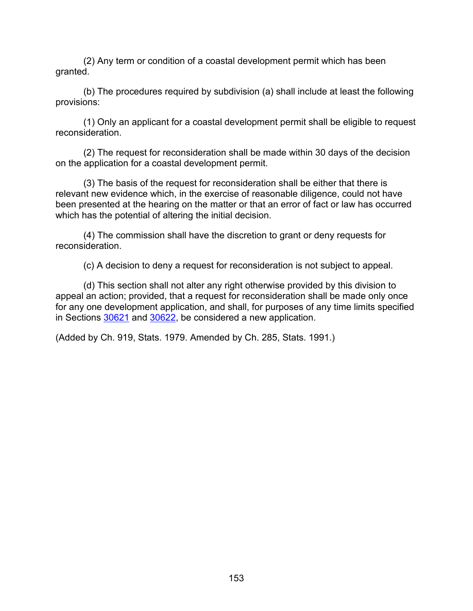(2) Any term or condition of a coastal development permit which has been granted.

(b) The procedures required by subdivision (a) shall include at least the following provisions:

(1) Only an applicant for a coastal development permit shall be eligible to request reconsideration.

(2) The request for reconsideration shall be made within 30 days of the decision on the application for a coastal development permit.

(3) The basis of the request for reconsideration shall be either that there is relevant new evidence which, in the exercise of reasonable diligence, could not have been presented at the hearing on the matter or that an error of fact or law has occurred which has the potential of altering the initial decision.

(4) The commission shall have the discretion to grant or deny requests for reconsideration.

(c) A decision to deny a request for reconsideration is not subject to appeal.

(d) This section shall not alter any right otherwise provided by this division to appeal an action; provided, that a request for reconsideration shall be made only once for any one development application, and shall, for purposes of any time limits specified in Sections [30621](#page-150-0) and [30622,](#page-150-1) be considered a new application.

(Added by Ch. 919, Stats. 1979. Amended by Ch. 285, Stats. 1991.)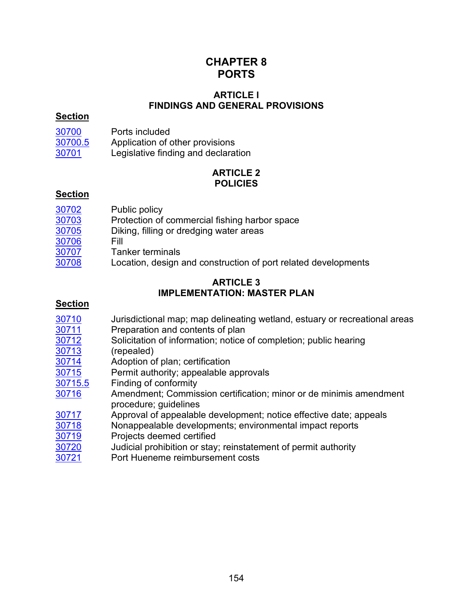# **CHAPTER 8 PORTS**

### **ARTICLE l FINDINGS AND GENERAL PROVISIONS**

#### **Section**

| 30700   | Ports included                      |
|---------|-------------------------------------|
| 30700.5 | Application of other provisions     |
| 30701   | Legislative finding and declaration |

## **ARTICLE 2 POLICIES**

## **Section**

| 30702 | Public policy                                                  |
|-------|----------------------------------------------------------------|
| 30703 | Protection of commercial fishing harbor space                  |
| 30705 | Diking, filling or dredging water areas                        |
| 30706 | Fill                                                           |
| 30707 | <b>Tanker terminals</b>                                        |
| 30708 | Location, design and construction of port related developments |

#### **ARTICLE 3 IMPLEMENTATION: MASTER PLAN**

## **Section**

- [30710](#page-159-1) Jurisdictional map; map delineating wetland, estuary or recreational areas<br>30711 Preparation and contents of plan
- 
- [30711](#page-159-2) Preparation and contents of plan<br>30712 Solicitation of information; notice [30712](#page-160-0) Solicitation of information; notice of completion; public hearing<br>30713 (repealed)
- 
- [30713](#page-160-1) (repealed)<br>30714 Adoption o [30714](#page-160-2) Adoption of plan; certification<br>30715 Permit authority; appealable a
- Permit authority; appealable approvals
- [30715.5](#page-162-0) Finding of conformity
- [30716](#page-162-1) Amendment; Commission certification; minor or de minimis amendment procedure; guidelines
- [30717](#page-163-0) Approval of appealable development; notice effective date; appeals<br>30718 Monappealable developments; environmental impact reports
- Nonappealable developments; environmental impact reports
- [30719](#page-164-1) Projects deemed certified
- [30720](#page-164-2) Judicial prohibition or stay; reinstatement of permit authority
- [30721](#page-164-3) Port Hueneme reimbursement costs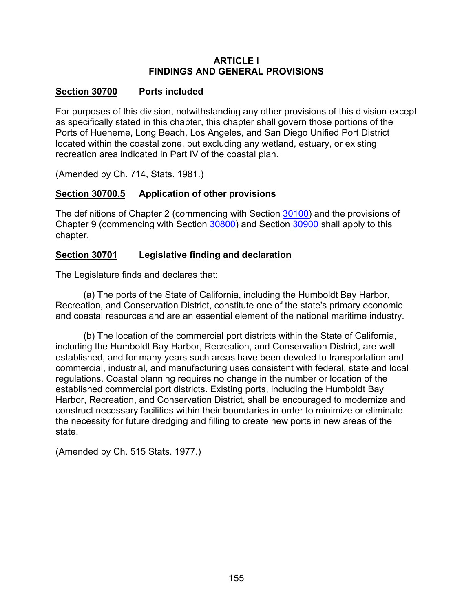### **ARTICLE l FINDINGS AND GENERAL PROVISIONS**

## <span id="page-156-0"></span>**Section 30700 Ports included**

For purposes of this division, notwithstanding any other provisions of this division except as specifically stated in this chapter, this chapter shall govern those portions of the Ports of Hueneme, Long Beach, Los Angeles, and San Diego Unified Port District located within the coastal zone, but excluding any wetland, estuary, or existing recreation area indicated in Part IV of the coastal plan.

(Amended by Ch. 714, Stats. 1981.)

## <span id="page-156-1"></span>**Section 30700.5 Application of other provisions**

The definitions of Chapter 2 (commencing with Section [30100\)](#page-10-0) and the provisions of Chapter 9 (commencing with Section [30800\)](#page-167-0) and Section [30900](#page-179-0) shall apply to this chapter.

## <span id="page-156-2"></span>**Section 30701 Legislative finding and declaration**

The Legislature finds and declares that:

(a) The ports of the State of California, including the Humboldt Bay Harbor, Recreation, and Conservation District, constitute one of the state's primary economic and coastal resources and are an essential element of the national maritime industry.

(b) The location of the commercial port districts within the State of California, including the Humboldt Bay Harbor, Recreation, and Conservation District, are well established, and for many years such areas have been devoted to transportation and commercial, industrial, and manufacturing uses consistent with federal, state and local regulations. Coastal planning requires no change in the number or location of the established commercial port districts. Existing ports, including the Humboldt Bay Harbor, Recreation, and Conservation District, shall be encouraged to modernize and construct necessary facilities within their boundaries in order to minimize or eliminate the necessity for future dredging and filling to create new ports in new areas of the state.

(Amended by Ch. 515 Stats. 1977.)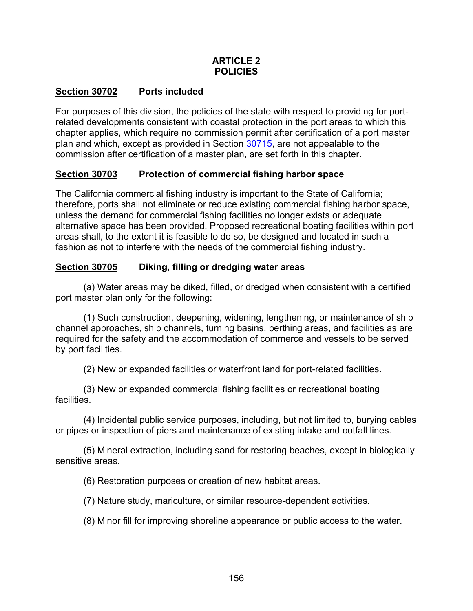## **ARTICLE 2 POLICIES**

## <span id="page-157-0"></span>**Section 30702 Ports included**

For purposes of this division, the policies of the state with respect to providing for portrelated developments consistent with coastal protection in the port areas to which this chapter applies, which require no commission permit after certification of a port master plan and which, except as provided in Section [30715,](#page-161-0) are not appealable to the commission after certification of a master plan, are set forth in this chapter.

## <span id="page-157-1"></span>**Section 30703 Protection of commercial fishing harbor space**

The California commercial fishing industry is important to the State of California; therefore, ports shall not eliminate or reduce existing commercial fishing harbor space, unless the demand for commercial fishing facilities no longer exists or adequate alternative space has been provided. Proposed recreational boating facilities within port areas shall, to the extent it is feasible to do so, be designed and located in such a fashion as not to interfere with the needs of the commercial fishing industry.

## <span id="page-157-2"></span>**Section 30705 Diking, filling or dredging water areas**

(a) Water areas may be diked, filled, or dredged when consistent with a certified port master plan only for the following:

(1) Such construction, deepening, widening, lengthening, or maintenance of ship channel approaches, ship channels, turning basins, berthing areas, and facilities as are required for the safety and the accommodation of commerce and vessels to be served by port facilities.

(2) New or expanded facilities or waterfront land for port-related facilities.

(3) New or expanded commercial fishing facilities or recreational boating facilities.

(4) Incidental public service purposes, including, but not limited to, burying cables or pipes or inspection of piers and maintenance of existing intake and outfall lines.

(5) Mineral extraction, including sand for restoring beaches, except in biologically sensitive areas.

(6) Restoration purposes or creation of new habitat areas.

(7) Nature study, mariculture, or similar resource-dependent activities.

(8) Minor fill for improving shoreline appearance or public access to the water.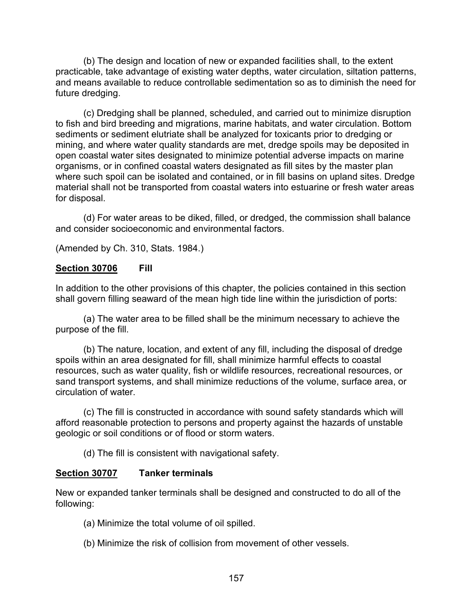(b) The design and location of new or expanded facilities shall, to the extent practicable, take advantage of existing water depths, water circulation, siltation patterns, and means available to reduce controllable sedimentation so as to diminish the need for future dredging.

(c) Dredging shall be planned, scheduled, and carried out to minimize disruption to fish and bird breeding and migrations, marine habitats, and water circulation. Bottom sediments or sediment elutriate shall be analyzed for toxicants prior to dredging or mining, and where water quality standards are met, dredge spoils may be deposited in open coastal water sites designated to minimize potential adverse impacts on marine organisms, or in confined coastal waters designated as fill sites by the master plan where such spoil can be isolated and contained, or in fill basins on upland sites. Dredge material shall not be transported from coastal waters into estuarine or fresh water areas for disposal.

(d) For water areas to be diked, filled, or dredged, the commission shall balance and consider socioeconomic and environmental factors.

(Amended by Ch. 310, Stats. 1984.)

#### <span id="page-158-0"></span>**Section 30706 Fill**

In addition to the other provisions of this chapter, the policies contained in this section shall govern filling seaward of the mean high tide line within the jurisdiction of ports:

(a) The water area to be filled shall be the minimum necessary to achieve the purpose of the fill.

(b) The nature, location, and extent of any fill, including the disposal of dredge spoils within an area designated for fill, shall minimize harmful effects to coastal resources, such as water quality, fish or wildlife resources, recreational resources, or sand transport systems, and shall minimize reductions of the volume, surface area, or circulation of water.

(c) The fill is constructed in accordance with sound safety standards which will afford reasonable protection to persons and property against the hazards of unstable geologic or soil conditions or of flood or storm waters.

(d) The fill is consistent with navigational safety.

#### <span id="page-158-1"></span>**Section 30707 Tanker terminals**

New or expanded tanker terminals shall be designed and constructed to do all of the following:

- (a) Minimize the total volume of oil spilled.
- (b) Minimize the risk of collision from movement of other vessels.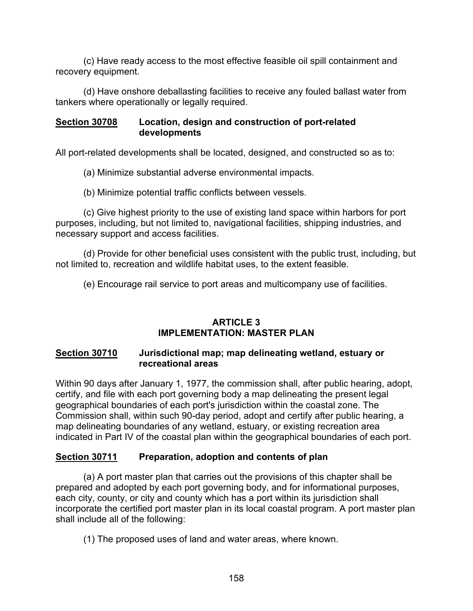(c) Have ready access to the most effective feasible oil spill containment and recovery equipment.

(d) Have onshore deballasting facilities to receive any fouled ballast water from tankers where operationally or legally required.

#### <span id="page-159-0"></span>**Section 30708 Location, design and construction of port-related developments**

All port-related developments shall be located, designed, and constructed so as to:

(a) Minimize substantial adverse environmental impacts.

(b) Minimize potential traffic conflicts between vessels.

(c) Give highest priority to the use of existing land space within harbors for port purposes, including, but not limited to, navigational facilities, shipping industries, and necessary support and access facilities.

(d) Provide for other beneficial uses consistent with the public trust, including, but not limited to, recreation and wildlife habitat uses, to the extent feasible.

(e) Encourage rail service to port areas and multicompany use of facilities.

## **ARTICLE 3 IMPLEMENTATION: MASTER PLAN**

#### <span id="page-159-1"></span>**Section 30710 Jurisdictional map; map delineating wetland, estuary or recreational areas**

Within 90 days after January 1, 1977, the commission shall, after public hearing, adopt, certify, and file with each port governing body a map delineating the present legal geographical boundaries of each port's jurisdiction within the coastal zone. The Commission shall, within such 90-day period, adopt and certify after public hearing, a map delineating boundaries of any wetland, estuary, or existing recreation area indicated in Part IV of the coastal plan within the geographical boundaries of each port.

## <span id="page-159-2"></span>**Section 30711 Preparation, adoption and contents of plan**

(a) A port master plan that carries out the provisions of this chapter shall be prepared and adopted by each port governing body, and for informational purposes, each city, county, or city and county which has a port within its jurisdiction shall incorporate the certified port master plan in its local coastal program. A port master plan shall include all of the following:

(1) The proposed uses of land and water areas, where known.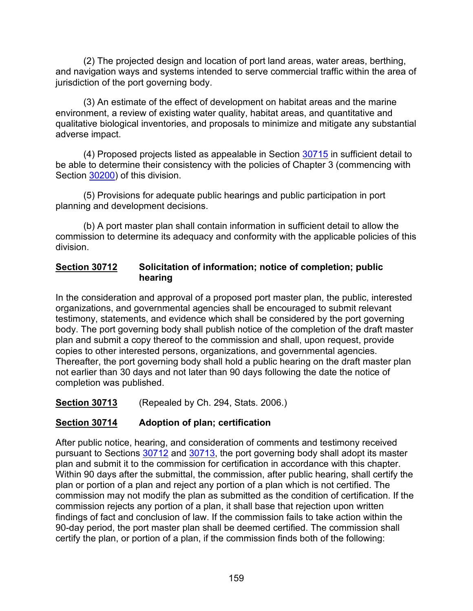(2) The projected design and location of port land areas, water areas, berthing, and navigation ways and systems intended to serve commercial traffic within the area of jurisdiction of the port governing body.

(3) An estimate of the effect of development on habitat areas and the marine environment, a review of existing water quality, habitat areas, and quantitative and qualitative biological inventories, and proposals to minimize and mitigate any substantial adverse impact.

(4) Proposed projects listed as appealable in Section [30715](#page-161-0) in sufficient detail to be able to determine their consistency with the policies of Chapter 3 (commencing with Section [30200\)](#page-38-0) of this division.

(5) Provisions for adequate public hearings and public participation in port planning and development decisions.

(b) A port master plan shall contain information in sufficient detail to allow the commission to determine its adequacy and conformity with the applicable policies of this division.

## <span id="page-160-0"></span>**Section 30712 Solicitation of information; notice of completion; public hearing**

In the consideration and approval of a proposed port master plan, the public, interested organizations, and governmental agencies shall be encouraged to submit relevant testimony, statements, and evidence which shall be considered by the port governing body. The port governing body shall publish notice of the completion of the draft master plan and submit a copy thereof to the commission and shall, upon request, provide copies to other interested persons, organizations, and governmental agencies. Thereafter, the port governing body shall hold a public hearing on the draft master plan not earlier than 30 days and not later than 90 days following the date the notice of completion was published.

<span id="page-160-1"></span>**Section 30713** (Repealed by Ch. 294, Stats. 2006.)

## <span id="page-160-2"></span>**Section 30714 Adoption of plan; certification**

After public notice, hearing, and consideration of comments and testimony received pursuant to Sections [30712](#page-160-0) and [30713,](#page-160-1) the port governing body shall adopt its master plan and submit it to the commission for certification in accordance with this chapter. Within 90 days after the submittal, the commission, after public hearing, shall certify the plan or portion of a plan and reject any portion of a plan which is not certified. The commission may not modify the plan as submitted as the condition of certification. If the commission rejects any portion of a plan, it shall base that rejection upon written findings of fact and conclusion of law. If the commission fails to take action within the 90-day period, the port master plan shall be deemed certified. The commission shall certify the plan, or portion of a plan, if the commission finds both of the following: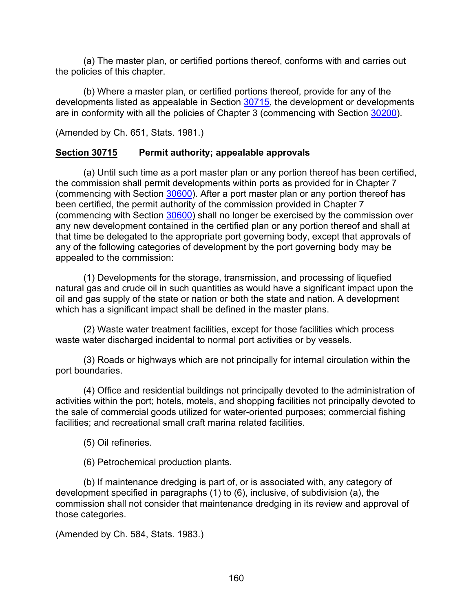(a) The master plan, or certified portions thereof, conforms with and carries out the policies of this chapter.

(b) Where a master plan, or certified portions thereof, provide for any of the developments listed as appealable in Section [30715,](#page-161-0) the development or developments are in conformity with all the policies of Chapter 3 (commencing with Section [30200\)](#page-38-0).

(Amended by Ch. 651, Stats. 1981.)

## <span id="page-161-0"></span>**Section 30715 Permit authority; appealable approvals**

(a) Until such time as a port master plan or any portion thereof has been certified, the commission shall permit developments within ports as provided for in Chapter 7 (commencing with Section [30600\)](#page-116-0). After a port master plan or any portion thereof has been certified, the permit authority of the commission provided in Chapter 7 (commencing with Section [30600\)](#page-116-0) shall no longer be exercised by the commission over any new development contained in the certified plan or any portion thereof and shall at that time be delegated to the appropriate port governing body, except that approvals of any of the following categories of development by the port governing body may be appealed to the commission:

(1) Developments for the storage, transmission, and processing of liquefied natural gas and crude oil in such quantities as would have a significant impact upon the oil and gas supply of the state or nation or both the state and nation. A development which has a significant impact shall be defined in the master plans.

(2) Waste water treatment facilities, except for those facilities which process waste water discharged incidental to normal port activities or by vessels.

(3) Roads or highways which are not principally for internal circulation within the port boundaries.

(4) Office and residential buildings not principally devoted to the administration of activities within the port; hotels, motels, and shopping facilities not principally devoted to the sale of commercial goods utilized for water-oriented purposes; commercial fishing facilities; and recreational small craft marina related facilities.

(5) Oil refineries.

(6) Petrochemical production plants.

(b) If maintenance dredging is part of, or is associated with, any category of development specified in paragraphs (1) to (6), inclusive, of subdivision (a), the commission shall not consider that maintenance dredging in its review and approval of those categories.

(Amended by Ch. 584, Stats. 1983.)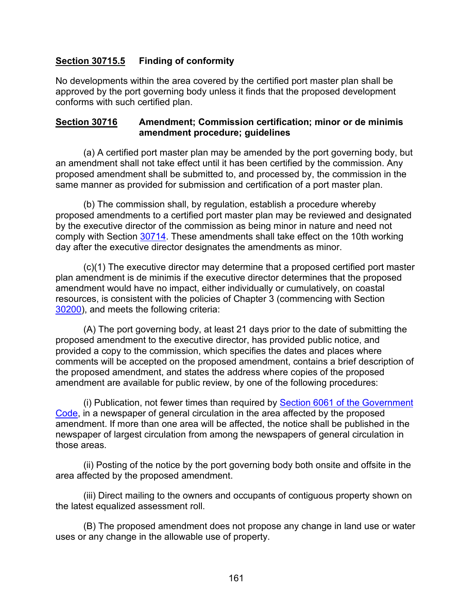## <span id="page-162-0"></span>**Section 30715.5 Finding of conformity**

No developments within the area covered by the certified port master plan shall be approved by the port governing body unless it finds that the proposed development conforms with such certified plan.

#### <span id="page-162-1"></span>**Section 30716 Amendment; Commission certification; minor or de minimis amendment procedure; guidelines**

(a) A certified port master plan may be amended by the port governing body, but an amendment shall not take effect until it has been certified by the commission. Any proposed amendment shall be submitted to, and processed by, the commission in the same manner as provided for submission and certification of a port master plan.

(b) The commission shall, by regulation, establish a procedure whereby proposed amendments to a certified port master plan may be reviewed and designated by the executive director of the commission as being minor in nature and need not comply with Section [30714.](#page-160-2) These amendments shall take effect on the 10th working day after the executive director designates the amendments as minor.

(c)(1) The executive director may determine that a proposed certified port master plan amendment is de minimis if the executive director determines that the proposed amendment would have no impact, either individually or cumulatively, on coastal resources, is consistent with the policies of Chapter 3 (commencing with Section [30200\)](#page-38-0), and meets the following criteria:

(A) The port governing body, at least 21 days prior to the date of submitting the proposed amendment to the executive director, has provided public notice, and provided a copy to the commission, which specifies the dates and places where comments will be accepted on the proposed amendment, contains a brief description of the proposed amendment, and states the address where copies of the proposed amendment are available for public review, by one of the following procedures:

(i) Publication, not fewer times than required by **Section 6061 of the Government** [Code,](http://leginfo.legislature.ca.gov/faces/codes_displayexpandedbranch.xhtml?tocCode=GOV&division=&title=1.&part=&chapter=&article=) in a newspaper of general circulation in the area affected by the proposed amendment. If more than one area will be affected, the notice shall be published in the newspaper of largest circulation from among the newspapers of general circulation in those areas.

(ii) Posting of the notice by the port governing body both onsite and offsite in the area affected by the proposed amendment.

(iii) Direct mailing to the owners and occupants of contiguous property shown on the latest equalized assessment roll.

(B) The proposed amendment does not propose any change in land use or water uses or any change in the allowable use of property.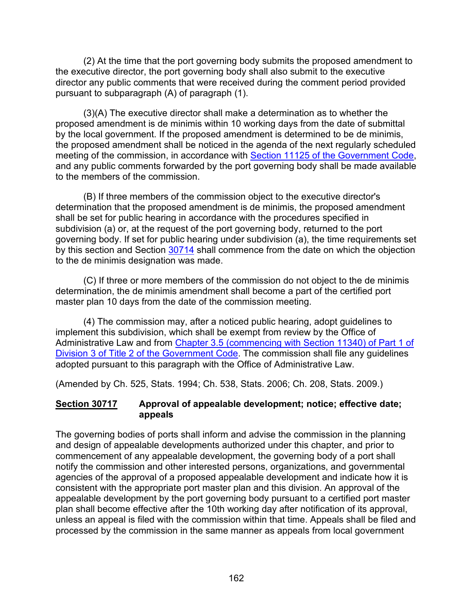(2) At the time that the port governing body submits the proposed amendment to the executive director, the port governing body shall also submit to the executive director any public comments that were received during the comment period provided pursuant to subparagraph (A) of paragraph (1).

(3)(A) The executive director shall make a determination as to whether the proposed amendment is de minimis within 10 working days from the date of submittal by the local government. If the proposed amendment is determined to be de minimis, the proposed amendment shall be noticed in the agenda of the next regularly scheduled meeting of the commission, in accordance with [Section 11125 of the Government Code,](http://leginfo.legislature.ca.gov/faces/codes_displayexpandedbranch.xhtml?tocCode=GOV&division=&title=2.&part=&chapter=&article=) and any public comments forwarded by the port governing body shall be made available to the members of the commission.

(B) If three members of the commission object to the executive director's determination that the proposed amendment is de minimis, the proposed amendment shall be set for public hearing in accordance with the procedures specified in subdivision (a) or, at the request of the port governing body, returned to the port governing body. If set for public hearing under subdivision (a), the time requirements set by this section and Section [30714](#page-160-2) shall commence from the date on which the objection to the de minimis designation was made.

(C) If three or more members of the commission do not object to the de minimis determination, the de minimis amendment shall become a part of the certified port master plan 10 days from the date of the commission meeting.

(4) The commission may, after a noticed public hearing, adopt guidelines to implement this subdivision, which shall be exempt from review by the Office of Administrative Law and from [Chapter 3.5 \(commencing with Section 11340\) of Part 1 of](http://leginfo.legislature.ca.gov/faces/codes_displayexpandedbranch.xhtml?tocCode=GOV&division=&title=2.&part=&chapter=&article=)  [Division 3 of Title 2 of the Government Code.](http://leginfo.legislature.ca.gov/faces/codes_displayexpandedbranch.xhtml?tocCode=GOV&division=&title=2.&part=&chapter=&article=) The commission shall file any guidelines adopted pursuant to this paragraph with the Office of Administrative Law.

(Amended by Ch. 525, Stats. 1994; Ch. 538, Stats. 2006; Ch. 208, Stats. 2009.)

## <span id="page-163-0"></span>**Section 30717 Approval of appealable development; notice; effective date; appeals**

The governing bodies of ports shall inform and advise the commission in the planning and design of appealable developments authorized under this chapter, and prior to commencement of any appealable development, the governing body of a port shall notify the commission and other interested persons, organizations, and governmental agencies of the approval of a proposed appealable development and indicate how it is consistent with the appropriate port master plan and this division. An approval of the appealable development by the port governing body pursuant to a certified port master plan shall become effective after the 10th working day after notification of its approval, unless an appeal is filed with the commission within that time. Appeals shall be filed and processed by the commission in the same manner as appeals from local government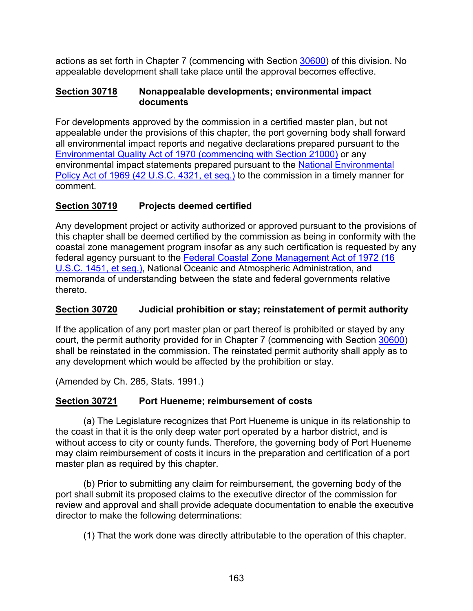actions as set forth in Chapter 7 (commencing with Section [30600\)](#page-116-0) of this division. No appealable development shall take place until the approval becomes effective.

#### <span id="page-164-0"></span>**Section 30718 Nonappealable developments; environmental impact documents**

For developments approved by the commission in a certified master plan, but not appealable under the provisions of this chapter, the port governing body shall forward all environmental impact reports and negative declarations prepared pursuant to the Environmental Quality [Act of 1970 \(commencing with Section 21000\)](http://leginfo.legislature.ca.gov/faces/codes_displayexpandedbranch.xhtml?tocCode=PRC&division=13.&title=&part=&chapter=&article=) or any environmental impact statements prepared pursuant to the [National Environmental](http://www.law.cornell.edu/uscode/)  [Policy Act of 1969 \(42 U.S.C. 4321, et seq.\)](http://www.law.cornell.edu/uscode/) to the commission in a timely manner for comment.

## <span id="page-164-1"></span>**Section 30719 Projects deemed certified**

Any development project or activity authorized or approved pursuant to the provisions of this chapter shall be deemed certified by the commission as being in conformity with the coastal zone management program insofar as any such certification is requested by any federal agency pursuant to the [Federal Coastal Zone Management Act of 1972 \(16](http://www.law.cornell.edu/uscode/)  [U.S.C. 1451, et seq.\),](http://www.law.cornell.edu/uscode/) National Oceanic and Atmospheric Administration, and memoranda of understanding between the state and federal governments relative thereto.

## <span id="page-164-2"></span>**Section 30720 Judicial prohibition or stay; reinstatement of permit authority**

If the application of any port master plan or part thereof is prohibited or stayed by any court, the permit authority provided for in Chapter 7 (commencing with Section [30600\)](#page-116-0) shall be reinstated in the commission. The reinstated permit authority shall apply as to any development which would be affected by the prohibition or stay.

(Amended by Ch. 285, Stats. 1991.)

## <span id="page-164-3"></span>**Section 30721 Port Hueneme; reimbursement of costs**

(a) The Legislature recognizes that Port Hueneme is unique in its relationship to the coast in that it is the only deep water port operated by a harbor district, and is without access to city or county funds. Therefore, the governing body of Port Hueneme may claim reimbursement of costs it incurs in the preparation and certification of a port master plan as required by this chapter.

(b) Prior to submitting any claim for reimbursement, the governing body of the port shall submit its proposed claims to the executive director of the commission for review and approval and shall provide adequate documentation to enable the executive director to make the following determinations:

(1) That the work done was directly attributable to the operation of this chapter.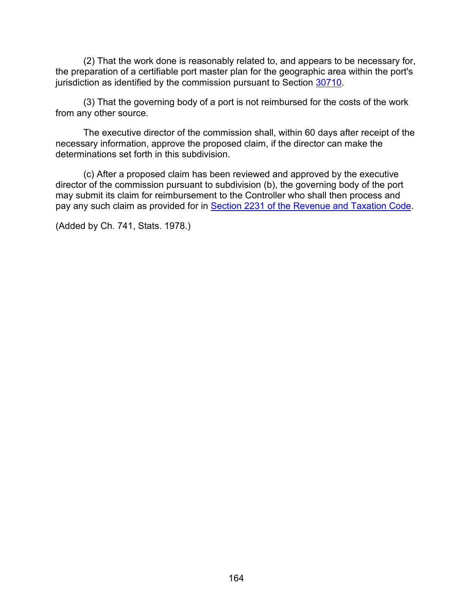(2) That the work done is reasonably related to, and appears to be necessary for, the preparation of a certifiable port master plan for the geographic area within the port's jurisdiction as identified by the commission pursuant to Section [30710.](#page-159-1)

(3) That the governing body of a port is not reimbursed for the costs of the work from any other source.

The executive director of the commission shall, within 60 days after receipt of the necessary information, approve the proposed claim, if the director can make the determinations set forth in this subdivision.

(c) After a proposed claim has been reviewed and approved by the executive director of the commission pursuant to subdivision (b), the governing body of the port may submit its claim for reimbursement to the Controller who shall then process and pay any such claim as provided for in [Section 2231 of the Revenue and Taxation Code.](http://leginfo.legislature.ca.gov/faces/codes_displayexpandedbranch.xhtml?tocCode=RTC&division=1.&title=&part=&chapter=&article=)

(Added by Ch. 741, Stats. 1978.)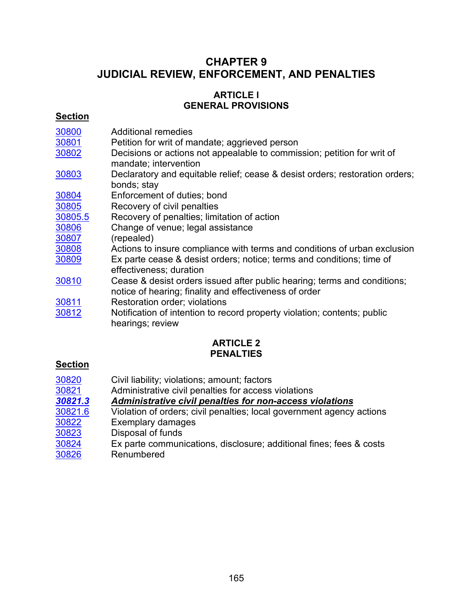# **CHAPTER 9 JUDICIAL REVIEW, ENFORCEMENT, AND PENALTIES**

## **ARTICLE l GENERAL PROVISIONS**

## **Section**

| 30800<br>30801 | <b>Additional remedies</b><br>Petition for writ of mandate; aggrieved person                                                       |
|----------------|------------------------------------------------------------------------------------------------------------------------------------|
| 30802          | Decisions or actions not appealable to commission; petition for writ of<br>mandate; intervention                                   |
| 30803          | Declaratory and equitable relief; cease & desist orders; restoration orders;<br>bonds; stay                                        |
| 30804          | Enforcement of duties; bond                                                                                                        |
| 30805          | Recovery of civil penalties                                                                                                        |
| 30805.5        | Recovery of penalties; limitation of action                                                                                        |
| 30806          | Change of venue; legal assistance                                                                                                  |
| 30807          | (repealed)                                                                                                                         |
| 30808          | Actions to insure compliance with terms and conditions of urban exclusion                                                          |
| 30809          | Ex parte cease & desist orders; notice; terms and conditions; time of<br>effectiveness; duration                                   |
| 30810          | Cease & desist orders issued after public hearing; terms and conditions;<br>notice of hearing; finality and effectiveness of order |
| 30811          | Restoration order; violations                                                                                                      |
| 30812          | Notification of intention to record property violation; contents; public<br>hearings; review                                       |

## **ARTICLE 2 PENALTIES**

## **Section**

| 30820   | Civil liability; violations; amount; factors                          |
|---------|-----------------------------------------------------------------------|
| 30821   | Administrative civil penalties for access violations                  |
| 30821.3 | Administrative civil penalties for non-access violations              |
| 30821.6 | Violation of orders; civil penalties; local government agency actions |
| 30822   | Exemplary damages                                                     |
| 30823   | Disposal of funds                                                     |
| 30824   | Ex parte communications, disclosure; additional fines; fees & costs   |
| 30826   | Renumbered                                                            |
|         |                                                                       |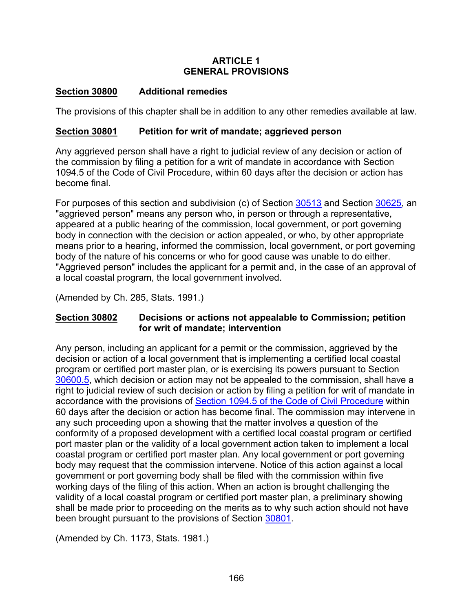#### **ARTICLE 1 GENERAL PROVISIONS**

## <span id="page-167-0"></span>**Section 30800 Additional remedies**

The provisions of this chapter shall be in addition to any other remedies available at law.

### <span id="page-167-1"></span>**Section 30801 Petition for writ of mandate; aggrieved person**

Any aggrieved person shall have a right to judicial review of any decision or action of the commission by filing a petition for a writ of mandate in accordance with Section 1094.5 of the Code of Civil Procedure, within 60 days after the decision or action has become final.

For purposes of this section and subdivision (c) of Section  $30513$  and Section [30625,](#page-153-0) an "aggrieved person" means any person who, in person or through a representative, appeared at a public hearing of the commission, local government, or port governing body in connection with the decision or action appealed, or who, by other appropriate means prior to a hearing, informed the commission, local government, or port governing body of the nature of his concerns or who for good cause was unable to do either. "Aggrieved person" includes the applicant for a permit and, in the case of an approval of a local coastal program, the local government involved.

(Amended by Ch. 285, Stats. 1991.)

## <span id="page-167-2"></span>**Section 30802 Decisions or actions not appealable to Commission; petition for writ of mandate; intervention**

Any person, including an applicant for a permit or the commission, aggrieved by the decision or action of a local government that is implementing a certified local coastal program or certified port master plan, or is exercising its powers pursuant to Section [30600.5,](#page-118-0) which decision or action may not be appealed to the commission, shall have a right to judicial review of such decision or action by filing a petition for writ of mandate in accordance with the provisions of [Section 1094.5 of the Code of Civil Procedure](http://leginfo.legislature.ca.gov/faces/codes_displayexpandedbranch.xhtml?tocCode=CCP&division=&title=&part=3.&chapter=&article=) within 60 days after the decision or action has become final. The commission may intervene in any such proceeding upon a showing that the matter involves a question of the conformity of a proposed development with a certified local coastal program or certified port master plan or the validity of a local government action taken to implement a local coastal program or certified port master plan. Any local government or port governing body may request that the commission intervene. Notice of this action against a local government or port governing body shall be filed with the commission within five working days of the filing of this action. When an action is brought challenging the validity of a local coastal program or certified port master plan, a preliminary showing shall be made prior to proceeding on the merits as to why such action should not have been brought pursuant to the provisions of Section [30801.](#page-167-1)

(Amended by Ch. 1173, Stats. 1981.)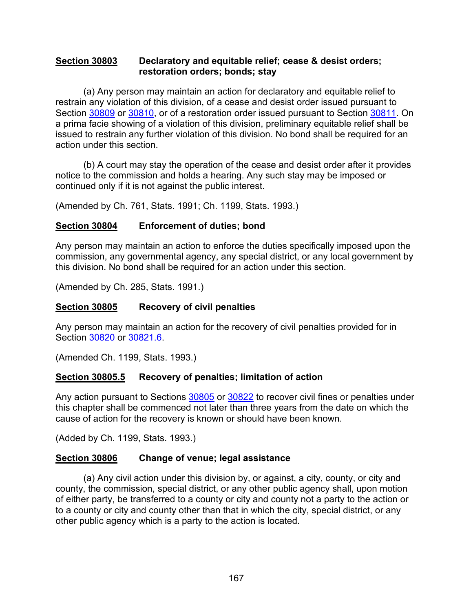#### <span id="page-168-0"></span>**Section 30803 Declaratory and equitable relief; cease & desist orders; restoration orders; bonds; stay**

(a) Any person may maintain an action for declaratory and equitable relief to restrain any violation of this division, of a cease and desist order issued pursuant to Section [30809](#page-169-2) or [30810,](#page-170-0) or of a restoration order issued pursuant to Section [30811.](#page-171-0) On a prima facie showing of a violation of this division, preliminary equitable relief shall be issued to restrain any further violation of this division. No bond shall be required for an action under this section.

(b) A court may stay the operation of the cease and desist order after it provides notice to the commission and holds a hearing. Any such stay may be imposed or continued only if it is not against the public interest.

(Amended by Ch. 761, Stats. 1991; Ch. 1199, Stats. 1993.)

#### <span id="page-168-1"></span>**Section 30804 Enforcement of duties; bond**

Any person may maintain an action to enforce the duties specifically imposed upon the commission, any governmental agency, any special district, or any local government by this division. No bond shall be required for an action under this section.

(Amended by Ch. 285, Stats. 1991.)

#### <span id="page-168-2"></span>**Section 30805 Recovery of civil penalties**

Any person may maintain an action for the recovery of civil penalties provided for in Section [30820](#page-173-0) or [30821.6.](#page-177-0)

(Amended Ch. 1199, Stats. 1993.)

#### <span id="page-168-3"></span>**Section 30805.5 Recovery of penalties; limitation of action**

Any action pursuant to Sections [30805](#page-168-2) or [30822](#page-178-0) to recover civil fines or penalties under this chapter shall be commenced not later than three years from the date on which the cause of action for the recovery is known or should have been known.

(Added by Ch. 1199, Stats. 1993.)

#### <span id="page-168-4"></span>**Section 30806 Change of venue; legal assistance**

(a) Any civil action under this division by, or against, a city, county, or city and county, the commission, special district, or any other public agency shall, upon motion of either party, be transferred to a county or city and county not a party to the action or to a county or city and county other than that in which the city, special district, or any other public agency which is a party to the action is located.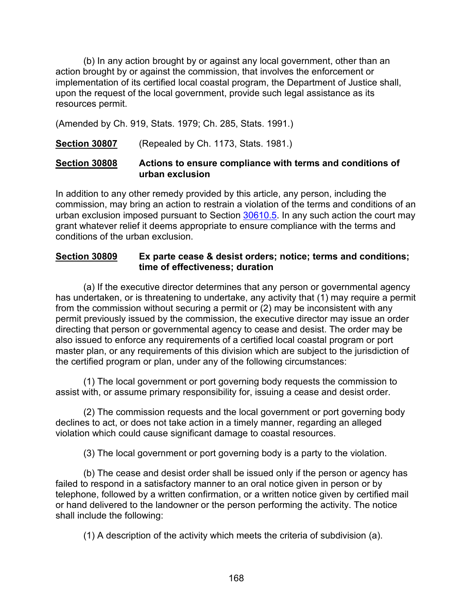(b) In any action brought by or against any local government, other than an action brought by or against the commission, that involves the enforcement or implementation of its certified local coastal program, the Department of Justice shall, upon the request of the local government, provide such legal assistance as its resources permit.

(Amended by Ch. 919, Stats. 1979; Ch. 285, Stats. 1991.)

<span id="page-169-0"></span>**Section 30807** (Repealed by Ch. 1173, Stats. 1981.)

## <span id="page-169-1"></span>**Section 30808 Actions to ensure compliance with terms and conditions of urban exclusion**

In addition to any other remedy provided by this article, any person, including the commission, may bring an action to restrain a violation of the terms and conditions of an urban exclusion imposed pursuant to Section [30610.5.](#page-136-0) In any such action the court may grant whatever relief it deems appropriate to ensure compliance with the terms and conditions of the urban exclusion.

### <span id="page-169-2"></span>**Section 30809 Ex parte cease & desist orders; notice; terms and conditions; time of effectiveness; duration**

(a) If the executive director determines that any person or governmental agency has undertaken, or is threatening to undertake, any activity that (1) may require a permit from the commission without securing a permit or (2) may be inconsistent with any permit previously issued by the commission, the executive director may issue an order directing that person or governmental agency to cease and desist. The order may be also issued to enforce any requirements of a certified local coastal program or port master plan, or any requirements of this division which are subject to the jurisdiction of the certified program or plan, under any of the following circumstances:

(1) The local government or port governing body requests the commission to assist with, or assume primary responsibility for, issuing a cease and desist order.

(2) The commission requests and the local government or port governing body declines to act, or does not take action in a timely manner, regarding an alleged violation which could cause significant damage to coastal resources.

(3) The local government or port governing body is a party to the violation.

(b) The cease and desist order shall be issued only if the person or agency has failed to respond in a satisfactory manner to an oral notice given in person or by telephone, followed by a written confirmation, or a written notice given by certified mail or hand delivered to the landowner or the person performing the activity. The notice shall include the following:

(1) A description of the activity which meets the criteria of subdivision (a).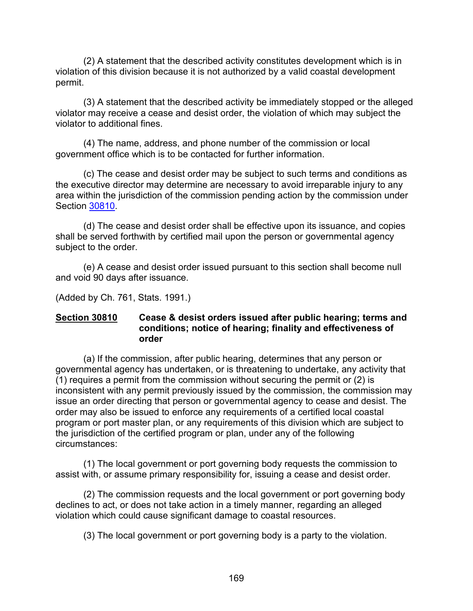(2) A statement that the described activity constitutes development which is in violation of this division because it is not authorized by a valid coastal development permit.

(3) A statement that the described activity be immediately stopped or the alleged violator may receive a cease and desist order, the violation of which may subject the violator to additional fines.

(4) The name, address, and phone number of the commission or local government office which is to be contacted for further information.

(c) The cease and desist order may be subject to such terms and conditions as the executive director may determine are necessary to avoid irreparable injury to any area within the jurisdiction of the commission pending action by the commission under Section [30810.](#page-170-0)

(d) The cease and desist order shall be effective upon its issuance, and copies shall be served forthwith by certified mail upon the person or governmental agency subject to the order.

(e) A cease and desist order issued pursuant to this section shall become null and void 90 days after issuance.

(Added by Ch. 761, Stats. 1991.)

#### <span id="page-170-0"></span>**Section 30810 Cease & desist orders issued after public hearing; terms and conditions; notice of hearing; finality and effectiveness of order**

(a) If the commission, after public hearing, determines that any person or governmental agency has undertaken, or is threatening to undertake, any activity that  $(1)$  requires a permit from the commission without securing the permit or  $(2)$  is inconsistent with any permit previously issued by the commission, the commission may issue an order directing that person or governmental agency to cease and desist. The order may also be issued to enforce any requirements of a certified local coastal program or port master plan, or any requirements of this division which are subject to the jurisdiction of the certified program or plan, under any of the following circumstances:

(1) The local government or port governing body requests the commission to assist with, or assume primary responsibility for, issuing a cease and desist order.

(2) The commission requests and the local government or port governing body declines to act, or does not take action in a timely manner, regarding an alleged violation which could cause significant damage to coastal resources.

(3) The local government or port governing body is a party to the violation.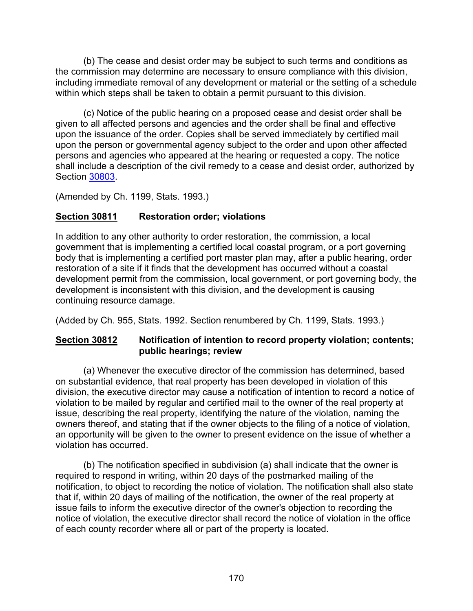(b) The cease and desist order may be subject to such terms and conditions as the commission may determine are necessary to ensure compliance with this division, including immediate removal of any development or material or the setting of a schedule within which steps shall be taken to obtain a permit pursuant to this division.

(c) Notice of the public hearing on a proposed cease and desist order shall be given to all affected persons and agencies and the order shall be final and effective upon the issuance of the order. Copies shall be served immediately by certified mail upon the person or governmental agency subject to the order and upon other affected persons and agencies who appeared at the hearing or requested a copy. The notice shall include a description of the civil remedy to a cease and desist order, authorized by Section [30803.](#page-168-0)

(Amended by Ch. 1199, Stats. 1993.)

## <span id="page-171-0"></span>**Section 30811 Restoration order; violations**

In addition to any other authority to order restoration, the commission, a local government that is implementing a certified local coastal program, or a port governing body that is implementing a certified port master plan may, after a public hearing, order restoration of a site if it finds that the development has occurred without a coastal development permit from the commission, local government, or port governing body, the development is inconsistent with this division, and the development is causing continuing resource damage.

(Added by Ch. 955, Stats. 1992. Section renumbered by Ch. 1199, Stats. 1993.)

## <span id="page-171-1"></span>**Section 30812 Notification of intention to record property violation; contents; public hearings; review**

(a) Whenever the executive director of the commission has determined, based on substantial evidence, that real property has been developed in violation of this division, the executive director may cause a notification of intention to record a notice of violation to be mailed by regular and certified mail to the owner of the real property at issue, describing the real property, identifying the nature of the violation, naming the owners thereof, and stating that if the owner objects to the filing of a notice of violation, an opportunity will be given to the owner to present evidence on the issue of whether a violation has occurred.

(b) The notification specified in subdivision (a) shall indicate that the owner is required to respond in writing, within 20 days of the postmarked mailing of the notification, to object to recording the notice of violation. The notification shall also state that if, within 20 days of mailing of the notification, the owner of the real property at issue fails to inform the executive director of the owner's objection to recording the notice of violation, the executive director shall record the notice of violation in the office of each county recorder where all or part of the property is located.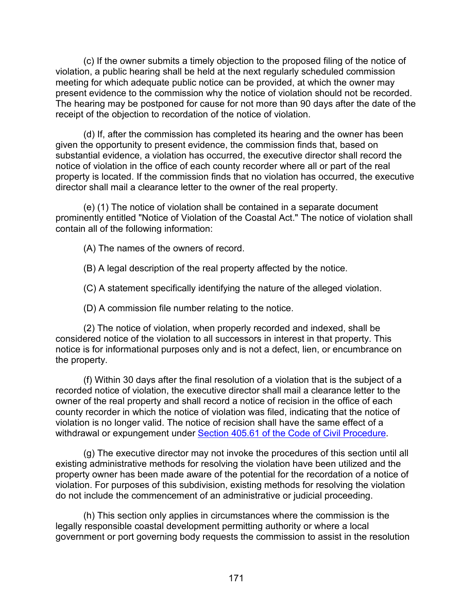(c) If the owner submits a timely objection to the proposed filing of the notice of violation, a public hearing shall be held at the next regularly scheduled commission meeting for which adequate public notice can be provided, at which the owner may present evidence to the commission why the notice of violation should not be recorded. The hearing may be postponed for cause for not more than 90 days after the date of the receipt of the objection to recordation of the notice of violation.

(d) If, after the commission has completed its hearing and the owner has been given the opportunity to present evidence, the commission finds that, based on substantial evidence, a violation has occurred, the executive director shall record the notice of violation in the office of each county recorder where all or part of the real property is located. If the commission finds that no violation has occurred, the executive director shall mail a clearance letter to the owner of the real property.

(e) (1) The notice of violation shall be contained in a separate document prominently entitled "Notice of Violation of the Coastal Act." The notice of violation shall contain all of the following information:

(A) The names of the owners of record.

(B) A legal description of the real property affected by the notice.

(C) A statement specifically identifying the nature of the alleged violation.

(D) A commission file number relating to the notice.

(2) The notice of violation, when properly recorded and indexed, shall be considered notice of the violation to all successors in interest in that property. This notice is for informational purposes only and is not a defect, lien, or encumbrance on the property.

(f) Within 30 days after the final resolution of a violation that is the subject of a recorded notice of violation, the executive director shall mail a clearance letter to the owner of the real property and shall record a notice of recision in the office of each county recorder in which the notice of violation was filed, indicating that the notice of violation is no longer valid. The notice of recision shall have the same effect of a withdrawal or expungement under [Section 405.61 of the Code of Civil Procedure.](http://leginfo.legislature.ca.gov/faces/codes_displayexpandedbranch.xhtml?tocCode=CCP&division=&title=&part=2.&chapter=&article=)

(g) The executive director may not invoke the procedures of this section until all existing administrative methods for resolving the violation have been utilized and the property owner has been made aware of the potential for the recordation of a notice of violation. For purposes of this subdivision, existing methods for resolving the violation do not include the commencement of an administrative or judicial proceeding.

(h) This section only applies in circumstances where the commission is the legally responsible coastal development permitting authority or where a local government or port governing body requests the commission to assist in the resolution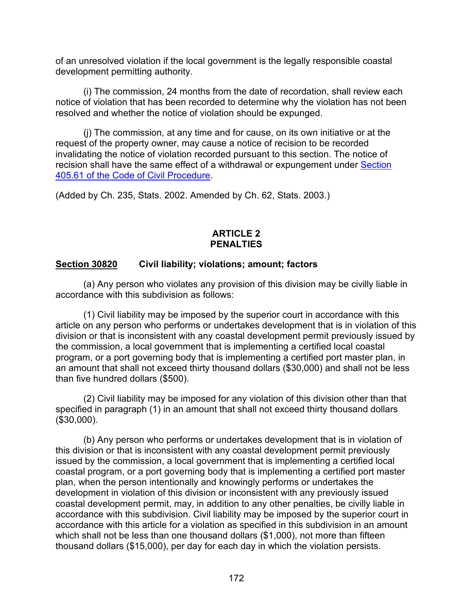of an unresolved violation if the local government is the legally responsible coastal development permitting authority.

(i) The commission, 24 months from the date of recordation, shall review each notice of violation that has been recorded to determine why the violation has not been resolved and whether the notice of violation should be expunged.

(j) The commission, at any time and for cause, on its own initiative or at the request of the property owner, may cause a notice of recision to be recorded invalidating the notice of violation recorded pursuant to this section. The notice of recision shall have the same effect of a withdrawal or expungement under [Section](http://leginfo.legislature.ca.gov/faces/codes_displayexpandedbranch.xhtml?tocCode=CCP&division=&title=&part=2.&chapter=&article=)  [405.61 of the Code of Civil Procedure.](http://leginfo.legislature.ca.gov/faces/codes_displayexpandedbranch.xhtml?tocCode=CCP&division=&title=&part=2.&chapter=&article=)

(Added by Ch. 235, Stats. 2002. Amended by Ch. 62, Stats. 2003.)

### **ARTICLE 2 PENALTIES**

## <span id="page-173-0"></span>**Section 30820 Civil liability; violations; amount; factors**

(a) Any person who violates any provision of this division may be civilly liable in accordance with this subdivision as follows:

(1) Civil liability may be imposed by the superior court in accordance with this article on any person who performs or undertakes development that is in violation of this division or that is inconsistent with any coastal development permit previously issued by the commission, a local government that is implementing a certified local coastal program, or a port governing body that is implementing a certified port master plan, in an amount that shall not exceed thirty thousand dollars (\$30,000) and shall not be less than five hundred dollars (\$500).

(2) Civil liability may be imposed for any violation of this division other than that specified in paragraph (1) in an amount that shall not exceed thirty thousand dollars (\$30,000).

(b) Any person who performs or undertakes development that is in violation of this division or that is inconsistent with any coastal development permit previously issued by the commission, a local government that is implementing a certified local coastal program, or a port governing body that is implementing a certified port master plan, when the person intentionally and knowingly performs or undertakes the development in violation of this division or inconsistent with any previously issued coastal development permit, may, in addition to any other penalties, be civilly liable in accordance with this subdivision. Civil liability may be imposed by the superior court in accordance with this article for a violation as specified in this subdivision in an amount which shall not be less than one thousand dollars (\$1,000), not more than fifteen thousand dollars (\$15,000), per day for each day in which the violation persists.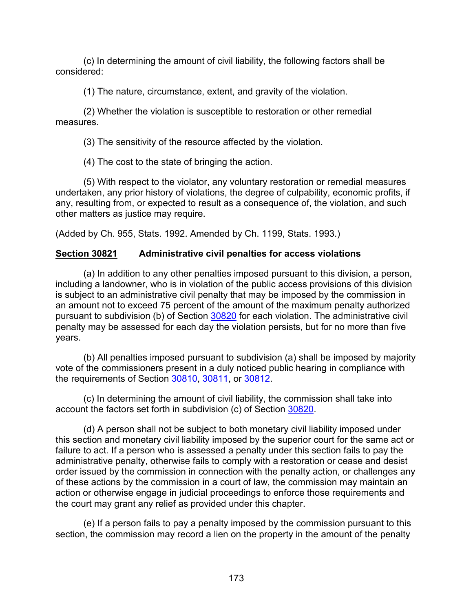(c) In determining the amount of civil liability, the following factors shall be considered:

(1) The nature, circumstance, extent, and gravity of the violation.

(2) Whether the violation is susceptible to restoration or other remedial measures.

(3) The sensitivity of the resource affected by the violation.

(4) The cost to the state of bringing the action.

(5) With respect to the violator, any voluntary restoration or remedial measures undertaken, any prior history of violations, the degree of culpability, economic profits, if any, resulting from, or expected to result as a consequence of, the violation, and such other matters as justice may require.

(Added by Ch. 955, Stats. 1992. Amended by Ch. 1199, Stats. 1993.)

## <span id="page-174-0"></span>**Section 30821 Administrative civil penalties for access violations**

(a) In addition to any other penalties imposed pursuant to this division, a person, including a landowner, who is in violation of the public access provisions of this division is subject to an administrative civil penalty that may be imposed by the commission in an amount not to exceed 75 percent of the amount of the maximum penalty authorized pursuant to subdivision (b) of Section [30820](#page-173-0) for each violation. The administrative civil penalty may be assessed for each day the violation persists, but for no more than five years.

(b) All penalties imposed pursuant to subdivision (a) shall be imposed by majority vote of the commissioners present in a duly noticed public hearing in compliance with the requirements of Section [30810,](#page-170-0) [30811,](#page-171-0) or [30812.](#page-171-1)

(c) In determining the amount of civil liability, the commission shall take into account the factors set forth in subdivision (c) of Section [30820.](#page-173-0)

(d) A person shall not be subject to both monetary civil liability imposed under this section and monetary civil liability imposed by the superior court for the same act or failure to act. If a person who is assessed a penalty under this section fails to pay the administrative penalty, otherwise fails to comply with a restoration or cease and desist order issued by the commission in connection with the penalty action, or challenges any of these actions by the commission in a court of law, the commission may maintain an action or otherwise engage in judicial proceedings to enforce those requirements and the court may grant any relief as provided under this chapter.

(e) If a person fails to pay a penalty imposed by the commission pursuant to this section, the commission may record a lien on the property in the amount of the penalty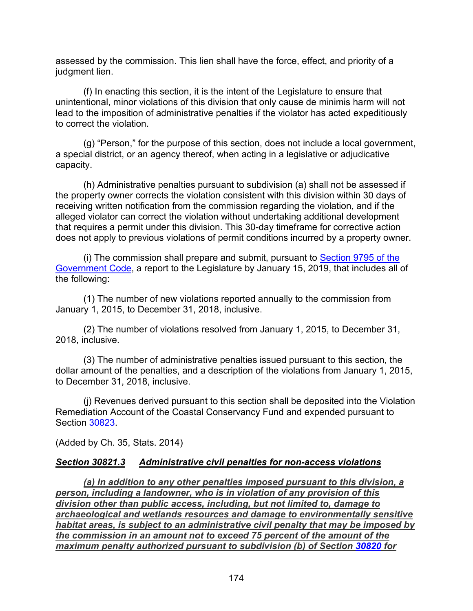assessed by the commission. This lien shall have the force, effect, and priority of a judgment lien.

(f) In enacting this section, it is the intent of the Legislature to ensure that unintentional, minor violations of this division that only cause de minimis harm will not lead to the imposition of administrative penalties if the violator has acted expeditiously to correct the violation.

(g) "Person," for the purpose of this section, does not include a local government, a special district, or an agency thereof, when acting in a legislative or adjudicative capacity.

(h) Administrative penalties pursuant to subdivision (a) shall not be assessed if the property owner corrects the violation consistent with this division within 30 days of receiving written notification from the commission regarding the violation, and if the alleged violator can correct the violation without undertaking additional development that requires a permit under this division. This 30-day timeframe for corrective action does not apply to previous violations of permit conditions incurred by a property owner.

(i) The commission shall prepare and submit, pursuant to [Section 9795 of the](https://leginfo.legislature.ca.gov/faces/codes_displayText.xhtml?lawCode=GOV&division=2.&title=2.&part=1.&chapter=7.&article=6.)  [Government Code,](https://leginfo.legislature.ca.gov/faces/codes_displayText.xhtml?lawCode=GOV&division=2.&title=2.&part=1.&chapter=7.&article=6.) a report to the Legislature by January 15, 2019, that includes all of the following:

(1) The number of new violations reported annually to the commission from January 1, 2015, to December 31, 2018, inclusive.

(2) The number of violations resolved from January 1, 2015, to December 31, 2018, inclusive.

(3) The number of administrative penalties issued pursuant to this section, the dollar amount of the penalties, and a description of the violations from January 1, 2015, to December 31, 2018, inclusive.

(j) Revenues derived pursuant to this section shall be deposited into the Violation Remediation Account of the Coastal Conservancy Fund and expended pursuant to Section [30823.](#page-178-1)

(Added by Ch. 35, Stats. 2014)

#### <span id="page-175-0"></span>*Section 30821.3 Administrative civil penalties for non-access violations*

*(a) In addition to any other penalties imposed pursuant to this division, a person, including a landowner, who is in violation of any provision of this division other than public access, including, but not limited to, damage to archaeological and wetlands resources and damage to environmentally sensitive habitat areas, is subject to an administrative civil penalty that may be imposed by the commission in an amount not to exceed 75 percent of the amount of the maximum penalty authorized pursuant to subdivision (b) of Section [30820](#page-173-0) for*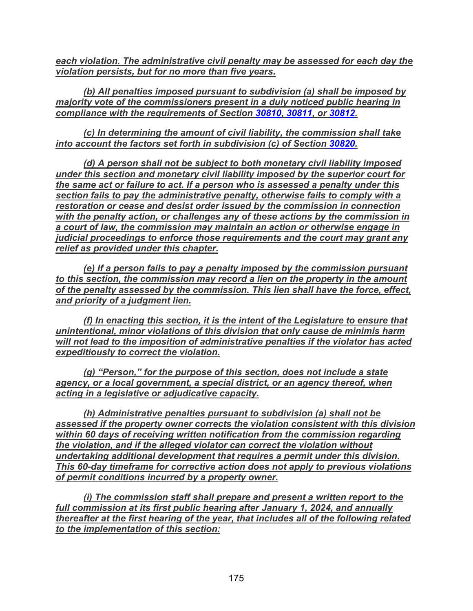*each violation. The administrative civil penalty may be assessed for each day the violation persists, but for no more than five years.*

*(b) All penalties imposed pursuant to subdivision (a) shall be imposed by majority vote of the commissioners present in a duly noticed public hearing in compliance with the requirements of Section [30810,](#page-170-0) [30811,](#page-171-0) or [30812.](#page-171-1)*

*(c) In determining the amount of civil liability, the commission shall take into account the factors set forth in subdivision (c) of Section [30820.](#page-173-0)*

*(d) A person shall not be subject to both monetary civil liability imposed under this section and monetary civil liability imposed by the superior court for the same act or failure to act. If a person who is assessed a penalty under this section fails to pay the administrative penalty, otherwise fails to comply with a restoration or cease and desist order issued by the commission in connection with the penalty action, or challenges any of these actions by the commission in a court of law, the commission may maintain an action or otherwise engage in judicial proceedings to enforce those requirements and the court may grant any relief as provided under this chapter.*

*(e) If a person fails to pay a penalty imposed by the commission pursuant to this section, the commission may record a lien on the property in the amount of the penalty assessed by the commission. This lien shall have the force, effect, and priority of a judgment lien.*

*(f) In enacting this section, it is the intent of the Legislature to ensure that unintentional, minor violations of this division that only cause de minimis harm will not lead to the imposition of administrative penalties if the violator has acted expeditiously to correct the violation.*

*(g) "Person," for the purpose of this section, does not include a state*  agency, or a local government, a special district, or an agency thereof, when *acting in a legislative or adjudicative capacity.*

*(h) Administrative penalties pursuant to subdivision (a) shall not be assessed if the property owner corrects the violation consistent with this division within 60 days of receiving written notification from the commission regarding the violation, and if the alleged violator can correct the violation without undertaking additional development that requires a permit under this division. This 60-day timeframe for corrective action does not apply to previous violations of permit conditions incurred by a property owner.*

*(i) The commission staff shall prepare and present a written report to the full commission at its first public hearing after January 1, 2024, and annually thereafter at the first hearing of the year, that includes all of the following related to the implementation of this section:*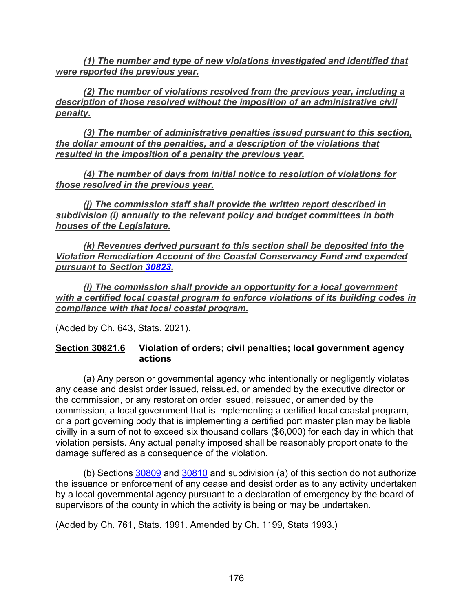*(1) The number and type of new violations investigated and identified that were reported the previous year.*

*(2) The number of violations resolved from the previous year, including a description of those resolved without the imposition of an administrative civil penalty.*

*(3) The number of administrative penalties issued pursuant to this section, the dollar amount of the penalties, and a description of the violations that resulted in the imposition of a penalty the previous year.*

*(4) The number of days from initial notice to resolution of violations for those resolved in the previous year.*

*(j) The commission staff shall provide the written report described in subdivision (i) annually to the relevant policy and budget committees in both houses of the Legislature.*

*(k) Revenues derived pursuant to this section shall be deposited into the Violation Remediation Account of the Coastal Conservancy Fund and expended pursuant to Section [30823.](#page-178-1)*

*(l) The commission shall provide an opportunity for a local government with a certified local coastal program to enforce violations of its building codes in compliance with that local coastal program.*

(Added by Ch. 643, Stats. 2021).

## <span id="page-177-0"></span>**Section 30821.6 Violation of orders; civil penalties; local government agency actions**

(a) Any person or governmental agency who intentionally or negligently violates any cease and desist order issued, reissued, or amended by the executive director or the commission, or any restoration order issued, reissued, or amended by the commission, a local government that is implementing a certified local coastal program, or a port governing body that is implementing a certified port master plan may be liable civilly in a sum of not to exceed six thousand dollars (\$6,000) for each day in which that violation persists. Any actual penalty imposed shall be reasonably proportionate to the damage suffered as a consequence of the violation.

(b) Sections [30809](#page-169-2) and [30810](#page-170-0) and subdivision (a) of this section do not authorize the issuance or enforcement of any cease and desist order as to any activity undertaken by a local governmental agency pursuant to a declaration of emergency by the board of supervisors of the county in which the activity is being or may be undertaken.

(Added by Ch. 761, Stats. 1991. Amended by Ch. 1199, Stats 1993.)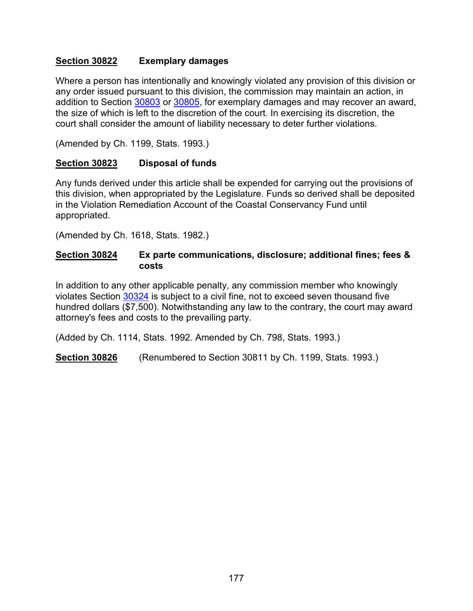## <span id="page-178-0"></span>**Section 30822 Exemplary damages**

Where a person has intentionally and knowingly violated any provision of this division or any order issued pursuant to this division, the commission may maintain an action, in addition to Section [30803](#page-168-0) or [30805,](#page-168-2) for exemplary damages and may recover an award, the size of which is left to the discretion of the court. In exercising its discretion, the court shall consider the amount of liability necessary to deter further violations.

(Amended by Ch. 1199, Stats. 1993.)

#### <span id="page-178-1"></span>**Section 30823 Disposal of funds**

Any funds derived under this article shall be expended for carrying out the provisions of this division, when appropriated by the Legislature. Funds so derived shall be deposited in the Violation Remediation Account of the Coastal Conservancy Fund until appropriated.

(Amended by Ch. 1618, Stats. 1982.)

#### <span id="page-178-2"></span>**Section 30824 Ex parte communications, disclosure; additional fines; fees & costs**

In addition to any other applicable penalty, any commission member who knowingly violates Section [30324](#page-67-0) is subject to a civil fine, not to exceed seven thousand five hundred dollars (\$7,500). Notwithstanding any law to the contrary, the court may award attorney's fees and costs to the prevailing party.

(Added by Ch. 1114, Stats. 1992. Amended by Ch. 798, Stats. 1993.)

<span id="page-178-3"></span>**Section 30826** (Renumbered to Section 30811 by Ch. 1199, Stats. 1993.)